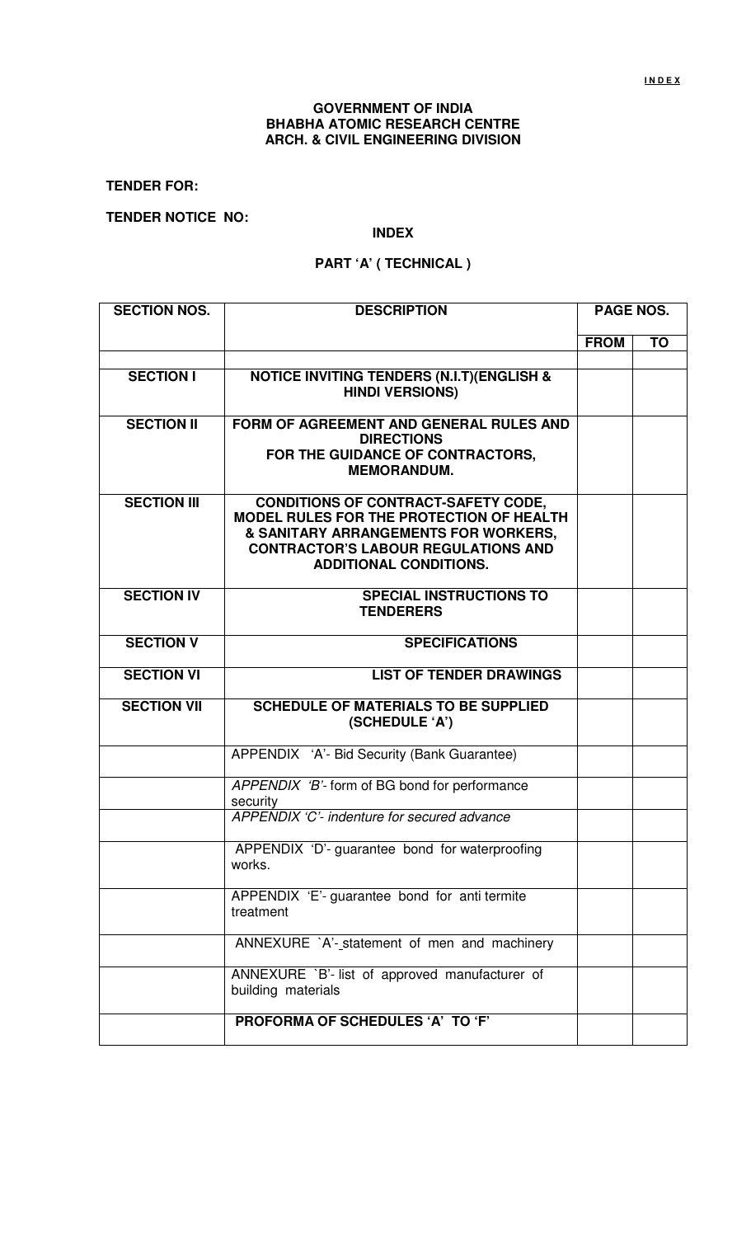# **GOVERNMENT OF INDIA BHABHA ATOMIC RESEARCH CENTRE ARCH. & CIVIL ENGINEERING DIVISION**

**TENDER FOR:** 

**TENDER NOTICE NO:** 

### **INDEX**

# **PART 'A' ( TECHNICAL )**

| <b>SECTION NOS.</b> | <b>DESCRIPTION</b>                                                                                                                                                                                            | <b>PAGE NOS.</b> |           |
|---------------------|---------------------------------------------------------------------------------------------------------------------------------------------------------------------------------------------------------------|------------------|-----------|
|                     |                                                                                                                                                                                                               | <b>FROM</b>      | <b>TO</b> |
|                     |                                                                                                                                                                                                               |                  |           |
| <b>SECTION I</b>    | <b>NOTICE INVITING TENDERS (N.I.T) (ENGLISH &amp;</b><br><b>HINDI VERSIONS)</b>                                                                                                                               |                  |           |
| <b>SECTION II</b>   | FORM OF AGREEMENT AND GENERAL RULES AND<br><b>DIRECTIONS</b><br>FOR THE GUIDANCE OF CONTRACTORS,<br><b>MEMORANDUM.</b>                                                                                        |                  |           |
| <b>SECTION III</b>  | <b>CONDITIONS OF CONTRACT-SAFETY CODE,</b><br>MODEL RULES FOR THE PROTECTION OF HEALTH<br>& SANITARY ARRANGEMENTS FOR WORKERS,<br><b>CONTRACTOR'S LABOUR REGULATIONS AND</b><br><b>ADDITIONAL CONDITIONS.</b> |                  |           |
| <b>SECTION IV</b>   | <b>SPECIAL INSTRUCTIONS TO</b><br><b>TENDERERS</b>                                                                                                                                                            |                  |           |
| <b>SECTION V</b>    | <b>SPECIFICATIONS</b>                                                                                                                                                                                         |                  |           |
| <b>SECTION VI</b>   | <b>LIST OF TENDER DRAWINGS</b>                                                                                                                                                                                |                  |           |
| <b>SECTION VII</b>  | <b>SCHEDULE OF MATERIALS TO BE SUPPLIED</b><br>(SCHEDULE 'A')                                                                                                                                                 |                  |           |
|                     | APPENDIX 'A'- Bid Security (Bank Guarantee)                                                                                                                                                                   |                  |           |
|                     | APPENDIX 'B'- form of BG bond for performance<br>security                                                                                                                                                     |                  |           |
|                     | APPENDIX 'C'- indenture for secured advance                                                                                                                                                                   |                  |           |
|                     | APPENDIX 'D'- guarantee bond for waterproofing<br>works.                                                                                                                                                      |                  |           |
|                     | APPENDIX 'E'- guarantee bond for anti termite<br>treatment                                                                                                                                                    |                  |           |
|                     | ANNEXURE `A'-statement of men and machinery                                                                                                                                                                   |                  |           |
|                     | ANNEXURE `B'- list of approved manufacturer of<br>building materials                                                                                                                                          |                  |           |
|                     | PROFORMA OF SCHEDULES 'A' TO 'F'                                                                                                                                                                              |                  |           |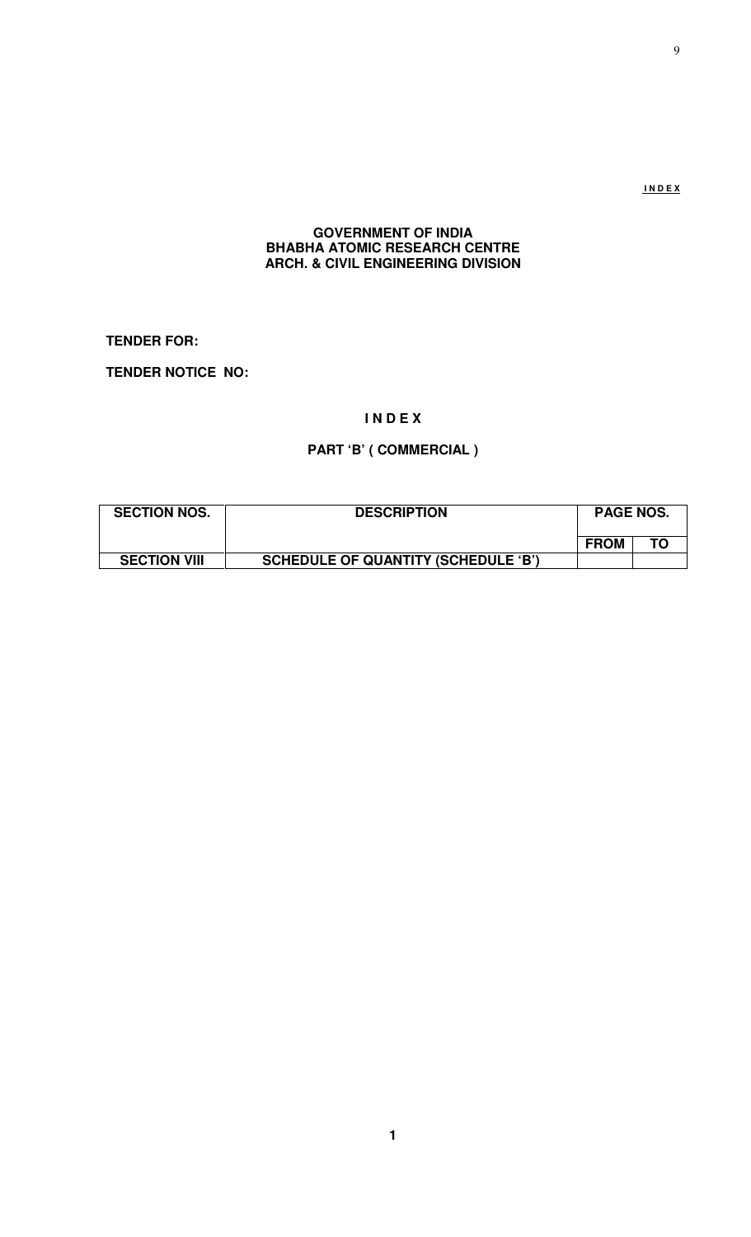**I N D E X**

# **GOVERNMENT OF INDIA BHABHA ATOMIC RESEARCH CENTRE ARCH. & CIVIL ENGINEERING DIVISION**

**TENDER FOR:** 

**TENDER NOTICE NO:** 

# **I N D E X**

# **PART 'B' ( COMMERCIAL )**

| <b>SECTION NOS.</b> | <b>DESCRIPTION</b>                         | <b>PAGE NOS.</b> |    |  |
|---------------------|--------------------------------------------|------------------|----|--|
|                     |                                            | <b>FROM</b>      | TO |  |
| <b>SECTION VIII</b> | <b>SCHEDULE OF QUANTITY (SCHEDULE 'B')</b> |                  |    |  |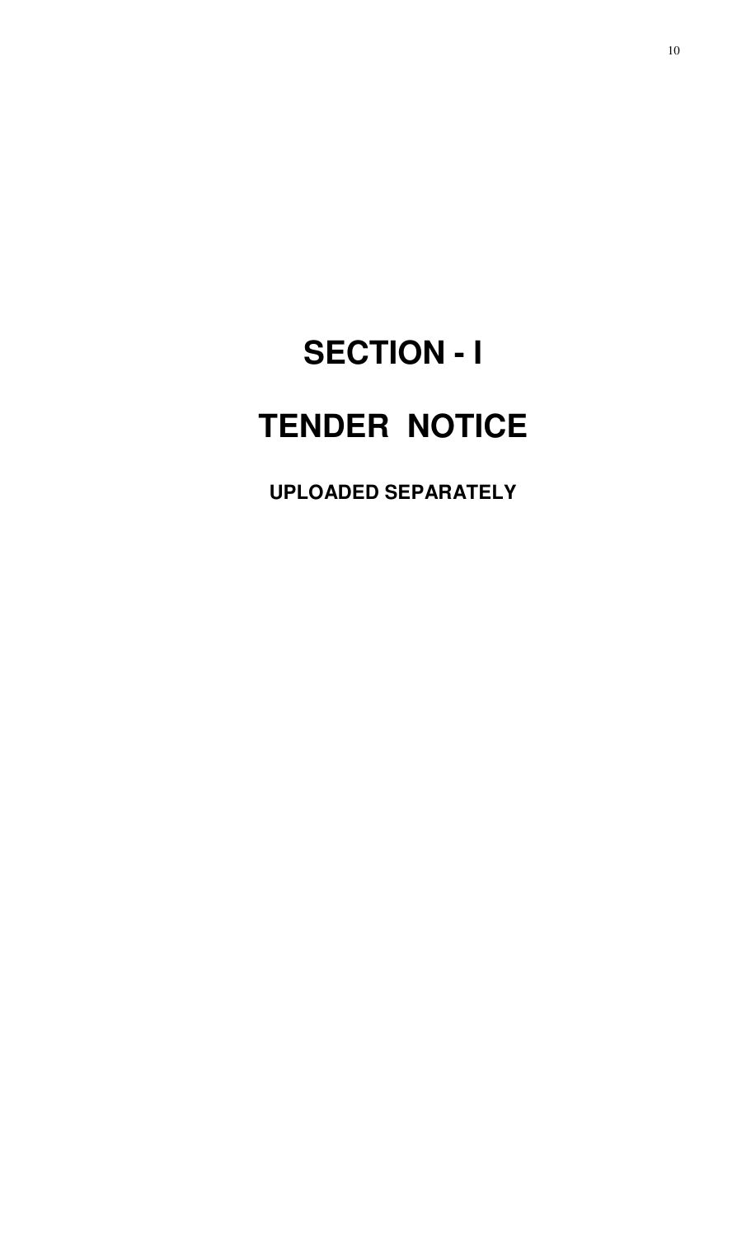# **SECTION - I TENDER NOTICE**

**UPLOADED SEPARATELY**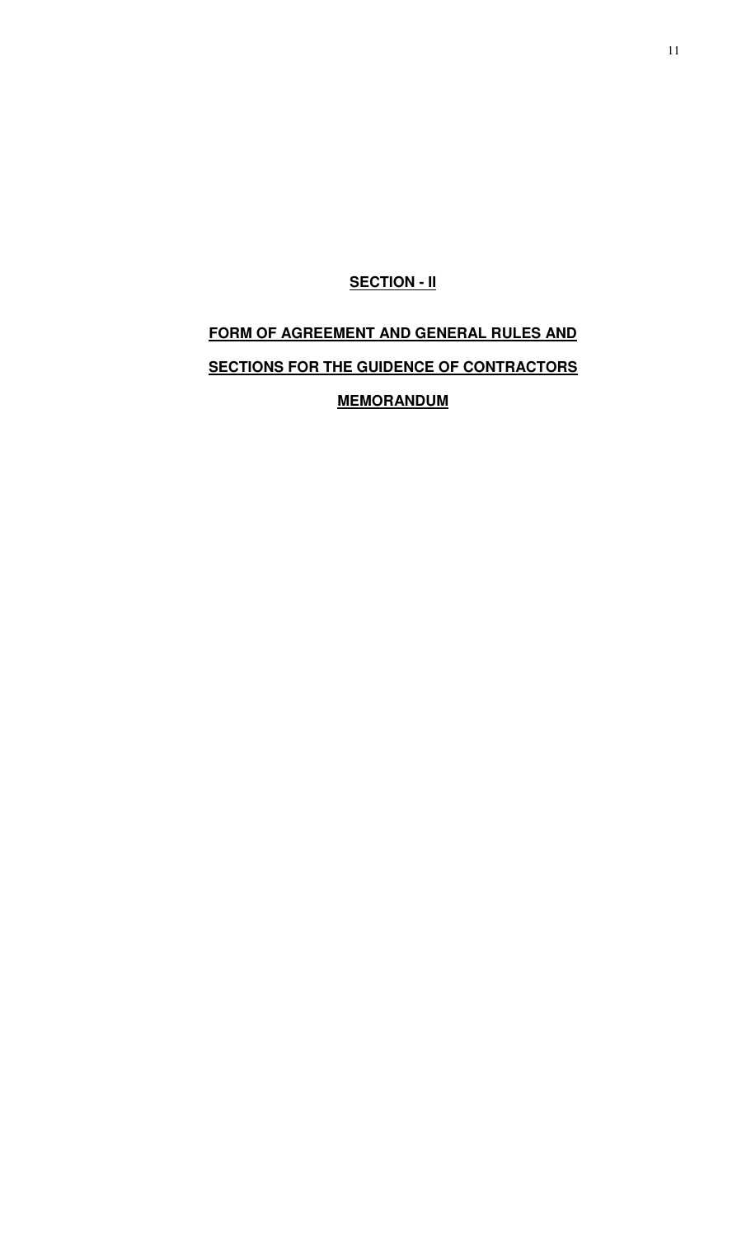# **SECTION - II**

# **FORM OF AGREEMENT AND GENERAL RULES AND SECTIONS FOR THE GUIDENCE OF CONTRACTORS MEMORANDUM**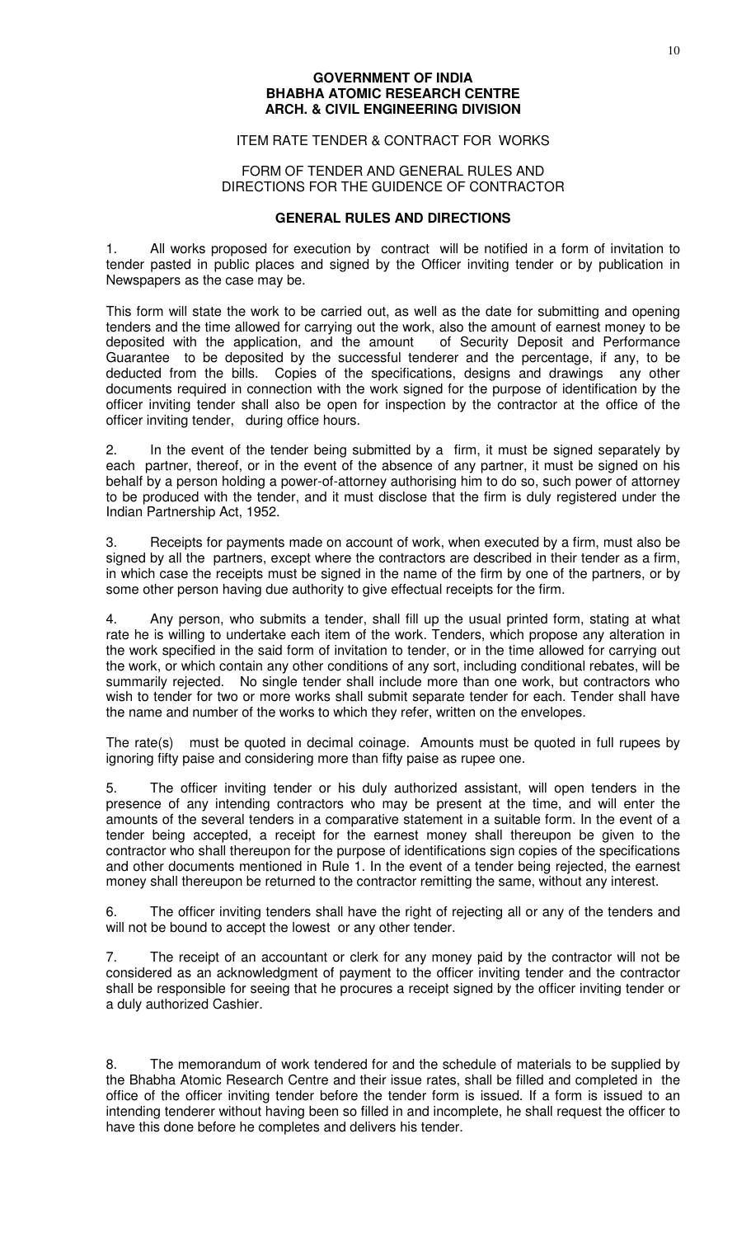#### **GOVERNMENT OF INDIA BHABHA ATOMIC RESEARCH CENTRE ARCH. & CIVIL ENGINEERING DIVISION**

### ITEM RATE TENDER & CONTRACT FOR WORKS

#### FORM OF TENDER AND GENERAL RULES AND DIRECTIONS FOR THE GUIDENCE OF CONTRACTOR

#### **GENERAL RULES AND DIRECTIONS**

1. All works proposed for execution by contract will be notified in a form of invitation to tender pasted in public places and signed by the Officer inviting tender or by publication in Newspapers as the case may be.

This form will state the work to be carried out, as well as the date for submitting and opening tenders and the time allowed for carrying out the work, also the amount of earnest money to be deposited with the application, and the amount of Security Deposit and Performance Guarantee to be deposited by the successful tenderer and the percentage, if any, to be deducted from the bills. Copies of the specifications, designs and drawings any other documents required in connection with the work signed for the purpose of identification by the officer inviting tender shall also be open for inspection by the contractor at the office of the officer inviting tender, during office hours.

2. In the event of the tender being submitted by a firm, it must be signed separately by each partner, thereof, or in the event of the absence of any partner, it must be signed on his behalf by a person holding a power-of-attorney authorising him to do so, such power of attorney to be produced with the tender, and it must disclose that the firm is duly registered under the Indian Partnership Act, 1952.

3. Receipts for payments made on account of work, when executed by a firm, must also be signed by all the partners, except where the contractors are described in their tender as a firm, in which case the receipts must be signed in the name of the firm by one of the partners, or by some other person having due authority to give effectual receipts for the firm.

4. Any person, who submits a tender, shall fill up the usual printed form, stating at what rate he is willing to undertake each item of the work. Tenders, which propose any alteration in the work specified in the said form of invitation to tender, or in the time allowed for carrying out the work, or which contain any other conditions of any sort, including conditional rebates, will be summarily rejected. No single tender shall include more than one work, but contractors who wish to tender for two or more works shall submit separate tender for each. Tender shall have the name and number of the works to which they refer, written on the envelopes.

The rate(s) must be quoted in decimal coinage. Amounts must be quoted in full rupees by ignoring fifty paise and considering more than fifty paise as rupee one.

5. The officer inviting tender or his duly authorized assistant, will open tenders in the presence of any intending contractors who may be present at the time, and will enter the amounts of the several tenders in a comparative statement in a suitable form. In the event of a tender being accepted, a receipt for the earnest money shall thereupon be given to the contractor who shall thereupon for the purpose of identifications sign copies of the specifications and other documents mentioned in Rule 1. In the event of a tender being rejected, the earnest money shall thereupon be returned to the contractor remitting the same, without any interest.

6. The officer inviting tenders shall have the right of rejecting all or any of the tenders and will not be bound to accept the lowest or any other tender.

7. The receipt of an accountant or clerk for any money paid by the contractor will not be considered as an acknowledgment of payment to the officer inviting tender and the contractor shall be responsible for seeing that he procures a receipt signed by the officer inviting tender or a duly authorized Cashier.

8. The memorandum of work tendered for and the schedule of materials to be supplied by the Bhabha Atomic Research Centre and their issue rates, shall be filled and completed in the office of the officer inviting tender before the tender form is issued. If a form is issued to an intending tenderer without having been so filled in and incomplete, he shall request the officer to have this done before he completes and delivers his tender.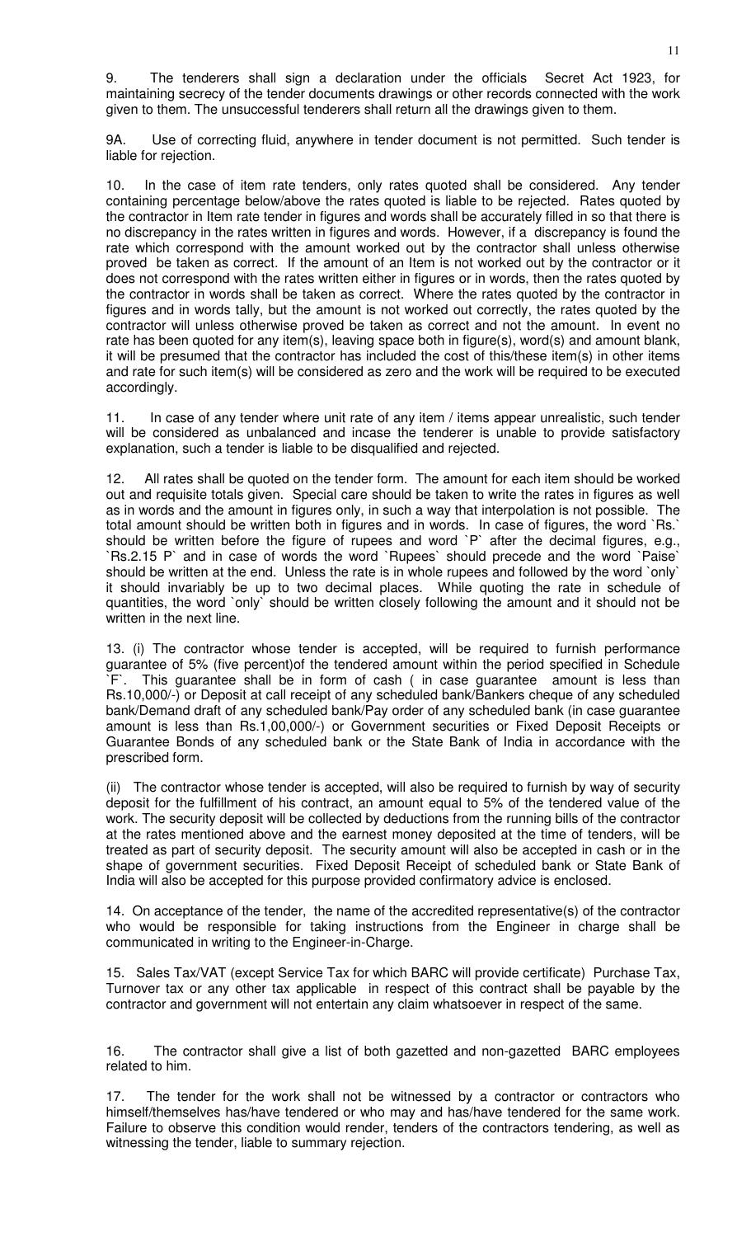9. The tenderers shall sign a declaration under the officials Secret Act 1923, for maintaining secrecy of the tender documents drawings or other records connected with the work given to them. The unsuccessful tenderers shall return all the drawings given to them.

9A. Use of correcting fluid, anywhere in tender document is not permitted. Such tender is liable for rejection.

10. In the case of item rate tenders, only rates quoted shall be considered. Any tender containing percentage below/above the rates quoted is liable to be rejected. Rates quoted by the contractor in Item rate tender in figures and words shall be accurately filled in so that there is no discrepancy in the rates written in figures and words. However, if a discrepancy is found the rate which correspond with the amount worked out by the contractor shall unless otherwise proved be taken as correct. If the amount of an Item is not worked out by the contractor or it does not correspond with the rates written either in figures or in words, then the rates quoted by the contractor in words shall be taken as correct. Where the rates quoted by the contractor in figures and in words tally, but the amount is not worked out correctly, the rates quoted by the contractor will unless otherwise proved be taken as correct and not the amount. In event no rate has been quoted for any item(s), leaving space both in figure(s), word(s) and amount blank, it will be presumed that the contractor has included the cost of this/these item(s) in other items and rate for such item(s) will be considered as zero and the work will be required to be executed accordingly.

11. In case of any tender where unit rate of any item / items appear unrealistic, such tender will be considered as unbalanced and incase the tenderer is unable to provide satisfactory explanation, such a tender is liable to be disqualified and rejected.

12. All rates shall be quoted on the tender form. The amount for each item should be worked out and requisite totals given. Special care should be taken to write the rates in figures as well as in words and the amount in figures only, in such a way that interpolation is not possible. The total amount should be written both in figures and in words. In case of figures, the word `Rs.` should be written before the figure of rupees and word `P` after the decimal figures, e.g., `Rs.2.15 P` and in case of words the word `Rupees` should precede and the word `Paise` should be written at the end. Unless the rate is in whole rupees and followed by the word `only` it should invariably be up to two decimal places. While quoting the rate in schedule of quantities, the word `only` should be written closely following the amount and it should not be written in the next line.

13. (i) The contractor whose tender is accepted, will be required to furnish performance guarantee of 5% (five percent)of the tendered amount within the period specified in Schedule `F`. This guarantee shall be in form of cash ( in case guarantee amount is less than Rs.10,000/-) or Deposit at call receipt of any scheduled bank/Bankers cheque of any scheduled bank/Demand draft of any scheduled bank/Pay order of any scheduled bank (in case guarantee amount is less than Rs.1,00,000/-) or Government securities or Fixed Deposit Receipts or Guarantee Bonds of any scheduled bank or the State Bank of India in accordance with the prescribed form.

(ii) The contractor whose tender is accepted, will also be required to furnish by way of security deposit for the fulfillment of his contract, an amount equal to 5% of the tendered value of the work. The security deposit will be collected by deductions from the running bills of the contractor at the rates mentioned above and the earnest money deposited at the time of tenders, will be treated as part of security deposit. The security amount will also be accepted in cash or in the shape of government securities. Fixed Deposit Receipt of scheduled bank or State Bank of India will also be accepted for this purpose provided confirmatory advice is enclosed.

14. On acceptance of the tender, the name of the accredited representative(s) of the contractor who would be responsible for taking instructions from the Engineer in charge shall be communicated in writing to the Engineer-in-Charge.

15. Sales Tax/VAT (except Service Tax for which BARC will provide certificate) Purchase Tax, Turnover tax or any other tax applicable in respect of this contract shall be payable by the contractor and government will not entertain any claim whatsoever in respect of the same.

16. The contractor shall give a list of both gazetted and non-gazetted BARC employees related to him.

17. The tender for the work shall not be witnessed by a contractor or contractors who himself/themselves has/have tendered or who may and has/have tendered for the same work. Failure to observe this condition would render, tenders of the contractors tendering, as well as witnessing the tender, liable to summary rejection.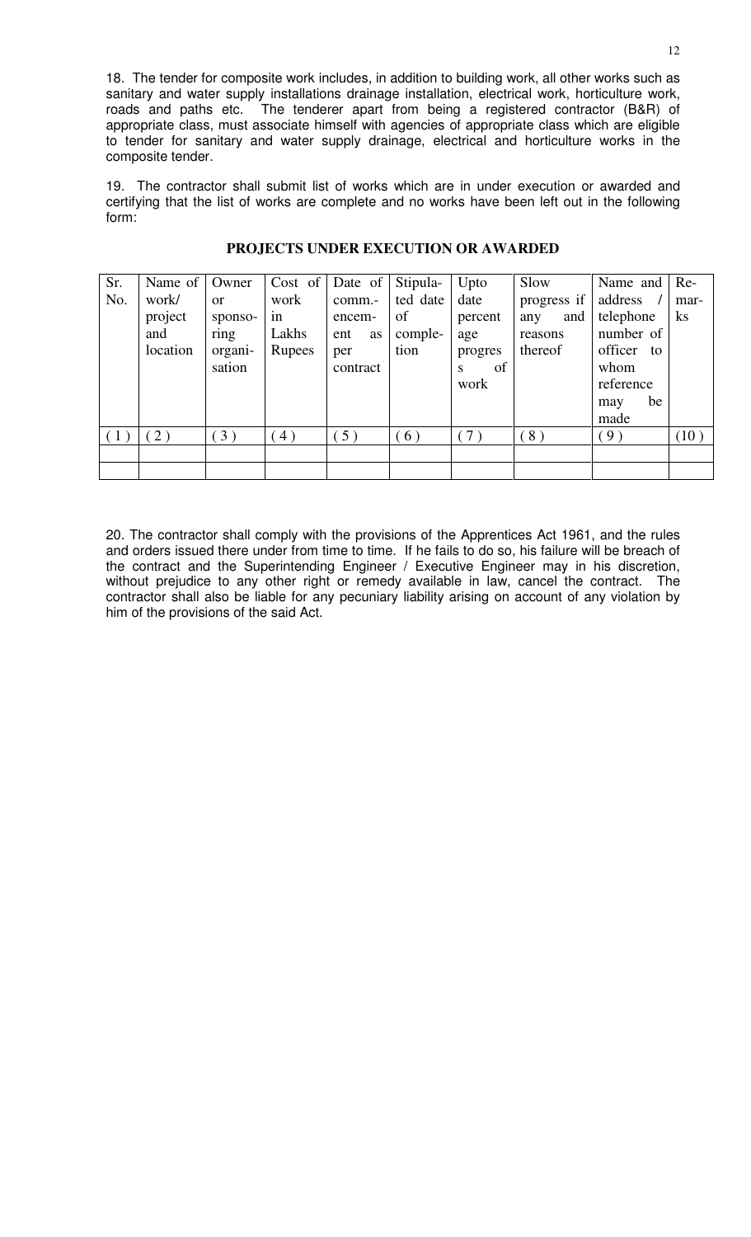18. The tender for composite work includes, in addition to building work, all other works such as sanitary and water supply installations drainage installation, electrical work, horticulture work, roads and paths etc. The tenderer apart from being a registered contractor (B&R) of appropriate class, must associate himself with agencies of appropriate class which are eligible to tender for sanitary and water supply drainage, electrical and horticulture works in the composite tender.

19. The contractor shall submit list of works which are in under execution or awarded and certifying that the list of works are complete and no works have been left out in the following form:

| Sr.              | Name of $ $      | Owner                | $Cost \text{ of }$ | Date of          | Stipula-       | Upto                       | Slow                      | Name and $\vert$ Re-                                 |                  |
|------------------|------------------|----------------------|--------------------|------------------|----------------|----------------------------|---------------------------|------------------------------------------------------|------------------|
| No.              | work/<br>project | <b>or</b><br>sponso- | work<br>in         | comm.-<br>encem- | ted date<br>of | date<br>percent            | progress if<br>and<br>any | address<br>telephone                                 | mar-<br>$\rm ks$ |
|                  | and              | ring                 | Lakhs              | ent<br><b>as</b> | comple-        | age                        | reasons                   | number of                                            |                  |
|                  | location         | organi-<br>sation    | Rupees             | per<br>contract  | tion           | progres<br>of<br>S<br>work | thereof                   | officer to<br>whom<br>reference<br>be<br>may<br>made |                  |
| $\left(1\right)$ | (2)              | (3)                  | 4)                 | 5)               | 6)             | $7^{\circ}$                | (8)                       | (9)                                                  | (10)             |
|                  |                  |                      |                    |                  |                |                            |                           |                                                      |                  |
|                  |                  |                      |                    |                  |                |                            |                           |                                                      |                  |

### **PROJECTS UNDER EXECUTION OR AWARDED**

20. The contractor shall comply with the provisions of the Apprentices Act 1961, and the rules and orders issued there under from time to time. If he fails to do so, his failure will be breach of the contract and the Superintending Engineer / Executive Engineer may in his discretion, without prejudice to any other right or remedy available in law, cancel the contract. The contractor shall also be liable for any pecuniary liability arising on account of any violation by him of the provisions of the said Act.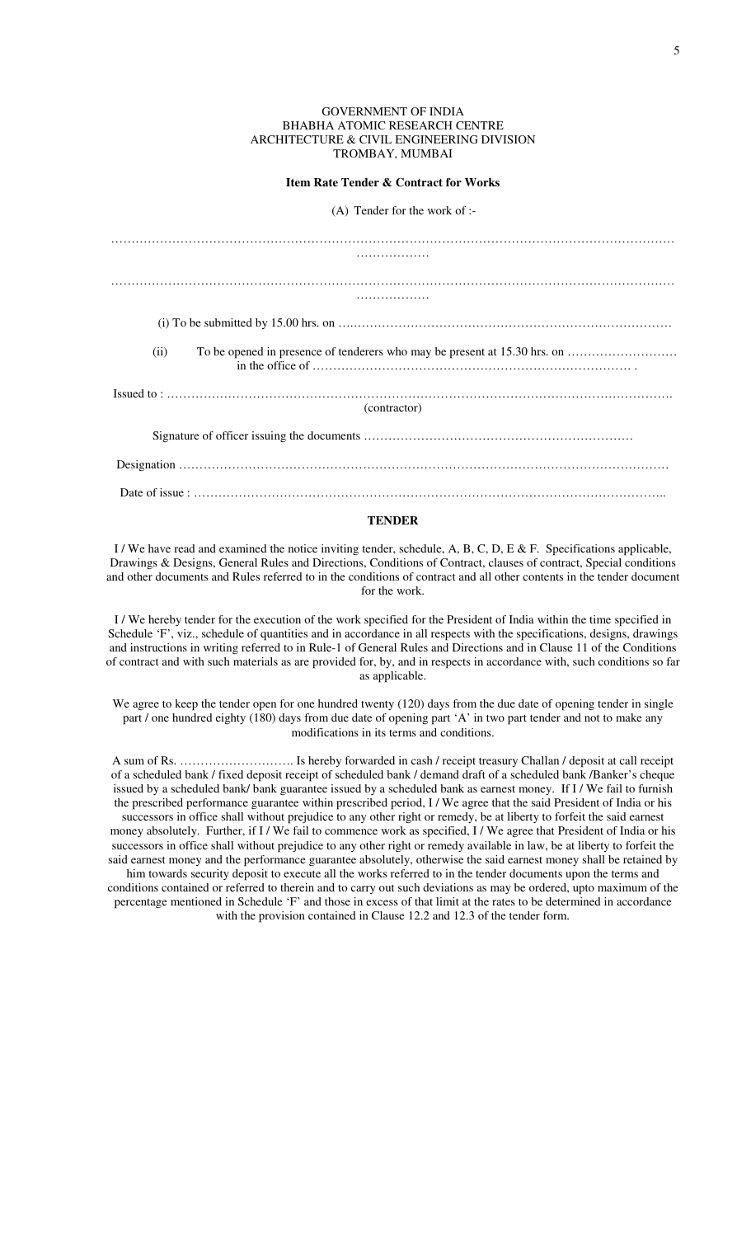#### GOVERNMENT OF INDIA BHABHA ATOMIC RESEARCH CENTRE ARCHITECTURE & CIVIL ENGINEERING DIVISION TROMBAY, MUMBAI

**Item Rate Tender & Contract for Works** 

(A) Tender for the work of :-

| (ii)         |
|--------------|
|              |
| (contractor) |
|              |
|              |
|              |

### **TENDER**

I / We have read and examined the notice inviting tender, schedule, A, B, C, D, E & F. Specifications applicable, Drawings & Designs, General Rules and Directions, Conditions of Contract, clauses of contract, Special conditions and other documents and Rules referred to in the conditions of contract and all other contents in the tender document for the work.

I / We hereby tender for the execution of the work specified for the President of India within the time specified in Schedule 'F', viz., schedule of quantities and in accordance in all respects with the specifications, designs, drawings and instructions in writing referred to in Rule-1 of General Rules and Directions and in Clause 11 of the Conditions of contract and with such materials as are provided for, by, and in respects in accordance with, such conditions so far as applicable.

We agree to keep the tender open for one hundred twenty (120) days from the due date of opening tender in single part / one hundred eighty (180) days from due date of opening part 'A' in two part tender and not to make any modifications in its terms and conditions.

A sum of Rs. ………………………. Is hereby forwarded in cash / receipt treasury Challan / deposit at call receipt of a scheduled bank / fixed deposit receipt of scheduled bank / demand draft of a scheduled bank /Banker's cheque issued by a scheduled bank/ bank guarantee issued by a scheduled bank as earnest money. If I / We fail to furnish the prescribed performance guarantee within prescribed period, I / We agree that the said President of India or his successors in office shall without prejudice to any other right or remedy, be at liberty to forfeit the said earnest money absolutely. Further, if I / We fail to commence work as specified, I / We agree that President of India or his successors in office shall without prejudice to any other right or remedy available in law, be at liberty to forfeit the said earnest money and the performance guarantee absolutely, otherwise the said earnest money shall be retained by him towards security deposit to execute all the works referred to in the tender documents upon the terms and conditions contained or referred to therein and to carry out such deviations as may be ordered, upto maximum of the percentage mentioned in Schedule 'F' and those in excess of that limit at the rates to be determined in accordance with the provision contained in Clause 12.2 and 12.3 of the tender form.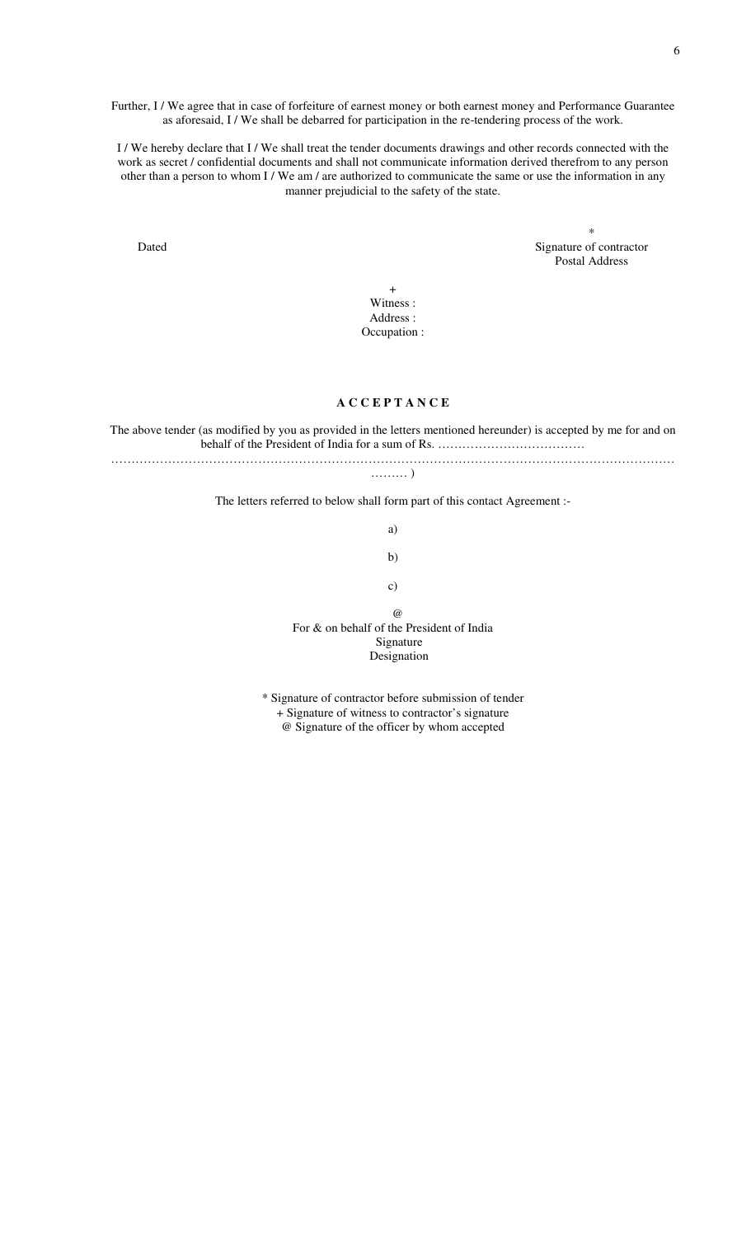Further, I / We agree that in case of forfeiture of earnest money or both earnest money and Performance Guarantee as aforesaid, I / We shall be debarred for participation in the re-tendering process of the work.

I / We hereby declare that I / We shall treat the tender documents drawings and other records connected with the work as secret / confidential documents and shall not communicate information derived therefrom to any person other than a person to whom I / We am / are authorized to communicate the same or use the information in any manner prejudicial to the safety of the state.

the contract of the contract of the contract of the contract of the contract of the contract of the contract o<br>The contract of the contract of the contract of the contract of the contract of the contract of the contract o Dated Signature of contractor Postal Address

> + Witness : Address : Occupation :

#### **A C C E P T A N C E**

The above tender (as modified by you as provided in the letters mentioned hereunder) is accepted by me for and on behalf of the President of India for a sum of Rs. …………………………………………………………………………………

………………………………………………………………………………………………………………………… ……… )

The letters referred to below shall form part of this contact Agreement :-

a)

b)

c)

 $\omega$ 

For & on behalf of the President of India Signature Designation

\* Signature of contractor before submission of tender + Signature of witness to contractor's signature @ Signature of the officer by whom accepted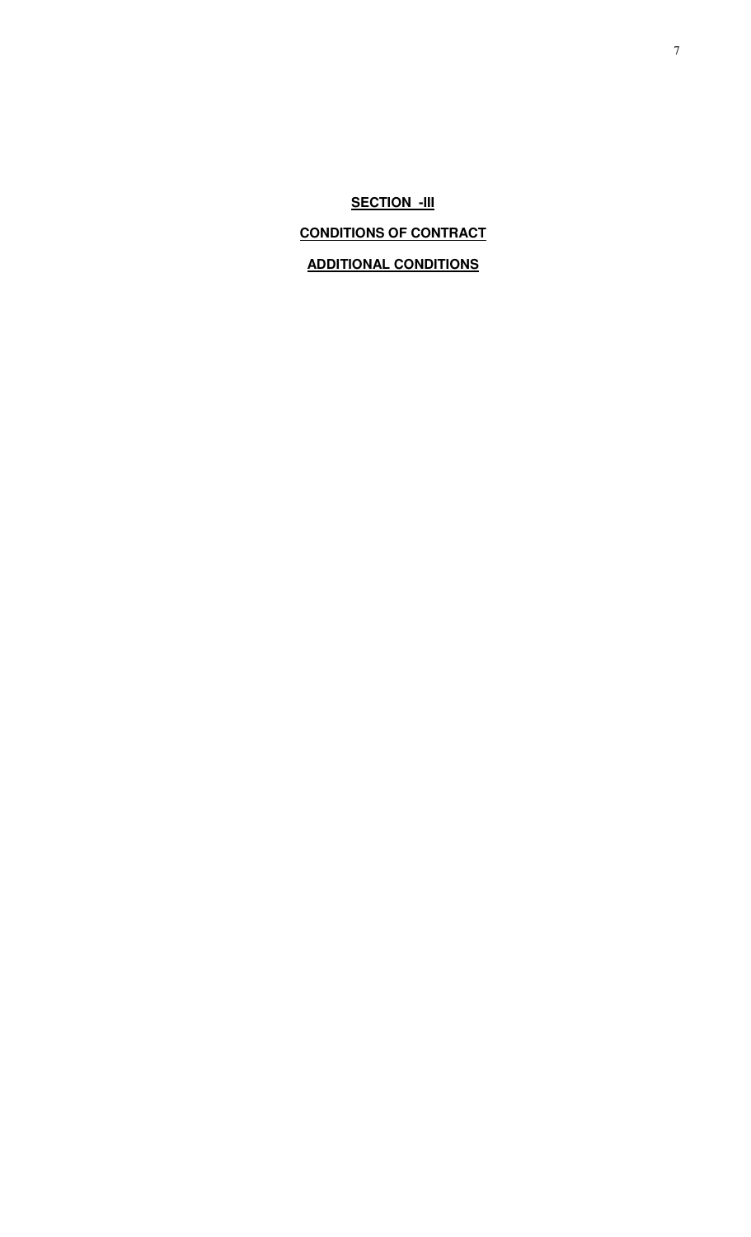**SECTION -III CONDITIONS OF CONTRACT ADDITIONAL CONDITIONS**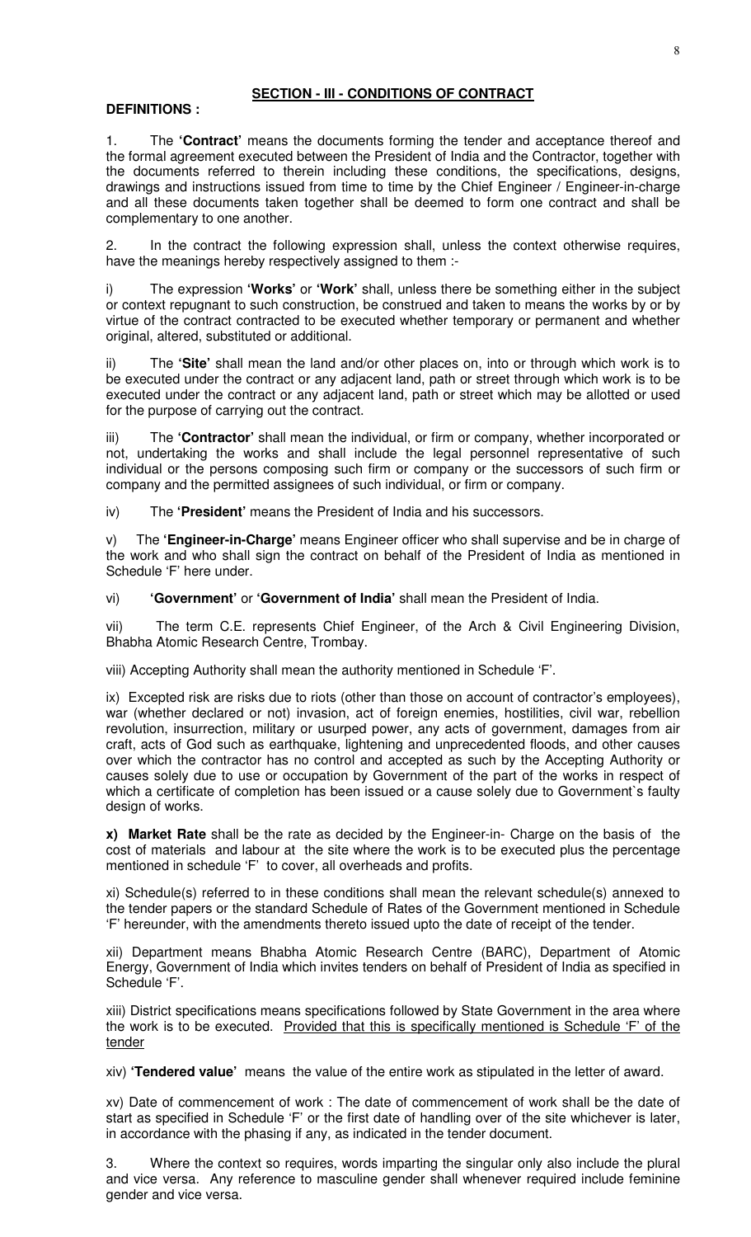# **SECTION - III - CONDITIONS OF CONTRACT**

# **DEFINITIONS :**

1. The **'Contract'** means the documents forming the tender and acceptance thereof and the formal agreement executed between the President of India and the Contractor, together with the documents referred to therein including these conditions, the specifications, designs, drawings and instructions issued from time to time by the Chief Engineer / Engineer-in-charge and all these documents taken together shall be deemed to form one contract and shall be complementary to one another.

2. In the contract the following expression shall, unless the context otherwise requires, have the meanings hereby respectively assigned to them :-

i) The expression **'Works'** or **'Work'** shall, unless there be something either in the subject or context repugnant to such construction, be construed and taken to means the works by or by virtue of the contract contracted to be executed whether temporary or permanent and whether original, altered, substituted or additional.

ii) The **'Site'** shall mean the land and/or other places on, into or through which work is to be executed under the contract or any adjacent land, path or street through which work is to be executed under the contract or any adjacent land, path or street which may be allotted or used for the purpose of carrying out the contract.

iii) The **'Contractor'** shall mean the individual, or firm or company, whether incorporated or not, undertaking the works and shall include the legal personnel representative of such individual or the persons composing such firm or company or the successors of such firm or company and the permitted assignees of such individual, or firm or company.

iv) The **'President'** means the President of India and his successors.

v) The **'Engineer-in-Charge'** means Engineer officer who shall supervise and be in charge of the work and who shall sign the contract on behalf of the President of India as mentioned in Schedule 'F' here under.

vi) **'Government'** or **'Government of India'** shall mean the President of India.

vii) The term C.E. represents Chief Engineer, of the Arch & Civil Engineering Division, Bhabha Atomic Research Centre, Trombay.

viii) Accepting Authority shall mean the authority mentioned in Schedule 'F'.

ix) Excepted risk are risks due to riots (other than those on account of contractor's employees), war (whether declared or not) invasion, act of foreign enemies, hostilities, civil war, rebellion revolution, insurrection, military or usurped power, any acts of government, damages from air craft, acts of God such as earthquake, lightening and unprecedented floods, and other causes over which the contractor has no control and accepted as such by the Accepting Authority or causes solely due to use or occupation by Government of the part of the works in respect of which a certificate of completion has been issued or a cause solely due to Government's faulty design of works.

**x) Market Rate** shall be the rate as decided by the Engineer-in- Charge on the basis of the cost of materials and labour at the site where the work is to be executed plus the percentage mentioned in schedule 'F' to cover, all overheads and profits.

xi) Schedule(s) referred to in these conditions shall mean the relevant schedule(s) annexed to the tender papers or the standard Schedule of Rates of the Government mentioned in Schedule 'F' hereunder, with the amendments thereto issued upto the date of receipt of the tender.

xii) Department means Bhabha Atomic Research Centre (BARC), Department of Atomic Energy, Government of India which invites tenders on behalf of President of India as specified in Schedule 'F'.

xiii) District specifications means specifications followed by State Government in the area where the work is to be executed. Provided that this is specifically mentioned is Schedule 'F' of the tender

xiv) **'Tendered value'** means the value of the entire work as stipulated in the letter of award.

xv) Date of commencement of work : The date of commencement of work shall be the date of start as specified in Schedule 'F' or the first date of handling over of the site whichever is later, in accordance with the phasing if any, as indicated in the tender document.

3. Where the context so requires, words imparting the singular only also include the plural and vice versa. Any reference to masculine gender shall whenever required include feminine gender and vice versa.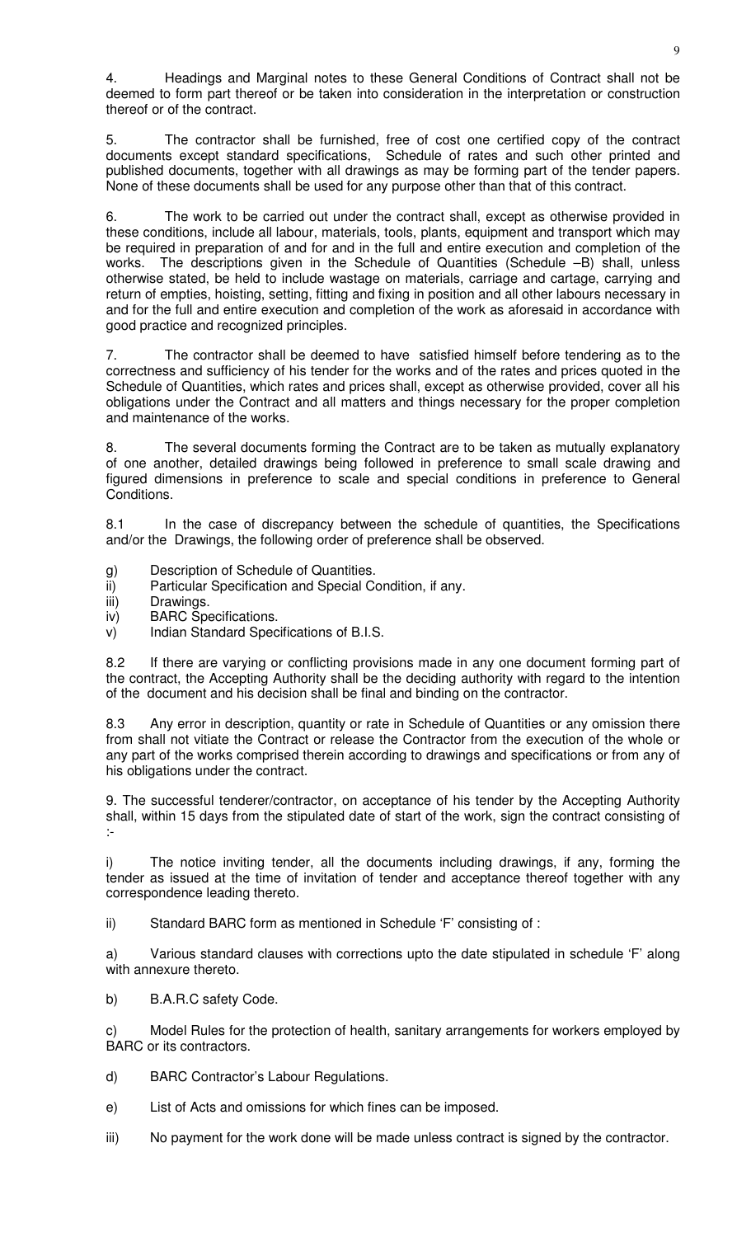4. Headings and Marginal notes to these General Conditions of Contract shall not be deemed to form part thereof or be taken into consideration in the interpretation or construction thereof or of the contract.

5. The contractor shall be furnished, free of cost one certified copy of the contract documents except standard specifications, Schedule of rates and such other printed and published documents, together with all drawings as may be forming part of the tender papers. None of these documents shall be used for any purpose other than that of this contract.

6. The work to be carried out under the contract shall, except as otherwise provided in these conditions, include all labour, materials, tools, plants, equipment and transport which may be required in preparation of and for and in the full and entire execution and completion of the works. The descriptions given in the Schedule of Quantities (Schedule –B) shall, unless otherwise stated, be held to include wastage on materials, carriage and cartage, carrying and return of empties, hoisting, setting, fitting and fixing in position and all other labours necessary in and for the full and entire execution and completion of the work as aforesaid in accordance with good practice and recognized principles.

7. The contractor shall be deemed to have satisfied himself before tendering as to the correctness and sufficiency of his tender for the works and of the rates and prices quoted in the Schedule of Quantities, which rates and prices shall, except as otherwise provided, cover all his obligations under the Contract and all matters and things necessary for the proper completion and maintenance of the works.

8. The several documents forming the Contract are to be taken as mutually explanatory of one another, detailed drawings being followed in preference to small scale drawing and figured dimensions in preference to scale and special conditions in preference to General Conditions.

8.1 In the case of discrepancy between the schedule of quantities, the Specifications and/or the Drawings, the following order of preference shall be observed.

- g) Description of Schedule of Quantities.
- ii) Particular Specification and Special Condition, if any.
- iii) Drawings.
- iv) BARC Specifications.
- v) Indian Standard Specifications of B.I.S.

8.2 If there are varying or conflicting provisions made in any one document forming part of the contract, the Accepting Authority shall be the deciding authority with regard to the intention of the document and his decision shall be final and binding on the contractor.

8.3 Any error in description, quantity or rate in Schedule of Quantities or any omission there from shall not vitiate the Contract or release the Contractor from the execution of the whole or any part of the works comprised therein according to drawings and specifications or from any of his obligations under the contract.

9. The successful tenderer/contractor, on acceptance of his tender by the Accepting Authority shall, within 15 days from the stipulated date of start of the work, sign the contract consisting of :-

i) The notice inviting tender, all the documents including drawings, if any, forming the tender as issued at the time of invitation of tender and acceptance thereof together with any correspondence leading thereto.

ii) Standard BARC form as mentioned in Schedule 'F' consisting of :

a) Various standard clauses with corrections upto the date stipulated in schedule 'F' along with annexure thereto.

b) B.A.R.C safety Code.

c) Model Rules for the protection of health, sanitary arrangements for workers employed by BARC or its contractors.

d) BARC Contractor's Labour Regulations.

e) List of Acts and omissions for which fines can be imposed.

iii) No payment for the work done will be made unless contract is signed by the contractor.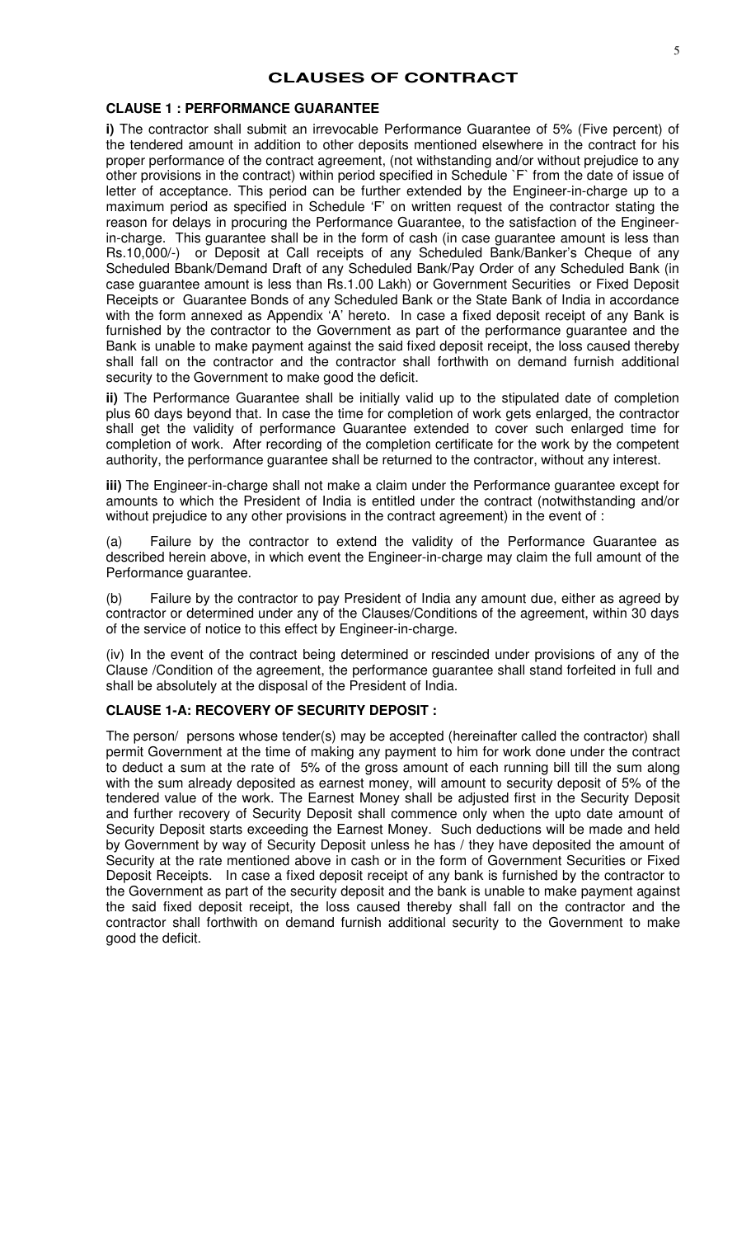# **CLAUSES OF CONTRACT**

# **CLAUSE 1 : PERFORMANCE GUARANTEE**

**i)** The contractor shall submit an irrevocable Performance Guarantee of 5% (Five percent) of the tendered amount in addition to other deposits mentioned elsewhere in the contract for his proper performance of the contract agreement, (not withstanding and/or without prejudice to any other provisions in the contract) within period specified in Schedule `F` from the date of issue of letter of acceptance. This period can be further extended by the Engineer-in-charge up to a maximum period as specified in Schedule 'F' on written request of the contractor stating the reason for delays in procuring the Performance Guarantee, to the satisfaction of the Engineerin-charge. This guarantee shall be in the form of cash (in case guarantee amount is less than Rs.10,000/-) or Deposit at Call receipts of any Scheduled Bank/Banker's Cheque of any Scheduled Bbank/Demand Draft of any Scheduled Bank/Pay Order of any Scheduled Bank (in case guarantee amount is less than Rs.1.00 Lakh) or Government Securities or Fixed Deposit Receipts or Guarantee Bonds of any Scheduled Bank or the State Bank of India in accordance with the form annexed as Appendix 'A' hereto. In case a fixed deposit receipt of any Bank is furnished by the contractor to the Government as part of the performance guarantee and the Bank is unable to make payment against the said fixed deposit receipt, the loss caused thereby shall fall on the contractor and the contractor shall forthwith on demand furnish additional security to the Government to make good the deficit.

**ii)** The Performance Guarantee shall be initially valid up to the stipulated date of completion plus 60 days beyond that. In case the time for completion of work gets enlarged, the contractor shall get the validity of performance Guarantee extended to cover such enlarged time for completion of work. After recording of the completion certificate for the work by the competent authority, the performance guarantee shall be returned to the contractor, without any interest.

**iii)** The Engineer-in-charge shall not make a claim under the Performance guarantee except for amounts to which the President of India is entitled under the contract (notwithstanding and/or without prejudice to any other provisions in the contract agreement) in the event of :

(a) Failure by the contractor to extend the validity of the Performance Guarantee as described herein above, in which event the Engineer-in-charge may claim the full amount of the Performance guarantee.

(b) Failure by the contractor to pay President of India any amount due, either as agreed by contractor or determined under any of the Clauses/Conditions of the agreement, within 30 days of the service of notice to this effect by Engineer-in-charge.

(iv) In the event of the contract being determined or rescinded under provisions of any of the Clause /Condition of the agreement, the performance guarantee shall stand forfeited in full and shall be absolutely at the disposal of the President of India.

### **CLAUSE 1-A: RECOVERY OF SECURITY DEPOSIT :**

The person/ persons whose tender(s) may be accepted (hereinafter called the contractor) shall permit Government at the time of making any payment to him for work done under the contract to deduct a sum at the rate of 5% of the gross amount of each running bill till the sum along with the sum already deposited as earnest money, will amount to security deposit of 5% of the tendered value of the work. The Earnest Money shall be adjusted first in the Security Deposit and further recovery of Security Deposit shall commence only when the upto date amount of Security Deposit starts exceeding the Earnest Money. Such deductions will be made and held by Government by way of Security Deposit unless he has / they have deposited the amount of Security at the rate mentioned above in cash or in the form of Government Securities or Fixed Deposit Receipts. In case a fixed deposit receipt of any bank is furnished by the contractor to the Government as part of the security deposit and the bank is unable to make payment against the said fixed deposit receipt, the loss caused thereby shall fall on the contractor and the contractor shall forthwith on demand furnish additional security to the Government to make good the deficit.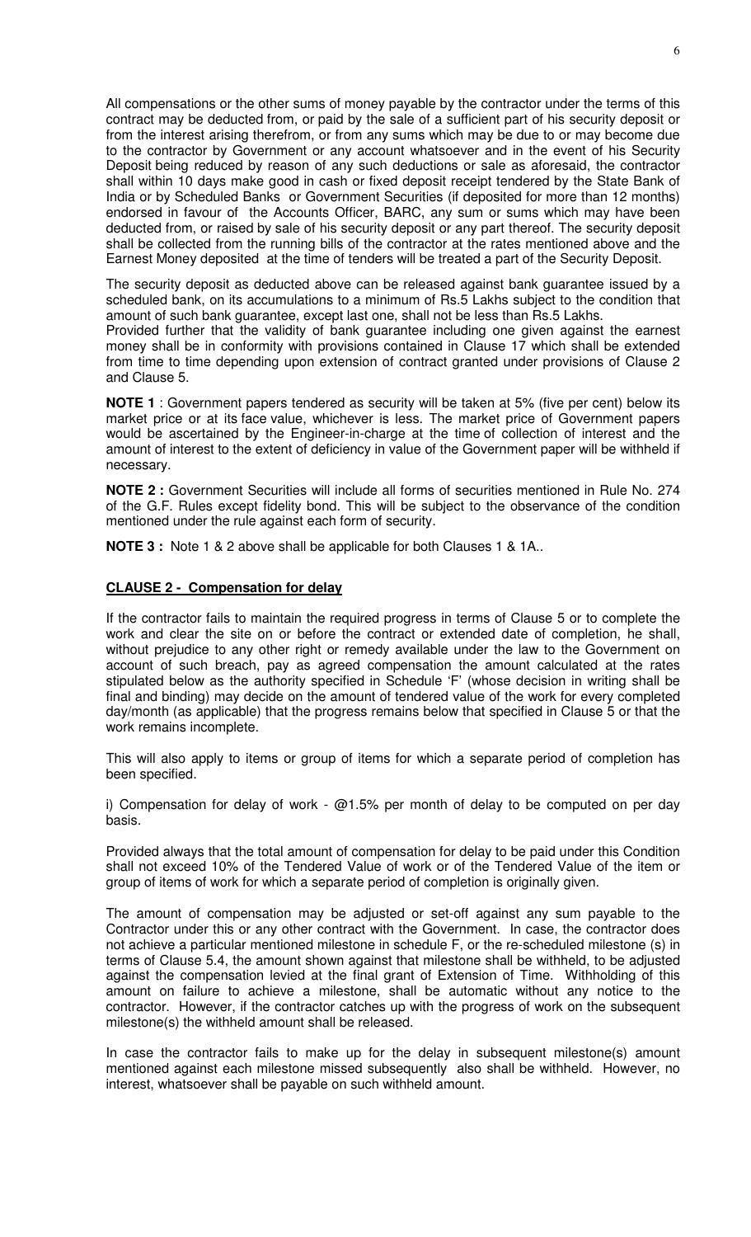All compensations or the other sums of money payable by the contractor under the terms of this contract may be deducted from, or paid by the sale of a sufficient part of his security deposit or from the interest arising therefrom, or from any sums which may be due to or may become due to the contractor by Government or any account whatsoever and in the event of his Security Deposit being reduced by reason of any such deductions or sale as aforesaid, the contractor shall within 10 days make good in cash or fixed deposit receipt tendered by the State Bank of India or by Scheduled Banks or Government Securities (if deposited for more than 12 months) endorsed in favour of the Accounts Officer, BARC, any sum or sums which may have been deducted from, or raised by sale of his security deposit or any part thereof. The security deposit shall be collected from the running bills of the contractor at the rates mentioned above and the Earnest Money deposited at the time of tenders will be treated a part of the Security Deposit.

The security deposit as deducted above can be released against bank guarantee issued by a scheduled bank, on its accumulations to a minimum of Rs.5 Lakhs subject to the condition that amount of such bank guarantee, except last one, shall not be less than Rs.5 Lakhs. Provided further that the validity of bank guarantee including one given against the earnest

money shall be in conformity with provisions contained in Clause 17 which shall be extended from time to time depending upon extension of contract granted under provisions of Clause 2 and Clause 5.

**NOTE 1** : Government papers tendered as security will be taken at 5% (five per cent) below its market price or at its face value, whichever is less. The market price of Government papers would be ascertained by the Engineer-in-charge at the time of collection of interest and the amount of interest to the extent of deficiency in value of the Government paper will be withheld if necessary.

**NOTE 2 :** Government Securities will include all forms of securities mentioned in Rule No. 274 of the G.F. Rules except fidelity bond. This will be subject to the observance of the condition mentioned under the rule against each form of security.

**NOTE 3 :** Note 1 & 2 above shall be applicable for both Clauses 1 & 1A..

# **CLAUSE 2 - Compensation for delay**

If the contractor fails to maintain the required progress in terms of Clause 5 or to complete the work and clear the site on or before the contract or extended date of completion, he shall, without prejudice to any other right or remedy available under the law to the Government on account of such breach, pay as agreed compensation the amount calculated at the rates stipulated below as the authority specified in Schedule 'F' (whose decision in writing shall be final and binding) may decide on the amount of tendered value of the work for every completed day/month (as applicable) that the progress remains below that specified in Clause 5 or that the work remains incomplete.

This will also apply to items or group of items for which a separate period of completion has been specified.

i) Compensation for delay of work -  $@1.5\%$  per month of delay to be computed on per day basis.

Provided always that the total amount of compensation for delay to be paid under this Condition shall not exceed 10% of the Tendered Value of work or of the Tendered Value of the item or group of items of work for which a separate period of completion is originally given.

The amount of compensation may be adjusted or set-off against any sum payable to the Contractor under this or any other contract with the Government. In case, the contractor does not achieve a particular mentioned milestone in schedule F, or the re-scheduled milestone (s) in terms of Clause 5.4, the amount shown against that milestone shall be withheld, to be adjusted against the compensation levied at the final grant of Extension of Time. Withholding of this amount on failure to achieve a milestone, shall be automatic without any notice to the contractor. However, if the contractor catches up with the progress of work on the subsequent milestone(s) the withheld amount shall be released.

In case the contractor fails to make up for the delay in subsequent milestone(s) amount mentioned against each milestone missed subsequently also shall be withheld. However, no interest, whatsoever shall be payable on such withheld amount.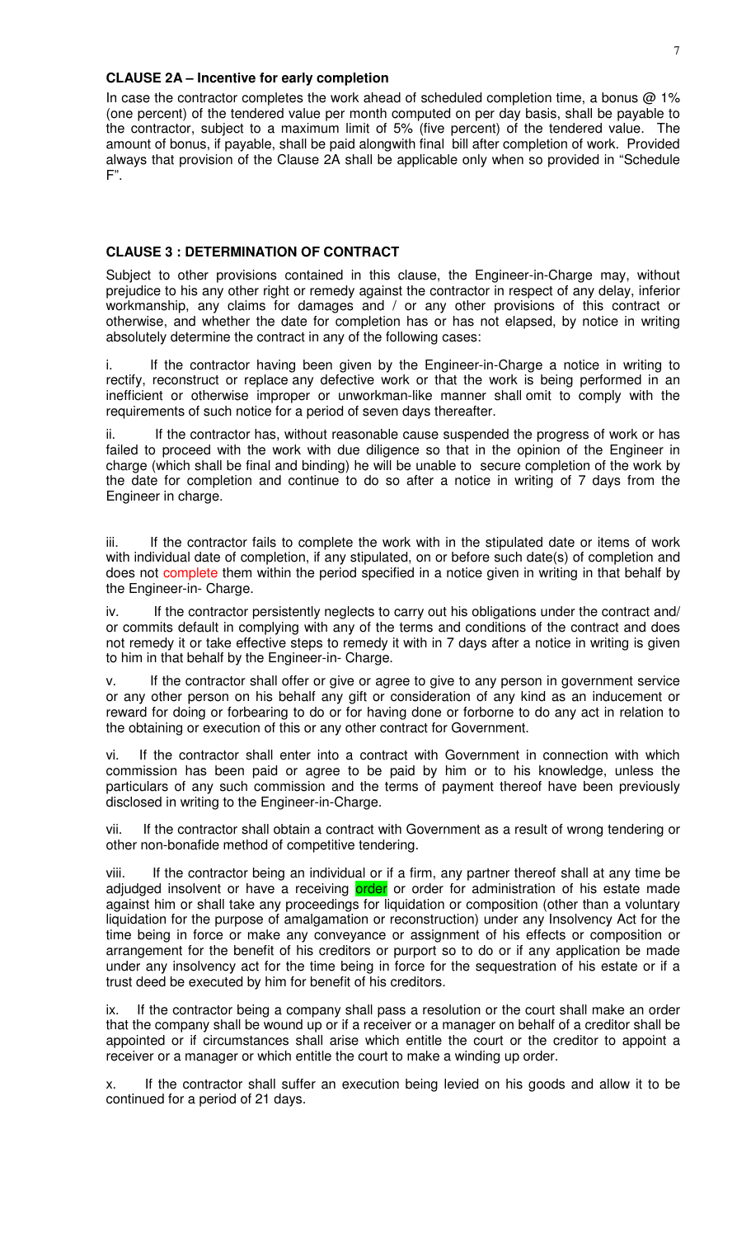#### **CLAUSE 2A – Incentive for early completion**

In case the contractor completes the work ahead of scheduled completion time, a bonus @ 1% (one percent) of the tendered value per month computed on per day basis, shall be payable to the contractor, subject to a maximum limit of 5% (five percent) of the tendered value. The amount of bonus, if payable, shall be paid alongwith final bill after completion of work. Provided always that provision of the Clause 2A shall be applicable only when so provided in "Schedule F".

### **CLAUSE 3 : DETERMINATION OF CONTRACT**

Subject to other provisions contained in this clause, the Engineer-in-Charge may, without prejudice to his any other right or remedy against the contractor in respect of any delay, inferior workmanship, any claims for damages and / or any other provisions of this contract or otherwise, and whether the date for completion has or has not elapsed, by notice in writing absolutely determine the contract in any of the following cases:

i. If the contractor having been given by the Engineer-in-Charge a notice in writing to rectify, reconstruct or replace any defective work or that the work is being performed in an inefficient or otherwise improper or unworkman-like manner shall omit to comply with the requirements of such notice for a period of seven days thereafter.

ii. If the contractor has, without reasonable cause suspended the progress of work or has failed to proceed with the work with due diligence so that in the opinion of the Engineer in charge (which shall be final and binding) he will be unable to secure completion of the work by the date for completion and continue to do so after a notice in writing of 7 days from the Engineer in charge.

iii. If the contractor fails to complete the work with in the stipulated date or items of work with individual date of completion, if any stipulated, on or before such date(s) of completion and does not complete them within the period specified in a notice given in writing in that behalf by the Engineer-in- Charge.

iv. If the contractor persistently neglects to carry out his obligations under the contract and/ or commits default in complying with any of the terms and conditions of the contract and does not remedy it or take effective steps to remedy it with in 7 days after a notice in writing is given to him in that behalf by the Engineer-in- Charge.

v. If the contractor shall offer or give or agree to give to any person in government service or any other person on his behalf any gift or consideration of any kind as an inducement or reward for doing or forbearing to do or for having done or forborne to do any act in relation to the obtaining or execution of this or any other contract for Government.

vi. If the contractor shall enter into a contract with Government in connection with which commission has been paid or agree to be paid by him or to his knowledge, unless the particulars of any such commission and the terms of payment thereof have been previously disclosed in writing to the Engineer-in-Charge.

vii. If the contractor shall obtain a contract with Government as a result of wrong tendering or other non-bonafide method of competitive tendering.

viii. If the contractor being an individual or if a firm, any partner thereof shall at any time be adjudged insolvent or have a receiving order or order for administration of his estate made against him or shall take any proceedings for liquidation or composition (other than a voluntary liquidation for the purpose of amalgamation or reconstruction) under any Insolvency Act for the time being in force or make any conveyance or assignment of his effects or composition or arrangement for the benefit of his creditors or purport so to do or if any application be made under any insolvency act for the time being in force for the sequestration of his estate or if a trust deed be executed by him for benefit of his creditors.

ix. If the contractor being a company shall pass a resolution or the court shall make an order that the company shall be wound up or if a receiver or a manager on behalf of a creditor shall be appointed or if circumstances shall arise which entitle the court or the creditor to appoint a receiver or a manager or which entitle the court to make a winding up order.

x. If the contractor shall suffer an execution being levied on his goods and allow it to be continued for a period of 21 days.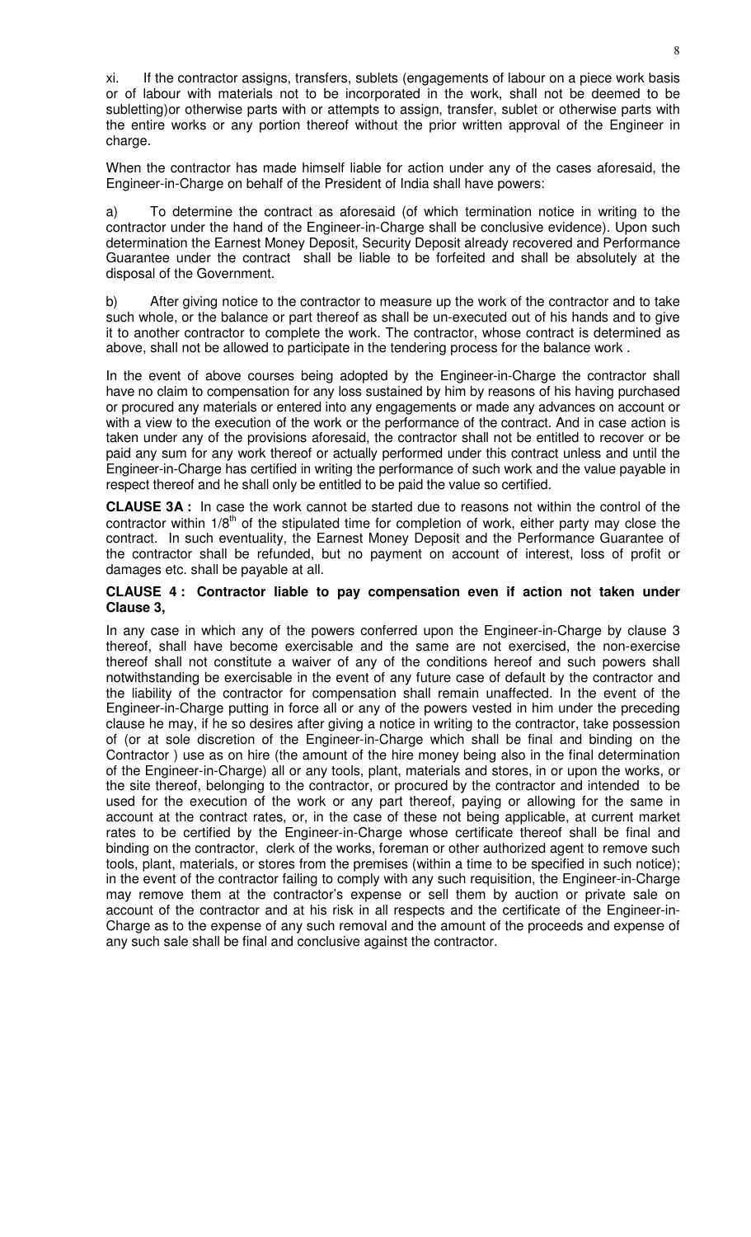xi. If the contractor assigns, transfers, sublets (engagements of labour on a piece work basis or of labour with materials not to be incorporated in the work, shall not be deemed to be subletting)or otherwise parts with or attempts to assign, transfer, sublet or otherwise parts with the entire works or any portion thereof without the prior written approval of the Engineer in charge.

When the contractor has made himself liable for action under any of the cases aforesaid, the Engineer-in-Charge on behalf of the President of India shall have powers:

a) To determine the contract as aforesaid (of which termination notice in writing to the contractor under the hand of the Engineer-in-Charge shall be conclusive evidence). Upon such determination the Earnest Money Deposit, Security Deposit already recovered and Performance Guarantee under the contract shall be liable to be forfeited and shall be absolutely at the disposal of the Government.

b) After giving notice to the contractor to measure up the work of the contractor and to take such whole, or the balance or part thereof as shall be un-executed out of his hands and to give it to another contractor to complete the work. The contractor, whose contract is determined as above, shall not be allowed to participate in the tendering process for the balance work .

In the event of above courses being adopted by the Engineer-in-Charge the contractor shall have no claim to compensation for any loss sustained by him by reasons of his having purchased or procured any materials or entered into any engagements or made any advances on account or with a view to the execution of the work or the performance of the contract. And in case action is taken under any of the provisions aforesaid, the contractor shall not be entitled to recover or be paid any sum for any work thereof or actually performed under this contract unless and until the Engineer-in-Charge has certified in writing the performance of such work and the value payable in respect thereof and he shall only be entitled to be paid the value so certified.

**CLAUSE 3A :** In case the work cannot be started due to reasons not within the control of the contractor within  $1/8<sup>th</sup>$  of the stipulated time for completion of work, either party may close the contract. In such eventuality, the Earnest Money Deposit and the Performance Guarantee of the contractor shall be refunded, but no payment on account of interest, loss of profit or damages etc. shall be payable at all.

# **CLAUSE 4 : Contractor liable to pay compensation even if action not taken under Clause 3,**

In any case in which any of the powers conferred upon the Engineer-in-Charge by clause 3 thereof, shall have become exercisable and the same are not exercised, the non-exercise thereof shall not constitute a waiver of any of the conditions hereof and such powers shall notwithstanding be exercisable in the event of any future case of default by the contractor and the liability of the contractor for compensation shall remain unaffected. In the event of the Engineer-in-Charge putting in force all or any of the powers vested in him under the preceding clause he may, if he so desires after giving a notice in writing to the contractor, take possession of (or at sole discretion of the Engineer-in-Charge which shall be final and binding on the Contractor ) use as on hire (the amount of the hire money being also in the final determination of the Engineer-in-Charge) all or any tools, plant, materials and stores, in or upon the works, or the site thereof, belonging to the contractor, or procured by the contractor and intended to be used for the execution of the work or any part thereof, paying or allowing for the same in account at the contract rates, or, in the case of these not being applicable, at current market rates to be certified by the Engineer-in-Charge whose certificate thereof shall be final and binding on the contractor, clerk of the works, foreman or other authorized agent to remove such tools, plant, materials, or stores from the premises (within a time to be specified in such notice); in the event of the contractor failing to comply with any such requisition, the Engineer-in-Charge may remove them at the contractor's expense or sell them by auction or private sale on account of the contractor and at his risk in all respects and the certificate of the Engineer-in-Charge as to the expense of any such removal and the amount of the proceeds and expense of any such sale shall be final and conclusive against the contractor.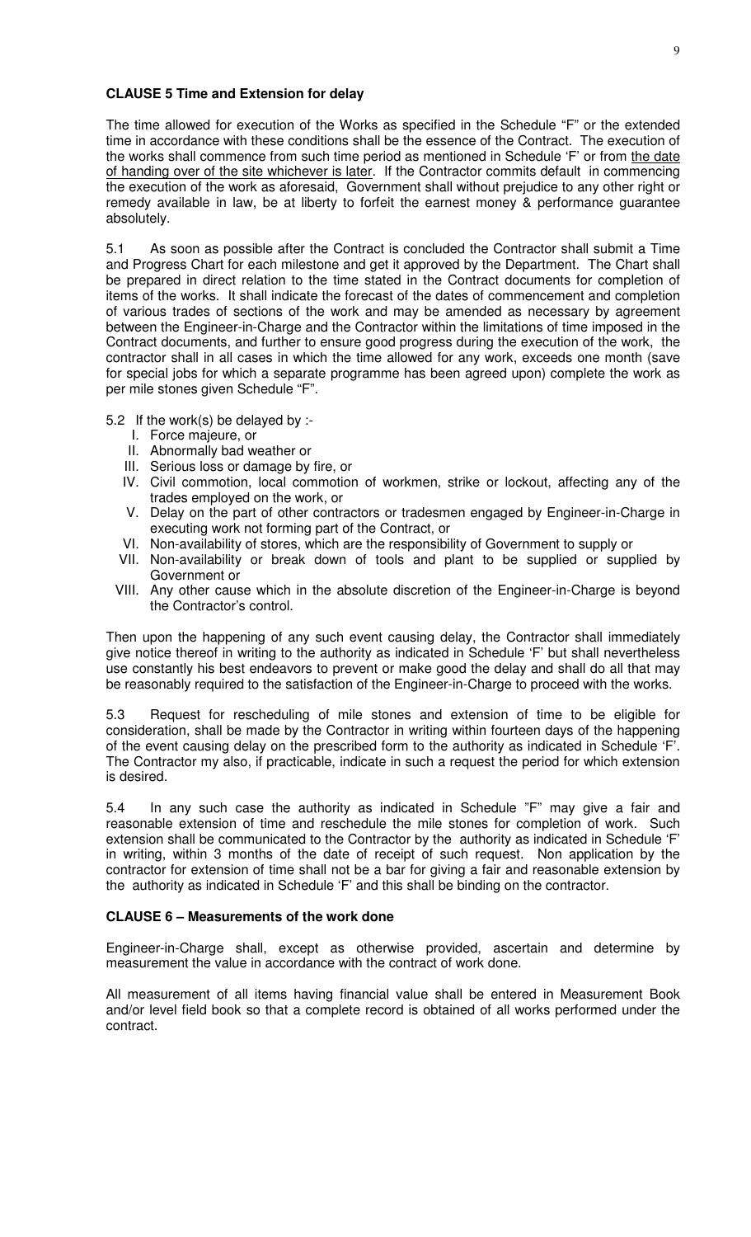#### **CLAUSE 5 Time and Extension for delay**

The time allowed for execution of the Works as specified in the Schedule "F" or the extended time in accordance with these conditions shall be the essence of the Contract. The execution of the works shall commence from such time period as mentioned in Schedule 'F' or from <u>the date</u> of handing over of the site whichever is later. If the Contractor commits default in commencing the execution of the work as aforesaid, Government shall without prejudice to any other right or remedy available in law, be at liberty to forfeit the earnest money & performance guarantee absolutely.

5.1 As soon as possible after the Contract is concluded the Contractor shall submit a Time and Progress Chart for each milestone and get it approved by the Department. The Chart shall be prepared in direct relation to the time stated in the Contract documents for completion of items of the works. It shall indicate the forecast of the dates of commencement and completion of various trades of sections of the work and may be amended as necessary by agreement between the Engineer-in-Charge and the Contractor within the limitations of time imposed in the Contract documents, and further to ensure good progress during the execution of the work, the contractor shall in all cases in which the time allowed for any work, exceeds one month (save for special jobs for which a separate programme has been agreed upon) complete the work as per mile stones given Schedule "F".

5.2 If the work(s) be delayed by :-

- I. Force majeure, or
- II. Abnormally bad weather or
- III. Serious loss or damage by fire, or
- IV. Civil commotion, local commotion of workmen, strike or lockout, affecting any of the trades employed on the work, or
- V. Delay on the part of other contractors or tradesmen engaged by Engineer-in-Charge in executing work not forming part of the Contract, or
- VI. Non-availability of stores, which are the responsibility of Government to supply or
- VII. Non-availability or break down of tools and plant to be supplied or supplied by Government or
- VIII. Any other cause which in the absolute discretion of the Engineer-in-Charge is beyond the Contractor's control.

Then upon the happening of any such event causing delay, the Contractor shall immediately give notice thereof in writing to the authority as indicated in Schedule 'F' but shall nevertheless use constantly his best endeavors to prevent or make good the delay and shall do all that may be reasonably required to the satisfaction of the Engineer-in-Charge to proceed with the works.

5.3 Request for rescheduling of mile stones and extension of time to be eligible for consideration, shall be made by the Contractor in writing within fourteen days of the happening of the event causing delay on the prescribed form to the authority as indicated in Schedule 'F'. The Contractor my also, if practicable, indicate in such a request the period for which extension is desired.

5.4 In any such case the authority as indicated in Schedule "F" may give a fair and reasonable extension of time and reschedule the mile stones for completion of work. Such extension shall be communicated to the Contractor by the authority as indicated in Schedule 'F' in writing, within 3 months of the date of receipt of such request. Non application by the contractor for extension of time shall not be a bar for giving a fair and reasonable extension by the authority as indicated in Schedule 'F' and this shall be binding on the contractor.

#### **CLAUSE 6 – Measurements of the work done**

Engineer-in-Charge shall, except as otherwise provided, ascertain and determine by measurement the value in accordance with the contract of work done.

All measurement of all items having financial value shall be entered in Measurement Book and/or level field book so that a complete record is obtained of all works performed under the contract.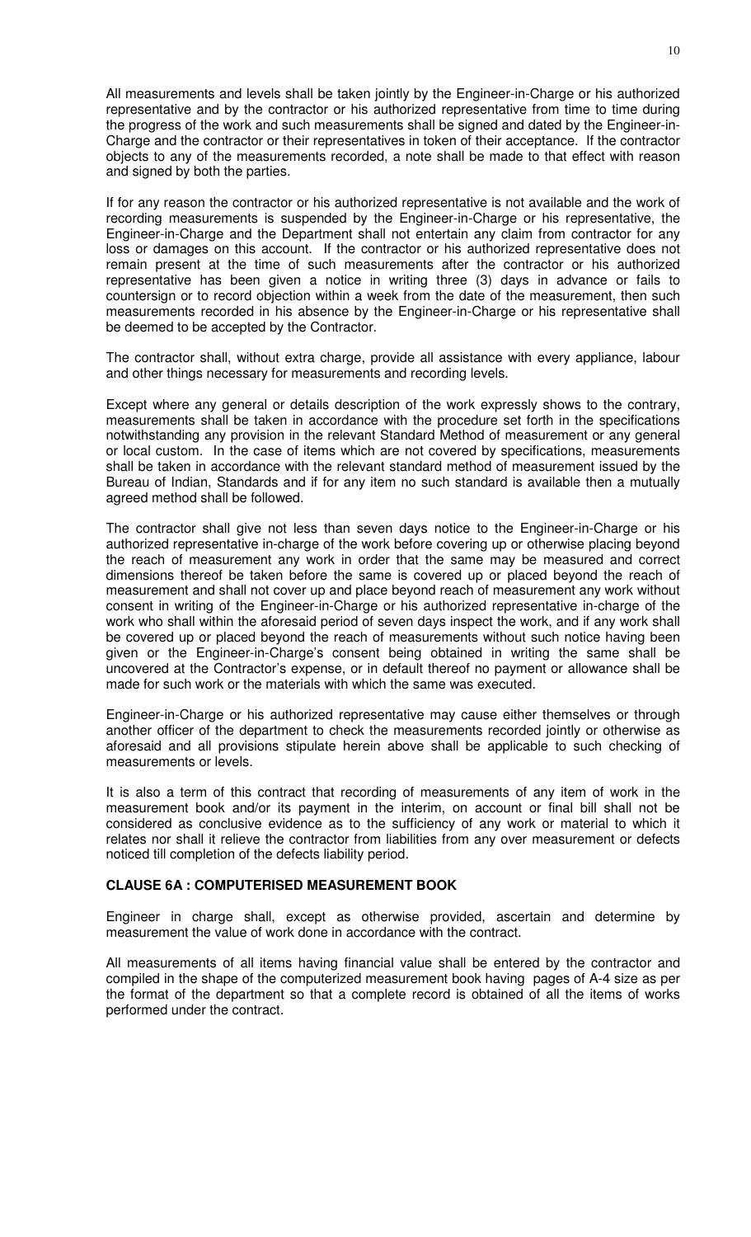All measurements and levels shall be taken jointly by the Engineer-in-Charge or his authorized representative and by the contractor or his authorized representative from time to time during the progress of the work and such measurements shall be signed and dated by the Engineer-in-Charge and the contractor or their representatives in token of their acceptance. If the contractor objects to any of the measurements recorded, a note shall be made to that effect with reason and signed by both the parties.

If for any reason the contractor or his authorized representative is not available and the work of recording measurements is suspended by the Engineer-in-Charge or his representative, the Engineer-in-Charge and the Department shall not entertain any claim from contractor for any loss or damages on this account. If the contractor or his authorized representative does not remain present at the time of such measurements after the contractor or his authorized representative has been given a notice in writing three (3) days in advance or fails to countersign or to record objection within a week from the date of the measurement, then such measurements recorded in his absence by the Engineer-in-Charge or his representative shall be deemed to be accepted by the Contractor.

The contractor shall, without extra charge, provide all assistance with every appliance, labour and other things necessary for measurements and recording levels.

Except where any general or details description of the work expressly shows to the contrary, measurements shall be taken in accordance with the procedure set forth in the specifications notwithstanding any provision in the relevant Standard Method of measurement or any general or local custom. In the case of items which are not covered by specifications, measurements shall be taken in accordance with the relevant standard method of measurement issued by the Bureau of Indian, Standards and if for any item no such standard is available then a mutually agreed method shall be followed.

The contractor shall give not less than seven days notice to the Engineer-in-Charge or his authorized representative in-charge of the work before covering up or otherwise placing beyond the reach of measurement any work in order that the same may be measured and correct dimensions thereof be taken before the same is covered up or placed beyond the reach of measurement and shall not cover up and place beyond reach of measurement any work without consent in writing of the Engineer-in-Charge or his authorized representative in-charge of the work who shall within the aforesaid period of seven days inspect the work, and if any work shall be covered up or placed beyond the reach of measurements without such notice having been given or the Engineer-in-Charge's consent being obtained in writing the same shall be uncovered at the Contractor's expense, or in default thereof no payment or allowance shall be made for such work or the materials with which the same was executed.

Engineer-in-Charge or his authorized representative may cause either themselves or through another officer of the department to check the measurements recorded jointly or otherwise as aforesaid and all provisions stipulate herein above shall be applicable to such checking of measurements or levels.

It is also a term of this contract that recording of measurements of any item of work in the measurement book and/or its payment in the interim, on account or final bill shall not be considered as conclusive evidence as to the sufficiency of any work or material to which it relates nor shall it relieve the contractor from liabilities from any over measurement or defects noticed till completion of the defects liability period.

#### **CLAUSE 6A : COMPUTERISED MEASUREMENT BOOK**

Engineer in charge shall, except as otherwise provided, ascertain and determine by measurement the value of work done in accordance with the contract.

All measurements of all items having financial value shall be entered by the contractor and compiled in the shape of the computerized measurement book having pages of A-4 size as per the format of the department so that a complete record is obtained of all the items of works performed under the contract.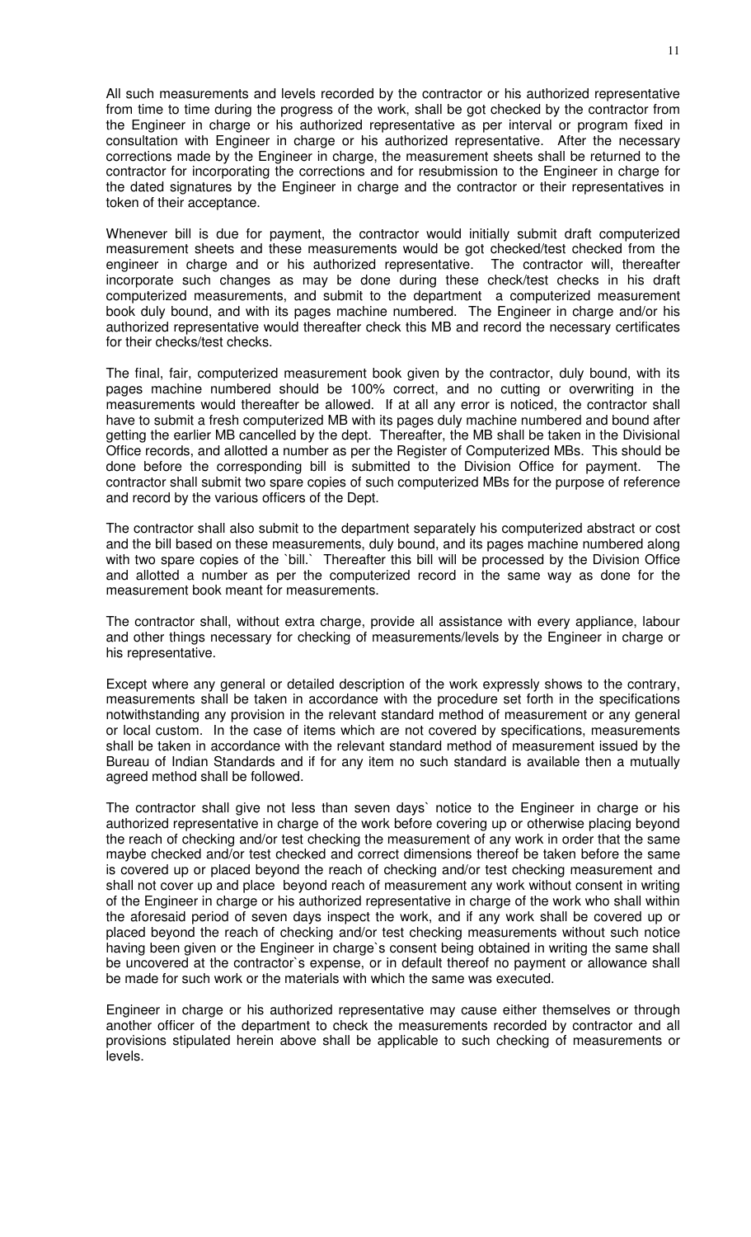All such measurements and levels recorded by the contractor or his authorized representative from time to time during the progress of the work, shall be got checked by the contractor from the Engineer in charge or his authorized representative as per interval or program fixed in consultation with Engineer in charge or his authorized representative. After the necessary corrections made by the Engineer in charge, the measurement sheets shall be returned to the contractor for incorporating the corrections and for resubmission to the Engineer in charge for the dated signatures by the Engineer in charge and the contractor or their representatives in token of their acceptance.

Whenever bill is due for payment, the contractor would initially submit draft computerized measurement sheets and these measurements would be got checked/test checked from the engineer in charge and or his authorized representative. The contractor will, thereafter incorporate such changes as may be done during these check/test checks in his draft computerized measurements, and submit to the department a computerized measurement book duly bound, and with its pages machine numbered. The Engineer in charge and/or his authorized representative would thereafter check this MB and record the necessary certificates for their checks/test checks.

The final, fair, computerized measurement book given by the contractor, duly bound, with its pages machine numbered should be 100% correct, and no cutting or overwriting in the measurements would thereafter be allowed. If at all any error is noticed, the contractor shall have to submit a fresh computerized MB with its pages duly machine numbered and bound after getting the earlier MB cancelled by the dept. Thereafter, the MB shall be taken in the Divisional Office records, and allotted a number as per the Register of Computerized MBs. This should be done before the corresponding bill is submitted to the Division Office for payment. The contractor shall submit two spare copies of such computerized MBs for the purpose of reference and record by the various officers of the Dept.

The contractor shall also submit to the department separately his computerized abstract or cost and the bill based on these measurements, duly bound, and its pages machine numbered along with two spare copies of the `bill.` Thereafter this bill will be processed by the Division Office and allotted a number as per the computerized record in the same way as done for the measurement book meant for measurements.

The contractor shall, without extra charge, provide all assistance with every appliance, labour and other things necessary for checking of measurements/levels by the Engineer in charge or his representative.

Except where any general or detailed description of the work expressly shows to the contrary, measurements shall be taken in accordance with the procedure set forth in the specifications notwithstanding any provision in the relevant standard method of measurement or any general or local custom. In the case of items which are not covered by specifications, measurements shall be taken in accordance with the relevant standard method of measurement issued by the Bureau of Indian Standards and if for any item no such standard is available then a mutually agreed method shall be followed.

The contractor shall give not less than seven days` notice to the Engineer in charge or his authorized representative in charge of the work before covering up or otherwise placing beyond the reach of checking and/or test checking the measurement of any work in order that the same maybe checked and/or test checked and correct dimensions thereof be taken before the same is covered up or placed beyond the reach of checking and/or test checking measurement and shall not cover up and place beyond reach of measurement any work without consent in writing of the Engineer in charge or his authorized representative in charge of the work who shall within the aforesaid period of seven days inspect the work, and if any work shall be covered up or placed beyond the reach of checking and/or test checking measurements without such notice having been given or the Engineer in charge`s consent being obtained in writing the same shall be uncovered at the contractor`s expense, or in default thereof no payment or allowance shall be made for such work or the materials with which the same was executed.

Engineer in charge or his authorized representative may cause either themselves or through another officer of the department to check the measurements recorded by contractor and all provisions stipulated herein above shall be applicable to such checking of measurements or levels.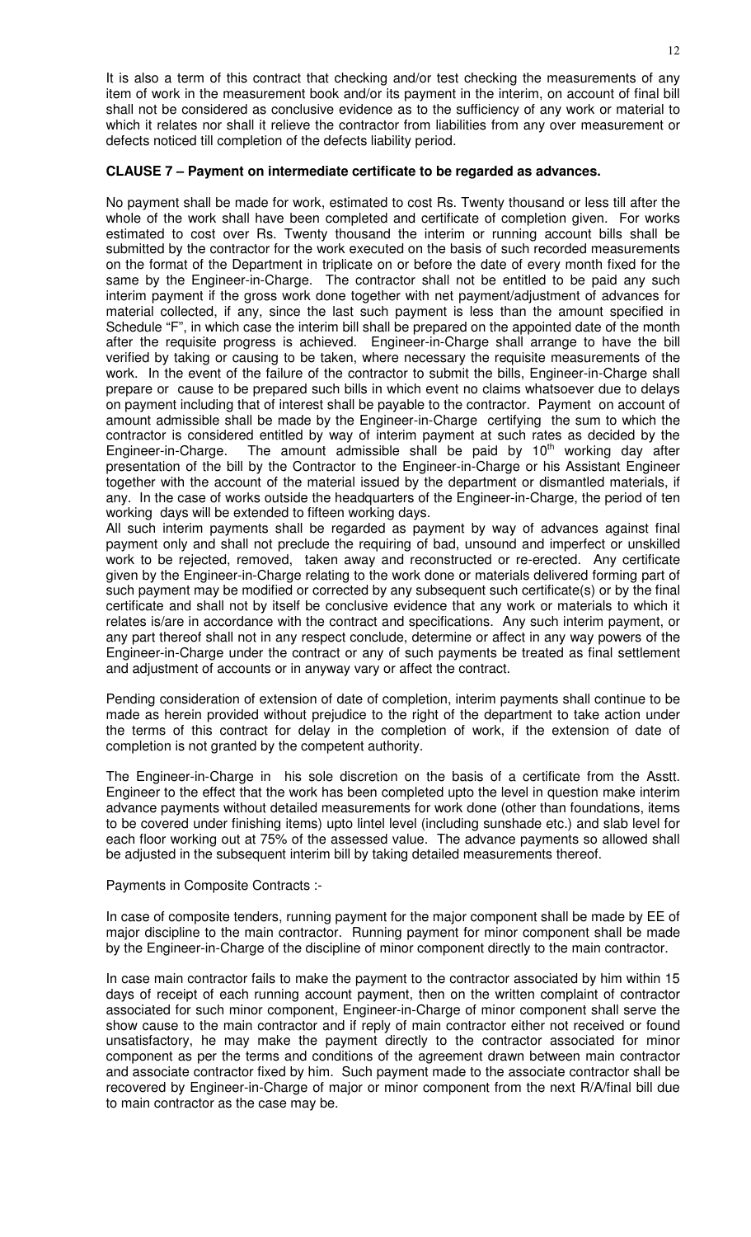It is also a term of this contract that checking and/or test checking the measurements of any item of work in the measurement book and/or its payment in the interim, on account of final bill shall not be considered as conclusive evidence as to the sufficiency of any work or material to which it relates nor shall it relieve the contractor from liabilities from any over measurement or defects noticed till completion of the defects liability period.

# **CLAUSE 7 – Payment on intermediate certificate to be regarded as advances.**

No payment shall be made for work, estimated to cost Rs. Twenty thousand or less till after the whole of the work shall have been completed and certificate of completion given. For works estimated to cost over Rs. Twenty thousand the interim or running account bills shall be submitted by the contractor for the work executed on the basis of such recorded measurements on the format of the Department in triplicate on or before the date of every month fixed for the same by the Engineer-in-Charge. The contractor shall not be entitled to be paid any such interim payment if the gross work done together with net payment/adjustment of advances for material collected, if any, since the last such payment is less than the amount specified in Schedule "F", in which case the interim bill shall be prepared on the appointed date of the month after the requisite progress is achieved. Engineer-in-Charge shall arrange to have the bill verified by taking or causing to be taken, where necessary the requisite measurements of the work. In the event of the failure of the contractor to submit the bills, Engineer-in-Charge shall prepare or cause to be prepared such bills in which event no claims whatsoever due to delays on payment including that of interest shall be payable to the contractor. Payment on account of amount admissible shall be made by the Engineer-in-Charge certifying the sum to which the contractor is considered entitled by way of interim payment at such rates as decided by the Engineer-in-Charge. The amount admissible shall be paid by  $10<sup>th</sup>$  working day after presentation of the bill by the Contractor to the Engineer-in-Charge or his Assistant Engineer together with the account of the material issued by the department or dismantled materials, if any. In the case of works outside the headquarters of the Engineer-in-Charge, the period of ten working days will be extended to fifteen working days.

All such interim payments shall be regarded as payment by way of advances against final payment only and shall not preclude the requiring of bad, unsound and imperfect or unskilled work to be rejected, removed, taken away and reconstructed or re-erected. Any certificate given by the Engineer-in-Charge relating to the work done or materials delivered forming part of such payment may be modified or corrected by any subsequent such certificate(s) or by the final certificate and shall not by itself be conclusive evidence that any work or materials to which it relates is/are in accordance with the contract and specifications. Any such interim payment, or any part thereof shall not in any respect conclude, determine or affect in any way powers of the Engineer-in-Charge under the contract or any of such payments be treated as final settlement and adjustment of accounts or in anyway vary or affect the contract.

Pending consideration of extension of date of completion, interim payments shall continue to be made as herein provided without prejudice to the right of the department to take action under the terms of this contract for delay in the completion of work, if the extension of date of completion is not granted by the competent authority.

The Engineer-in-Charge in his sole discretion on the basis of a certificate from the Asstt. Engineer to the effect that the work has been completed upto the level in question make interim advance payments without detailed measurements for work done (other than foundations, items to be covered under finishing items) upto lintel level (including sunshade etc.) and slab level for each floor working out at 75% of the assessed value. The advance payments so allowed shall be adjusted in the subsequent interim bill by taking detailed measurements thereof.

# Payments in Composite Contracts :-

In case of composite tenders, running payment for the major component shall be made by EE of major discipline to the main contractor. Running payment for minor component shall be made by the Engineer-in-Charge of the discipline of minor component directly to the main contractor.

In case main contractor fails to make the payment to the contractor associated by him within 15 days of receipt of each running account payment, then on the written complaint of contractor associated for such minor component, Engineer-in-Charge of minor component shall serve the show cause to the main contractor and if reply of main contractor either not received or found unsatisfactory, he may make the payment directly to the contractor associated for minor component as per the terms and conditions of the agreement drawn between main contractor and associate contractor fixed by him. Such payment made to the associate contractor shall be recovered by Engineer-in-Charge of major or minor component from the next R/A/final bill due to main contractor as the case may be.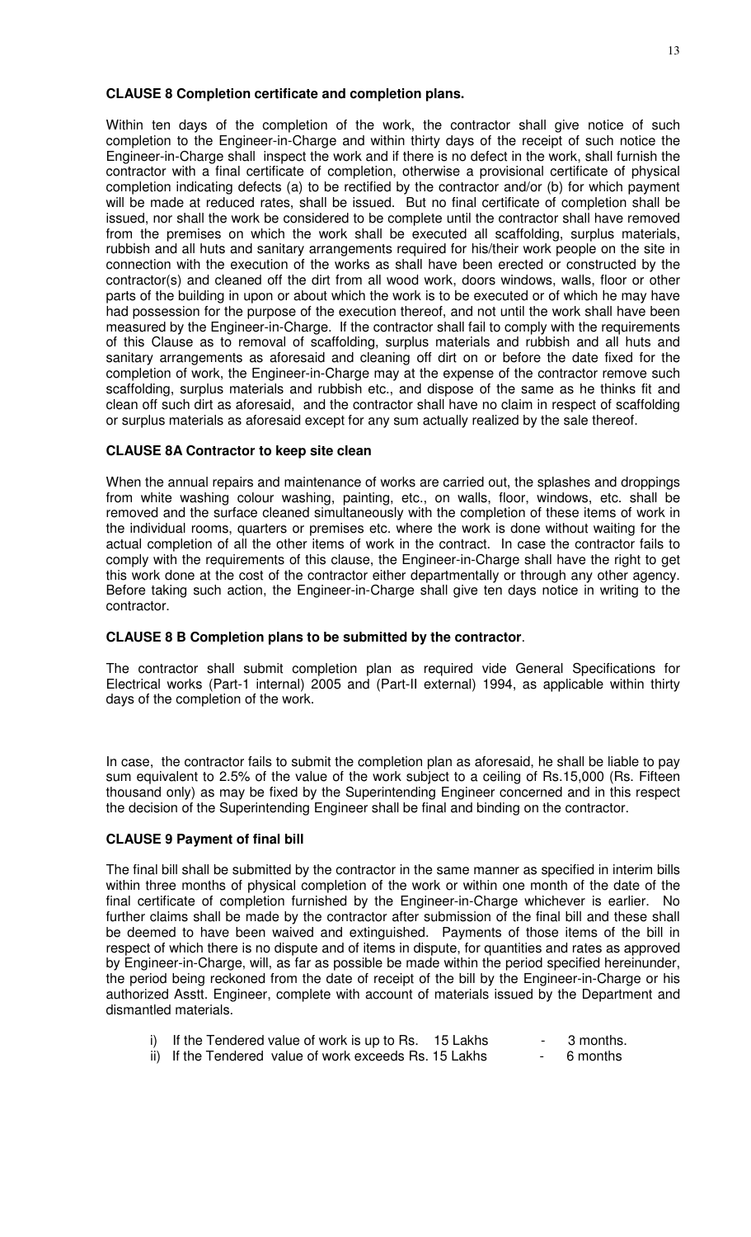### **CLAUSE 8 Completion certificate and completion plans.**

Within ten days of the completion of the work, the contractor shall give notice of such completion to the Engineer-in-Charge and within thirty days of the receipt of such notice the Engineer-in-Charge shall inspect the work and if there is no defect in the work, shall furnish the contractor with a final certificate of completion, otherwise a provisional certificate of physical completion indicating defects (a) to be rectified by the contractor and/or (b) for which payment will be made at reduced rates, shall be issued. But no final certificate of completion shall be issued, nor shall the work be considered to be complete until the contractor shall have removed from the premises on which the work shall be executed all scaffolding, surplus materials, rubbish and all huts and sanitary arrangements required for his/their work people on the site in connection with the execution of the works as shall have been erected or constructed by the contractor(s) and cleaned off the dirt from all wood work, doors windows, walls, floor or other parts of the building in upon or about which the work is to be executed or of which he may have had possession for the purpose of the execution thereof, and not until the work shall have been measured by the Engineer-in-Charge. If the contractor shall fail to comply with the requirements of this Clause as to removal of scaffolding, surplus materials and rubbish and all huts and sanitary arrangements as aforesaid and cleaning off dirt on or before the date fixed for the completion of work, the Engineer-in-Charge may at the expense of the contractor remove such scaffolding, surplus materials and rubbish etc., and dispose of the same as he thinks fit and clean off such dirt as aforesaid, and the contractor shall have no claim in respect of scaffolding or surplus materials as aforesaid except for any sum actually realized by the sale thereof.

# **CLAUSE 8A Contractor to keep site clean**

When the annual repairs and maintenance of works are carried out, the splashes and droppings from white washing colour washing, painting, etc., on walls, floor, windows, etc. shall be removed and the surface cleaned simultaneously with the completion of these items of work in the individual rooms, quarters or premises etc. where the work is done without waiting for the actual completion of all the other items of work in the contract. In case the contractor fails to comply with the requirements of this clause, the Engineer-in-Charge shall have the right to get this work done at the cost of the contractor either departmentally or through any other agency. Before taking such action, the Engineer-in-Charge shall give ten days notice in writing to the contractor.

# **CLAUSE 8 B Completion plans to be submitted by the contractor**.

The contractor shall submit completion plan as required vide General Specifications for Electrical works (Part-1 internal) 2005 and (Part-II external) 1994, as applicable within thirty days of the completion of the work.

In case, the contractor fails to submit the completion plan as aforesaid, he shall be liable to pay sum equivalent to 2.5% of the value of the work subject to a ceiling of Rs.15,000 (Rs. Fifteen thousand only) as may be fixed by the Superintending Engineer concerned and in this respect the decision of the Superintending Engineer shall be final and binding on the contractor.

# **CLAUSE 9 Payment of final bill**

The final bill shall be submitted by the contractor in the same manner as specified in interim bills within three months of physical completion of the work or within one month of the date of the final certificate of completion furnished by the Engineer-in-Charge whichever is earlier. No further claims shall be made by the contractor after submission of the final bill and these shall be deemed to have been waived and extinguished. Payments of those items of the bill in respect of which there is no dispute and of items in dispute, for quantities and rates as approved by Engineer-in-Charge, will, as far as possible be made within the period specified hereinunder, the period being reckoned from the date of receipt of the bill by the Engineer-in-Charge or his authorized Asstt. Engineer, complete with account of materials issued by the Department and dismantled materials.

| i) If the Tendered value of work is up to Rs. 15 Lakhs |  | - 3 months. |
|--------------------------------------------------------|--|-------------|
| ii) If the Tendered value of work exceeds Rs. 15 Lakhs |  | - 6 months  |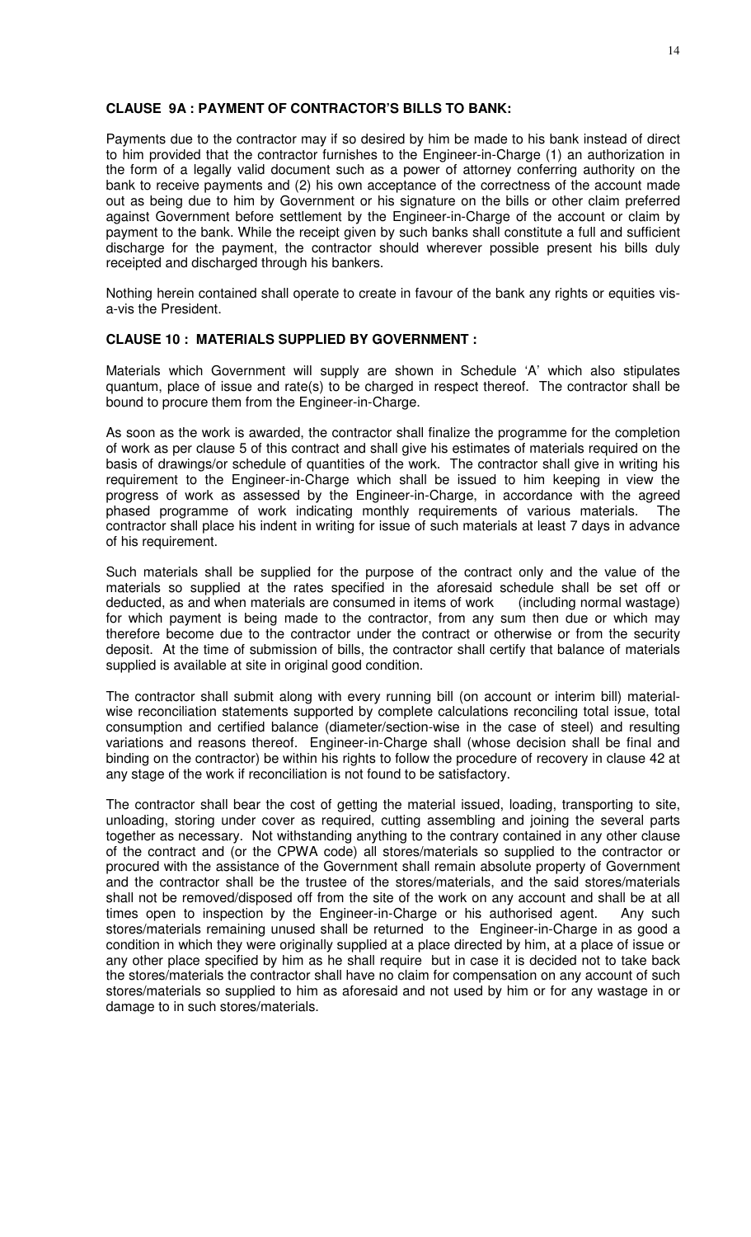### **CLAUSE 9A : PAYMENT OF CONTRACTOR'S BILLS TO BANK:**

Payments due to the contractor may if so desired by him be made to his bank instead of direct to him provided that the contractor furnishes to the Engineer-in-Charge (1) an authorization in the form of a legally valid document such as a power of attorney conferring authority on the bank to receive payments and (2) his own acceptance of the correctness of the account made out as being due to him by Government or his signature on the bills or other claim preferred against Government before settlement by the Engineer-in-Charge of the account or claim by payment to the bank. While the receipt given by such banks shall constitute a full and sufficient discharge for the payment, the contractor should wherever possible present his bills duly receipted and discharged through his bankers.

Nothing herein contained shall operate to create in favour of the bank any rights or equities visa-vis the President.

# **CLAUSE 10 : MATERIALS SUPPLIED BY GOVERNMENT :**

Materials which Government will supply are shown in Schedule 'A' which also stipulates quantum, place of issue and rate(s) to be charged in respect thereof. The contractor shall be bound to procure them from the Engineer-in-Charge.

As soon as the work is awarded, the contractor shall finalize the programme for the completion of work as per clause 5 of this contract and shall give his estimates of materials required on the basis of drawings/or schedule of quantities of the work. The contractor shall give in writing his requirement to the Engineer-in-Charge which shall be issued to him keeping in view the progress of work as assessed by the Engineer-in-Charge, in accordance with the agreed phased programme of work indicating monthly requirements of various materials. The contractor shall place his indent in writing for issue of such materials at least 7 days in advance of his requirement.

Such materials shall be supplied for the purpose of the contract only and the value of the materials so supplied at the rates specified in the aforesaid schedule shall be set off or deducted, as and when materials are consumed in items of work (including normal wastage) for which payment is being made to the contractor, from any sum then due or which may therefore become due to the contractor under the contract or otherwise or from the security deposit. At the time of submission of bills, the contractor shall certify that balance of materials supplied is available at site in original good condition.

The contractor shall submit along with every running bill (on account or interim bill) materialwise reconciliation statements supported by complete calculations reconciling total issue, total consumption and certified balance (diameter/section-wise in the case of steel) and resulting variations and reasons thereof. Engineer-in-Charge shall (whose decision shall be final and binding on the contractor) be within his rights to follow the procedure of recovery in clause 42 at any stage of the work if reconciliation is not found to be satisfactory.

The contractor shall bear the cost of getting the material issued, loading, transporting to site, unloading, storing under cover as required, cutting assembling and joining the several parts together as necessary. Not withstanding anything to the contrary contained in any other clause of the contract and (or the CPWA code) all stores/materials so supplied to the contractor or procured with the assistance of the Government shall remain absolute property of Government and the contractor shall be the trustee of the stores/materials, and the said stores/materials shall not be removed/disposed off from the site of the work on any account and shall be at all times open to inspection by the Engineer-in-Charge or his authorised agent. Any such stores/materials remaining unused shall be returned to the Engineer-in-Charge in as good a condition in which they were originally supplied at a place directed by him, at a place of issue or any other place specified by him as he shall require but in case it is decided not to take back the stores/materials the contractor shall have no claim for compensation on any account of such stores/materials so supplied to him as aforesaid and not used by him or for any wastage in or damage to in such stores/materials.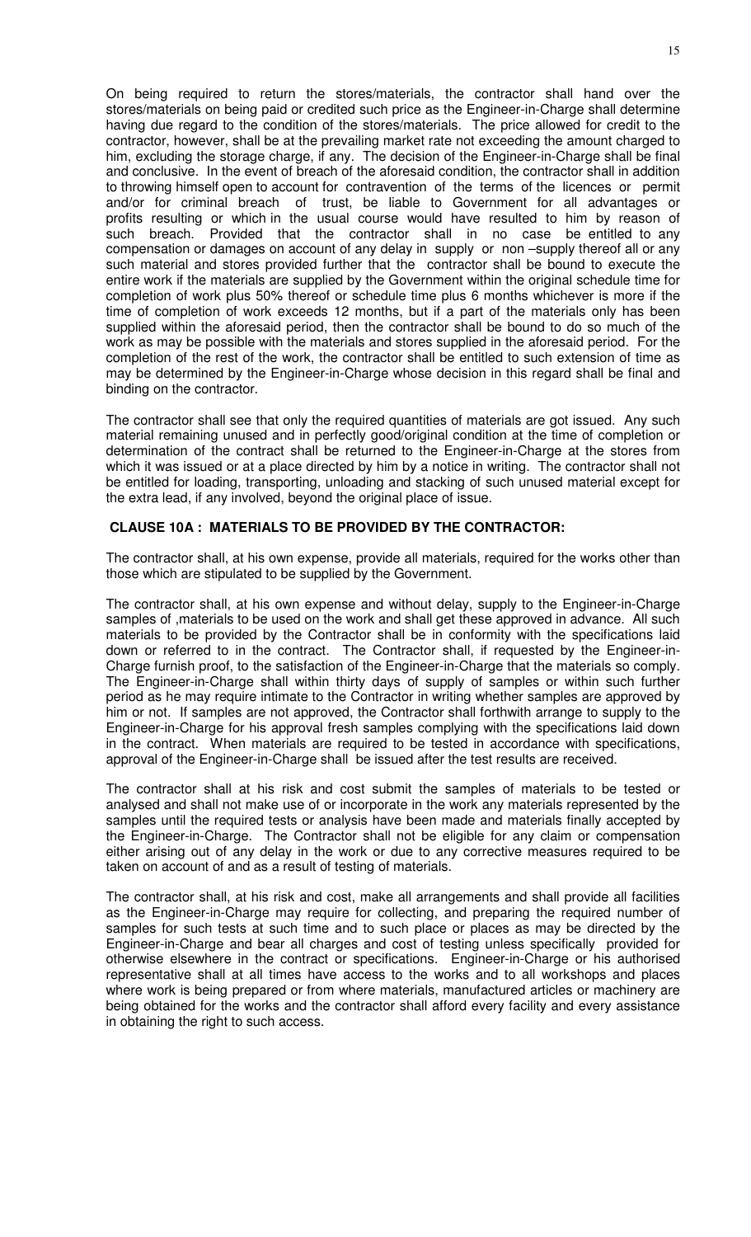On being required to return the stores/materials, the contractor shall hand over the stores/materials on being paid or credited such price as the Engineer-in-Charge shall determine having due regard to the condition of the stores/materials. The price allowed for credit to the contractor, however, shall be at the prevailing market rate not exceeding the amount charged to him, excluding the storage charge, if any. The decision of the Engineer-in-Charge shall be final and conclusive. In the event of breach of the aforesaid condition, the contractor shall in addition to throwing himself open to account for contravention of the terms of the licences or permit and/or for criminal breach of trust, be liable to Government for all advantages or profits resulting or which in the usual course would have resulted to him by reason of such breach. Provided that the contractor shall in no case be entitled to any compensation or damages on account of any delay in supply or non –supply thereof all or any such material and stores provided further that the contractor shall be bound to execute the entire work if the materials are supplied by the Government within the original schedule time for completion of work plus 50% thereof or schedule time plus 6 months whichever is more if the time of completion of work exceeds 12 months, but if a part of the materials only has been supplied within the aforesaid period, then the contractor shall be bound to do so much of the work as may be possible with the materials and stores supplied in the aforesaid period. For the completion of the rest of the work, the contractor shall be entitled to such extension of time as may be determined by the Engineer-in-Charge whose decision in this regard shall be final and binding on the contractor.

The contractor shall see that only the required quantities of materials are got issued. Any such material remaining unused and in perfectly good/original condition at the time of completion or determination of the contract shall be returned to the Engineer-in-Charge at the stores from which it was issued or at a place directed by him by a notice in writing. The contractor shall not be entitled for loading, transporting, unloading and stacking of such unused material except for the extra lead, if any involved, beyond the original place of issue.

# **CLAUSE 10A : MATERIALS TO BE PROVIDED BY THE CONTRACTOR:**

The contractor shall, at his own expense, provide all materials, required for the works other than those which are stipulated to be supplied by the Government.

The contractor shall, at his own expense and without delay, supply to the Engineer-in-Charge samples of ,materials to be used on the work and shall get these approved in advance. All such materials to be provided by the Contractor shall be in conformity with the specifications laid down or referred to in the contract. The Contractor shall, if requested by the Engineer-in-Charge furnish proof, to the satisfaction of the Engineer-in-Charge that the materials so comply. The Engineer-in-Charge shall within thirty days of supply of samples or within such further period as he may require intimate to the Contractor in writing whether samples are approved by him or not. If samples are not approved, the Contractor shall forthwith arrange to supply to the Engineer-in-Charge for his approval fresh samples complying with the specifications laid down in the contract. When materials are required to be tested in accordance with specifications, approval of the Engineer-in-Charge shall be issued after the test results are received.

The contractor shall at his risk and cost submit the samples of materials to be tested or analysed and shall not make use of or incorporate in the work any materials represented by the samples until the required tests or analysis have been made and materials finally accepted by the Engineer-in-Charge. The Contractor shall not be eligible for any claim or compensation either arising out of any delay in the work or due to any corrective measures required to be taken on account of and as a result of testing of materials.

The contractor shall, at his risk and cost, make all arrangements and shall provide all facilities as the Engineer-in-Charge may require for collecting, and preparing the required number of samples for such tests at such time and to such place or places as may be directed by the Engineer-in-Charge and bear all charges and cost of testing unless specifically provided for otherwise elsewhere in the contract or specifications. Engineer-in-Charge or his authorised representative shall at all times have access to the works and to all workshops and places where work is being prepared or from where materials, manufactured articles or machinery are being obtained for the works and the contractor shall afford every facility and every assistance in obtaining the right to such access.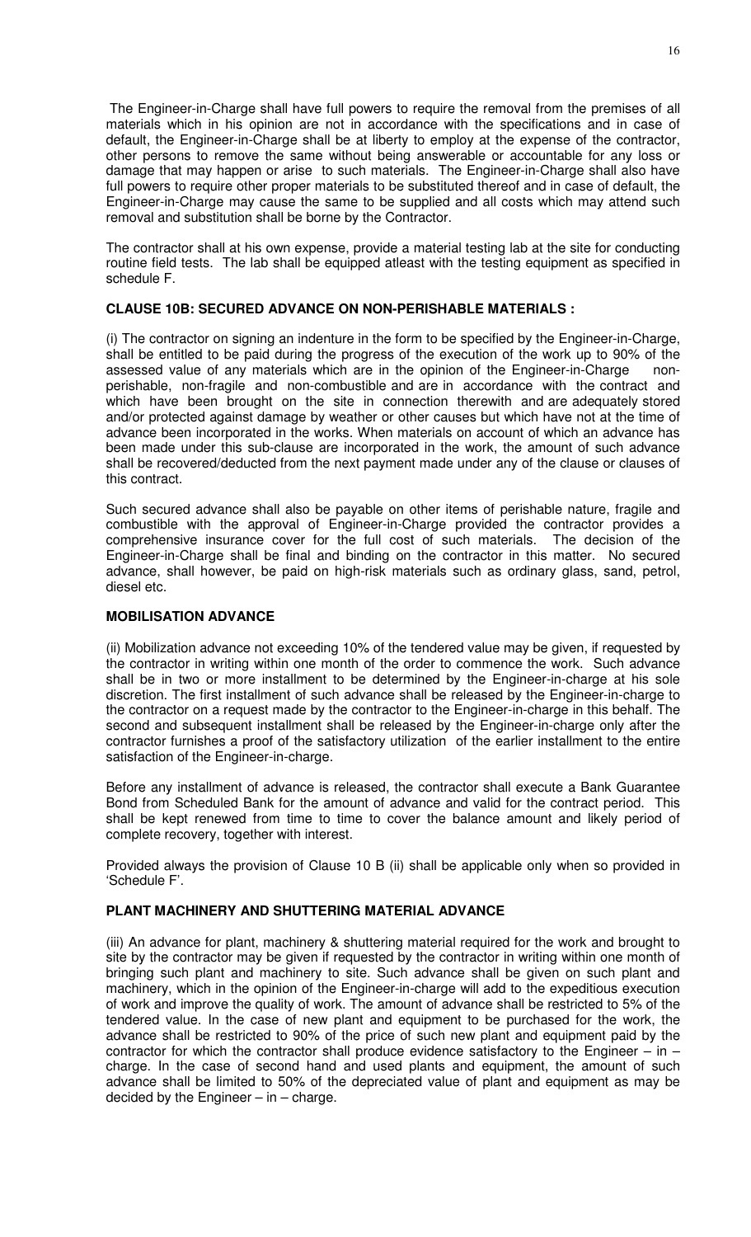The Engineer-in-Charge shall have full powers to require the removal from the premises of all materials which in his opinion are not in accordance with the specifications and in case of default, the Engineer-in-Charge shall be at liberty to employ at the expense of the contractor, other persons to remove the same without being answerable or accountable for any loss or damage that may happen or arise to such materials. The Engineer-in-Charge shall also have full powers to require other proper materials to be substituted thereof and in case of default, the Engineer-in-Charge may cause the same to be supplied and all costs which may attend such removal and substitution shall be borne by the Contractor.

The contractor shall at his own expense, provide a material testing lab at the site for conducting routine field tests. The lab shall be equipped atleast with the testing equipment as specified in schedule F.

# **CLAUSE 10B: SECURED ADVANCE ON NON-PERISHABLE MATERIALS :**

(i) The contractor on signing an indenture in the form to be specified by the Engineer-in-Charge, shall be entitled to be paid during the progress of the execution of the work up to 90% of the assessed value of any materials which are in the opinion of the Engineer-in-Charge nonperishable, non-fragile and non-combustible and are in accordance with the contract and which have been brought on the site in connection therewith and are adequately stored and/or protected against damage by weather or other causes but which have not at the time of advance been incorporated in the works. When materials on account of which an advance has been made under this sub-clause are incorporated in the work, the amount of such advance shall be recovered/deducted from the next payment made under any of the clause or clauses of this contract.

Such secured advance shall also be payable on other items of perishable nature, fragile and combustible with the approval of Engineer-in-Charge provided the contractor provides a comprehensive insurance cover for the full cost of such materials. The decision of the Engineer-in-Charge shall be final and binding on the contractor in this matter. No secured advance, shall however, be paid on high-risk materials such as ordinary glass, sand, petrol, diesel etc.

# **MOBILISATION ADVANCE**

(ii) Mobilization advance not exceeding 10% of the tendered value may be given, if requested by the contractor in writing within one month of the order to commence the work. Such advance shall be in two or more installment to be determined by the Engineer-in-charge at his sole discretion. The first installment of such advance shall be released by the Engineer-in-charge to the contractor on a request made by the contractor to the Engineer-in-charge in this behalf. The second and subsequent installment shall be released by the Engineer-in-charge only after the contractor furnishes a proof of the satisfactory utilization of the earlier installment to the entire satisfaction of the Engineer-in-charge.

Before any installment of advance is released, the contractor shall execute a Bank Guarantee Bond from Scheduled Bank for the amount of advance and valid for the contract period. This shall be kept renewed from time to time to cover the balance amount and likely period of complete recovery, together with interest.

Provided always the provision of Clause 10 B (ii) shall be applicable only when so provided in 'Schedule F'.

# **PLANT MACHINERY AND SHUTTERING MATERIAL ADVANCE**

(iii) An advance for plant, machinery & shuttering material required for the work and brought to site by the contractor may be given if requested by the contractor in writing within one month of bringing such plant and machinery to site. Such advance shall be given on such plant and machinery, which in the opinion of the Engineer-in-charge will add to the expeditious execution of work and improve the quality of work. The amount of advance shall be restricted to 5% of the tendered value. In the case of new plant and equipment to be purchased for the work, the advance shall be restricted to 90% of the price of such new plant and equipment paid by the contractor for which the contractor shall produce evidence satisfactory to the Engineer – in – charge. In the case of second hand and used plants and equipment, the amount of such advance shall be limited to 50% of the depreciated value of plant and equipment as may be decided by the Engineer  $-$  in  $-$  charge.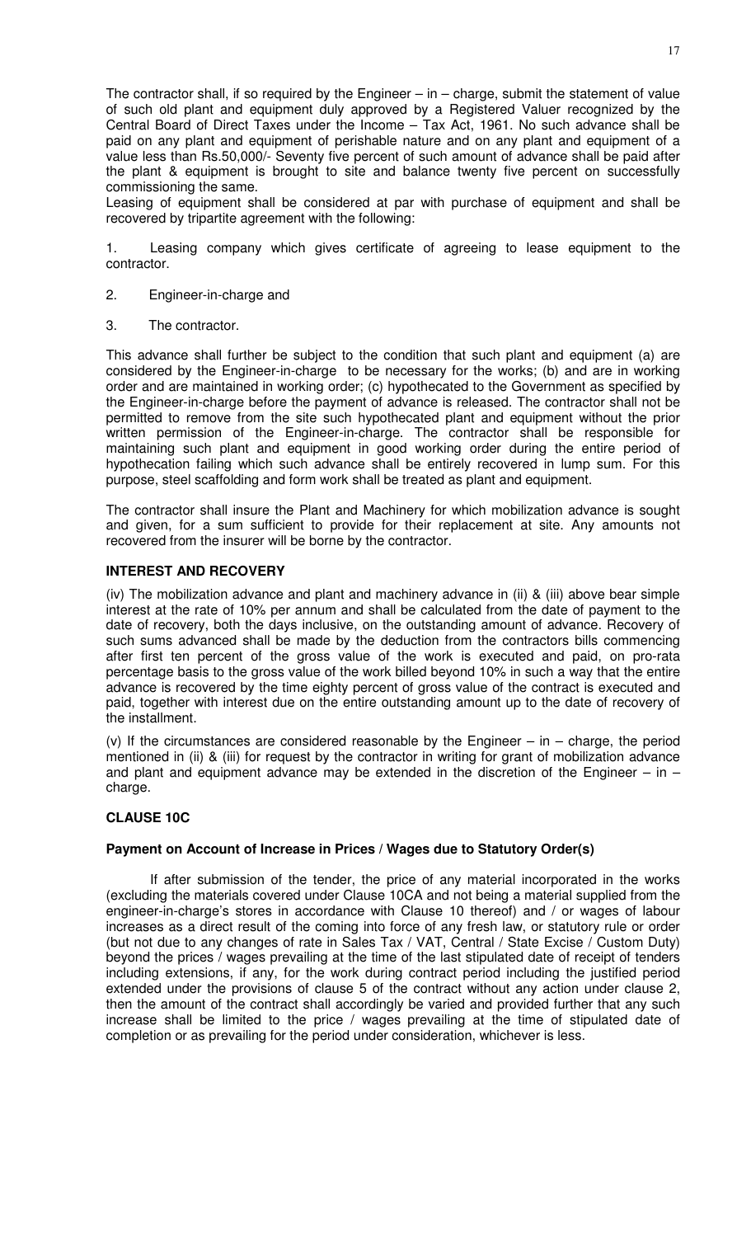The contractor shall, if so required by the Engineer  $-$  in  $-$  charge, submit the statement of value of such old plant and equipment duly approved by a Registered Valuer recognized by the Central Board of Direct Taxes under the Income – Tax Act, 1961. No such advance shall be paid on any plant and equipment of perishable nature and on any plant and equipment of a value less than Rs.50,000/- Seventy five percent of such amount of advance shall be paid after the plant & equipment is brought to site and balance twenty five percent on successfully commissioning the same.

Leasing of equipment shall be considered at par with purchase of equipment and shall be recovered by tripartite agreement with the following:

1. Leasing company which gives certificate of agreeing to lease equipment to the contractor.

- 2. Engineer-in-charge and
- 3. The contractor.

This advance shall further be subject to the condition that such plant and equipment (a) are considered by the Engineer-in-charge to be necessary for the works; (b) and are in working order and are maintained in working order; (c) hypothecated to the Government as specified by the Engineer-in-charge before the payment of advance is released. The contractor shall not be permitted to remove from the site such hypothecated plant and equipment without the prior written permission of the Engineer-in-charge. The contractor shall be responsible for maintaining such plant and equipment in good working order during the entire period of hypothecation failing which such advance shall be entirely recovered in lump sum. For this purpose, steel scaffolding and form work shall be treated as plant and equipment.

The contractor shall insure the Plant and Machinery for which mobilization advance is sought and given, for a sum sufficient to provide for their replacement at site. Any amounts not recovered from the insurer will be borne by the contractor.

# **INTEREST AND RECOVERY**

(iv) The mobilization advance and plant and machinery advance in (ii) & (iii) above bear simple interest at the rate of 10% per annum and shall be calculated from the date of payment to the date of recovery, both the days inclusive, on the outstanding amount of advance. Recovery of such sums advanced shall be made by the deduction from the contractors bills commencing after first ten percent of the gross value of the work is executed and paid, on pro-rata percentage basis to the gross value of the work billed beyond 10% in such a way that the entire advance is recovered by the time eighty percent of gross value of the contract is executed and paid, together with interest due on the entire outstanding amount up to the date of recovery of the installment.

(v) If the circumstances are considered reasonable by the Engineer – in – charge, the period mentioned in (ii) & (iii) for request by the contractor in writing for grant of mobilization advance and plant and equipment advance may be extended in the discretion of the Engineer – in – charge.

# **CLAUSE 10C**

#### **Payment on Account of Increase in Prices / Wages due to Statutory Order(s)**

 If after submission of the tender, the price of any material incorporated in the works (excluding the materials covered under Clause 10CA and not being a material supplied from the engineer-in-charge's stores in accordance with Clause 10 thereof) and / or wages of labour increases as a direct result of the coming into force of any fresh law, or statutory rule or order (but not due to any changes of rate in Sales Tax / VAT, Central / State Excise / Custom Duty) beyond the prices / wages prevailing at the time of the last stipulated date of receipt of tenders including extensions, if any, for the work during contract period including the justified period extended under the provisions of clause 5 of the contract without any action under clause 2, then the amount of the contract shall accordingly be varied and provided further that any such increase shall be limited to the price / wages prevailing at the time of stipulated date of completion or as prevailing for the period under consideration, whichever is less.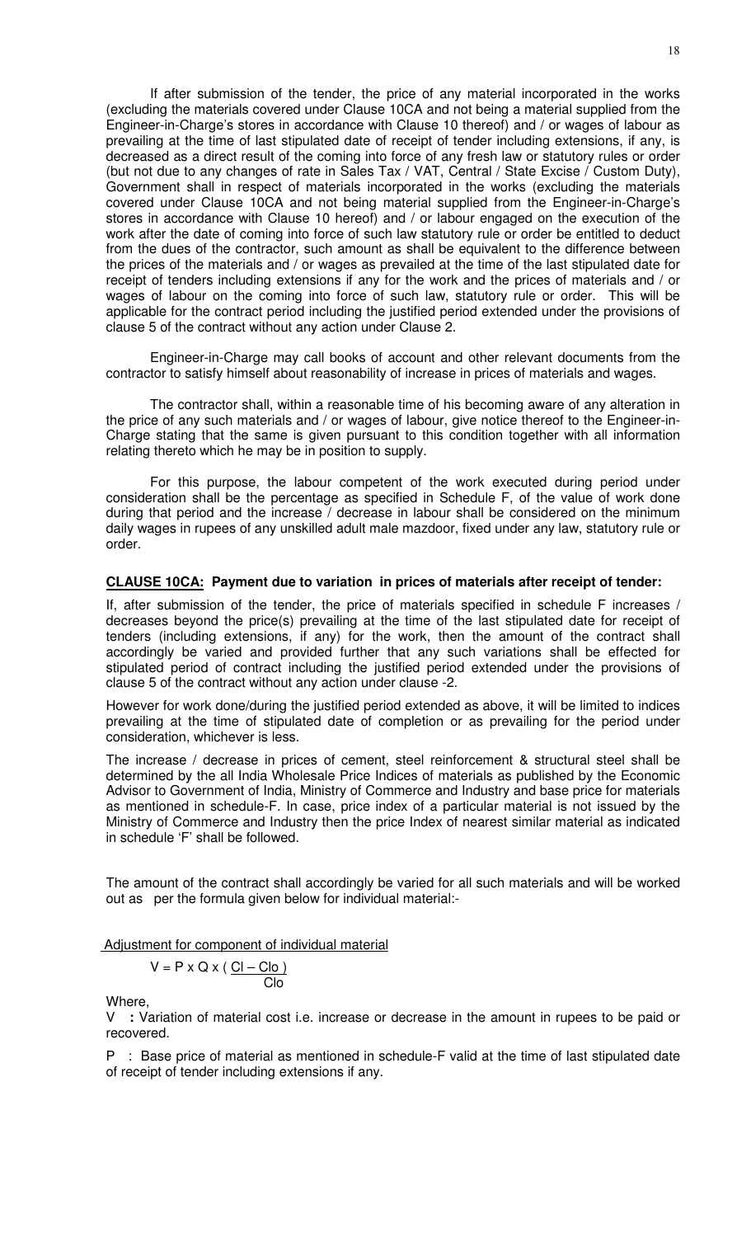If after submission of the tender, the price of any material incorporated in the works (excluding the materials covered under Clause 10CA and not being a material supplied from the Engineer-in-Charge's stores in accordance with Clause 10 thereof) and / or wages of labour as prevailing at the time of last stipulated date of receipt of tender including extensions, if any, is decreased as a direct result of the coming into force of any fresh law or statutory rules or order (but not due to any changes of rate in Sales Tax / VAT, Central / State Excise / Custom Duty), Government shall in respect of materials incorporated in the works (excluding the materials covered under Clause 10CA and not being material supplied from the Engineer-in-Charge's stores in accordance with Clause 10 hereof) and / or labour engaged on the execution of the work after the date of coming into force of such law statutory rule or order be entitled to deduct from the dues of the contractor, such amount as shall be equivalent to the difference between the prices of the materials and / or wages as prevailed at the time of the last stipulated date for receipt of tenders including extensions if any for the work and the prices of materials and / or wages of labour on the coming into force of such law, statutory rule or order. This will be applicable for the contract period including the justified period extended under the provisions of clause 5 of the contract without any action under Clause 2.

Engineer-in-Charge may call books of account and other relevant documents from the contractor to satisfy himself about reasonability of increase in prices of materials and wages.

The contractor shall, within a reasonable time of his becoming aware of any alteration in the price of any such materials and / or wages of labour, give notice thereof to the Engineer-in-Charge stating that the same is given pursuant to this condition together with all information relating thereto which he may be in position to supply.

For this purpose, the labour competent of the work executed during period under consideration shall be the percentage as specified in Schedule F, of the value of work done during that period and the increase / decrease in labour shall be considered on the minimum daily wages in rupees of any unskilled adult male mazdoor, fixed under any law, statutory rule or order.

#### **CLAUSE 10CA: Payment due to variation in prices of materials after receipt of tender:**

If, after submission of the tender, the price of materials specified in schedule F increases / decreases beyond the price(s) prevailing at the time of the last stipulated date for receipt of tenders (including extensions, if any) for the work, then the amount of the contract shall accordingly be varied and provided further that any such variations shall be effected for stipulated period of contract including the justified period extended under the provisions of clause 5 of the contract without any action under clause -2.

However for work done/during the justified period extended as above, it will be limited to indices prevailing at the time of stipulated date of completion or as prevailing for the period under consideration, whichever is less.

The increase / decrease in prices of cement, steel reinforcement & structural steel shall be determined by the all India Wholesale Price Indices of materials as published by the Economic Advisor to Government of India, Ministry of Commerce and Industry and base price for materials as mentioned in schedule-F. In case, price index of a particular material is not issued by the Ministry of Commerce and Industry then the price Index of nearest similar material as indicated in schedule 'F' shall be followed.

The amount of the contract shall accordingly be varied for all such materials and will be worked out as per the formula given below for individual material:-

Adjustment for component of individual material

$$
V = P \times Q \times (\underline{Cl - Cl_0})
$$

Where,

V **:** Variation of material cost i.e. increase or decrease in the amount in rupees to be paid or recovered.

P : Base price of material as mentioned in schedule-F valid at the time of last stipulated date of receipt of tender including extensions if any.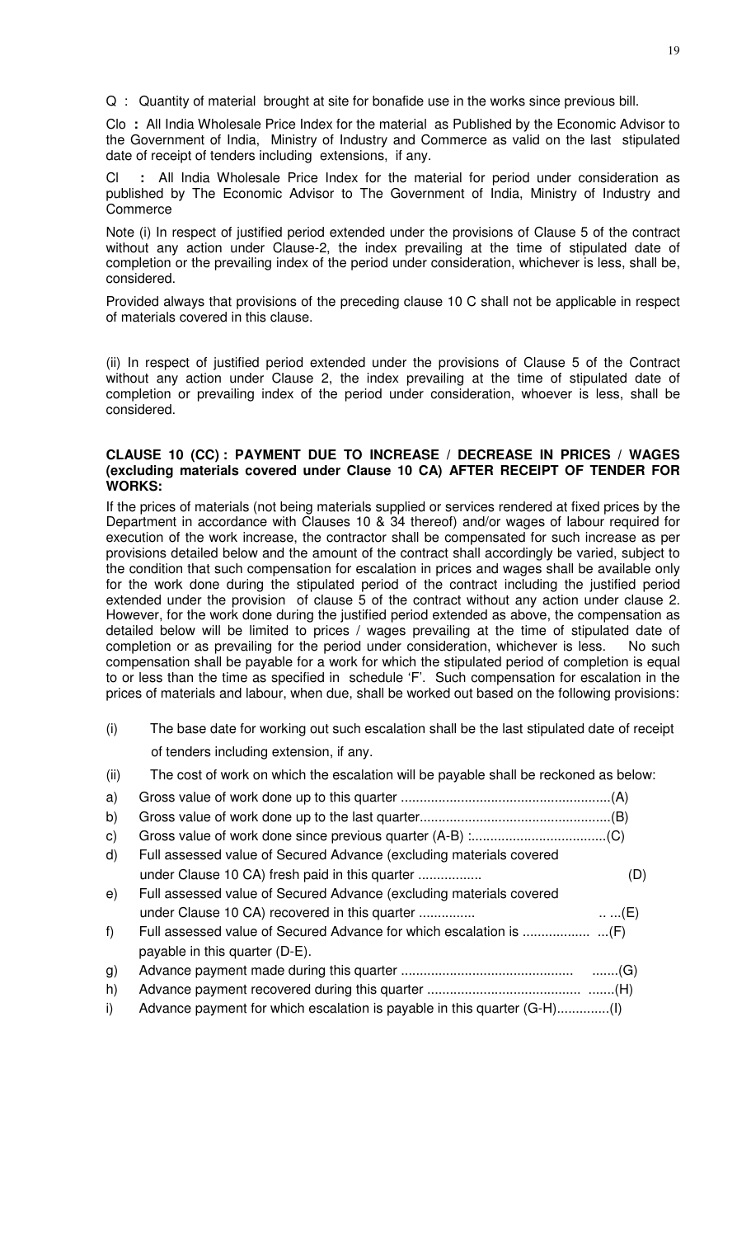Q : Quantity of material brought at site for bonafide use in the works since previous bill.

Clo **:** All India Wholesale Price Index for the material as Published by the Economic Advisor to the Government of India, Ministry of Industry and Commerce as valid on the last stipulated date of receipt of tenders including extensions, if any.

: All India Wholesale Price Index for the material for period under consideration as published by The Economic Advisor to The Government of India, Ministry of Industry and Commerce

Note (i) In respect of justified period extended under the provisions of Clause 5 of the contract without any action under Clause-2, the index prevailing at the time of stipulated date of completion or the prevailing index of the period under consideration, whichever is less, shall be, considered.

Provided always that provisions of the preceding clause 10 C shall not be applicable in respect of materials covered in this clause.

(ii) In respect of justified period extended under the provisions of Clause 5 of the Contract without any action under Clause 2, the index prevailing at the time of stipulated date of completion or prevailing index of the period under consideration, whoever is less, shall be considered.

# **CLAUSE 10 (CC) : PAYMENT DUE TO INCREASE / DECREASE IN PRICES / WAGES (excluding materials covered under Clause 10 CA) AFTER RECEIPT OF TENDER FOR WORKS:**

If the prices of materials (not being materials supplied or services rendered at fixed prices by the Department in accordance with Clauses 10 & 34 thereof) and/or wages of labour required for execution of the work increase, the contractor shall be compensated for such increase as per provisions detailed below and the amount of the contract shall accordingly be varied, subject to the condition that such compensation for escalation in prices and wages shall be available only for the work done during the stipulated period of the contract including the justified period extended under the provision of clause 5 of the contract without any action under clause 2. However, for the work done during the justified period extended as above, the compensation as detailed below will be limited to prices / wages prevailing at the time of stipulated date of completion or as prevailing for the period under consideration, whichever is less. No such compensation shall be payable for a work for which the stipulated period of completion is equal to or less than the time as specified in schedule 'F'. Such compensation for escalation in the prices of materials and labour, when due, shall be worked out based on the following provisions:

- (i) The base date for working out such escalation shall be the last stipulated date of receipt of tenders including extension, if any.
- (ii) The cost of work on which the escalation will be payable shall be reckoned as below:

| a)           |                                                                          |            |
|--------------|--------------------------------------------------------------------------|------------|
| b)           |                                                                          |            |
| $\mathsf{C}$ |                                                                          |            |
| d)           | Full assessed value of Secured Advance (excluding materials covered      |            |
|              | under Clause 10 CA) fresh paid in this quarter                           | (D)        |
| e)           | Full assessed value of Secured Advance (excluding materials covered      |            |
|              | under Clause 10 CA) recovered in this quarter                            | $\dots(E)$ |
| f)           |                                                                          |            |
|              | payable in this quarter (D-E).                                           |            |
| g)           |                                                                          |            |
| h)           |                                                                          |            |
| i)           | Advance payment for which escalation is payable in this quarter (G-H)(I) |            |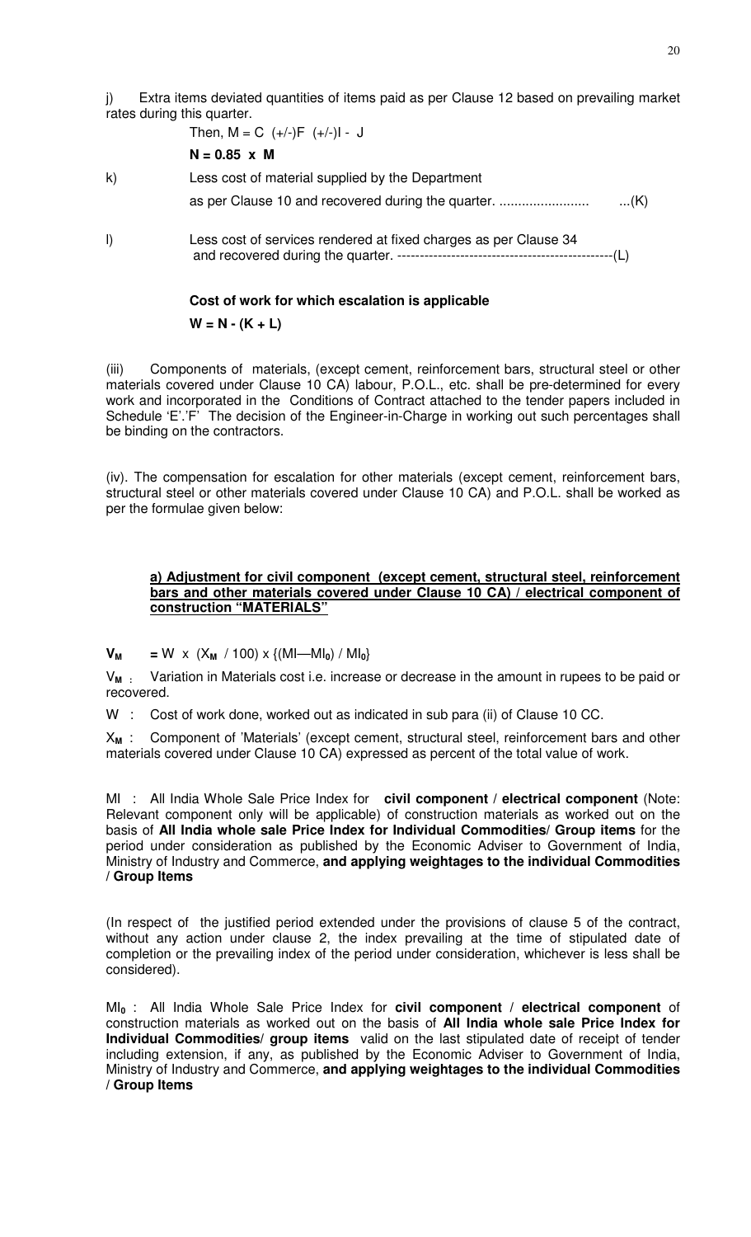Extra items deviated quantities of items paid as per Clause 12 based on prevailing market rates during this quarter.

Then, 
$$
M = C (+/-)F (+/-)I - J
$$

$$
N = 0.85 \times M
$$

k) Less cost of material supplied by the Department

as per Clause 10 and recovered during the quarter. ........................ ...(K)

l) Less cost of services rendered at fixed charges as per Clause 34 and recovered during the quarter. ------------------------------------------------(L)

# **Cost of work for which escalation is applicable**

 $W = N - (K + L)$ 

(iii) Components of materials, (except cement, reinforcement bars, structural steel or other materials covered under Clause 10 CA) labour, P.O.L., etc. shall be pre-determined for every work and incorporated in the Conditions of Contract attached to the tender papers included in Schedule 'E'.'F' The decision of the Engineer-in-Charge in working out such percentages shall be binding on the contractors.

(iv). The compensation for escalation for other materials (except cement, reinforcement bars, structural steel or other materials covered under Clause 10 CA) and P.O.L. shall be worked as per the formulae given below:

### **a) Adjustment for civil component (except cement, structural steel, reinforcement bars and other materials covered under Clause 10 CA) / electrical component of construction "MATERIALS"**

 $V_M$  = W x (X<sub>M</sub> / 100) x {(MI—MI<sub>0</sub>) / MI<sub>0</sub>}

V**M :** Variation in Materials cost i.e. increase or decrease in the amount in rupees to be paid or recovered.

W : Cost of work done, worked out as indicated in sub para (ii) of Clause 10 CC.

X**M** : Component of 'Materials' (except cement, structural steel, reinforcement bars and other materials covered under Clause 10 CA) expressed as percent of the total value of work.

MI : All India Whole Sale Price Index for **civil component / electrical component** (Note: Relevant component only will be applicable) of construction materials as worked out on the basis of **All India whole sale Price Index for Individual Commodities/ Group items** for the period under consideration as published by the Economic Adviser to Government of India, Ministry of Industry and Commerce, **and applying weightages to the individual Commodities / Group Items** 

(In respect of the justified period extended under the provisions of clause 5 of the contract, without any action under clause 2, the index prevailing at the time of stipulated date of completion or the prevailing index of the period under consideration, whichever is less shall be considered).

MI**0** : All India Whole Sale Price Index for **civil component / electrical component** of construction materials as worked out on the basis of **All India whole sale Price Index for Individual Commodities/ group items** valid on the last stipulated date of receipt of tender including extension, if any, as published by the Economic Adviser to Government of India, Ministry of Industry and Commerce, **and applying weightages to the individual Commodities / Group Items**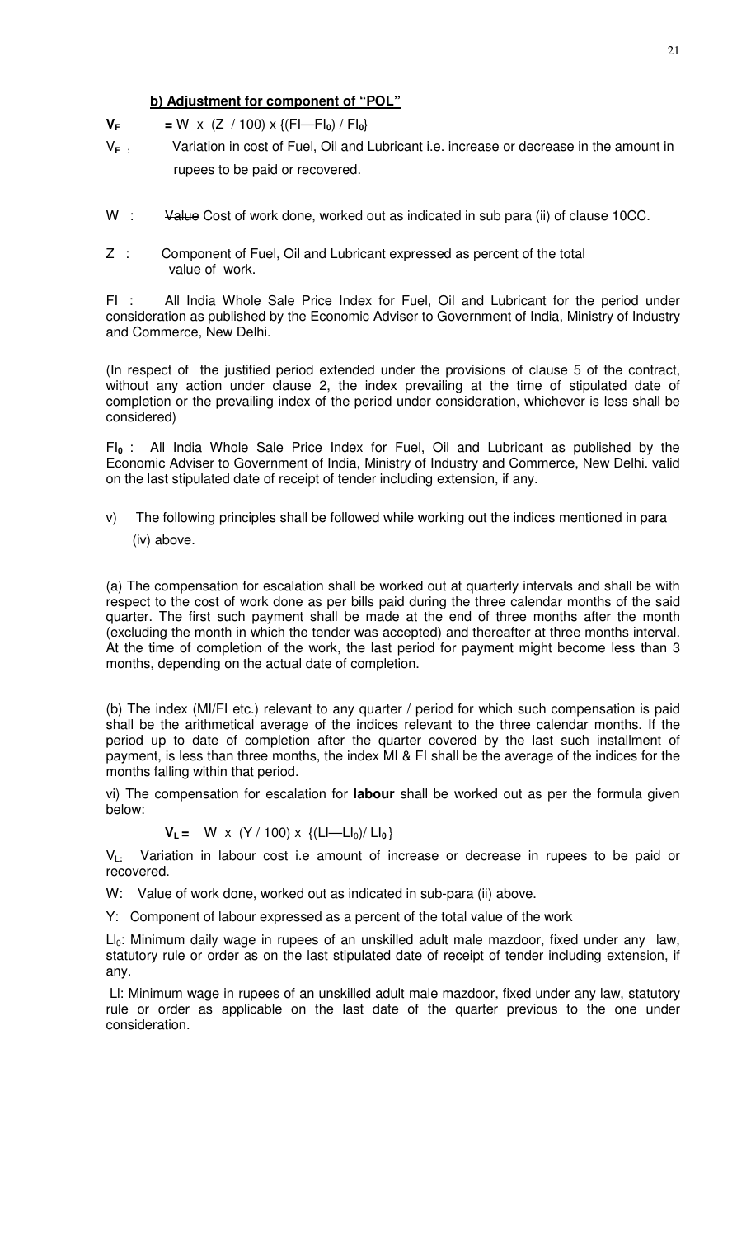# **b) Adjustment for component of "POL"**

- $V_F$  = W x (Z / 100) x {(FI—FI<sub>0</sub>) / FI<sub>0</sub>}
- V**F :** Variation in cost of Fuel, Oil and Lubricant i.e. increase or decrease in the amount in rupees to be paid or recovered.
- W : Value Cost of work done, worked out as indicated in sub para (ii) of clause 10CC.
- Z : Component of Fuel, Oil and Lubricant expressed as percent of the total value of work.

FI : All India Whole Sale Price Index for Fuel, Oil and Lubricant for the period under consideration as published by the Economic Adviser to Government of India, Ministry of Industry and Commerce, New Delhi.

(In respect of the justified period extended under the provisions of clause 5 of the contract, without any action under clause 2, the index prevailing at the time of stipulated date of completion or the prevailing index of the period under consideration, whichever is less shall be considered)

FI**0** : All India Whole Sale Price Index for Fuel, Oil and Lubricant as published by the Economic Adviser to Government of India, Ministry of Industry and Commerce, New Delhi. valid on the last stipulated date of receipt of tender including extension, if any.

v) The following principles shall be followed while working out the indices mentioned in para (iv) above.

(a) The compensation for escalation shall be worked out at quarterly intervals and shall be with respect to the cost of work done as per bills paid during the three calendar months of the said quarter. The first such payment shall be made at the end of three months after the month (excluding the month in which the tender was accepted) and thereafter at three months interval. At the time of completion of the work, the last period for payment might become less than 3 months, depending on the actual date of completion.

(b) The index (MI/FI etc.) relevant to any quarter / period for which such compensation is paid shall be the arithmetical average of the indices relevant to the three calendar months. If the period up to date of completion after the quarter covered by the last such installment of payment, is less than three months, the index MI & FI shall be the average of the indices for the months falling within that period.

vi) The compensation for escalation for **labour** shall be worked out as per the formula given below:

$$
V_L = W \times (Y / 100) \times \{(LI - LI_0) / LI_0\}
$$

V<sup>L</sup>**:** Variation in labour cost i.e amount of increase or decrease in rupees to be paid or recovered.

W: Value of work done, worked out as indicated in sub-para (ii) above.

Y: Component of labour expressed as a percent of the total value of the work

 $LI<sub>0</sub>$ : Minimum daily wage in rupees of an unskilled adult male mazdoor, fixed under any law, statutory rule or order as on the last stipulated date of receipt of tender including extension, if any.

 Ll: Minimum wage in rupees of an unskilled adult male mazdoor, fixed under any law, statutory rule or order as applicable on the last date of the quarter previous to the one under consideration.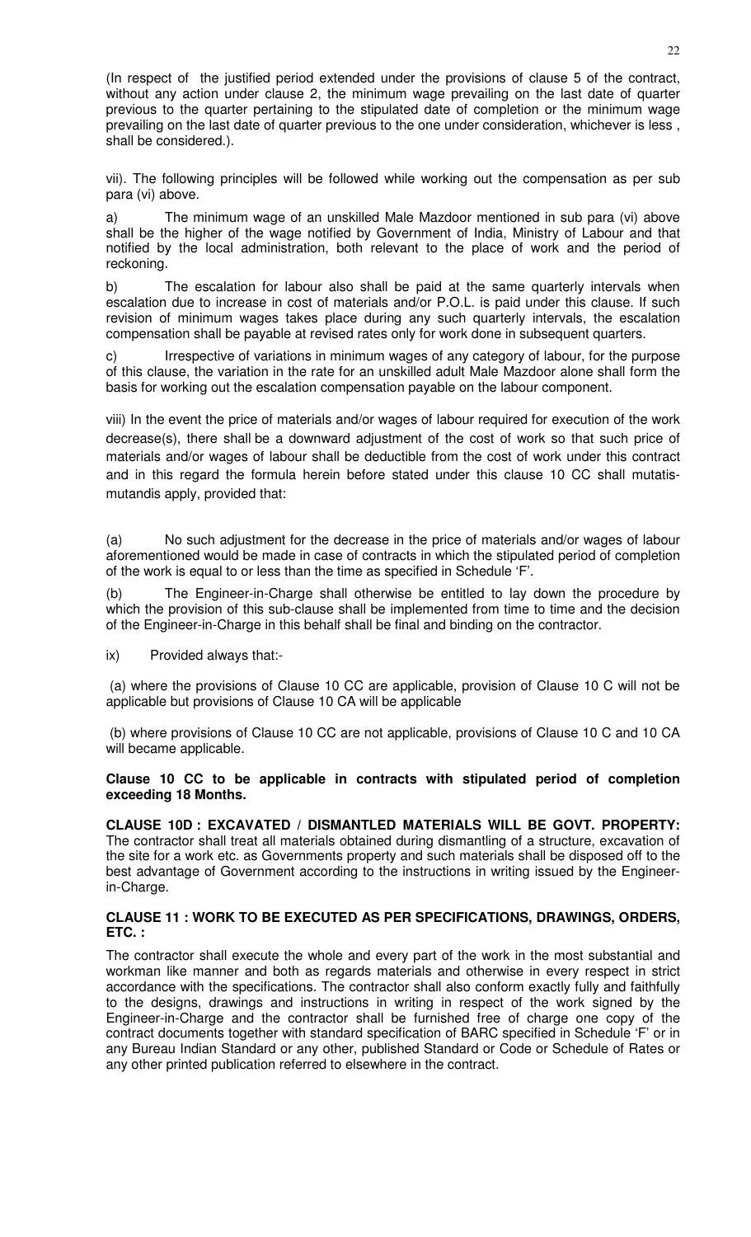(In respect of the justified period extended under the provisions of clause 5 of the contract, without any action under clause 2, the minimum wage prevailing on the last date of quarter previous to the quarter pertaining to the stipulated date of completion or the minimum wage prevailing on the last date of quarter previous to the one under consideration, whichever is less , shall be considered.).

vii). The following principles will be followed while working out the compensation as per sub para (vi) above.

a) The minimum wage of an unskilled Male Mazdoor mentioned in sub para (vi) above shall be the higher of the wage notified by Government of India, Ministry of Labour and that notified by the local administration, both relevant to the place of work and the period of reckoning.

b) The escalation for labour also shall be paid at the same quarterly intervals when escalation due to increase in cost of materials and/or P.O.L. is paid under this clause. If such revision of minimum wages takes place during any such quarterly intervals, the escalation compensation shall be payable at revised rates only for work done in subsequent quarters.

c) Irrespective of variations in minimum wages of any category of labour, for the purpose of this clause, the variation in the rate for an unskilled adult Male Mazdoor alone shall form the basis for working out the escalation compensation payable on the labour component.

viii) In the event the price of materials and/or wages of labour required for execution of the work decrease(s), there shall be a downward adjustment of the cost of work so that such price of materials and/or wages of labour shall be deductible from the cost of work under this contract and in this regard the formula herein before stated under this clause 10 CC shall mutatismutandis apply, provided that:

(a) No such adjustment for the decrease in the price of materials and/or wages of labour aforementioned would be made in case of contracts in which the stipulated period of completion of the work is equal to or less than the time as specified in Schedule 'F'.

(b) The Engineer-in-Charge shall otherwise be entitled to lay down the procedure by which the provision of this sub-clause shall be implemented from time to time and the decision of the Engineer-in-Charge in this behalf shall be final and binding on the contractor.

ix) Provided always that:-

 (a) where the provisions of Clause 10 CC are applicable, provision of Clause 10 C will not be applicable but provisions of Clause 10 CA will be applicable

 (b) where provisions of Clause 10 CC are not applicable, provisions of Clause 10 C and 10 CA will became applicable.

# **Clause 10 CC to be applicable in contracts with stipulated period of completion exceeding 18 Months.**

**CLAUSE 10D : EXCAVATED / DISMANTLED MATERIALS WILL BE GOVT. PROPERTY:** The contractor shall treat all materials obtained during dismantling of a structure, excavation of the site for a work etc. as Governments property and such materials shall be disposed off to the best advantage of Government according to the instructions in writing issued by the Engineerin-Charge.

# **CLAUSE 11 : WORK TO BE EXECUTED AS PER SPECIFICATIONS, DRAWINGS, ORDERS, ETC. :**

The contractor shall execute the whole and every part of the work in the most substantial and workman like manner and both as regards materials and otherwise in every respect in strict accordance with the specifications. The contractor shall also conform exactly fully and faithfully to the designs, drawings and instructions in writing in respect of the work signed by the Engineer-in-Charge and the contractor shall be furnished free of charge one copy of the contract documents together with standard specification of BARC specified in Schedule 'F' or in any Bureau Indian Standard or any other, published Standard or Code or Schedule of Rates or any other printed publication referred to elsewhere in the contract.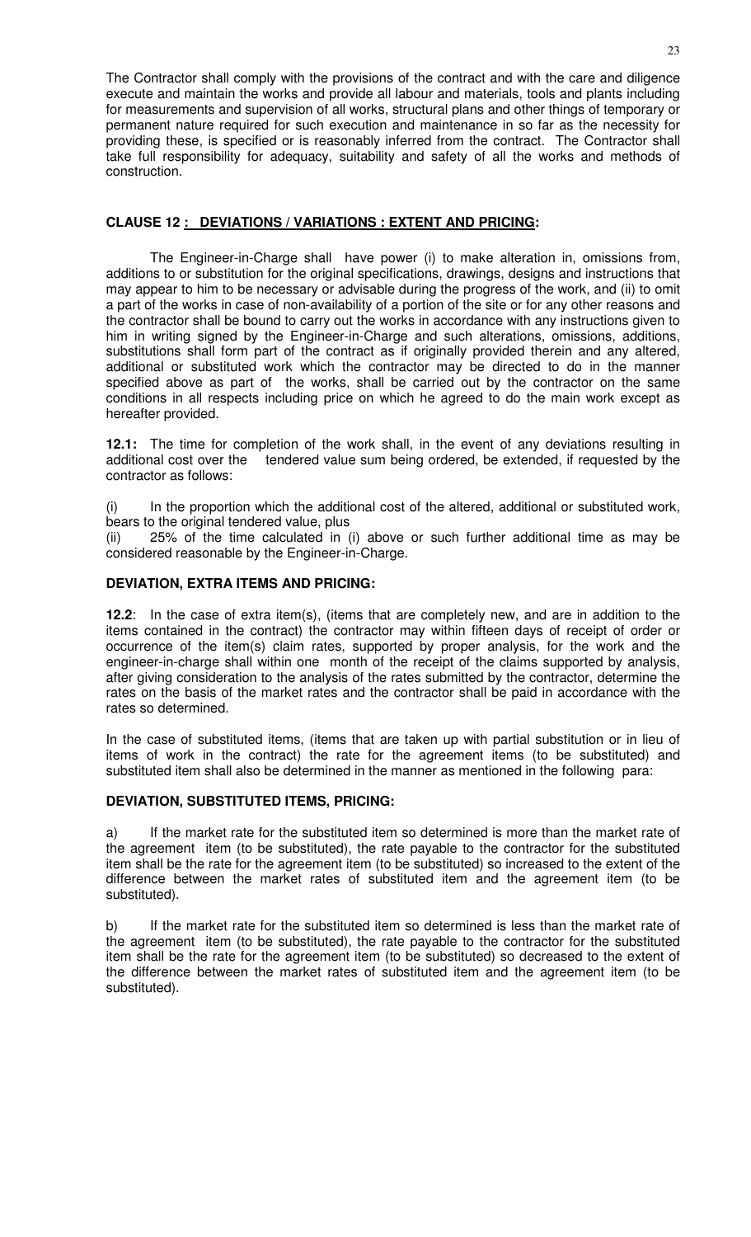The Contractor shall comply with the provisions of the contract and with the care and diligence execute and maintain the works and provide all labour and materials, tools and plants including for measurements and supervision of all works, structural plans and other things of temporary or permanent nature required for such execution and maintenance in so far as the necessity for providing these, is specified or is reasonably inferred from the contract. The Contractor shall take full responsibility for adequacy, suitability and safety of all the works and methods of construction.

# **CLAUSE 12 : DEVIATIONS / VARIATIONS : EXTENT AND PRICING:**

The Engineer-in-Charge shall have power (i) to make alteration in, omissions from, additions to or substitution for the original specifications, drawings, designs and instructions that may appear to him to be necessary or advisable during the progress of the work, and (ii) to omit a part of the works in case of non-availability of a portion of the site or for any other reasons and the contractor shall be bound to carry out the works in accordance with any instructions given to him in writing signed by the Engineer-in-Charge and such alterations, omissions, additions, substitutions shall form part of the contract as if originally provided therein and any altered, additional or substituted work which the contractor may be directed to do in the manner specified above as part of the works, shall be carried out by the contractor on the same conditions in all respects including price on which he agreed to do the main work except as hereafter provided.

**12.1:** The time for completion of the work shall, in the event of any deviations resulting in additional cost over the tendered value sum being ordered, be extended, if requested by the contractor as follows:

(i) In the proportion which the additional cost of the altered, additional or substituted work, bears to the original tendered value, plus

(ii) 25% of the time calculated in (i) above or such further additional time as may be considered reasonable by the Engineer-in-Charge.

# **DEVIATION, EXTRA ITEMS AND PRICING:**

**12.2**: In the case of extra item(s), (items that are completely new, and are in addition to the items contained in the contract) the contractor may within fifteen days of receipt of order or occurrence of the item(s) claim rates, supported by proper analysis, for the work and the engineer-in-charge shall within one month of the receipt of the claims supported by analysis, after giving consideration to the analysis of the rates submitted by the contractor, determine the rates on the basis of the market rates and the contractor shall be paid in accordance with the rates so determined.

In the case of substituted items, (items that are taken up with partial substitution or in lieu of items of work in the contract) the rate for the agreement items (to be substituted) and substituted item shall also be determined in the manner as mentioned in the following para:

# **DEVIATION, SUBSTITUTED ITEMS, PRICING:**

a) If the market rate for the substituted item so determined is more than the market rate of the agreement item (to be substituted), the rate payable to the contractor for the substituted item shall be the rate for the agreement item (to be substituted) so increased to the extent of the difference between the market rates of substituted item and the agreement item (to be substituted).

b) If the market rate for the substituted item so determined is less than the market rate of the agreement item (to be substituted), the rate payable to the contractor for the substituted item shall be the rate for the agreement item (to be substituted) so decreased to the extent of the difference between the market rates of substituted item and the agreement item (to be substituted).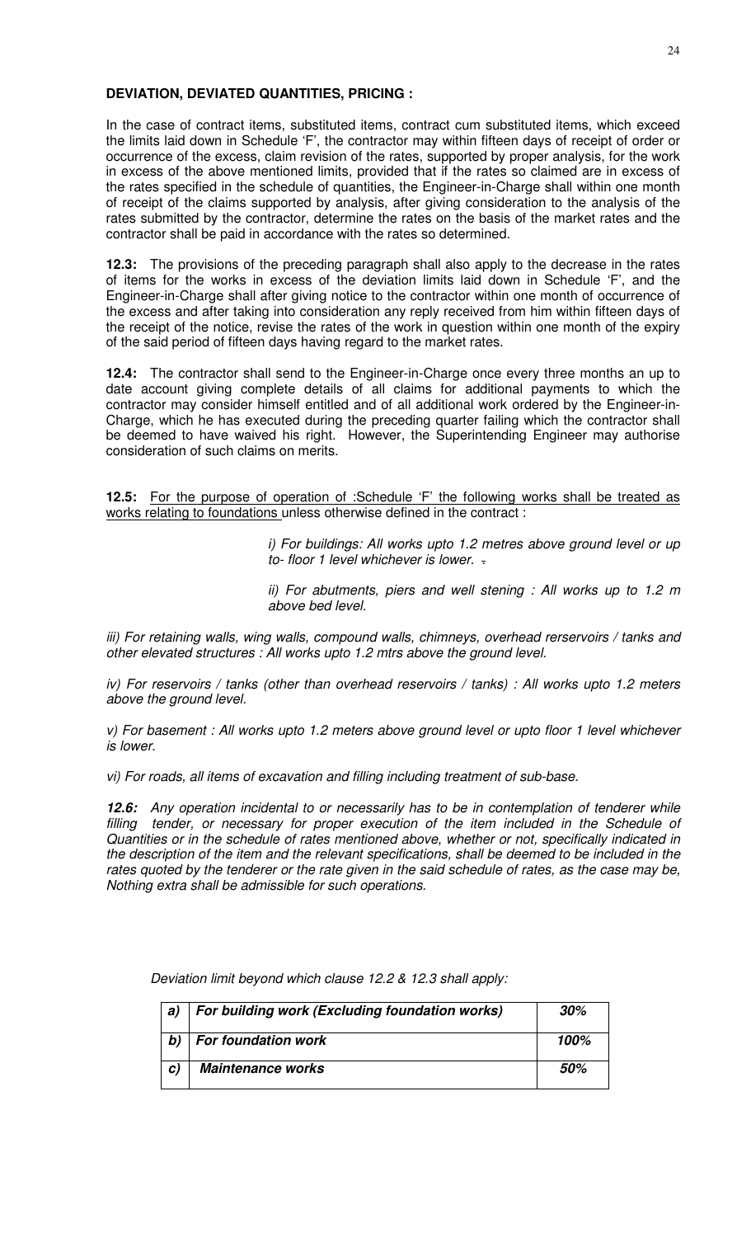### **DEVIATION, DEVIATED QUANTITIES, PRICING :**

In the case of contract items, substituted items, contract cum substituted items, which exceed the limits laid down in Schedule 'F', the contractor may within fifteen days of receipt of order or occurrence of the excess, claim revision of the rates, supported by proper analysis, for the work in excess of the above mentioned limits, provided that if the rates so claimed are in excess of the rates specified in the schedule of quantities, the Engineer-in-Charge shall within one month of receipt of the claims supported by analysis, after giving consideration to the analysis of the rates submitted by the contractor, determine the rates on the basis of the market rates and the contractor shall be paid in accordance with the rates so determined.

**12.3:** The provisions of the preceding paragraph shall also apply to the decrease in the rates of items for the works in excess of the deviation limits laid down in Schedule 'F', and the Engineer-in-Charge shall after giving notice to the contractor within one month of occurrence of the excess and after taking into consideration any reply received from him within fifteen days of the receipt of the notice, revise the rates of the work in question within one month of the expiry of the said period of fifteen days having regard to the market rates.

**12.4:** The contractor shall send to the Engineer-in-Charge once every three months an up to date account giving complete details of all claims for additional payments to which the contractor may consider himself entitled and of all additional work ordered by the Engineer-in-Charge, which he has executed during the preceding quarter failing which the contractor shall be deemed to have waived his right. However, the Superintending Engineer may authorise consideration of such claims on merits.

**12.5:** For the purpose of operation of :Schedule 'F' the following works shall be treated as works relating to foundations unless otherwise defined in the contract :

> i) For buildings: All works upto 1.2 metres above ground level or up to- floor 1 level whichever is lower. -

> ii) For abutments, piers and well stening : All works up to 1.2 m above bed level.

iii) For retaining walls, wing walls, compound walls, chimneys, overhead rerservoirs / tanks and other elevated structures : All works upto 1.2 mtrs above the ground level.

iv) For reservoirs / tanks (other than overhead reservoirs / tanks) : All works upto 1.2 meters above the ground level.

v) For basement : All works upto 1.2 meters above ground level or upto floor 1 level whichever is lower.

vi) For roads, all items of excavation and filling including treatment of sub-base.

**12.6:** Any operation incidental to or necessarily has to be in contemplation of tenderer while filling tender, or necessary for proper execution of the item included in the Schedule of Quantities or in the schedule of rates mentioned above, whether or not, specifically indicated in the description of the item and the relevant specifications, shall be deemed to be included in the rates quoted by the tenderer or the rate given in the said schedule of rates, as the case may be, Nothing extra shall be admissible for such operations.

Deviation limit beyond which clause 12.2 & 12.3 shall apply:

| a)           | For building work (Excluding foundation works) | 30%  |
|--------------|------------------------------------------------|------|
| b)           | <b>For foundation work</b>                     | 100% |
| $\mathbf{C}$ | <b>Maintenance works</b>                       | .50% |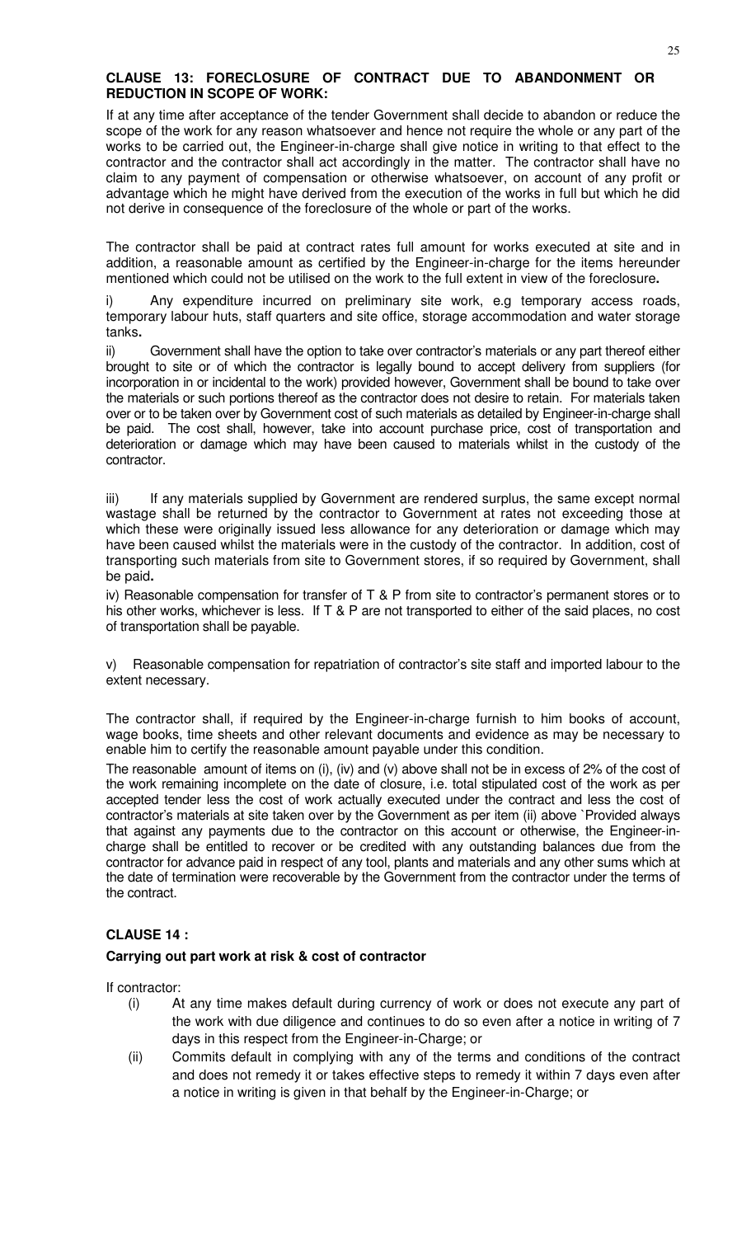# **CLAUSE 13: FORECLOSURE OF CONTRACT DUE TO ABANDONMENT OR REDUCTION IN SCOPE OF WORK:**

If at any time after acceptance of the tender Government shall decide to abandon or reduce the scope of the work for any reason whatsoever and hence not require the whole or any part of the works to be carried out, the Engineer-in-charge shall give notice in writing to that effect to the contractor and the contractor shall act accordingly in the matter. The contractor shall have no claim to any payment of compensation or otherwise whatsoever, on account of any profit or advantage which he might have derived from the execution of the works in full but which he did not derive in consequence of the foreclosure of the whole or part of the works.

The contractor shall be paid at contract rates full amount for works executed at site and in addition, a reasonable amount as certified by the Engineer-in-charge for the items hereunder mentioned which could not be utilised on the work to the full extent in view of the foreclosure**.** 

i) Any expenditure incurred on preliminary site work, e.g temporary access roads, temporary labour huts, staff quarters and site office, storage accommodation and water storage tanks**.** 

ii) Government shall have the option to take over contractor's materials or any part thereof either brought to site or of which the contractor is legally bound to accept delivery from suppliers (for incorporation in or incidental to the work) provided however, Government shall be bound to take over the materials or such portions thereof as the contractor does not desire to retain. For materials taken over or to be taken over by Government cost of such materials as detailed by Engineer-in-charge shall be paid. The cost shall, however, take into account purchase price, cost of transportation and deterioration or damage which may have been caused to materials whilst in the custody of the contractor.

iii) If any materials supplied by Government are rendered surplus, the same except normal wastage shall be returned by the contractor to Government at rates not exceeding those at which these were originally issued less allowance for any deterioration or damage which may have been caused whilst the materials were in the custody of the contractor. In addition, cost of transporting such materials from site to Government stores, if so required by Government, shall be paid**.** 

iv) Reasonable compensation for transfer of T & P from site to contractor's permanent stores or to his other works, whichever is less. If T & P are not transported to either of the said places, no cost of transportation shall be payable.

v) Reasonable compensation for repatriation of contractor's site staff and imported labour to the extent necessary.

The contractor shall, if required by the Engineer-in-charge furnish to him books of account, wage books, time sheets and other relevant documents and evidence as may be necessary to enable him to certify the reasonable amount payable under this condition.

The reasonable amount of items on (i), (iv) and (v) above shall not be in excess of 2% of the cost of the work remaining incomplete on the date of closure, i.e. total stipulated cost of the work as per accepted tender less the cost of work actually executed under the contract and less the cost of contractor's materials at site taken over by the Government as per item (ii) above `Provided always that against any payments due to the contractor on this account or otherwise, the Engineer-incharge shall be entitled to recover or be credited with any outstanding balances due from the contractor for advance paid in respect of any tool, plants and materials and any other sums which at the date of termination were recoverable by the Government from the contractor under the terms of the contract.

# **CLAUSE 14 :**

# **Carrying out part work at risk & cost of contractor**

If contractor:

- (i) At any time makes default during currency of work or does not execute any part of the work with due diligence and continues to do so even after a notice in writing of 7 days in this respect from the Engineer-in-Charge; or
- (ii) Commits default in complying with any of the terms and conditions of the contract and does not remedy it or takes effective steps to remedy it within 7 days even after a notice in writing is given in that behalf by the Engineer-in-Charge; or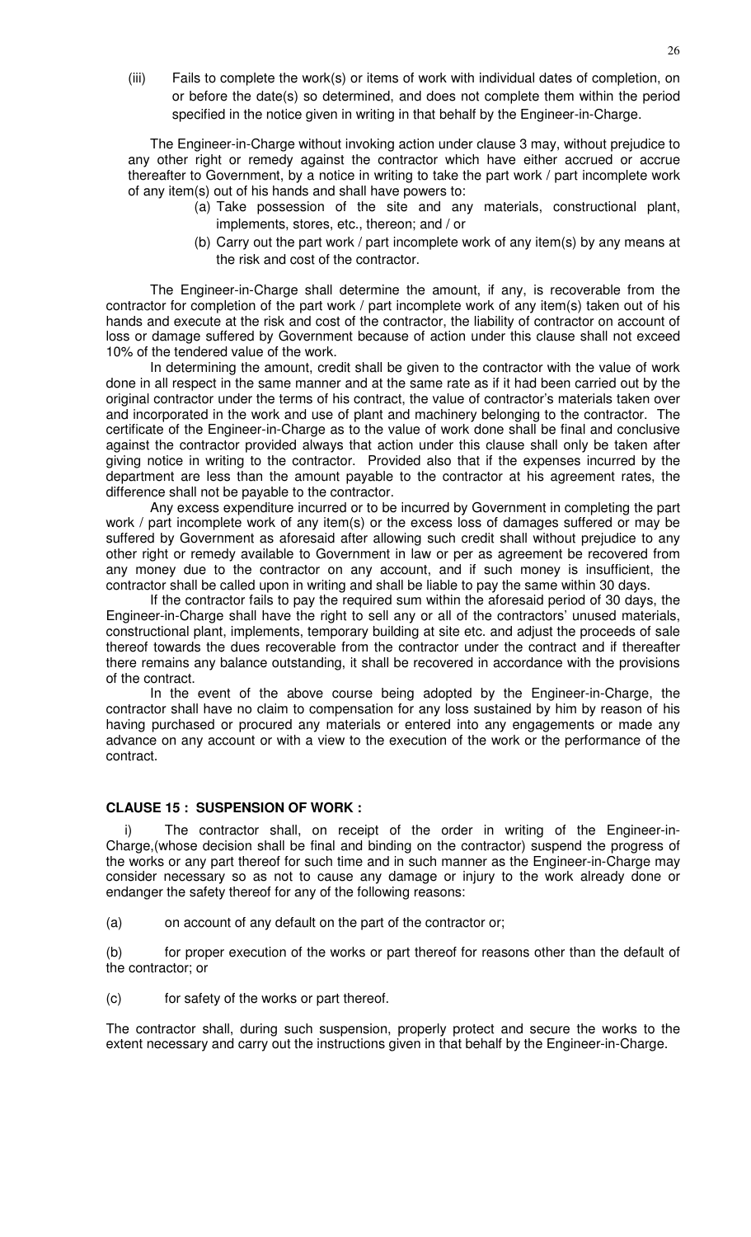(iii) Fails to complete the work(s) or items of work with individual dates of completion, on or before the date(s) so determined, and does not complete them within the period specified in the notice given in writing in that behalf by the Engineer-in-Charge.

The Engineer-in-Charge without invoking action under clause 3 may, without prejudice to any other right or remedy against the contractor which have either accrued or accrue thereafter to Government, by a notice in writing to take the part work / part incomplete work of any item(s) out of his hands and shall have powers to:

- (a) Take possession of the site and any materials, constructional plant, implements, stores, etc., thereon; and / or
- (b) Carry out the part work / part incomplete work of any item(s) by any means at the risk and cost of the contractor.

The Engineer-in-Charge shall determine the amount, if any, is recoverable from the contractor for completion of the part work / part incomplete work of any item(s) taken out of his hands and execute at the risk and cost of the contractor, the liability of contractor on account of loss or damage suffered by Government because of action under this clause shall not exceed 10% of the tendered value of the work.

In determining the amount, credit shall be given to the contractor with the value of work done in all respect in the same manner and at the same rate as if it had been carried out by the original contractor under the terms of his contract, the value of contractor's materials taken over and incorporated in the work and use of plant and machinery belonging to the contractor. The certificate of the Engineer-in-Charge as to the value of work done shall be final and conclusive against the contractor provided always that action under this clause shall only be taken after giving notice in writing to the contractor. Provided also that if the expenses incurred by the department are less than the amount payable to the contractor at his agreement rates, the difference shall not be payable to the contractor.

Any excess expenditure incurred or to be incurred by Government in completing the part work / part incomplete work of any item(s) or the excess loss of damages suffered or may be suffered by Government as aforesaid after allowing such credit shall without prejudice to any other right or remedy available to Government in law or per as agreement be recovered from any money due to the contractor on any account, and if such money is insufficient, the contractor shall be called upon in writing and shall be liable to pay the same within 30 days.

If the contractor fails to pay the required sum within the aforesaid period of 30 days, the Engineer-in-Charge shall have the right to sell any or all of the contractors' unused materials, constructional plant, implements, temporary building at site etc. and adjust the proceeds of sale thereof towards the dues recoverable from the contractor under the contract and if thereafter there remains any balance outstanding, it shall be recovered in accordance with the provisions of the contract.

In the event of the above course being adopted by the Engineer-in-Charge, the contractor shall have no claim to compensation for any loss sustained by him by reason of his having purchased or procured any materials or entered into any engagements or made any advance on any account or with a view to the execution of the work or the performance of the contract.

#### **CLAUSE 15 : SUSPENSION OF WORK :**

The contractor shall, on receipt of the order in writing of the Engineer-in-Charge,(whose decision shall be final and binding on the contractor) suspend the progress of the works or any part thereof for such time and in such manner as the Engineer-in-Charge may consider necessary so as not to cause any damage or injury to the work already done or endanger the safety thereof for any of the following reasons:

(a) on account of any default on the part of the contractor or;

(b) for proper execution of the works or part thereof for reasons other than the default of the contractor; or

(c) for safety of the works or part thereof.

The contractor shall, during such suspension, properly protect and secure the works to the extent necessary and carry out the instructions given in that behalf by the Engineer-in-Charge.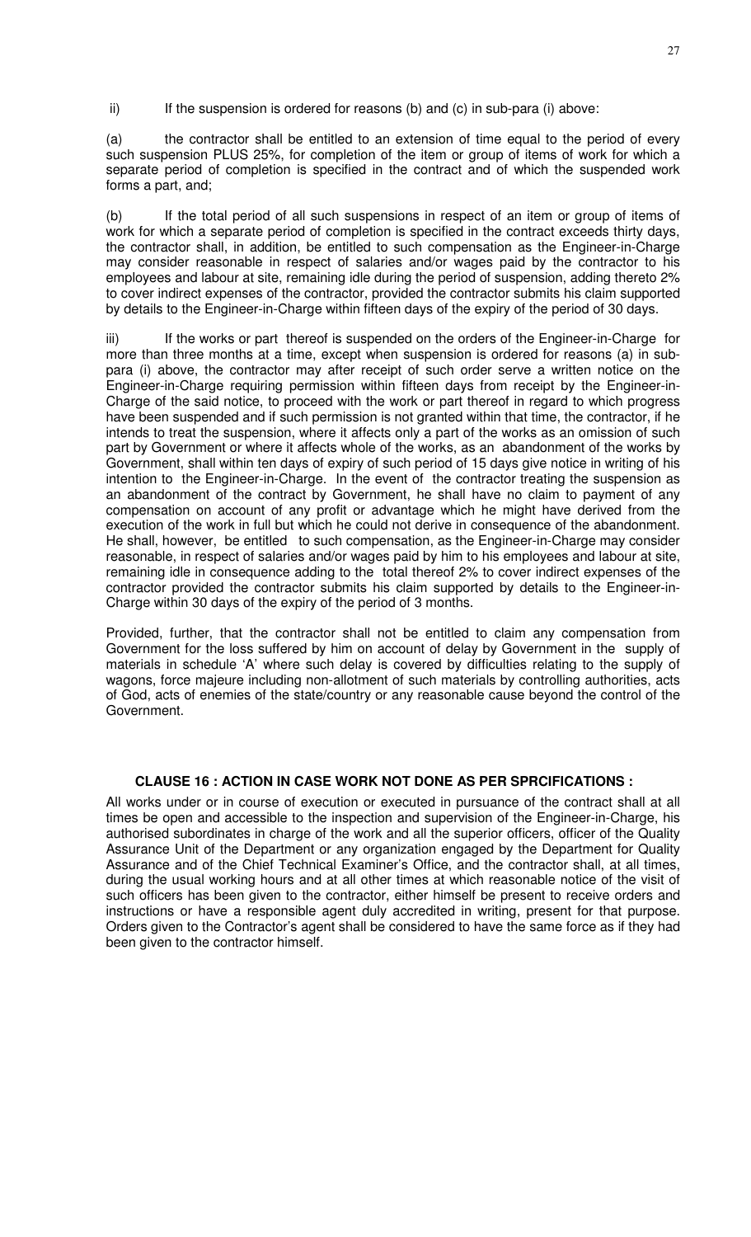ii) If the suspension is ordered for reasons (b) and (c) in sub-para (i) above:

(a) the contractor shall be entitled to an extension of time equal to the period of every such suspension PLUS 25%, for completion of the item or group of items of work for which a separate period of completion is specified in the contract and of which the suspended work forms a part, and;

(b) If the total period of all such suspensions in respect of an item or group of items of work for which a separate period of completion is specified in the contract exceeds thirty days, the contractor shall, in addition, be entitled to such compensation as the Engineer-in-Charge may consider reasonable in respect of salaries and/or wages paid by the contractor to his employees and labour at site, remaining idle during the period of suspension, adding thereto 2% to cover indirect expenses of the contractor, provided the contractor submits his claim supported by details to the Engineer-in-Charge within fifteen days of the expiry of the period of 30 days.

iii) If the works or part thereof is suspended on the orders of the Engineer-in-Charge for more than three months at a time, except when suspension is ordered for reasons (a) in subpara (i) above, the contractor may after receipt of such order serve a written notice on the Engineer-in-Charge requiring permission within fifteen days from receipt by the Engineer-in-Charge of the said notice, to proceed with the work or part thereof in regard to which progress have been suspended and if such permission is not granted within that time, the contractor, if he intends to treat the suspension, where it affects only a part of the works as an omission of such part by Government or where it affects whole of the works, as an abandonment of the works by Government, shall within ten days of expiry of such period of 15 days give notice in writing of his intention to the Engineer-in-Charge. In the event of the contractor treating the suspension as an abandonment of the contract by Government, he shall have no claim to payment of any compensation on account of any profit or advantage which he might have derived from the execution of the work in full but which he could not derive in consequence of the abandonment. He shall, however, be entitled to such compensation, as the Engineer-in-Charge may consider reasonable, in respect of salaries and/or wages paid by him to his employees and labour at site, remaining idle in consequence adding to the total thereof 2% to cover indirect expenses of the contractor provided the contractor submits his claim supported by details to the Engineer-in-Charge within 30 days of the expiry of the period of 3 months.

Provided, further, that the contractor shall not be entitled to claim any compensation from Government for the loss suffered by him on account of delay by Government in the supply of materials in schedule 'A' where such delay is covered by difficulties relating to the supply of wagons, force majeure including non-allotment of such materials by controlling authorities, acts of God, acts of enemies of the state/country or any reasonable cause beyond the control of the Government.

### **CLAUSE 16 : ACTION IN CASE WORK NOT DONE AS PER SPRCIFICATIONS :**

All works under or in course of execution or executed in pursuance of the contract shall at all times be open and accessible to the inspection and supervision of the Engineer-in-Charge, his authorised subordinates in charge of the work and all the superior officers, officer of the Quality Assurance Unit of the Department or any organization engaged by the Department for Quality Assurance and of the Chief Technical Examiner's Office, and the contractor shall, at all times, during the usual working hours and at all other times at which reasonable notice of the visit of such officers has been given to the contractor, either himself be present to receive orders and instructions or have a responsible agent duly accredited in writing, present for that purpose. Orders given to the Contractor's agent shall be considered to have the same force as if they had been given to the contractor himself.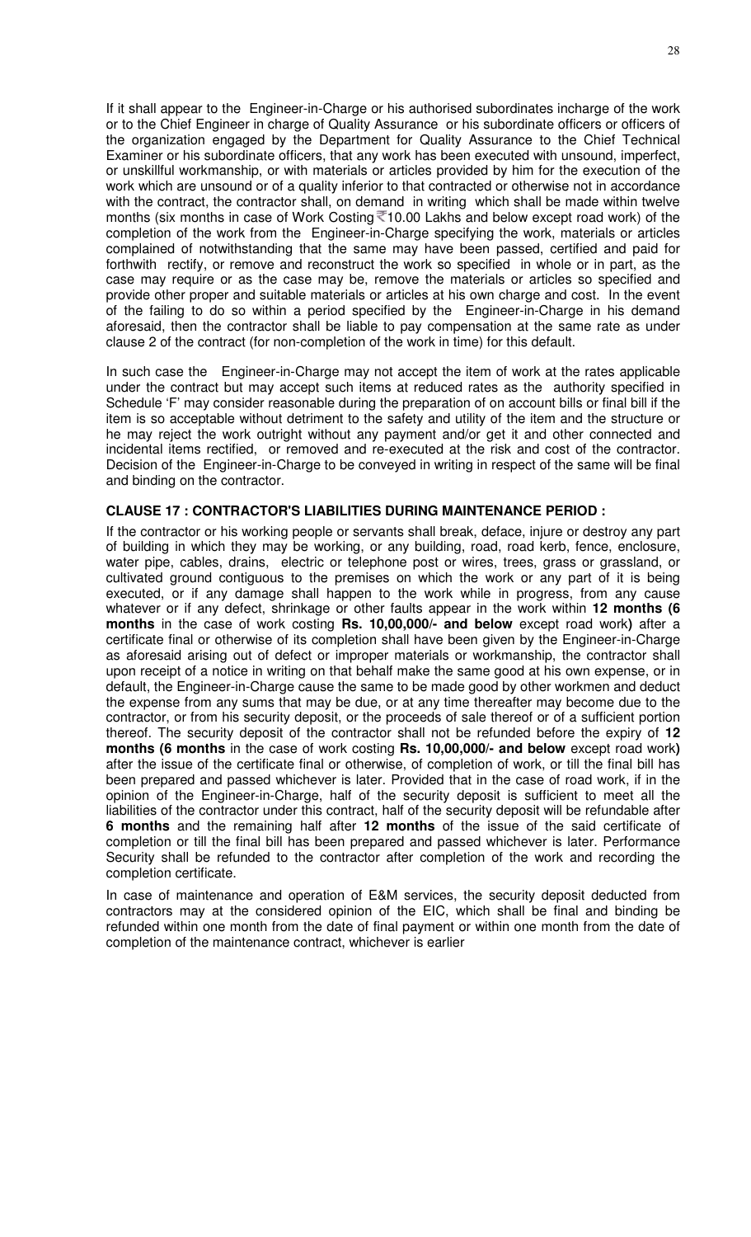If it shall appear to the Engineer-in-Charge or his authorised subordinates incharge of the work or to the Chief Engineer in charge of Quality Assurance or his subordinate officers or officers of the organization engaged by the Department for Quality Assurance to the Chief Technical Examiner or his subordinate officers, that any work has been executed with unsound, imperfect, or unskillful workmanship, or with materials or articles provided by him for the execution of the work which are unsound or of a quality inferior to that contracted or otherwise not in accordance with the contract, the contractor shall, on demand in writing which shall be made within twelve months (six months in case of Work Costing  $\sqrt{\epsilon}$ 10.00 Lakhs and below except road work) of the completion of the work from the Engineer-in-Charge specifying the work, materials or articles complained of notwithstanding that the same may have been passed, certified and paid for forthwith rectify, or remove and reconstruct the work so specified in whole or in part, as the case may require or as the case may be, remove the materials or articles so specified and provide other proper and suitable materials or articles at his own charge and cost. In the event of the failing to do so within a period specified by the Engineer-in-Charge in his demand aforesaid, then the contractor shall be liable to pay compensation at the same rate as under clause 2 of the contract (for non-completion of the work in time) for this default.

In such case the Engineer-in-Charge may not accept the item of work at the rates applicable under the contract but may accept such items at reduced rates as the authority specified in Schedule 'F' may consider reasonable during the preparation of on account bills or final bill if the item is so acceptable without detriment to the safety and utility of the item and the structure or he may reject the work outright without any payment and/or get it and other connected and incidental items rectified, or removed and re-executed at the risk and cost of the contractor. Decision of the Engineer-in-Charge to be conveyed in writing in respect of the same will be final and binding on the contractor.

#### **CLAUSE 17 : CONTRACTOR'S LIABILITIES DURING MAINTENANCE PERIOD :**

If the contractor or his working people or servants shall break, deface, injure or destroy any part of building in which they may be working, or any building, road, road kerb, fence, enclosure, water pipe, cables, drains, electric or telephone post or wires, trees, grass or grassland, or cultivated ground contiguous to the premises on which the work or any part of it is being executed, or if any damage shall happen to the work while in progress, from any cause whatever or if any defect, shrinkage or other faults appear in the work within **12 months (6 months** in the case of work costing **Rs. 10,00,000/- and below** except road work**)** after a certificate final or otherwise of its completion shall have been given by the Engineer-in-Charge as aforesaid arising out of defect or improper materials or workmanship, the contractor shall upon receipt of a notice in writing on that behalf make the same good at his own expense, or in default, the Engineer-in-Charge cause the same to be made good by other workmen and deduct the expense from any sums that may be due, or at any time thereafter may become due to the contractor, or from his security deposit, or the proceeds of sale thereof or of a sufficient portion thereof. The security deposit of the contractor shall not be refunded before the expiry of **12 months (6 months** in the case of work costing **Rs. 10,00,000/- and below** except road work**)**  after the issue of the certificate final or otherwise, of completion of work, or till the final bill has been prepared and passed whichever is later. Provided that in the case of road work, if in the opinion of the Engineer-in-Charge, half of the security deposit is sufficient to meet all the liabilities of the contractor under this contract, half of the security deposit will be refundable after **6 months** and the remaining half after **12 months** of the issue of the said certificate of completion or till the final bill has been prepared and passed whichever is later. Performance Security shall be refunded to the contractor after completion of the work and recording the completion certificate.

In case of maintenance and operation of E&M services, the security deposit deducted from contractors may at the considered opinion of the EIC, which shall be final and binding be refunded within one month from the date of final payment or within one month from the date of completion of the maintenance contract, whichever is earlier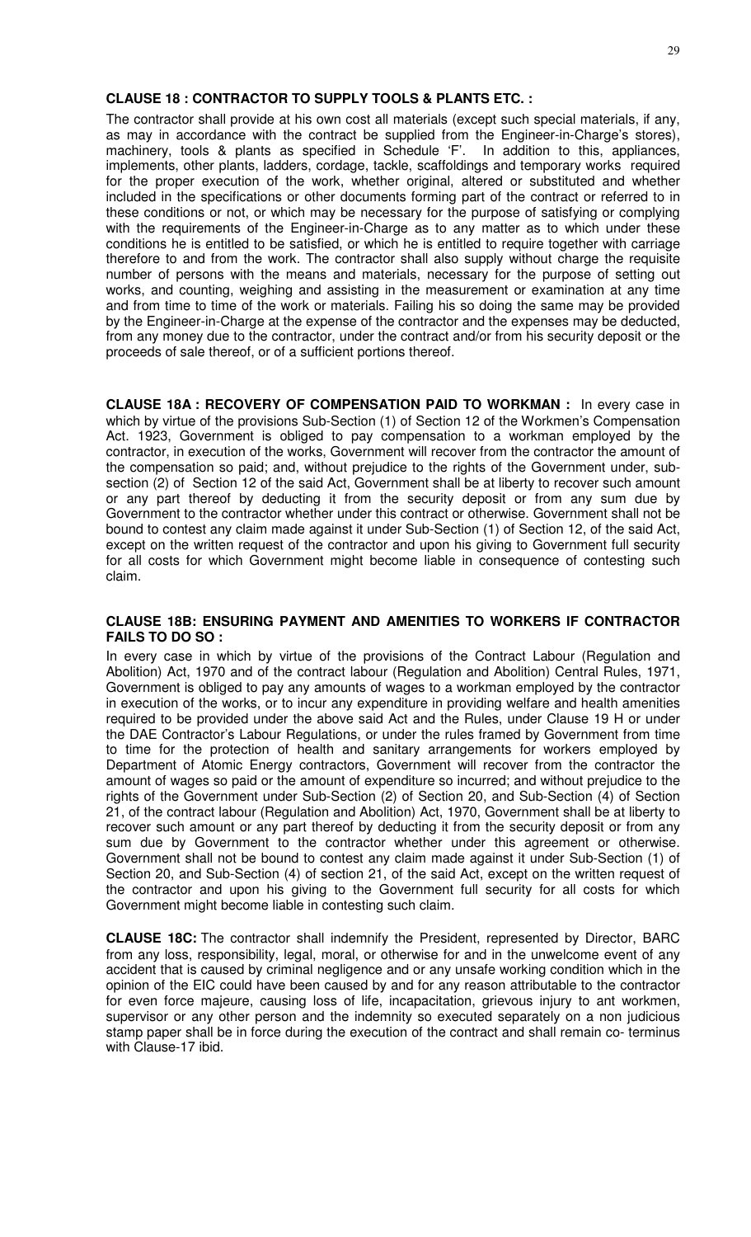### **CLAUSE 18 : CONTRACTOR TO SUPPLY TOOLS & PLANTS ETC. :**

The contractor shall provide at his own cost all materials (except such special materials, if any, as may in accordance with the contract be supplied from the Engineer-in-Charge's stores), machinery, tools & plants as specified in Schedule 'F'. In addition to this, appliances, implements, other plants, ladders, cordage, tackle, scaffoldings and temporary works required for the proper execution of the work, whether original, altered or substituted and whether included in the specifications or other documents forming part of the contract or referred to in these conditions or not, or which may be necessary for the purpose of satisfying or complying with the requirements of the Engineer-in-Charge as to any matter as to which under these conditions he is entitled to be satisfied, or which he is entitled to require together with carriage therefore to and from the work. The contractor shall also supply without charge the requisite number of persons with the means and materials, necessary for the purpose of setting out works, and counting, weighing and assisting in the measurement or examination at any time and from time to time of the work or materials. Failing his so doing the same may be provided by the Engineer-in-Charge at the expense of the contractor and the expenses may be deducted, from any money due to the contractor, under the contract and/or from his security deposit or the proceeds of sale thereof, or of a sufficient portions thereof.

**CLAUSE 18A : RECOVERY OF COMPENSATION PAID TO WORKMAN :** In every case in which by virtue of the provisions Sub-Section (1) of Section 12 of the Workmen's Compensation Act. 1923, Government is obliged to pay compensation to a workman employed by the contractor, in execution of the works, Government will recover from the contractor the amount of the compensation so paid; and, without prejudice to the rights of the Government under, subsection (2) of Section 12 of the said Act, Government shall be at liberty to recover such amount or any part thereof by deducting it from the security deposit or from any sum due by Government to the contractor whether under this contract or otherwise. Government shall not be bound to contest any claim made against it under Sub-Section (1) of Section 12, of the said Act, except on the written request of the contractor and upon his giving to Government full security for all costs for which Government might become liable in consequence of contesting such claim.

#### **CLAUSE 18B: ENSURING PAYMENT AND AMENITIES TO WORKERS IF CONTRACTOR FAILS TO DO SO :**

In every case in which by virtue of the provisions of the Contract Labour (Regulation and Abolition) Act, 1970 and of the contract labour (Regulation and Abolition) Central Rules, 1971, Government is obliged to pay any amounts of wages to a workman employed by the contractor in execution of the works, or to incur any expenditure in providing welfare and health amenities required to be provided under the above said Act and the Rules, under Clause 19 H or under the DAE Contractor's Labour Regulations, or under the rules framed by Government from time to time for the protection of health and sanitary arrangements for workers employed by Department of Atomic Energy contractors, Government will recover from the contractor the amount of wages so paid or the amount of expenditure so incurred; and without prejudice to the rights of the Government under Sub-Section (2) of Section 20, and Sub-Section (4) of Section 21, of the contract labour (Regulation and Abolition) Act, 1970, Government shall be at liberty to recover such amount or any part thereof by deducting it from the security deposit or from any sum due by Government to the contractor whether under this agreement or otherwise. Government shall not be bound to contest any claim made against it under Sub-Section (1) of Section 20, and Sub-Section (4) of section 21, of the said Act, except on the written request of the contractor and upon his giving to the Government full security for all costs for which Government might become liable in contesting such claim.

**CLAUSE 18C:** The contractor shall indemnify the President, represented by Director, BARC from any loss, responsibility, legal, moral, or otherwise for and in the unwelcome event of any accident that is caused by criminal negligence and or any unsafe working condition which in the opinion of the EIC could have been caused by and for any reason attributable to the contractor for even force majeure, causing loss of life, incapacitation, grievous injury to ant workmen, supervisor or any other person and the indemnity so executed separately on a non judicious stamp paper shall be in force during the execution of the contract and shall remain co- terminus with Clause-17 ibid.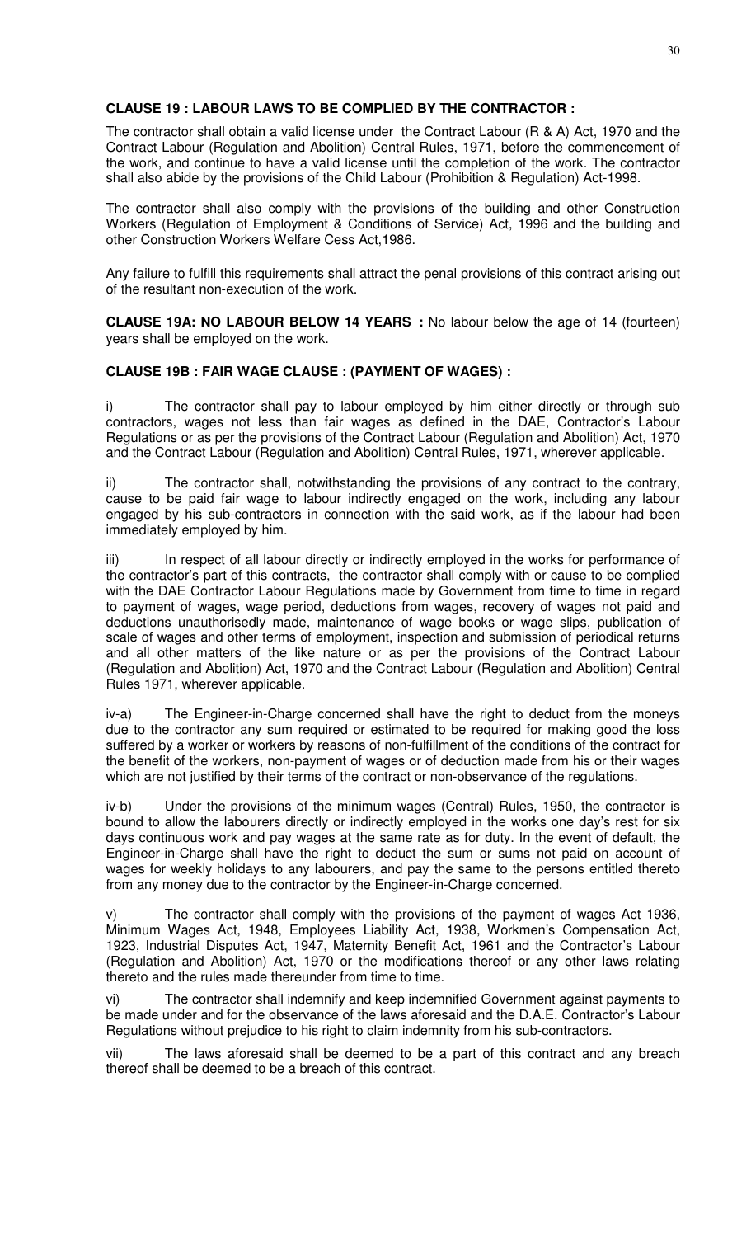# **CLAUSE 19 : LABOUR LAWS TO BE COMPLIED BY THE CONTRACTOR :**

The contractor shall obtain a valid license under the Contract Labour (R & A) Act, 1970 and the Contract Labour (Regulation and Abolition) Central Rules, 1971, before the commencement of the work, and continue to have a valid license until the completion of the work. The contractor shall also abide by the provisions of the Child Labour (Prohibition & Regulation) Act-1998.

The contractor shall also comply with the provisions of the building and other Construction Workers (Regulation of Employment & Conditions of Service) Act, 1996 and the building and other Construction Workers Welfare Cess Act,1986.

Any failure to fulfill this requirements shall attract the penal provisions of this contract arising out of the resultant non-execution of the work.

**CLAUSE 19A: NO LABOUR BELOW 14 YEARS :** No labour below the age of 14 (fourteen) years shall be employed on the work.

### **CLAUSE 19B : FAIR WAGE CLAUSE : (PAYMENT OF WAGES) :**

i) The contractor shall pay to labour employed by him either directly or through sub contractors, wages not less than fair wages as defined in the DAE, Contractor's Labour Regulations or as per the provisions of the Contract Labour (Regulation and Abolition) Act, 1970 and the Contract Labour (Regulation and Abolition) Central Rules, 1971, wherever applicable.

ii) The contractor shall, notwithstanding the provisions of any contract to the contrary, cause to be paid fair wage to labour indirectly engaged on the work, including any labour engaged by his sub-contractors in connection with the said work, as if the labour had been immediately employed by him.

iii) In respect of all labour directly or indirectly employed in the works for performance of the contractor's part of this contracts, the contractor shall comply with or cause to be complied with the DAE Contractor Labour Regulations made by Government from time to time in regard to payment of wages, wage period, deductions from wages, recovery of wages not paid and deductions unauthorisedly made, maintenance of wage books or wage slips, publication of scale of wages and other terms of employment, inspection and submission of periodical returns and all other matters of the like nature or as per the provisions of the Contract Labour (Regulation and Abolition) Act, 1970 and the Contract Labour (Regulation and Abolition) Central Rules 1971, wherever applicable.

iv-a) The Engineer-in-Charge concerned shall have the right to deduct from the moneys due to the contractor any sum required or estimated to be required for making good the loss suffered by a worker or workers by reasons of non-fulfillment of the conditions of the contract for the benefit of the workers, non-payment of wages or of deduction made from his or their wages which are not justified by their terms of the contract or non-observance of the regulations.

iv-b) Under the provisions of the minimum wages (Central) Rules, 1950, the contractor is bound to allow the labourers directly or indirectly employed in the works one day's rest for six days continuous work and pay wages at the same rate as for duty. In the event of default, the Engineer-in-Charge shall have the right to deduct the sum or sums not paid on account of wages for weekly holidays to any labourers, and pay the same to the persons entitled thereto from any money due to the contractor by the Engineer-in-Charge concerned.

v) The contractor shall comply with the provisions of the payment of wages Act 1936, Minimum Wages Act, 1948, Employees Liability Act, 1938, Workmen's Compensation Act, 1923, Industrial Disputes Act, 1947, Maternity Benefit Act, 1961 and the Contractor's Labour (Regulation and Abolition) Act, 1970 or the modifications thereof or any other laws relating thereto and the rules made thereunder from time to time.

vi) The contractor shall indemnify and keep indemnified Government against payments to be made under and for the observance of the laws aforesaid and the D.A.E. Contractor's Labour Regulations without prejudice to his right to claim indemnity from his sub-contractors.

vii) The laws aforesaid shall be deemed to be a part of this contract and any breach thereof shall be deemed to be a breach of this contract.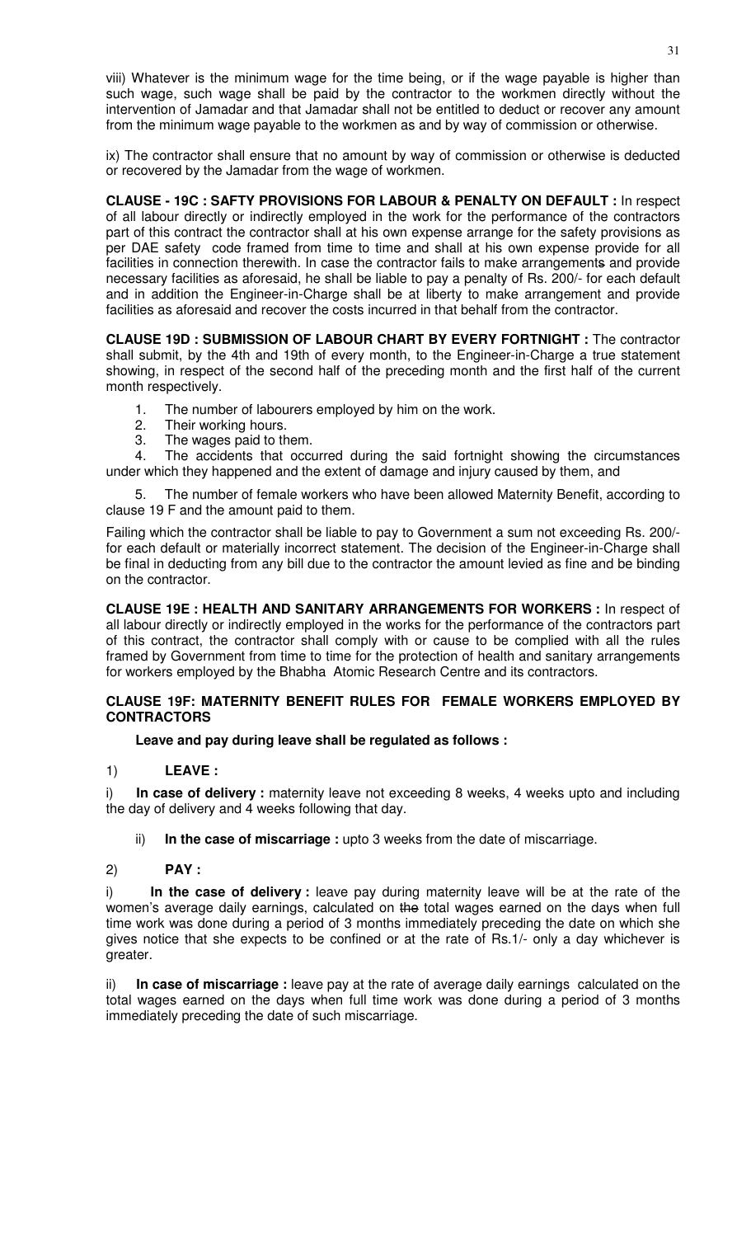viii) Whatever is the minimum wage for the time being, or if the wage payable is higher than such wage, such wage shall be paid by the contractor to the workmen directly without the intervention of Jamadar and that Jamadar shall not be entitled to deduct or recover any amount from the minimum wage payable to the workmen as and by way of commission or otherwise.

ix) The contractor shall ensure that no amount by way of commission or otherwise is deducted or recovered by the Jamadar from the wage of workmen.

**CLAUSE - 19C : SAFTY PROVISIONS FOR LABOUR & PENALTY ON DEFAULT :** In respect of all labour directly or indirectly employed in the work for the performance of the contractors part of this contract the contractor shall at his own expense arrange for the safety provisions as per DAE safety code framed from time to time and shall at his own expense provide for all facilities in connection therewith. In case the contractor fails to make arrangements and provide necessary facilities as aforesaid, he shall be liable to pay a penalty of Rs. 200/- for each default and in addition the Engineer-in-Charge shall be at liberty to make arrangement and provide facilities as aforesaid and recover the costs incurred in that behalf from the contractor.

**CLAUSE 19D : SUBMISSION OF LABOUR CHART BY EVERY FORTNIGHT :** The contractor shall submit, by the 4th and 19th of every month, to the Engineer-in-Charge a true statement showing, in respect of the second half of the preceding month and the first half of the current month respectively.

- 1. The number of labourers employed by him on the work.
- 2. Their working hours.
- 3. The wages paid to them.

4. The accidents that occurred during the said fortnight showing the circumstances under which they happened and the extent of damage and injury caused by them, and

5. The number of female workers who have been allowed Maternity Benefit, according to clause 19 F and the amount paid to them.

Failing which the contractor shall be liable to pay to Government a sum not exceeding Rs. 200/ for each default or materially incorrect statement. The decision of the Engineer-in-Charge shall be final in deducting from any bill due to the contractor the amount levied as fine and be binding on the contractor.

**CLAUSE 19E : HEALTH AND SANITARY ARRANGEMENTS FOR WORKERS :** In respect of all labour directly or indirectly employed in the works for the performance of the contractors part of this contract, the contractor shall comply with or cause to be complied with all the rules framed by Government from time to time for the protection of health and sanitary arrangements for workers employed by the Bhabha Atomic Research Centre and its contractors.

### **CLAUSE 19F: MATERNITY BENEFIT RULES FOR FEMALE WORKERS EMPLOYED BY CONTRACTORS**

**Leave and pay during leave shall be regulated as follows :**

1) **LEAVE :**

i) **In case of delivery :** maternity leave not exceeding 8 weeks, 4 weeks upto and including the day of delivery and 4 weeks following that day.

ii) **In the case of miscarriage :** upto 3 weeks from the date of miscarriage.

# 2) **PAY :**

i) **In the case of delivery :** leave pay during maternity leave will be at the rate of the women's average daily earnings, calculated on the total wages earned on the days when full time work was done during a period of 3 months immediately preceding the date on which she gives notice that she expects to be confined or at the rate of Rs.1/- only a day whichever is greater.

In case of miscarriage : leave pay at the rate of average daily earnings calculated on the total wages earned on the days when full time work was done during a period of 3 months immediately preceding the date of such miscarriage.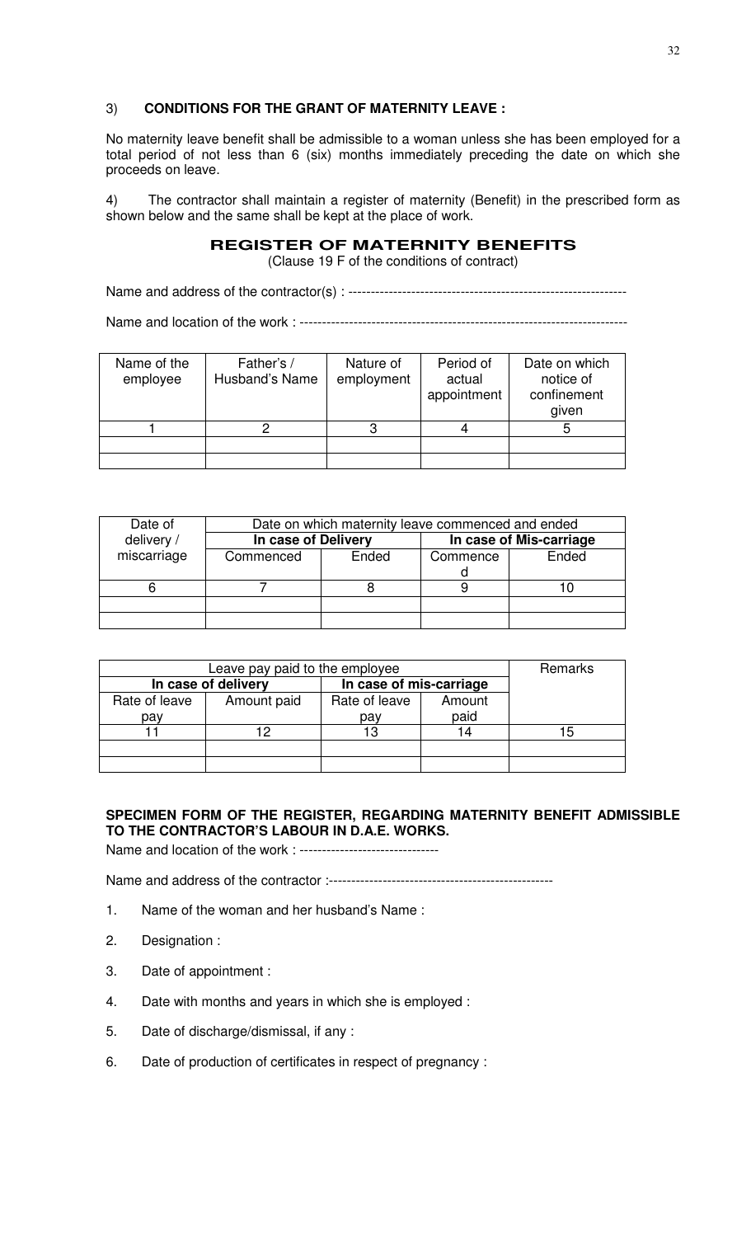# 3) **CONDITIONS FOR THE GRANT OF MATERNITY LEAVE :**

No maternity leave benefit shall be admissible to a woman unless she has been employed for a total period of not less than 6 (six) months immediately preceding the date on which she proceeds on leave.

4) The contractor shall maintain a register of maternity (Benefit) in the prescribed form as shown below and the same shall be kept at the place of work.

# **REGISTER OF MATERNITY BENEFITS**

(Clause 19 F of the conditions of contract)

Name and address of the contractor(s) : --------------------------------------------------------------

Name and location of the work : -------------------------------------------------------------------------

| Name of the<br>employee | Father's /<br>Husband's Name | Nature of<br>employment | Period of<br>actual<br>appointment | Date on which<br>notice of<br>confinement<br>given |
|-------------------------|------------------------------|-------------------------|------------------------------------|----------------------------------------------------|
|                         |                              |                         |                                    |                                                    |
|                         |                              |                         |                                    |                                                    |
|                         |                              |                         |                                    |                                                    |

| Date of     | Date on which maternity leave commenced and ended |       |                         |       |  |
|-------------|---------------------------------------------------|-------|-------------------------|-------|--|
| delivery /  | In case of Delivery                               |       | In case of Mis-carriage |       |  |
| miscarriage | Commenced                                         | Ended | Commence                | Ended |  |
|             |                                                   |       |                         |       |  |
|             |                                                   |       |                         |       |  |
|             |                                                   |       |                         |       |  |
|             |                                                   |       |                         |       |  |

|                     | Remarks     |                         |        |    |
|---------------------|-------------|-------------------------|--------|----|
| In case of delivery |             | In case of mis-carriage |        |    |
| Rate of leave       | Amount paid | Rate of leave           | Amount |    |
| pav                 |             | pay                     | paid   |    |
|                     |             | 13                      | 14     | 15 |
|                     |             |                         |        |    |
|                     |             |                         |        |    |

# **SPECIMEN FORM OF THE REGISTER, REGARDING MATERNITY BENEFIT ADMISSIBLE TO THE CONTRACTOR'S LABOUR IN D.A.E. WORKS.**

Name and location of the work : ---------------------------------

Name and address of the contractor :--------------------------------------------------

- 1. Name of the woman and her husband's Name :
- 2. Designation :
- 3. Date of appointment :
- 4. Date with months and years in which she is employed :
- 5. Date of discharge/dismissal, if any :
- 6. Date of production of certificates in respect of pregnancy :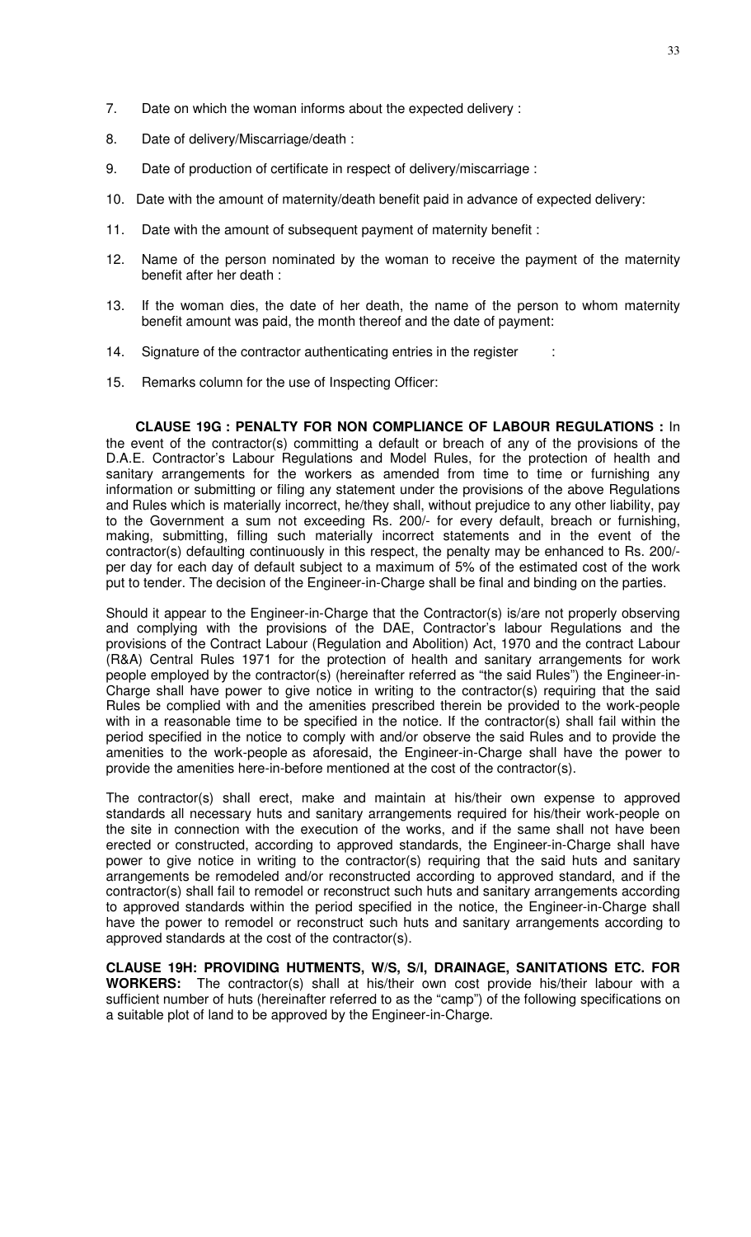- 7. Date on which the woman informs about the expected delivery :
- 8. Date of delivery/Miscarriage/death :
- 9. Date of production of certificate in respect of delivery/miscarriage :
- 10. Date with the amount of maternity/death benefit paid in advance of expected delivery:
- 11. Date with the amount of subsequent payment of maternity benefit :
- 12. Name of the person nominated by the woman to receive the payment of the maternity benefit after her death :
- 13. If the woman dies, the date of her death, the name of the person to whom maternity benefit amount was paid, the month thereof and the date of payment:
- 14. Signature of the contractor authenticating entries in the register
- 15. Remarks column for the use of Inspecting Officer:

**CLAUSE 19G : PENALTY FOR NON COMPLIANCE OF LABOUR REGULATIONS :** In the event of the contractor(s) committing a default or breach of any of the provisions of the D.A.E. Contractor's Labour Regulations and Model Rules, for the protection of health and sanitary arrangements for the workers as amended from time to time or furnishing any information or submitting or filing any statement under the provisions of the above Regulations and Rules which is materially incorrect, he/they shall, without prejudice to any other liability, pay to the Government a sum not exceeding Rs. 200/- for every default, breach or furnishing, making, submitting, filling such materially incorrect statements and in the event of the contractor(s) defaulting continuously in this respect, the penalty may be enhanced to Rs. 200/ per day for each day of default subject to a maximum of 5% of the estimated cost of the work put to tender. The decision of the Engineer-in-Charge shall be final and binding on the parties.

Should it appear to the Engineer-in-Charge that the Contractor(s) is/are not properly observing and complying with the provisions of the DAE, Contractor's labour Regulations and the provisions of the Contract Labour (Regulation and Abolition) Act, 1970 and the contract Labour (R&A) Central Rules 1971 for the protection of health and sanitary arrangements for work people employed by the contractor(s) (hereinafter referred as "the said Rules") the Engineer-in-Charge shall have power to give notice in writing to the contractor(s) requiring that the said Rules be complied with and the amenities prescribed therein be provided to the work-people with in a reasonable time to be specified in the notice. If the contractor(s) shall fail within the period specified in the notice to comply with and/or observe the said Rules and to provide the amenities to the work-people as aforesaid, the Engineer-in-Charge shall have the power to provide the amenities here-in-before mentioned at the cost of the contractor(s).

The contractor(s) shall erect, make and maintain at his/their own expense to approved standards all necessary huts and sanitary arrangements required for his/their work-people on the site in connection with the execution of the works, and if the same shall not have been erected or constructed, according to approved standards, the Engineer-in-Charge shall have power to give notice in writing to the contractor(s) requiring that the said huts and sanitary arrangements be remodeled and/or reconstructed according to approved standard, and if the contractor(s) shall fail to remodel or reconstruct such huts and sanitary arrangements according to approved standards within the period specified in the notice, the Engineer-in-Charge shall have the power to remodel or reconstruct such huts and sanitary arrangements according to approved standards at the cost of the contractor(s).

**CLAUSE 19H: PROVIDING HUTMENTS, W/S, S/I, DRAINAGE, SANITATIONS ETC. FOR WORKERS:** The contractor(s) shall at his/their own cost provide his/their labour with a sufficient number of huts (hereinafter referred to as the "camp") of the following specifications on a suitable plot of land to be approved by the Engineer-in-Charge.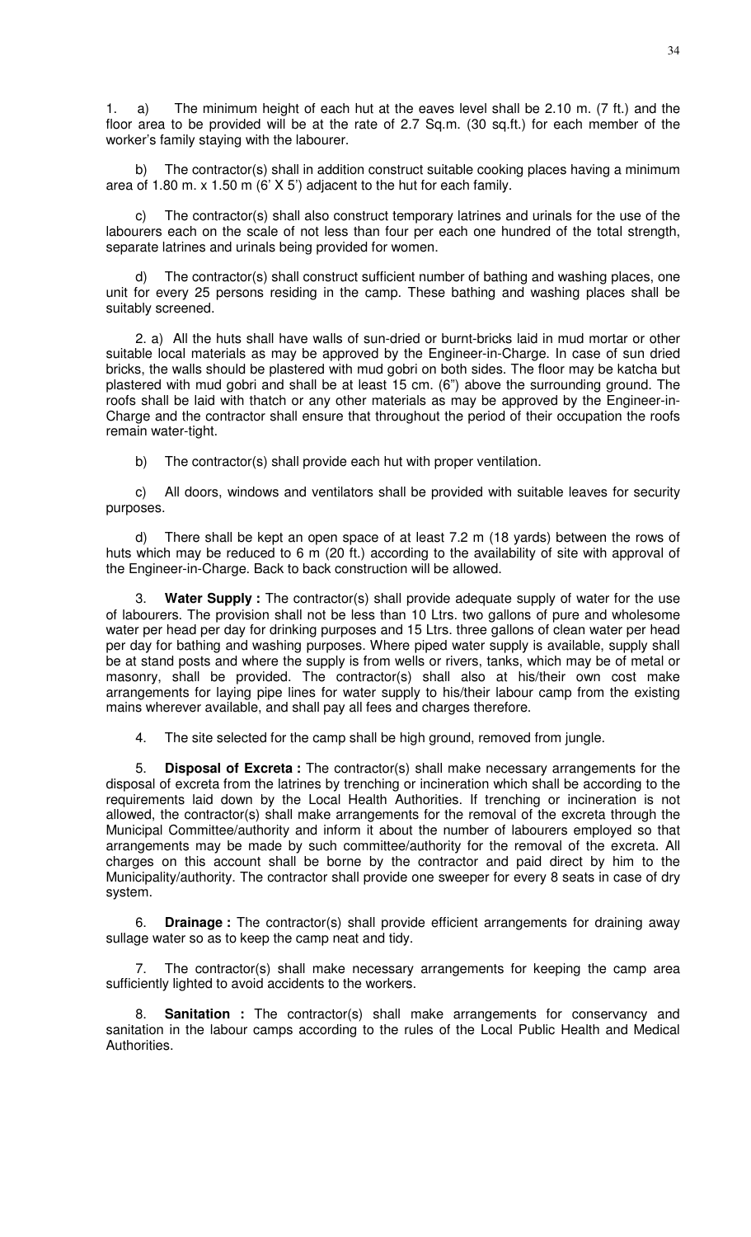34

1. a) The minimum height of each hut at the eaves level shall be 2.10 m. (7 ft.) and the floor area to be provided will be at the rate of 2.7 Sq.m. (30 sq.ft.) for each member of the worker's family staying with the labourer.

b) The contractor(s) shall in addition construct suitable cooking places having a minimum area of 1.80 m. x 1.50 m (6' X 5') adjacent to the hut for each family.

c) The contractor(s) shall also construct temporary latrines and urinals for the use of the labourers each on the scale of not less than four per each one hundred of the total strength, separate latrines and urinals being provided for women.

d) The contractor(s) shall construct sufficient number of bathing and washing places, one unit for every 25 persons residing in the camp. These bathing and washing places shall be suitably screened.

2. a) All the huts shall have walls of sun-dried or burnt-bricks laid in mud mortar or other suitable local materials as may be approved by the Engineer-in-Charge. In case of sun dried bricks, the walls should be plastered with mud gobri on both sides. The floor may be katcha but plastered with mud gobri and shall be at least 15 cm. (6") above the surrounding ground. The roofs shall be laid with thatch or any other materials as may be approved by the Engineer-in-Charge and the contractor shall ensure that throughout the period of their occupation the roofs remain water-tight.

b) The contractor(s) shall provide each hut with proper ventilation.

c) All doors, windows and ventilators shall be provided with suitable leaves for security purposes.

d) There shall be kept an open space of at least 7.2 m (18 yards) between the rows of huts which may be reduced to 6 m (20 ft.) according to the availability of site with approval of the Engineer-in-Charge. Back to back construction will be allowed.

3. **Water Supply :** The contractor(s) shall provide adequate supply of water for the use of labourers. The provision shall not be less than 10 Ltrs. two gallons of pure and wholesome water per head per day for drinking purposes and 15 Ltrs. three gallons of clean water per head per day for bathing and washing purposes. Where piped water supply is available, supply shall be at stand posts and where the supply is from wells or rivers, tanks, which may be of metal or masonry, shall be provided. The contractor(s) shall also at his/their own cost make arrangements for laying pipe lines for water supply to his/their labour camp from the existing mains wherever available, and shall pay all fees and charges therefore.

4. The site selected for the camp shall be high ground, removed from jungle.

5. **Disposal of Excreta :** The contractor(s) shall make necessary arrangements for the disposal of excreta from the latrines by trenching or incineration which shall be according to the requirements laid down by the Local Health Authorities. If trenching or incineration is not allowed, the contractor(s) shall make arrangements for the removal of the excreta through the Municipal Committee/authority and inform it about the number of labourers employed so that arrangements may be made by such committee/authority for the removal of the excreta. All charges on this account shall be borne by the contractor and paid direct by him to the Municipality/authority. The contractor shall provide one sweeper for every 8 seats in case of dry system.

**Drainage :** The contractor(s) shall provide efficient arrangements for draining away sullage water so as to keep the camp neat and tidy.

The contractor(s) shall make necessary arrangements for keeping the camp area sufficiently lighted to avoid accidents to the workers.

8. **Sanitation :** The contractor(s) shall make arrangements for conservancy and sanitation in the labour camps according to the rules of the Local Public Health and Medical Authorities.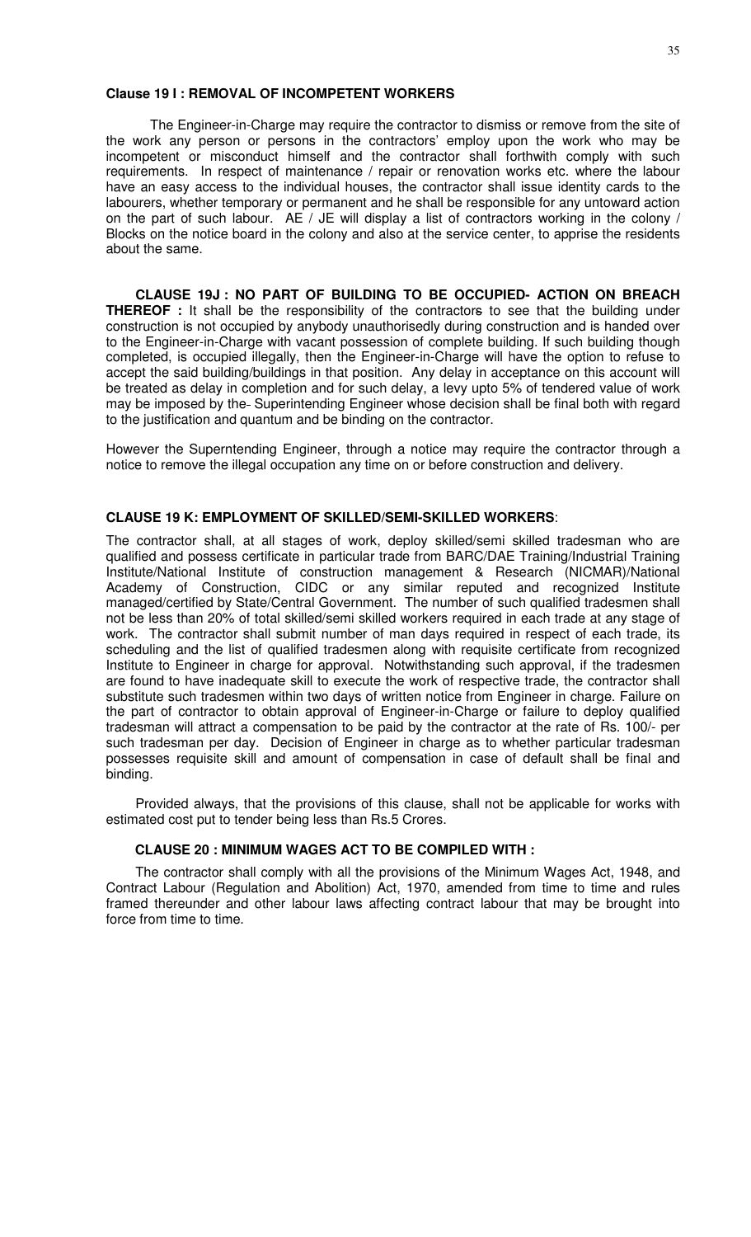### **Clause 19 I : REMOVAL OF INCOMPETENT WORKERS**

 The Engineer-in-Charge may require the contractor to dismiss or remove from the site of the work any person or persons in the contractors' employ upon the work who may be incompetent or misconduct himself and the contractor shall forthwith comply with such requirements. In respect of maintenance / repair or renovation works etc. where the labour have an easy access to the individual houses, the contractor shall issue identity cards to the labourers, whether temporary or permanent and he shall be responsible for any untoward action on the part of such labour. AE / JE will display a list of contractors working in the colony / Blocks on the notice board in the colony and also at the service center, to apprise the residents about the same.

**CLAUSE 19J : NO PART OF BUILDING TO BE OCCUPIED- ACTION ON BREACH THEREOF** : It shall be the responsibility of the contractors to see that the building under construction is not occupied by anybody unauthorisedly during construction and is handed over to the Engineer-in-Charge with vacant possession of complete building. If such building though completed, is occupied illegally, then the Engineer-in-Charge will have the option to refuse to accept the said building/buildings in that position. Any delay in acceptance on this account will be treated as delay in completion and for such delay, a levy upto 5% of tendered value of work may be imposed by the Superintending Engineer whose decision shall be final both with regard to the justification and quantum and be binding on the contractor.

However the Superntending Engineer, through a notice may require the contractor through a notice to remove the illegal occupation any time on or before construction and delivery.

### **CLAUSE 19 K: EMPLOYMENT OF SKILLED/SEMI-SKILLED WORKERS**:

The contractor shall, at all stages of work, deploy skilled/semi skilled tradesman who are qualified and possess certificate in particular trade from BARC/DAE Training/Industrial Training Institute/National Institute of construction management & Research (NICMAR)/National Academy of Construction, CIDC or any similar reputed and recognized Institute managed/certified by State/Central Government. The number of such qualified tradesmen shall not be less than 20% of total skilled/semi skilled workers required in each trade at any stage of work. The contractor shall submit number of man days required in respect of each trade, its scheduling and the list of qualified tradesmen along with requisite certificate from recognized Institute to Engineer in charge for approval. Notwithstanding such approval, if the tradesmen are found to have inadequate skill to execute the work of respective trade, the contractor shall substitute such tradesmen within two days of written notice from Engineer in charge. Failure on the part of contractor to obtain approval of Engineer-in-Charge or failure to deploy qualified tradesman will attract a compensation to be paid by the contractor at the rate of Rs. 100/- per such tradesman per day. Decision of Engineer in charge as to whether particular tradesman possesses requisite skill and amount of compensation in case of default shall be final and binding.

Provided always, that the provisions of this clause, shall not be applicable for works with estimated cost put to tender being less than Rs.5 Crores.

#### **CLAUSE 20 : MINIMUM WAGES ACT TO BE COMPILED WITH :**

The contractor shall comply with all the provisions of the Minimum Wages Act, 1948, and Contract Labour (Regulation and Abolition) Act, 1970, amended from time to time and rules framed thereunder and other labour laws affecting contract labour that may be brought into force from time to time.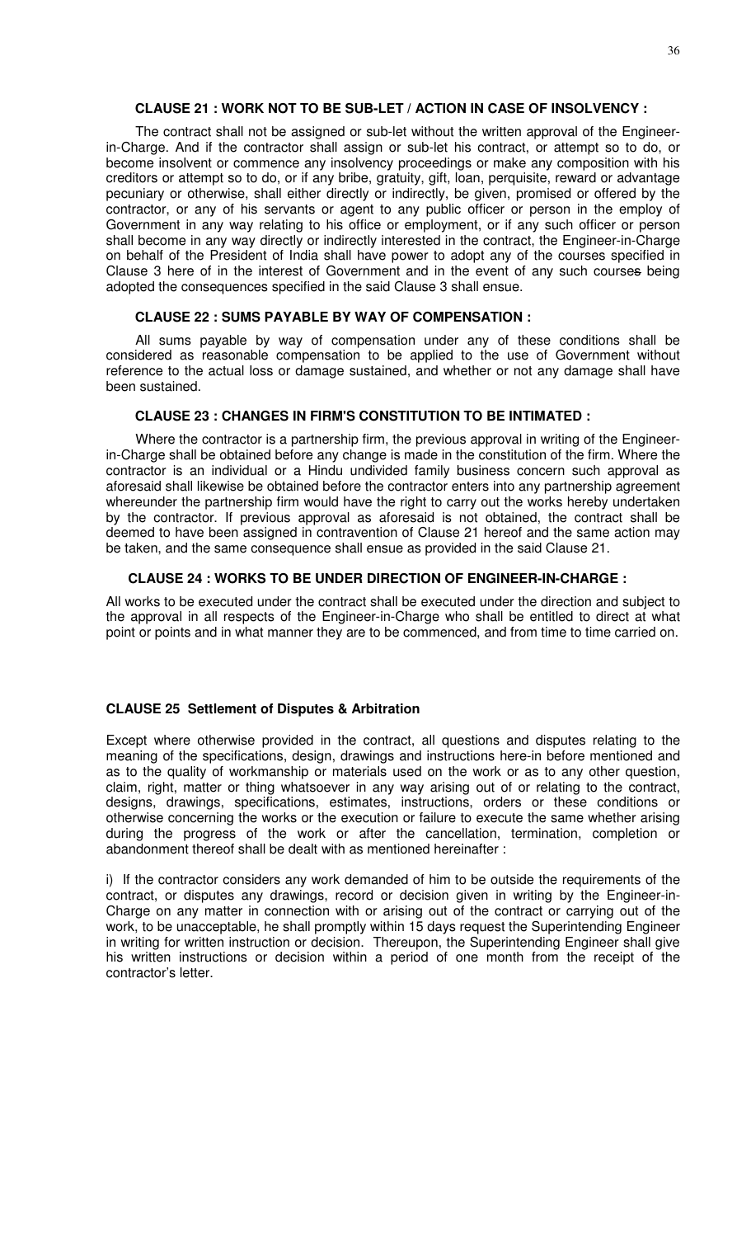### **CLAUSE 21 : WORK NOT TO BE SUB-LET / ACTION IN CASE OF INSOLVENCY :**

The contract shall not be assigned or sub-let without the written approval of the Engineerin-Charge. And if the contractor shall assign or sub-let his contract, or attempt so to do, or become insolvent or commence any insolvency proceedings or make any composition with his creditors or attempt so to do, or if any bribe, gratuity, gift, loan, perquisite, reward or advantage pecuniary or otherwise, shall either directly or indirectly, be given, promised or offered by the contractor, or any of his servants or agent to any public officer or person in the employ of Government in any way relating to his office or employment, or if any such officer or person shall become in any way directly or indirectly interested in the contract, the Engineer-in-Charge on behalf of the President of India shall have power to adopt any of the courses specified in Clause 3 here of in the interest of Government and in the event of any such courses being adopted the consequences specified in the said Clause 3 shall ensue.

#### **CLAUSE 22 : SUMS PAYABLE BY WAY OF COMPENSATION :**

All sums payable by way of compensation under any of these conditions shall be considered as reasonable compensation to be applied to the use of Government without reference to the actual loss or damage sustained, and whether or not any damage shall have been sustained.

### **CLAUSE 23 : CHANGES IN FIRM'S CONSTITUTION TO BE INTIMATED :**

Where the contractor is a partnership firm, the previous approval in writing of the Engineerin-Charge shall be obtained before any change is made in the constitution of the firm. Where the contractor is an individual or a Hindu undivided family business concern such approval as aforesaid shall likewise be obtained before the contractor enters into any partnership agreement whereunder the partnership firm would have the right to carry out the works hereby undertaken by the contractor. If previous approval as aforesaid is not obtained, the contract shall be deemed to have been assigned in contravention of Clause 21 hereof and the same action may be taken, and the same consequence shall ensue as provided in the said Clause 21.

#### **CLAUSE 24 : WORKS TO BE UNDER DIRECTION OF ENGINEER-IN-CHARGE :**

All works to be executed under the contract shall be executed under the direction and subject to the approval in all respects of the Engineer-in-Charge who shall be entitled to direct at what point or points and in what manner they are to be commenced, and from time to time carried on.

### **CLAUSE 25 Settlement of Disputes & Arbitration**

Except where otherwise provided in the contract, all questions and disputes relating to the meaning of the specifications, design, drawings and instructions here-in before mentioned and as to the quality of workmanship or materials used on the work or as to any other question, claim, right, matter or thing whatsoever in any way arising out of or relating to the contract, designs, drawings, specifications, estimates, instructions, orders or these conditions or otherwise concerning the works or the execution or failure to execute the same whether arising during the progress of the work or after the cancellation, termination, completion or abandonment thereof shall be dealt with as mentioned hereinafter :

i) If the contractor considers any work demanded of him to be outside the requirements of the contract, or disputes any drawings, record or decision given in writing by the Engineer-in-Charge on any matter in connection with or arising out of the contract or carrying out of the work, to be unacceptable, he shall promptly within 15 days request the Superintending Engineer in writing for written instruction or decision. Thereupon, the Superintending Engineer shall give his written instructions or decision within a period of one month from the receipt of the contractor's letter.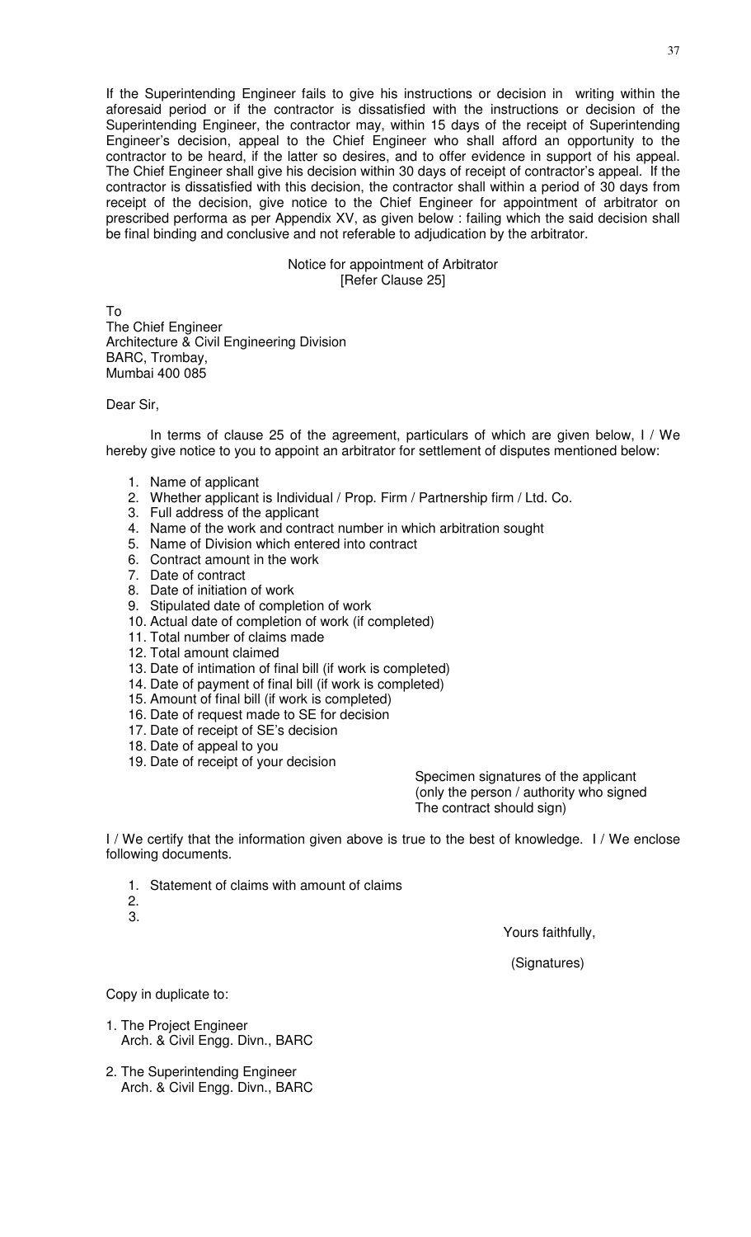If the Superintending Engineer fails to give his instructions or decision in writing within the aforesaid period or if the contractor is dissatisfied with the instructions or decision of the Superintending Engineer, the contractor may, within 15 days of the receipt of Superintending Engineer's decision, appeal to the Chief Engineer who shall afford an opportunity to the contractor to be heard, if the latter so desires, and to offer evidence in support of his appeal. The Chief Engineer shall give his decision within 30 days of receipt of contractor's appeal. If the contractor is dissatisfied with this decision, the contractor shall within a period of 30 days from receipt of the decision, give notice to the Chief Engineer for appointment of arbitrator on prescribed performa as per Appendix XV, as given below : failing which the said decision shall be final binding and conclusive and not referable to adjudication by the arbitrator.

> Notice for appointment of Arbitrator [Refer Clause 25]

To The Chief Engineer Architecture & Civil Engineering Division BARC, Trombay, Mumbai 400 085

Dear Sir,

 In terms of clause 25 of the agreement, particulars of which are given below, I / We hereby give notice to you to appoint an arbitrator for settlement of disputes mentioned below:

- 1. Name of applicant
- 2. Whether applicant is Individual / Prop. Firm / Partnership firm / Ltd. Co.
- 3. Full address of the applicant
- 4. Name of the work and contract number in which arbitration sought
- 5. Name of Division which entered into contract
- 6. Contract amount in the work
- 7. Date of contract
- 8. Date of initiation of work
- 9. Stipulated date of completion of work
- 10. Actual date of completion of work (if completed)
- 11. Total number of claims made
- 12. Total amount claimed
- 13. Date of intimation of final bill (if work is completed)
- 14. Date of payment of final bill (if work is completed)
- 15. Amount of final bill (if work is completed)
- 16. Date of request made to SE for decision
- 17. Date of receipt of SE's decision
- 18. Date of appeal to you
- 19. Date of receipt of your decision

Specimen signatures of the applicant (only the person / authority who signed The contract should sign)

I / We certify that the information given above is true to the best of knowledge. I / We enclose following documents.

- 1. Statement of claims with amount of claims
- 2. 3.

Yours faithfully,

(Signatures)

Copy in duplicate to:

- 1. The Project Engineer Arch. & Civil Engg. Divn., BARC
- 2. The Superintending Engineer Arch. & Civil Engg. Divn., BARC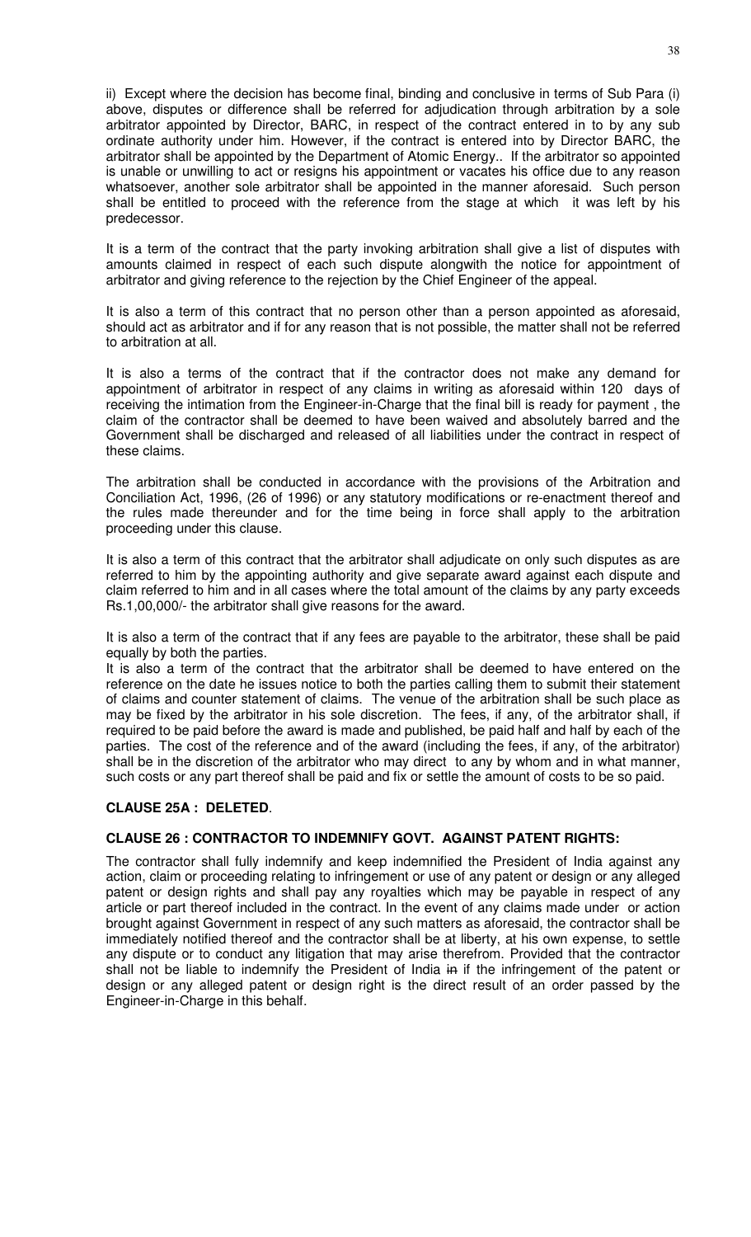ii) Except where the decision has become final, binding and conclusive in terms of Sub Para (i) above, disputes or difference shall be referred for adjudication through arbitration by a sole arbitrator appointed by Director, BARC, in respect of the contract entered in to by any sub ordinate authority under him. However, if the contract is entered into by Director BARC, the arbitrator shall be appointed by the Department of Atomic Energy.. If the arbitrator so appointed is unable or unwilling to act or resigns his appointment or vacates his office due to any reason whatsoever, another sole arbitrator shall be appointed in the manner aforesaid. Such person shall be entitled to proceed with the reference from the stage at which it was left by his predecessor.

It is a term of the contract that the party invoking arbitration shall give a list of disputes with amounts claimed in respect of each such dispute alongwith the notice for appointment of arbitrator and giving reference to the rejection by the Chief Engineer of the appeal.

It is also a term of this contract that no person other than a person appointed as aforesaid, should act as arbitrator and if for any reason that is not possible, the matter shall not be referred to arbitration at all.

It is also a terms of the contract that if the contractor does not make any demand for appointment of arbitrator in respect of any claims in writing as aforesaid within 120 days of receiving the intimation from the Engineer-in-Charge that the final bill is ready for payment , the claim of the contractor shall be deemed to have been waived and absolutely barred and the Government shall be discharged and released of all liabilities under the contract in respect of these claims.

The arbitration shall be conducted in accordance with the provisions of the Arbitration and Conciliation Act, 1996, (26 of 1996) or any statutory modifications or re-enactment thereof and the rules made thereunder and for the time being in force shall apply to the arbitration proceeding under this clause.

It is also a term of this contract that the arbitrator shall adjudicate on only such disputes as are referred to him by the appointing authority and give separate award against each dispute and claim referred to him and in all cases where the total amount of the claims by any party exceeds Rs.1,00,000/- the arbitrator shall give reasons for the award.

It is also a term of the contract that if any fees are payable to the arbitrator, these shall be paid equally by both the parties.

It is also a term of the contract that the arbitrator shall be deemed to have entered on the reference on the date he issues notice to both the parties calling them to submit their statement of claims and counter statement of claims. The venue of the arbitration shall be such place as may be fixed by the arbitrator in his sole discretion. The fees, if any, of the arbitrator shall, if required to be paid before the award is made and published, be paid half and half by each of the parties. The cost of the reference and of the award (including the fees, if any, of the arbitrator) shall be in the discretion of the arbitrator who may direct to any by whom and in what manner, such costs or any part thereof shall be paid and fix or settle the amount of costs to be so paid.

# **CLAUSE 25A : DELETED**.

# **CLAUSE 26 : CONTRACTOR TO INDEMNIFY GOVT. AGAINST PATENT RIGHTS:**

The contractor shall fully indemnify and keep indemnified the President of India against any action, claim or proceeding relating to infringement or use of any patent or design or any alleged patent or design rights and shall pay any royalties which may be payable in respect of any article or part thereof included in the contract. In the event of any claims made under or action brought against Government in respect of any such matters as aforesaid, the contractor shall be immediately notified thereof and the contractor shall be at liberty, at his own expense, to settle any dispute or to conduct any litigation that may arise therefrom. Provided that the contractor shall not be liable to indemnify the President of India in if the infringement of the patent or design or any alleged patent or design right is the direct result of an order passed by the Engineer-in-Charge in this behalf.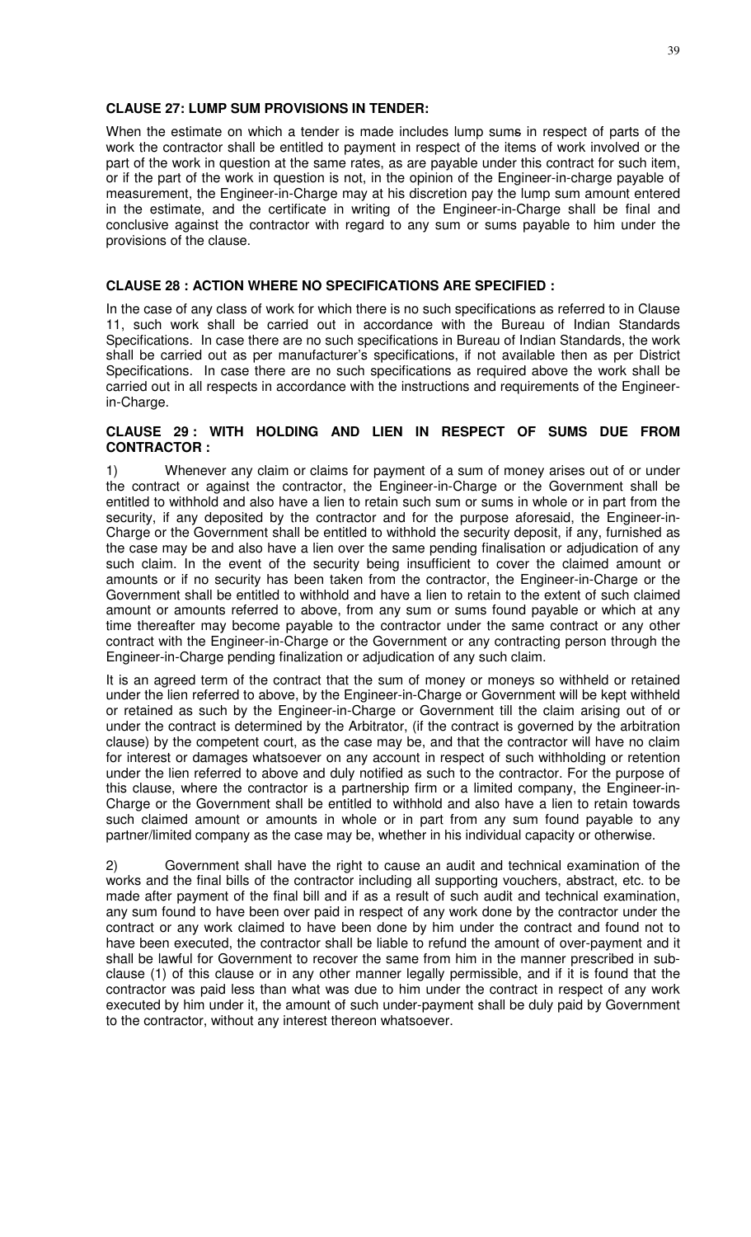### **CLAUSE 27: LUMP SUM PROVISIONS IN TENDER:**

When the estimate on which a tender is made includes lump sums in respect of parts of the work the contractor shall be entitled to payment in respect of the items of work involved or the part of the work in question at the same rates, as are payable under this contract for such item, or if the part of the work in question is not, in the opinion of the Engineer-in-charge payable of measurement, the Engineer-in-Charge may at his discretion pay the lump sum amount entered in the estimate, and the certificate in writing of the Engineer-in-Charge shall be final and conclusive against the contractor with regard to any sum or sums payable to him under the provisions of the clause.

### **CLAUSE 28 : ACTION WHERE NO SPECIFICATIONS ARE SPECIFIED :**

In the case of any class of work for which there is no such specifications as referred to in Clause 11, such work shall be carried out in accordance with the Bureau of Indian Standards Specifications. In case there are no such specifications in Bureau of Indian Standards, the work shall be carried out as per manufacturer's specifications, if not available then as per District Specifications. In case there are no such specifications as required above the work shall be carried out in all respects in accordance with the instructions and requirements of the Engineerin-Charge.

### **CLAUSE 29 : WITH HOLDING AND LIEN IN RESPECT OF SUMS DUE FROM CONTRACTOR :**

1) Whenever any claim or claims for payment of a sum of money arises out of or under the contract or against the contractor, the Engineer-in-Charge or the Government shall be entitled to withhold and also have a lien to retain such sum or sums in whole or in part from the security, if any deposited by the contractor and for the purpose aforesaid, the Engineer-in-Charge or the Government shall be entitled to withhold the security deposit, if any, furnished as the case may be and also have a lien over the same pending finalisation or adjudication of any such claim. In the event of the security being insufficient to cover the claimed amount or amounts or if no security has been taken from the contractor, the Engineer-in-Charge or the Government shall be entitled to withhold and have a lien to retain to the extent of such claimed amount or amounts referred to above, from any sum or sums found payable or which at any time thereafter may become payable to the contractor under the same contract or any other contract with the Engineer-in-Charge or the Government or any contracting person through the Engineer-in-Charge pending finalization or adjudication of any such claim.

It is an agreed term of the contract that the sum of money or moneys so withheld or retained under the lien referred to above, by the Engineer-in-Charge or Government will be kept withheld or retained as such by the Engineer-in-Charge or Government till the claim arising out of or under the contract is determined by the Arbitrator, (if the contract is governed by the arbitration clause) by the competent court, as the case may be, and that the contractor will have no claim for interest or damages whatsoever on any account in respect of such withholding or retention under the lien referred to above and duly notified as such to the contractor. For the purpose of this clause, where the contractor is a partnership firm or a limited company, the Engineer-in-Charge or the Government shall be entitled to withhold and also have a lien to retain towards such claimed amount or amounts in whole or in part from any sum found payable to any partner/limited company as the case may be, whether in his individual capacity or otherwise.

2) Government shall have the right to cause an audit and technical examination of the works and the final bills of the contractor including all supporting vouchers, abstract, etc. to be made after payment of the final bill and if as a result of such audit and technical examination, any sum found to have been over paid in respect of any work done by the contractor under the contract or any work claimed to have been done by him under the contract and found not to have been executed, the contractor shall be liable to refund the amount of over-payment and it shall be lawful for Government to recover the same from him in the manner prescribed in subclause (1) of this clause or in any other manner legally permissible, and if it is found that the contractor was paid less than what was due to him under the contract in respect of any work executed by him under it, the amount of such under-payment shall be duly paid by Government to the contractor, without any interest thereon whatsoever.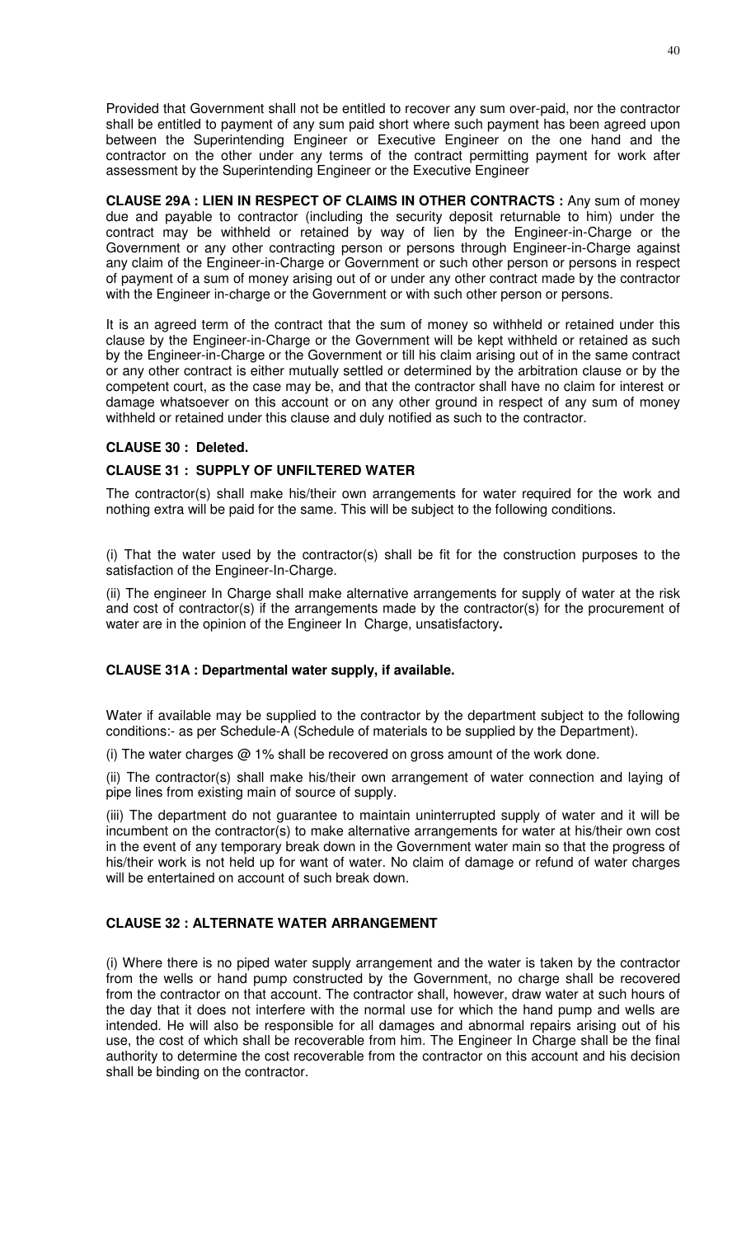Provided that Government shall not be entitled to recover any sum over-paid, nor the contractor shall be entitled to payment of any sum paid short where such payment has been agreed upon between the Superintending Engineer or Executive Engineer on the one hand and the contractor on the other under any terms of the contract permitting payment for work after assessment by the Superintending Engineer or the Executive Engineer

**CLAUSE 29A : LIEN IN RESPECT OF CLAIMS IN OTHER CONTRACTS :** Any sum of money due and payable to contractor (including the security deposit returnable to him) under the contract may be withheld or retained by way of lien by the Engineer-in-Charge or the Government or any other contracting person or persons through Engineer-in-Charge against any claim of the Engineer-in-Charge or Government or such other person or persons in respect of payment of a sum of money arising out of or under any other contract made by the contractor with the Engineer in-charge or the Government or with such other person or persons.

It is an agreed term of the contract that the sum of money so withheld or retained under this clause by the Engineer-in-Charge or the Government will be kept withheld or retained as such by the Engineer-in-Charge or the Government or till his claim arising out of in the same contract or any other contract is either mutually settled or determined by the arbitration clause or by the competent court, as the case may be, and that the contractor shall have no claim for interest or damage whatsoever on this account or on any other ground in respect of any sum of money withheld or retained under this clause and duly notified as such to the contractor.

# **CLAUSE 30 : Deleted.**

# **CLAUSE 31 : SUPPLY OF UNFILTERED WATER**

The contractor(s) shall make his/their own arrangements for water required for the work and nothing extra will be paid for the same. This will be subject to the following conditions.

(i) That the water used by the contractor(s) shall be fit for the construction purposes to the satisfaction of the Engineer-In-Charge.

(ii) The engineer In Charge shall make alternative arrangements for supply of water at the risk and cost of contractor(s) if the arrangements made by the contractor(s) for the procurement of water are in the opinion of the Engineer In Charge, unsatisfactory**.** 

### **CLAUSE 31A : Departmental water supply, if available.**

Water if available may be supplied to the contractor by the department subject to the following conditions:- as per Schedule-A (Schedule of materials to be supplied by the Department).

(i) The water charges  $@1\%$  shall be recovered on gross amount of the work done.

(ii) The contractor(s) shall make his/their own arrangement of water connection and laying of pipe lines from existing main of source of supply.

(iii) The department do not guarantee to maintain uninterrupted supply of water and it will be incumbent on the contractor(s) to make alternative arrangements for water at his/their own cost in the event of any temporary break down in the Government water main so that the progress of his/their work is not held up for want of water. No claim of damage or refund of water charges will be entertained on account of such break down.

# **CLAUSE 32 : ALTERNATE WATER ARRANGEMENT**

(i) Where there is no piped water supply arrangement and the water is taken by the contractor from the wells or hand pump constructed by the Government, no charge shall be recovered from the contractor on that account. The contractor shall, however, draw water at such hours of the day that it does not interfere with the normal use for which the hand pump and wells are intended. He will also be responsible for all damages and abnormal repairs arising out of his use, the cost of which shall be recoverable from him. The Engineer In Charge shall be the final authority to determine the cost recoverable from the contractor on this account and his decision shall be binding on the contractor.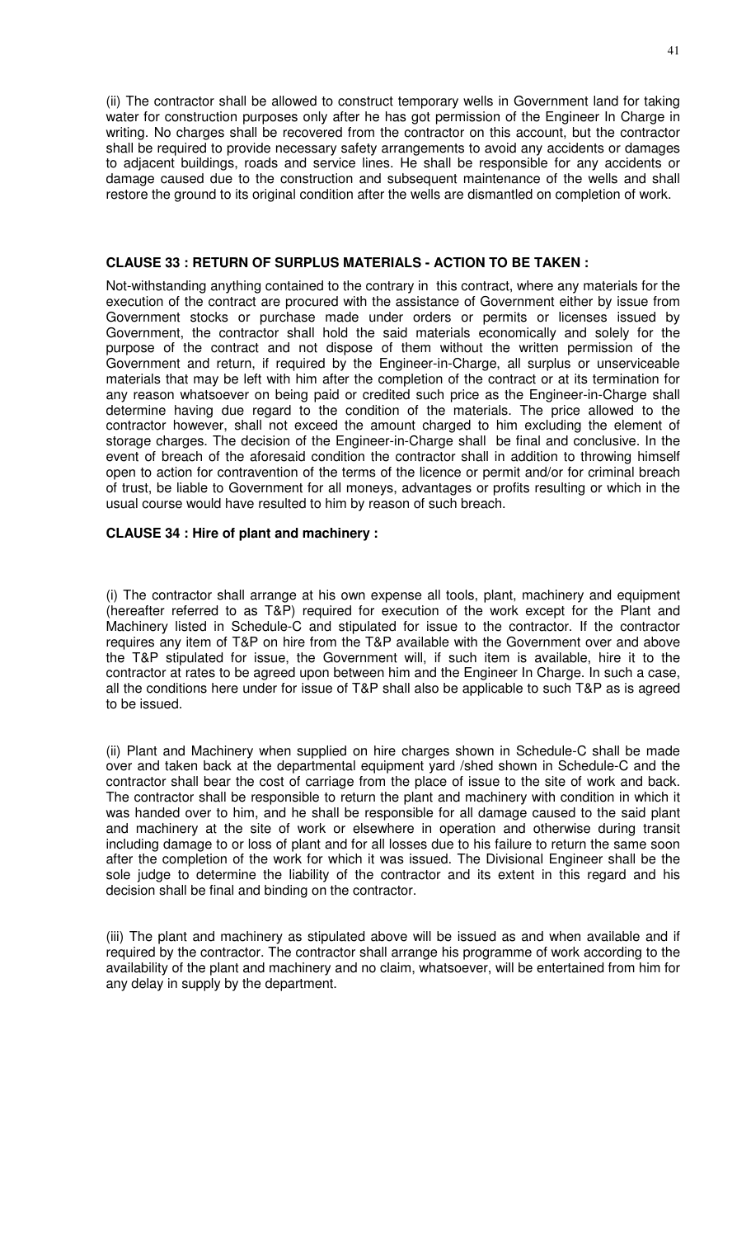(ii) The contractor shall be allowed to construct temporary wells in Government land for taking water for construction purposes only after he has got permission of the Engineer In Charge in writing. No charges shall be recovered from the contractor on this account, but the contractor shall be required to provide necessary safety arrangements to avoid any accidents or damages to adjacent buildings, roads and service lines. He shall be responsible for any accidents or damage caused due to the construction and subsequent maintenance of the wells and shall restore the ground to its original condition after the wells are dismantled on completion of work.

#### **CLAUSE 33 : RETURN OF SURPLUS MATERIALS - ACTION TO BE TAKEN :**

Not-withstanding anything contained to the contrary in this contract, where any materials for the execution of the contract are procured with the assistance of Government either by issue from Government stocks or purchase made under orders or permits or licenses issued by Government, the contractor shall hold the said materials economically and solely for the purpose of the contract and not dispose of them without the written permission of the Government and return, if required by the Engineer-in-Charge, all surplus or unserviceable materials that may be left with him after the completion of the contract or at its termination for any reason whatsoever on being paid or credited such price as the Engineer-in-Charge shall determine having due regard to the condition of the materials. The price allowed to the contractor however, shall not exceed the amount charged to him excluding the element of storage charges. The decision of the Engineer-in-Charge shall be final and conclusive. In the event of breach of the aforesaid condition the contractor shall in addition to throwing himself open to action for contravention of the terms of the licence or permit and/or for criminal breach of trust, be liable to Government for all moneys, advantages or profits resulting or which in the usual course would have resulted to him by reason of such breach.

#### **CLAUSE 34 : Hire of plant and machinery :**

(i) The contractor shall arrange at his own expense all tools, plant, machinery and equipment (hereafter referred to as T&P) required for execution of the work except for the Plant and Machinery listed in Schedule-C and stipulated for issue to the contractor. If the contractor requires any item of T&P on hire from the T&P available with the Government over and above the T&P stipulated for issue, the Government will, if such item is available, hire it to the contractor at rates to be agreed upon between him and the Engineer In Charge. In such a case, all the conditions here under for issue of T&P shall also be applicable to such T&P as is agreed to be issued.

(ii) Plant and Machinery when supplied on hire charges shown in Schedule-C shall be made over and taken back at the departmental equipment yard /shed shown in Schedule-C and the contractor shall bear the cost of carriage from the place of issue to the site of work and back. The contractor shall be responsible to return the plant and machinery with condition in which it was handed over to him, and he shall be responsible for all damage caused to the said plant and machinery at the site of work or elsewhere in operation and otherwise during transit including damage to or loss of plant and for all losses due to his failure to return the same soon after the completion of the work for which it was issued. The Divisional Engineer shall be the sole judge to determine the liability of the contractor and its extent in this regard and his decision shall be final and binding on the contractor.

(iii) The plant and machinery as stipulated above will be issued as and when available and if required by the contractor. The contractor shall arrange his programme of work according to the availability of the plant and machinery and no claim, whatsoever, will be entertained from him for any delay in supply by the department.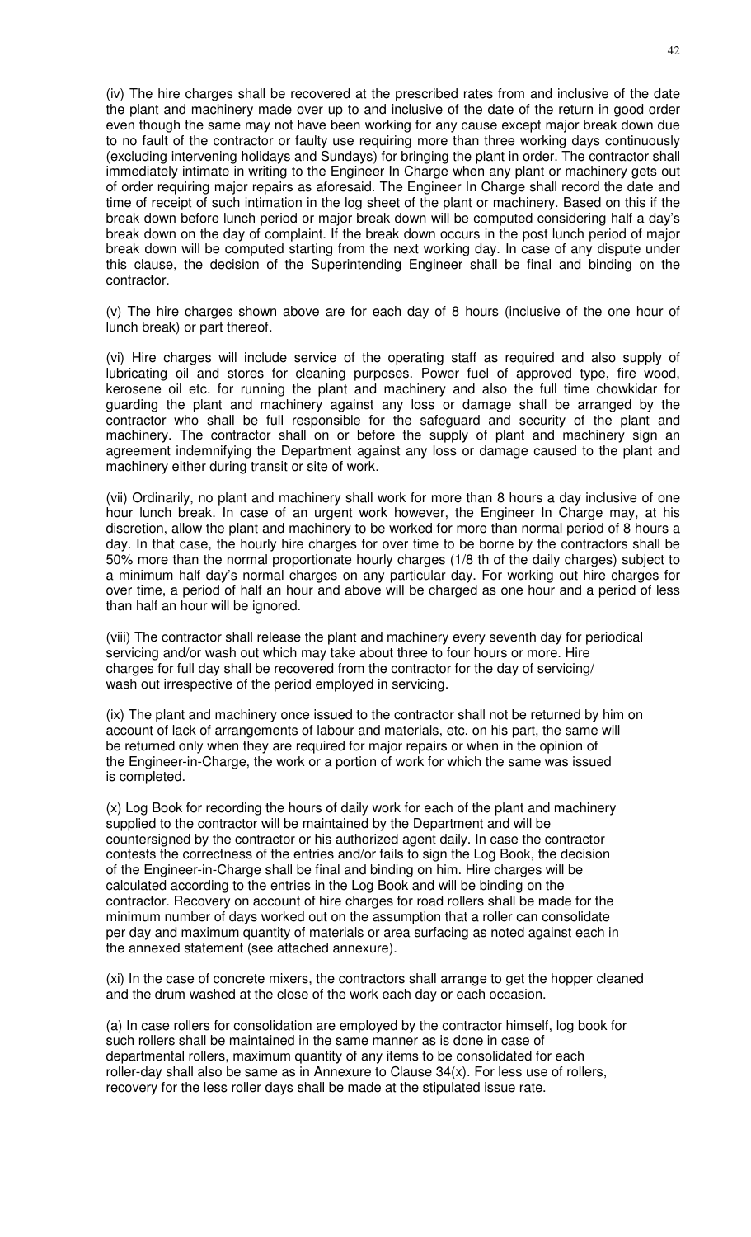(iv) The hire charges shall be recovered at the prescribed rates from and inclusive of the date the plant and machinery made over up to and inclusive of the date of the return in good order even though the same may not have been working for any cause except major break down due to no fault of the contractor or faulty use requiring more than three working days continuously (excluding intervening holidays and Sundays) for bringing the plant in order. The contractor shall immediately intimate in writing to the Engineer In Charge when any plant or machinery gets out of order requiring major repairs as aforesaid. The Engineer In Charge shall record the date and time of receipt of such intimation in the log sheet of the plant or machinery. Based on this if the break down before lunch period or major break down will be computed considering half a day's break down on the day of complaint. If the break down occurs in the post lunch period of major break down will be computed starting from the next working day. In case of any dispute under this clause, the decision of the Superintending Engineer shall be final and binding on the contractor.

(v) The hire charges shown above are for each day of 8 hours (inclusive of the one hour of lunch break) or part thereof.

(vi) Hire charges will include service of the operating staff as required and also supply of lubricating oil and stores for cleaning purposes. Power fuel of approved type, fire wood, kerosene oil etc. for running the plant and machinery and also the full time chowkidar for guarding the plant and machinery against any loss or damage shall be arranged by the contractor who shall be full responsible for the safeguard and security of the plant and machinery. The contractor shall on or before the supply of plant and machinery sign an agreement indemnifying the Department against any loss or damage caused to the plant and machinery either during transit or site of work.

(vii) Ordinarily, no plant and machinery shall work for more than 8 hours a day inclusive of one hour lunch break. In case of an urgent work however, the Engineer In Charge may, at his discretion, allow the plant and machinery to be worked for more than normal period of 8 hours a day. In that case, the hourly hire charges for over time to be borne by the contractors shall be 50% more than the normal proportionate hourly charges (1/8 th of the daily charges) subject to a minimum half day's normal charges on any particular day. For working out hire charges for over time, a period of half an hour and above will be charged as one hour and a period of less than half an hour will be ignored.

(viii) The contractor shall release the plant and machinery every seventh day for periodical servicing and/or wash out which may take about three to four hours or more. Hire charges for full day shall be recovered from the contractor for the day of servicing/ wash out irrespective of the period employed in servicing.

(ix) The plant and machinery once issued to the contractor shall not be returned by him on account of lack of arrangements of labour and materials, etc. on his part, the same will be returned only when they are required for major repairs or when in the opinion of the Engineer-in-Charge, the work or a portion of work for which the same was issued is completed.

(x) Log Book for recording the hours of daily work for each of the plant and machinery supplied to the contractor will be maintained by the Department and will be countersigned by the contractor or his authorized agent daily. In case the contractor contests the correctness of the entries and/or fails to sign the Log Book, the decision of the Engineer-in-Charge shall be final and binding on him. Hire charges will be calculated according to the entries in the Log Book and will be binding on the contractor. Recovery on account of hire charges for road rollers shall be made for the minimum number of days worked out on the assumption that a roller can consolidate per day and maximum quantity of materials or area surfacing as noted against each in the annexed statement (see attached annexure).

(xi) In the case of concrete mixers, the contractors shall arrange to get the hopper cleaned and the drum washed at the close of the work each day or each occasion.

(a) In case rollers for consolidation are employed by the contractor himself, log book for such rollers shall be maintained in the same manner as is done in case of departmental rollers, maximum quantity of any items to be consolidated for each roller-day shall also be same as in Annexure to Clause 34(x). For less use of rollers, recovery for the less roller days shall be made at the stipulated issue rate.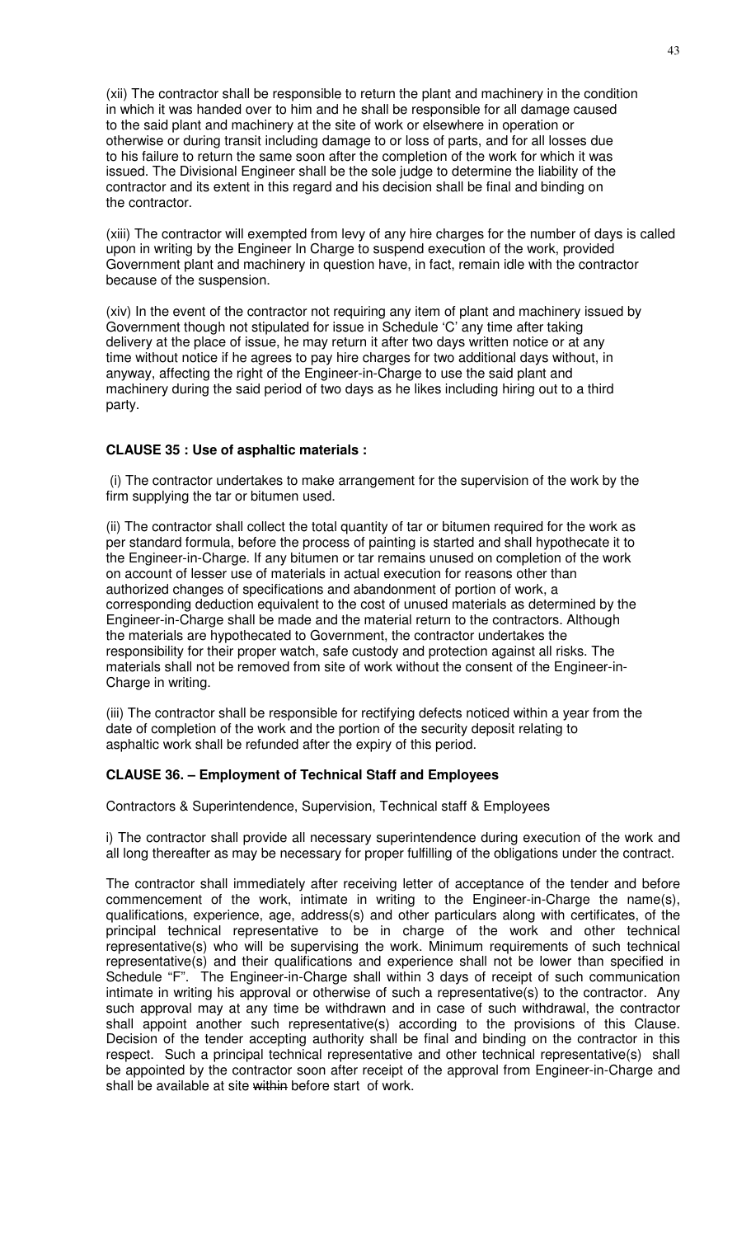(xii) The contractor shall be responsible to return the plant and machinery in the condition in which it was handed over to him and he shall be responsible for all damage caused to the said plant and machinery at the site of work or elsewhere in operation or otherwise or during transit including damage to or loss of parts, and for all losses due to his failure to return the same soon after the completion of the work for which it was issued. The Divisional Engineer shall be the sole judge to determine the liability of the contractor and its extent in this regard and his decision shall be final and binding on the contractor.

(xiii) The contractor will exempted from levy of any hire charges for the number of days is called upon in writing by the Engineer In Charge to suspend execution of the work, provided Government plant and machinery in question have, in fact, remain idle with the contractor because of the suspension.

(xiv) In the event of the contractor not requiring any item of plant and machinery issued by Government though not stipulated for issue in Schedule 'C' any time after taking delivery at the place of issue, he may return it after two days written notice or at any time without notice if he agrees to pay hire charges for two additional days without, in anyway, affecting the right of the Engineer-in-Charge to use the said plant and machinery during the said period of two days as he likes including hiring out to a third party.

### **CLAUSE 35 : Use of asphaltic materials :**

(i) The contractor undertakes to make arrangement for the supervision of the work by the firm supplying the tar or bitumen used.

(ii) The contractor shall collect the total quantity of tar or bitumen required for the work as per standard formula, before the process of painting is started and shall hypothecate it to the Engineer-in-Charge. If any bitumen or tar remains unused on completion of the work on account of lesser use of materials in actual execution for reasons other than authorized changes of specifications and abandonment of portion of work, a corresponding deduction equivalent to the cost of unused materials as determined by the Engineer-in-Charge shall be made and the material return to the contractors. Although the materials are hypothecated to Government, the contractor undertakes the responsibility for their proper watch, safe custody and protection against all risks. The materials shall not be removed from site of work without the consent of the Engineer-in-Charge in writing.

(iii) The contractor shall be responsible for rectifying defects noticed within a year from the date of completion of the work and the portion of the security deposit relating to asphaltic work shall be refunded after the expiry of this period.

### **CLAUSE 36. – Employment of Technical Staff and Employees**

Contractors & Superintendence, Supervision, Technical staff & Employees

i) The contractor shall provide all necessary superintendence during execution of the work and all long thereafter as may be necessary for proper fulfilling of the obligations under the contract.

The contractor shall immediately after receiving letter of acceptance of the tender and before commencement of the work, intimate in writing to the Engineer-in-Charge the name(s), qualifications, experience, age, address(s) and other particulars along with certificates, of the principal technical representative to be in charge of the work and other technical representative(s) who will be supervising the work. Minimum requirements of such technical representative(s) and their qualifications and experience shall not be lower than specified in Schedule "F". The Engineer-in-Charge shall within 3 days of receipt of such communication intimate in writing his approval or otherwise of such a representative(s) to the contractor. Any such approval may at any time be withdrawn and in case of such withdrawal, the contractor shall appoint another such representative(s) according to the provisions of this Clause. Decision of the tender accepting authority shall be final and binding on the contractor in this respect. Such a principal technical representative and other technical representative(s) shall be appointed by the contractor soon after receipt of the approval from Engineer-in-Charge and shall be available at site within before start of work.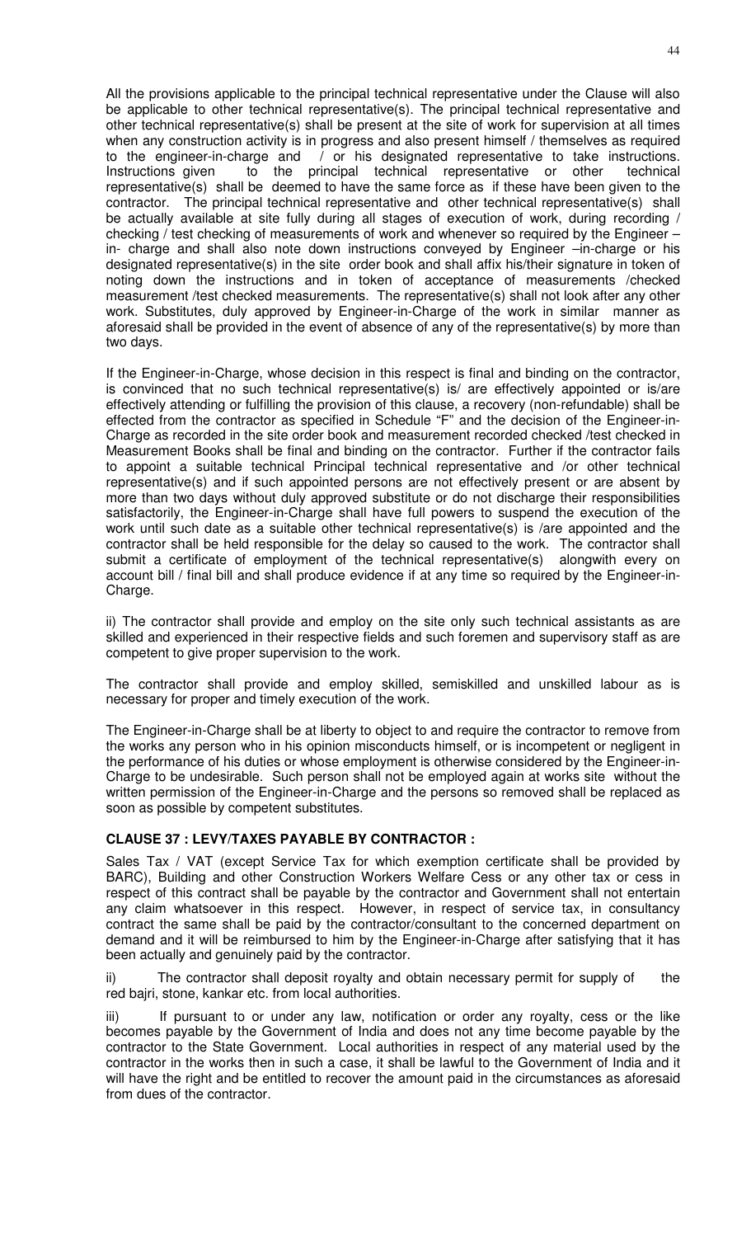All the provisions applicable to the principal technical representative under the Clause will also be applicable to other technical representative(s). The principal technical representative and other technical representative(s) shall be present at the site of work for supervision at all times when any construction activity is in progress and also present himself / themselves as required to the engineer-in-charge and / or his designated representative to take instructions. Instructions given to the principal technical representative or other technical representative(s) shall be deemed to have the same force as if these have been given to the contractor. The principal technical representative and other technical representative(s) shall be actually available at site fully during all stages of execution of work, during recording / checking / test checking of measurements of work and whenever so required by the Engineer – in- charge and shall also note down instructions conveyed by Engineer –in-charge or his designated representative(s) in the site order book and shall affix his/their signature in token of noting down the instructions and in token of acceptance of measurements /checked measurement /test checked measurements. The representative(s) shall not look after any other work. Substitutes, duly approved by Engineer-in-Charge of the work in similar manner as aforesaid shall be provided in the event of absence of any of the representative(s) by more than two days.

If the Engineer-in-Charge, whose decision in this respect is final and binding on the contractor, is convinced that no such technical representative(s) is/ are effectively appointed or is/are effectively attending or fulfilling the provision of this clause, a recovery (non-refundable) shall be effected from the contractor as specified in Schedule "F" and the decision of the Engineer-in-Charge as recorded in the site order book and measurement recorded checked /test checked in Measurement Books shall be final and binding on the contractor. Further if the contractor fails to appoint a suitable technical Principal technical representative and /or other technical representative(s) and if such appointed persons are not effectively present or are absent by more than two days without duly approved substitute or do not discharge their responsibilities satisfactorily, the Engineer-in-Charge shall have full powers to suspend the execution of the work until such date as a suitable other technical representative(s) is /are appointed and the contractor shall be held responsible for the delay so caused to the work. The contractor shall submit a certificate of employment of the technical representative(s) alongwith every on account bill / final bill and shall produce evidence if at any time so required by the Engineer-in-Charge.

ii) The contractor shall provide and employ on the site only such technical assistants as are skilled and experienced in their respective fields and such foremen and supervisory staff as are competent to give proper supervision to the work.

The contractor shall provide and employ skilled, semiskilled and unskilled labour as is necessary for proper and timely execution of the work.

The Engineer-in-Charge shall be at liberty to object to and require the contractor to remove from the works any person who in his opinion misconducts himself, or is incompetent or negligent in the performance of his duties or whose employment is otherwise considered by the Engineer-in-Charge to be undesirable. Such person shall not be employed again at works site without the written permission of the Engineer-in-Charge and the persons so removed shall be replaced as soon as possible by competent substitutes.

### **CLAUSE 37 : LEVY/TAXES PAYABLE BY CONTRACTOR :**

Sales Tax / VAT (except Service Tax for which exemption certificate shall be provided by BARC), Building and other Construction Workers Welfare Cess or any other tax or cess in respect of this contract shall be payable by the contractor and Government shall not entertain any claim whatsoever in this respect. However, in respect of service tax, in consultancy contract the same shall be paid by the contractor/consultant to the concerned department on demand and it will be reimbursed to him by the Engineer-in-Charge after satisfying that it has been actually and genuinely paid by the contractor.

ii) The contractor shall deposit royalty and obtain necessary permit for supply of the red bajri, stone, kankar etc. from local authorities.

iii) If pursuant to or under any law, notification or order any royalty, cess or the like becomes payable by the Government of India and does not any time become payable by the contractor to the State Government. Local authorities in respect of any material used by the contractor in the works then in such a case, it shall be lawful to the Government of India and it will have the right and be entitled to recover the amount paid in the circumstances as aforesaid from dues of the contractor.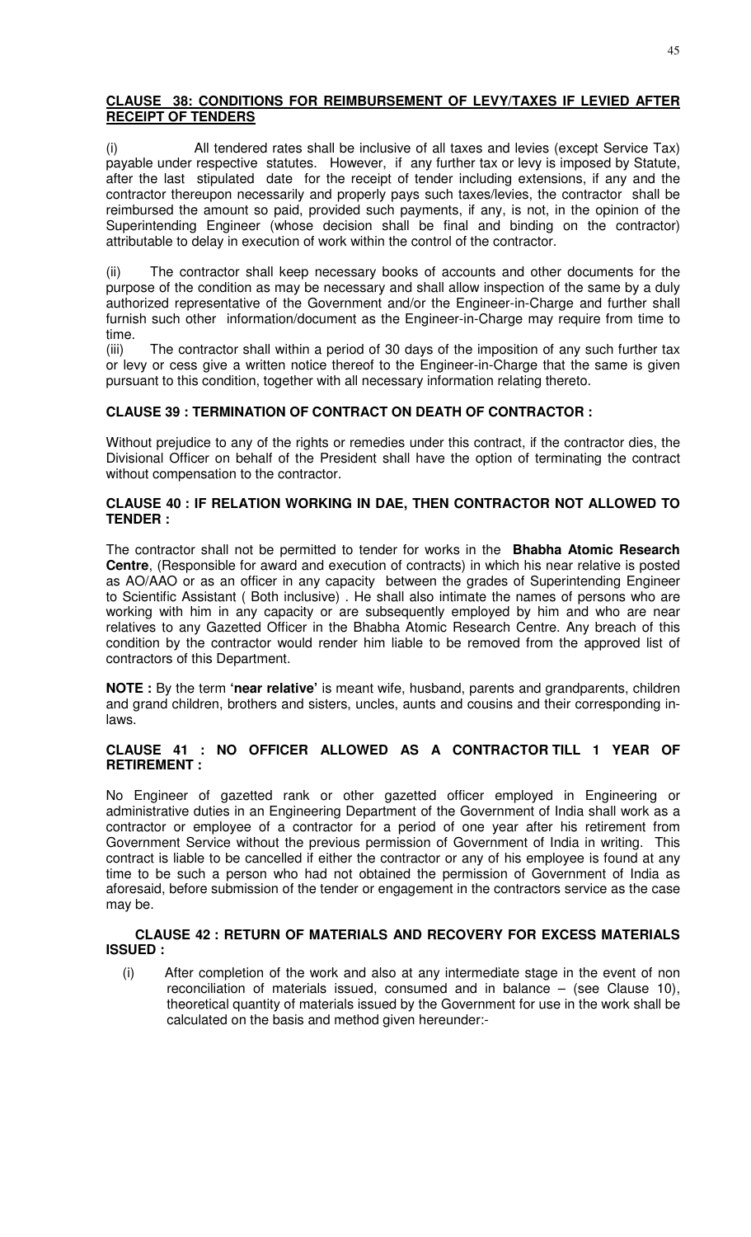# **CLAUSE 38: CONDITIONS FOR REIMBURSEMENT OF LEVY/TAXES IF LEVIED AFTER RECEIPT OF TENDERS**

(i) All tendered rates shall be inclusive of all taxes and levies (except Service Tax) payable under respective statutes. However, if any further tax or levy is imposed by Statute, after the last stipulated date for the receipt of tender including extensions, if any and the contractor thereupon necessarily and properly pays such taxes/levies, the contractor shall be reimbursed the amount so paid, provided such payments, if any, is not, in the opinion of the Superintending Engineer (whose decision shall be final and binding on the contractor) attributable to delay in execution of work within the control of the contractor.

(ii) The contractor shall keep necessary books of accounts and other documents for the purpose of the condition as may be necessary and shall allow inspection of the same by a duly authorized representative of the Government and/or the Engineer-in-Charge and further shall furnish such other information/document as the Engineer-in-Charge may require from time to time.

(iii) The contractor shall within a period of 30 days of the imposition of any such further tax or levy or cess give a written notice thereof to the Engineer-in-Charge that the same is given pursuant to this condition, together with all necessary information relating thereto.

# **CLAUSE 39 : TERMINATION OF CONTRACT ON DEATH OF CONTRACTOR :**

Without prejudice to any of the rights or remedies under this contract, if the contractor dies, the Divisional Officer on behalf of the President shall have the option of terminating the contract without compensation to the contractor.

### **CLAUSE 40 : IF RELATION WORKING IN DAE, THEN CONTRACTOR NOT ALLOWED TO TENDER :**

The contractor shall not be permitted to tender for works in the **Bhabha Atomic Research Centre**, (Responsible for award and execution of contracts) in which his near relative is posted as AO/AAO or as an officer in any capacity between the grades of Superintending Engineer to Scientific Assistant ( Both inclusive) . He shall also intimate the names of persons who are working with him in any capacity or are subsequently employed by him and who are near relatives to any Gazetted Officer in the Bhabha Atomic Research Centre. Any breach of this condition by the contractor would render him liable to be removed from the approved list of contractors of this Department.

**NOTE :** By the term **'near relative'** is meant wife, husband, parents and grandparents, children and grand children, brothers and sisters, uncles, aunts and cousins and their corresponding inlaws.

# **CLAUSE 41 : NO OFFICER ALLOWED AS A CONTRACTOR TILL 1 YEAR OF RETIREMENT :**

No Engineer of gazetted rank or other gazetted officer employed in Engineering or administrative duties in an Engineering Department of the Government of India shall work as a contractor or employee of a contractor for a period of one year after his retirement from Government Service without the previous permission of Government of India in writing. This contract is liable to be cancelled if either the contractor or any of his employee is found at any time to be such a person who had not obtained the permission of Government of India as aforesaid, before submission of the tender or engagement in the contractors service as the case may be.

### **CLAUSE 42 : RETURN OF MATERIALS AND RECOVERY FOR EXCESS MATERIALS ISSUED :**

(i) After completion of the work and also at any intermediate stage in the event of non reconciliation of materials issued, consumed and in balance – (see Clause 10), theoretical quantity of materials issued by the Government for use in the work shall be calculated on the basis and method given hereunder:-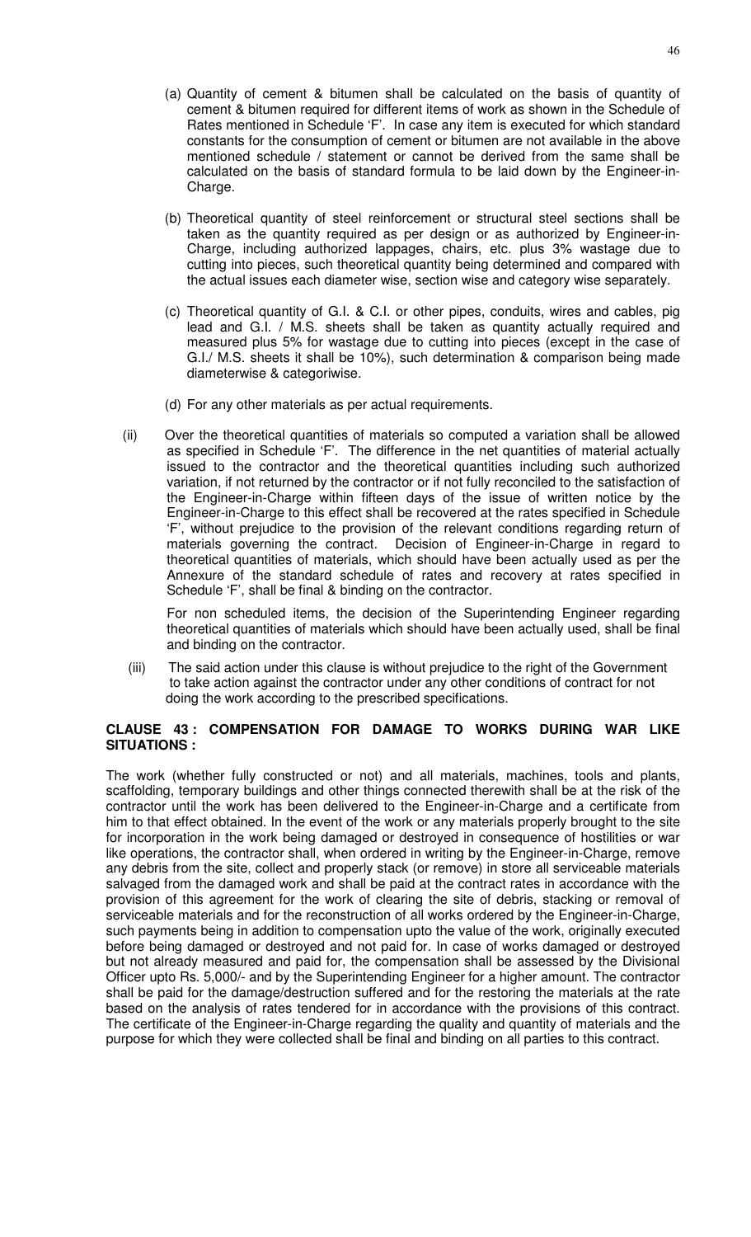46

- (a) Quantity of cement & bitumen shall be calculated on the basis of quantity of cement & bitumen required for different items of work as shown in the Schedule of Rates mentioned in Schedule 'F'. In case any item is executed for which standard constants for the consumption of cement or bitumen are not available in the above mentioned schedule / statement or cannot be derived from the same shall be calculated on the basis of standard formula to be laid down by the Engineer-in-Charge.
- (b) Theoretical quantity of steel reinforcement or structural steel sections shall be taken as the quantity required as per design or as authorized by Engineer-in-Charge, including authorized lappages, chairs, etc. plus 3% wastage due to cutting into pieces, such theoretical quantity being determined and compared with the actual issues each diameter wise, section wise and category wise separately.
- (c) Theoretical quantity of G.I. & C.I. or other pipes, conduits, wires and cables, pig lead and G.I. / M.S. sheets shall be taken as quantity actually required and measured plus 5% for wastage due to cutting into pieces (except in the case of G.I./ M.S. sheets it shall be 10%), such determination & comparison being made diameterwise & categoriwise.
- (d) For any other materials as per actual requirements.
- (ii) Over the theoretical quantities of materials so computed a variation shall be allowed as specified in Schedule 'F'. The difference in the net quantities of material actually issued to the contractor and the theoretical quantities including such authorized variation, if not returned by the contractor or if not fully reconciled to the satisfaction of the Engineer-in-Charge within fifteen days of the issue of written notice by the Engineer-in-Charge to this effect shall be recovered at the rates specified in Schedule 'F', without prejudice to the provision of the relevant conditions regarding return of materials governing the contract. Decision of Engineer-in-Charge in regard to theoretical quantities of materials, which should have been actually used as per the Annexure of the standard schedule of rates and recovery at rates specified in Schedule 'F', shall be final & binding on the contractor.

For non scheduled items, the decision of the Superintending Engineer regarding theoretical quantities of materials which should have been actually used, shall be final and binding on the contractor.

(iii) The said action under this clause is without prejudice to the right of the Government to take action against the contractor under any other conditions of contract for not doing the work according to the prescribed specifications.

# **CLAUSE 43 : COMPENSATION FOR DAMAGE TO WORKS DURING WAR LIKE SITUATIONS :**

The work (whether fully constructed or not) and all materials, machines, tools and plants, scaffolding, temporary buildings and other things connected therewith shall be at the risk of the contractor until the work has been delivered to the Engineer-in-Charge and a certificate from him to that effect obtained. In the event of the work or any materials properly brought to the site for incorporation in the work being damaged or destroyed in consequence of hostilities or war like operations, the contractor shall, when ordered in writing by the Engineer-in-Charge, remove any debris from the site, collect and properly stack (or remove) in store all serviceable materials salvaged from the damaged work and shall be paid at the contract rates in accordance with the provision of this agreement for the work of clearing the site of debris, stacking or removal of serviceable materials and for the reconstruction of all works ordered by the Engineer-in-Charge, such payments being in addition to compensation upto the value of the work, originally executed before being damaged or destroyed and not paid for. In case of works damaged or destroyed but not already measured and paid for, the compensation shall be assessed by the Divisional Officer upto Rs. 5,000/- and by the Superintending Engineer for a higher amount. The contractor shall be paid for the damage/destruction suffered and for the restoring the materials at the rate based on the analysis of rates tendered for in accordance with the provisions of this contract. The certificate of the Engineer-in-Charge regarding the quality and quantity of materials and the purpose for which they were collected shall be final and binding on all parties to this contract.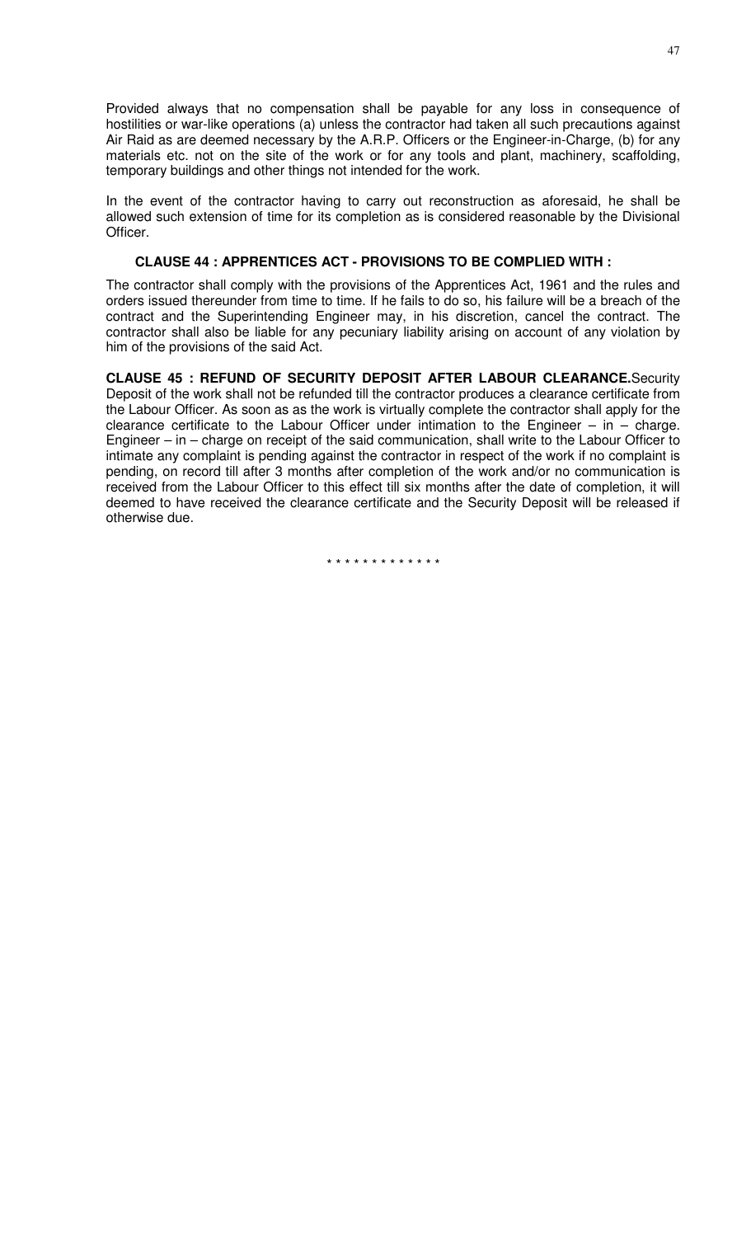Provided always that no compensation shall be payable for any loss in consequence of hostilities or war-like operations (a) unless the contractor had taken all such precautions against Air Raid as are deemed necessary by the A.R.P. Officers or the Engineer-in-Charge, (b) for any materials etc. not on the site of the work or for any tools and plant, machinery, scaffolding, temporary buildings and other things not intended for the work.

In the event of the contractor having to carry out reconstruction as aforesaid, he shall be allowed such extension of time for its completion as is considered reasonable by the Divisional Officer.

# **CLAUSE 44 : APPRENTICES ACT - PROVISIONS TO BE COMPLIED WITH :**

The contractor shall comply with the provisions of the Apprentices Act, 1961 and the rules and orders issued thereunder from time to time. If he fails to do so, his failure will be a breach of the contract and the Superintending Engineer may, in his discretion, cancel the contract. The contractor shall also be liable for any pecuniary liability arising on account of any violation by him of the provisions of the said Act.

**CLAUSE 45 : REFUND OF SECURITY DEPOSIT AFTER LABOUR CLEARANCE.**Security Deposit of the work shall not be refunded till the contractor produces a clearance certificate from the Labour Officer. As soon as as the work is virtually complete the contractor shall apply for the clearance certificate to the Labour Officer under intimation to the Engineer – in – charge. Engineer – in – charge on receipt of the said communication, shall write to the Labour Officer to intimate any complaint is pending against the contractor in respect of the work if no complaint is pending, on record till after 3 months after completion of the work and/or no communication is received from the Labour Officer to this effect till six months after the date of completion, it will deemed to have received the clearance certificate and the Security Deposit will be released if otherwise due.

\* \* \* \* \* \* \* \* \* \* \* \* \*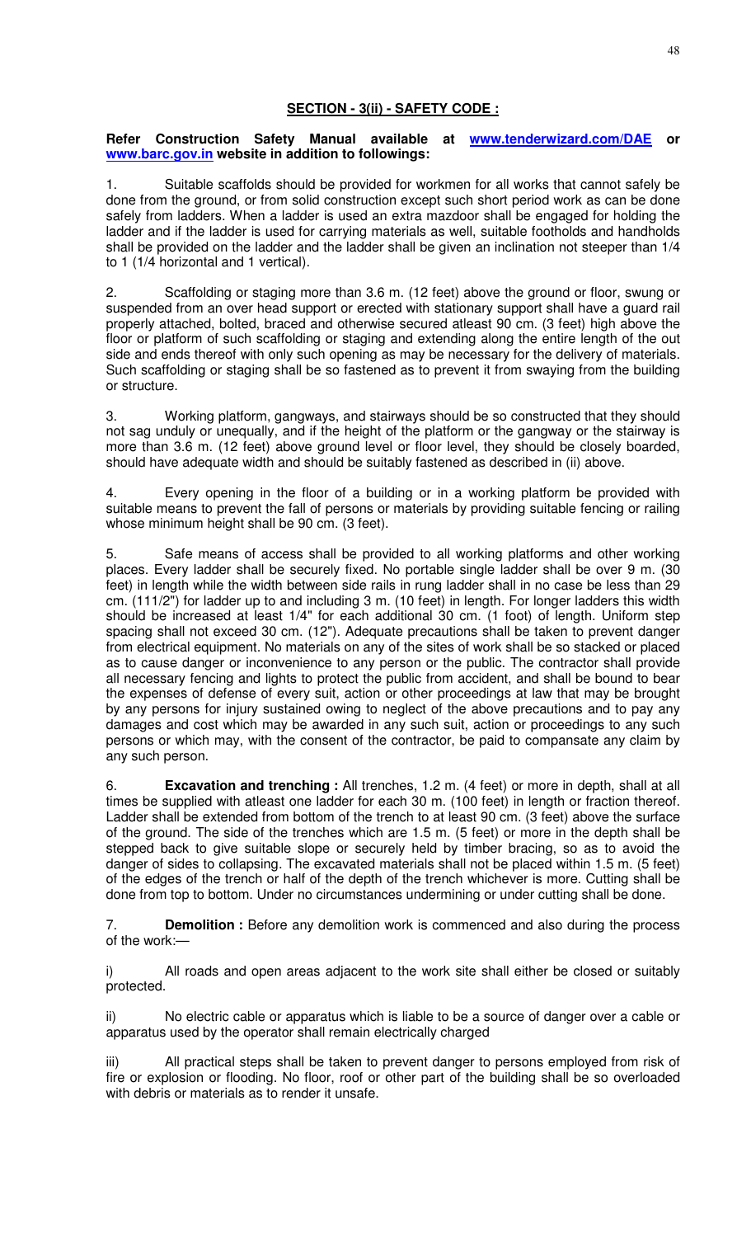# **SECTION - 3(ii) - SAFETY CODE :**

### **Refer Construction Safety Manual available at www.tenderwizard.com/DAE or www.barc.gov.in website in addition to followings:**

1. Suitable scaffolds should be provided for workmen for all works that cannot safely be done from the ground, or from solid construction except such short period work as can be done safely from ladders. When a ladder is used an extra mazdoor shall be engaged for holding the ladder and if the ladder is used for carrying materials as well, suitable footholds and handholds shall be provided on the ladder and the ladder shall be given an inclination not steeper than 1/4 to 1 (1/4 horizontal and 1 vertical).

2. Scaffolding or staging more than 3.6 m. (12 feet) above the ground or floor, swung or suspended from an over head support or erected with stationary support shall have a guard rail properly attached, bolted, braced and otherwise secured atleast 90 cm. (3 feet) high above the floor or platform of such scaffolding or staging and extending along the entire length of the out side and ends thereof with only such opening as may be necessary for the delivery of materials. Such scaffolding or staging shall be so fastened as to prevent it from swaying from the building or structure.

3. Working platform, gangways, and stairways should be so constructed that they should not sag unduly or unequally, and if the height of the platform or the gangway or the stairway is more than 3.6 m. (12 feet) above ground level or floor level, they should be closely boarded, should have adequate width and should be suitably fastened as described in (ii) above.

4. Every opening in the floor of a building or in a working platform be provided with suitable means to prevent the fall of persons or materials by providing suitable fencing or railing whose minimum height shall be 90 cm. (3 feet).

5. Safe means of access shall be provided to all working platforms and other working places. Every ladder shall be securely fixed. No portable single ladder shall be over 9 m. (30 feet) in length while the width between side rails in rung ladder shall in no case be less than 29 cm. (111/2") for ladder up to and including 3 m. (10 feet) in length. For longer ladders this width should be increased at least 1/4" for each additional 30 cm. (1 foot) of length. Uniform step spacing shall not exceed 30 cm. (12"). Adequate precautions shall be taken to prevent danger from electrical equipment. No materials on any of the sites of work shall be so stacked or placed as to cause danger or inconvenience to any person or the public. The contractor shall provide all necessary fencing and lights to protect the public from accident, and shall be bound to bear the expenses of defense of every suit, action or other proceedings at law that may be brought by any persons for injury sustained owing to neglect of the above precautions and to pay any damages and cost which may be awarded in any such suit, action or proceedings to any such persons or which may, with the consent of the contractor, be paid to compansate any claim by any such person.

6. **Excavation and trenching :** All trenches, 1.2 m. (4 feet) or more in depth, shall at all times be supplied with atleast one ladder for each 30 m. (100 feet) in length or fraction thereof. Ladder shall be extended from bottom of the trench to at least 90 cm. (3 feet) above the surface of the ground. The side of the trenches which are 1.5 m. (5 feet) or more in the depth shall be stepped back to give suitable slope or securely held by timber bracing, so as to avoid the danger of sides to collapsing. The excavated materials shall not be placed within 1.5 m. (5 feet) of the edges of the trench or half of the depth of the trench whichever is more. Cutting shall be done from top to bottom. Under no circumstances undermining or under cutting shall be done.

7. **Demolition :** Before any demolition work is commenced and also during the process of the work:—

i) All roads and open areas adjacent to the work site shall either be closed or suitably protected.

ii) No electric cable or apparatus which is liable to be a source of danger over a cable or apparatus used by the operator shall remain electrically charged

iii) All practical steps shall be taken to prevent danger to persons employed from risk of fire or explosion or flooding. No floor, roof or other part of the building shall be so overloaded with debris or materials as to render it unsafe.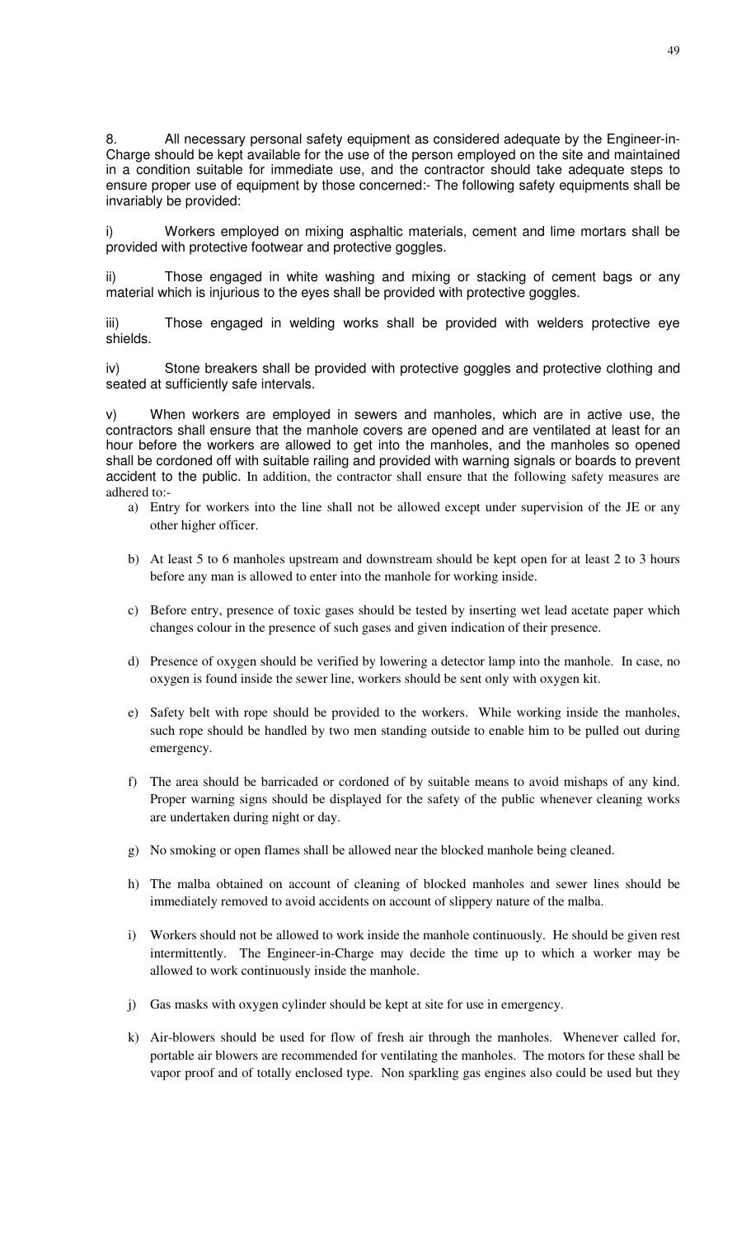8. All necessary personal safety equipment as considered adequate by the Engineer-in-Charge should be kept available for the use of the person employed on the site and maintained in a condition suitable for immediate use, and the contractor should take adequate steps to ensure proper use of equipment by those concerned:- The following safety equipments shall be invariably be provided:

i) Workers employed on mixing asphaltic materials, cement and lime mortars shall be provided with protective footwear and protective goggles.

ii) Those engaged in white washing and mixing or stacking of cement bags or any material which is injurious to the eyes shall be provided with protective goggles.

iii) Those engaged in welding works shall be provided with welders protective eye shields.

iv) Stone breakers shall be provided with protective goggles and protective clothing and seated at sufficiently safe intervals.

v) When workers are employed in sewers and manholes, which are in active use, the contractors shall ensure that the manhole covers are opened and are ventilated at least for an hour before the workers are allowed to get into the manholes, and the manholes so opened shall be cordoned off with suitable railing and provided with warning signals or boards to prevent accident to the public. In addition, the contractor shall ensure that the following safety measures are adhered to:-

- a) Entry for workers into the line shall not be allowed except under supervision of the JE or any other higher officer.
- b) At least 5 to 6 manholes upstream and downstream should be kept open for at least 2 to 3 hours before any man is allowed to enter into the manhole for working inside.
- c) Before entry, presence of toxic gases should be tested by inserting wet lead acetate paper which changes colour in the presence of such gases and given indication of their presence.
- d) Presence of oxygen should be verified by lowering a detector lamp into the manhole. In case, no oxygen is found inside the sewer line, workers should be sent only with oxygen kit.
- e) Safety belt with rope should be provided to the workers. While working inside the manholes, such rope should be handled by two men standing outside to enable him to be pulled out during emergency.
- f) The area should be barricaded or cordoned of by suitable means to avoid mishaps of any kind. Proper warning signs should be displayed for the safety of the public whenever cleaning works are undertaken during night or day.
- g) No smoking or open flames shall be allowed near the blocked manhole being cleaned.
- h) The malba obtained on account of cleaning of blocked manholes and sewer lines should be immediately removed to avoid accidents on account of slippery nature of the malba.
- i) Workers should not be allowed to work inside the manhole continuously. He should be given rest intermittently. The Engineer-in-Charge may decide the time up to which a worker may be allowed to work continuously inside the manhole.
- j) Gas masks with oxygen cylinder should be kept at site for use in emergency.
- k) Air-blowers should be used for flow of fresh air through the manholes. Whenever called for, portable air blowers are recommended for ventilating the manholes. The motors for these shall be vapor proof and of totally enclosed type. Non sparkling gas engines also could be used but they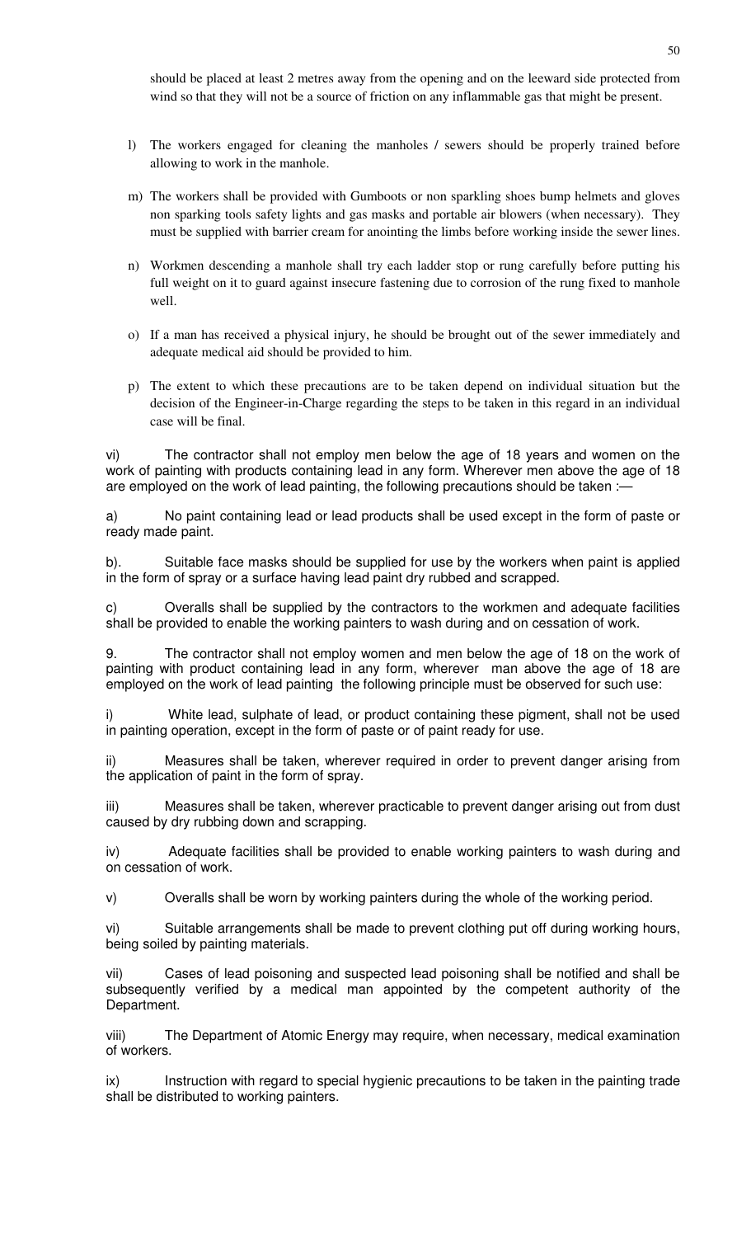should be placed at least 2 metres away from the opening and on the leeward side protected from wind so that they will not be a source of friction on any inflammable gas that might be present.

- l) The workers engaged for cleaning the manholes / sewers should be properly trained before allowing to work in the manhole.
- m) The workers shall be provided with Gumboots or non sparkling shoes bump helmets and gloves non sparking tools safety lights and gas masks and portable air blowers (when necessary). They must be supplied with barrier cream for anointing the limbs before working inside the sewer lines.
- n) Workmen descending a manhole shall try each ladder stop or rung carefully before putting his full weight on it to guard against insecure fastening due to corrosion of the rung fixed to manhole well.
- o) If a man has received a physical injury, he should be brought out of the sewer immediately and adequate medical aid should be provided to him.
- p) The extent to which these precautions are to be taken depend on individual situation but the decision of the Engineer-in-Charge regarding the steps to be taken in this regard in an individual case will be final.

vi) The contractor shall not employ men below the age of 18 years and women on the work of painting with products containing lead in any form. Wherever men above the age of 18 are employed on the work of lead painting, the following precautions should be taken :-

a) No paint containing lead or lead products shall be used except in the form of paste or ready made paint.

b). Suitable face masks should be supplied for use by the workers when paint is applied in the form of spray or a surface having lead paint dry rubbed and scrapped.

c) Overalls shall be supplied by the contractors to the workmen and adequate facilities shall be provided to enable the working painters to wash during and on cessation of work.

9. The contractor shall not employ women and men below the age of 18 on the work of painting with product containing lead in any form, wherever man above the age of 18 are employed on the work of lead painting the following principle must be observed for such use:

i) White lead, sulphate of lead, or product containing these pigment, shall not be used in painting operation, except in the form of paste or of paint ready for use.

ii) Measures shall be taken, wherever required in order to prevent danger arising from the application of paint in the form of spray.

iii) Measures shall be taken, wherever practicable to prevent danger arising out from dust caused by dry rubbing down and scrapping.

iv) Adequate facilities shall be provided to enable working painters to wash during and on cessation of work.

v) Overalls shall be worn by working painters during the whole of the working period.

vi) Suitable arrangements shall be made to prevent clothing put off during working hours, being soiled by painting materials.

vii) Cases of lead poisoning and suspected lead poisoning shall be notified and shall be subsequently verified by a medical man appointed by the competent authority of the Department.

viii) The Department of Atomic Energy may require, when necessary, medical examination of workers.

ix) Instruction with regard to special hygienic precautions to be taken in the painting trade shall be distributed to working painters.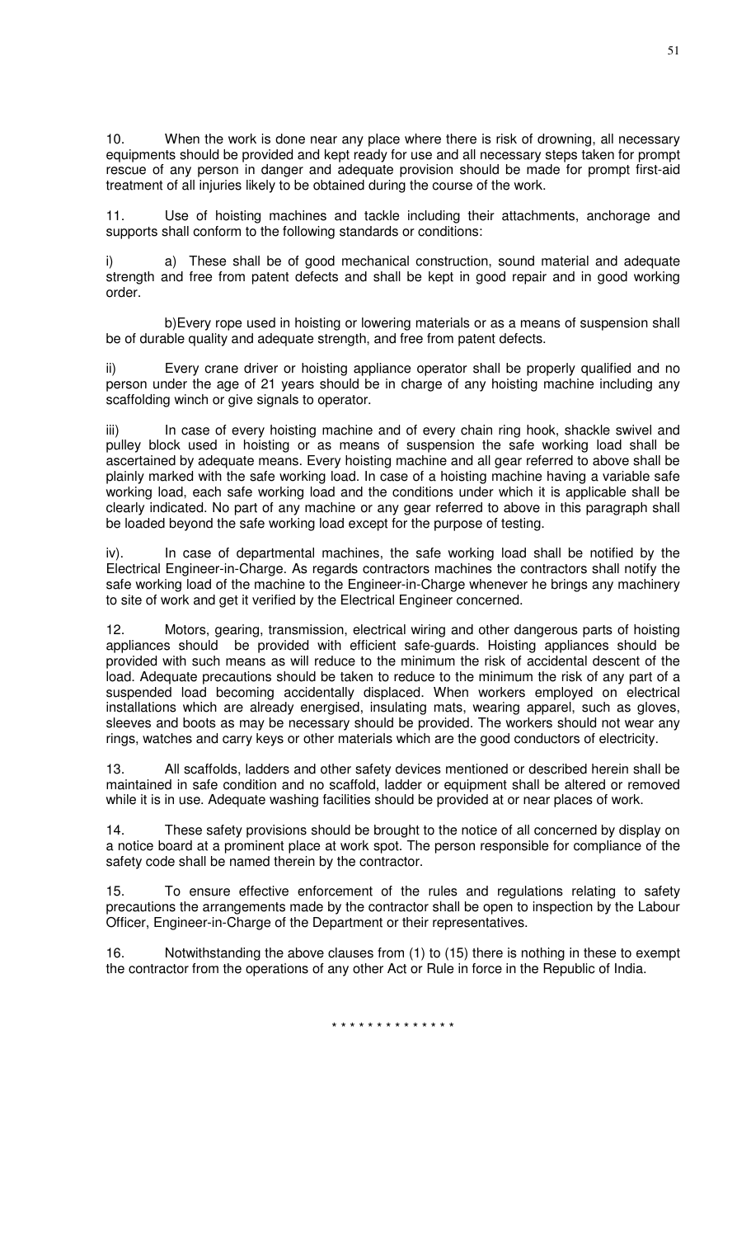10. When the work is done near any place where there is risk of drowning, all necessary equipments should be provided and kept ready for use and all necessary steps taken for prompt rescue of any person in danger and adequate provision should be made for prompt first-aid treatment of all injuries likely to be obtained during the course of the work.

11. Use of hoisting machines and tackle including their attachments, anchorage and supports shall conform to the following standards or conditions:

i) a) These shall be of good mechanical construction, sound material and adequate strength and free from patent defects and shall be kept in good repair and in good working order.

 b)Every rope used in hoisting or lowering materials or as a means of suspension shall be of durable quality and adequate strength, and free from patent defects.

ii) Every crane driver or hoisting appliance operator shall be properly qualified and no person under the age of 21 years should be in charge of any hoisting machine including any scaffolding winch or give signals to operator.

iii) In case of every hoisting machine and of every chain ring hook, shackle swivel and pulley block used in hoisting or as means of suspension the safe working load shall be ascertained by adequate means. Every hoisting machine and all gear referred to above shall be plainly marked with the safe working load. In case of a hoisting machine having a variable safe working load, each safe working load and the conditions under which it is applicable shall be clearly indicated. No part of any machine or any gear referred to above in this paragraph shall be loaded beyond the safe working load except for the purpose of testing.

iv). In case of departmental machines, the safe working load shall be notified by the Electrical Engineer-in-Charge. As regards contractors machines the contractors shall notify the safe working load of the machine to the Engineer-in-Charge whenever he brings any machinery to site of work and get it verified by the Electrical Engineer concerned.

12. Motors, gearing, transmission, electrical wiring and other dangerous parts of hoisting appliances should be provided with efficient safe-guards. Hoisting appliances should be provided with such means as will reduce to the minimum the risk of accidental descent of the load. Adequate precautions should be taken to reduce to the minimum the risk of any part of a suspended load becoming accidentally displaced. When workers employed on electrical installations which are already energised, insulating mats, wearing apparel, such as gloves, sleeves and boots as may be necessary should be provided. The workers should not wear any rings, watches and carry keys or other materials which are the good conductors of electricity.

13. All scaffolds, ladders and other safety devices mentioned or described herein shall be maintained in safe condition and no scaffold, ladder or equipment shall be altered or removed while it is in use. Adequate washing facilities should be provided at or near places of work.

14. These safety provisions should be brought to the notice of all concerned by display on a notice board at a prominent place at work spot. The person responsible for compliance of the safety code shall be named therein by the contractor.

15. To ensure effective enforcement of the rules and regulations relating to safety precautions the arrangements made by the contractor shall be open to inspection by the Labour Officer, Engineer-in-Charge of the Department or their representatives.

Notwithstanding the above clauses from (1) to (15) there is nothing in these to exempt the contractor from the operations of any other Act or Rule in force in the Republic of India.

51

\* \* \* \* \* \* \* \* \* \* \* \* \* \*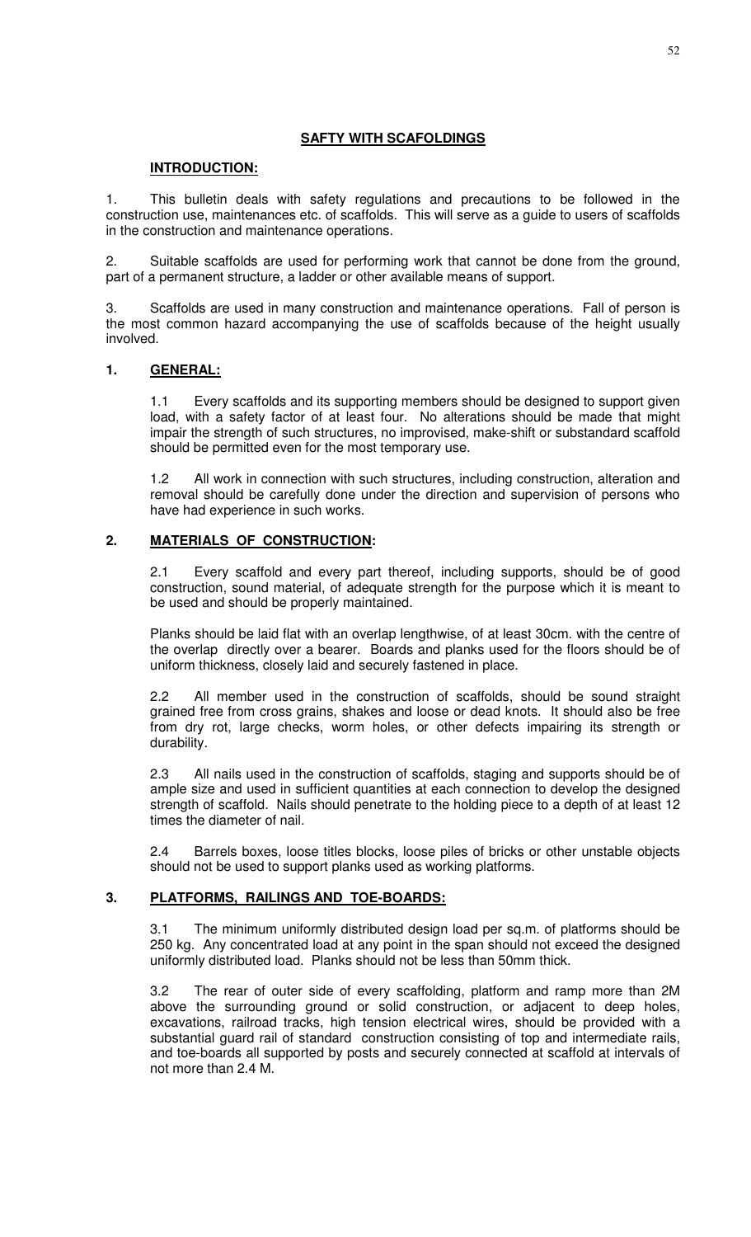## **SAFTY WITH SCAFOLDINGS**

### **INTRODUCTION:**

1. This bulletin deals with safety regulations and precautions to be followed in the construction use, maintenances etc. of scaffolds. This will serve as a guide to users of scaffolds in the construction and maintenance operations.

2. Suitable scaffolds are used for performing work that cannot be done from the ground, part of a permanent structure, a ladder or other available means of support.

3. Scaffolds are used in many construction and maintenance operations. Fall of person is the most common hazard accompanying the use of scaffolds because of the height usually involved.

### **1. GENERAL:**

1.1 Every scaffolds and its supporting members should be designed to support given load, with a safety factor of at least four. No alterations should be made that might impair the strength of such structures, no improvised, make-shift or substandard scaffold should be permitted even for the most temporary use.

1.2 All work in connection with such structures, including construction, alteration and removal should be carefully done under the direction and supervision of persons who have had experience in such works.

# **2. MATERIALS OF CONSTRUCTION:**

2.1 Every scaffold and every part thereof, including supports, should be of good construction, sound material, of adequate strength for the purpose which it is meant to be used and should be properly maintained.

Planks should be laid flat with an overlap lengthwise, of at least 30cm. with the centre of the overlap directly over a bearer. Boards and planks used for the floors should be of uniform thickness, closely laid and securely fastened in place.

2.2 All member used in the construction of scaffolds, should be sound straight grained free from cross grains, shakes and loose or dead knots. It should also be free from dry rot, large checks, worm holes, or other defects impairing its strength or durability.

2.3 All nails used in the construction of scaffolds, staging and supports should be of ample size and used in sufficient quantities at each connection to develop the designed strength of scaffold. Nails should penetrate to the holding piece to a depth of at least 12 times the diameter of nail.

2.4 Barrels boxes, loose titles blocks, loose piles of bricks or other unstable objects should not be used to support planks used as working platforms.

### **3. PLATFORMS, RAILINGS AND TOE-BOARDS:**

3.1 The minimum uniformly distributed design load per sq.m. of platforms should be 250 kg. Any concentrated load at any point in the span should not exceed the designed uniformly distributed load. Planks should not be less than 50mm thick.

3.2 The rear of outer side of every scaffolding, platform and ramp more than 2M above the surrounding ground or solid construction, or adjacent to deep holes, excavations, railroad tracks, high tension electrical wires, should be provided with a substantial guard rail of standard construction consisting of top and intermediate rails, and toe-boards all supported by posts and securely connected at scaffold at intervals of not more than 2.4 M.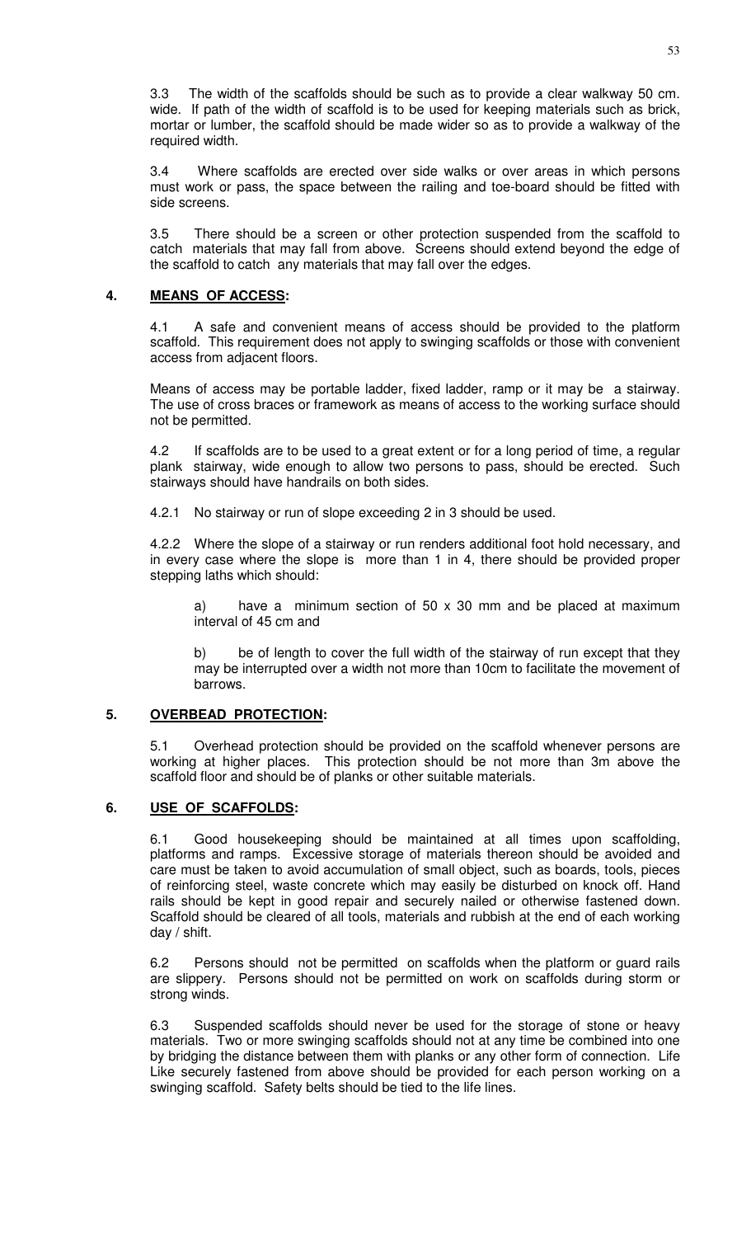3.3 The width of the scaffolds should be such as to provide a clear walkway 50 cm. wide. If path of the width of scaffold is to be used for keeping materials such as brick, mortar or lumber, the scaffold should be made wider so as to provide a walkway of the required width.

3.4 Where scaffolds are erected over side walks or over areas in which persons must work or pass, the space between the railing and toe-board should be fitted with side screens.

3.5 There should be a screen or other protection suspended from the scaffold to catch materials that may fall from above. Screens should extend beyond the edge of the scaffold to catch any materials that may fall over the edges.

# **4. MEANS OF ACCESS:**

4.1 A safe and convenient means of access should be provided to the platform scaffold. This requirement does not apply to swinging scaffolds or those with convenient access from adjacent floors.

Means of access may be portable ladder, fixed ladder, ramp or it may be a stairway. The use of cross braces or framework as means of access to the working surface should not be permitted.

4.2 If scaffolds are to be used to a great extent or for a long period of time, a regular plank stairway, wide enough to allow two persons to pass, should be erected. Such stairways should have handrails on both sides.

4.2.1 No stairway or run of slope exceeding 2 in 3 should be used.

4.2.2 Where the slope of a stairway or run renders additional foot hold necessary, and in every case where the slope is more than 1 in 4, there should be provided proper stepping laths which should:

a) have a minimum section of 50 x 30 mm and be placed at maximum interval of 45 cm and

b) be of length to cover the full width of the stairway of run except that they may be interrupted over a width not more than 10cm to facilitate the movement of barrows.

# **5. OVERBEAD PROTECTION:**

5.1 Overhead protection should be provided on the scaffold whenever persons are working at higher places. This protection should be not more than 3m above the scaffold floor and should be of planks or other suitable materials.

# **6. USE OF SCAFFOLDS:**

6.1 Good housekeeping should be maintained at all times upon scaffolding, platforms and ramps. Excessive storage of materials thereon should be avoided and care must be taken to avoid accumulation of small object, such as boards, tools, pieces of reinforcing steel, waste concrete which may easily be disturbed on knock off. Hand rails should be kept in good repair and securely nailed or otherwise fastened down. Scaffold should be cleared of all tools, materials and rubbish at the end of each working day / shift.

6.2 Persons should not be permitted on scaffolds when the platform or guard rails are slippery. Persons should not be permitted on work on scaffolds during storm or strong winds.

6.3 Suspended scaffolds should never be used for the storage of stone or heavy materials. Two or more swinging scaffolds should not at any time be combined into one by bridging the distance between them with planks or any other form of connection. Life Like securely fastened from above should be provided for each person working on a swinging scaffold. Safety belts should be tied to the life lines.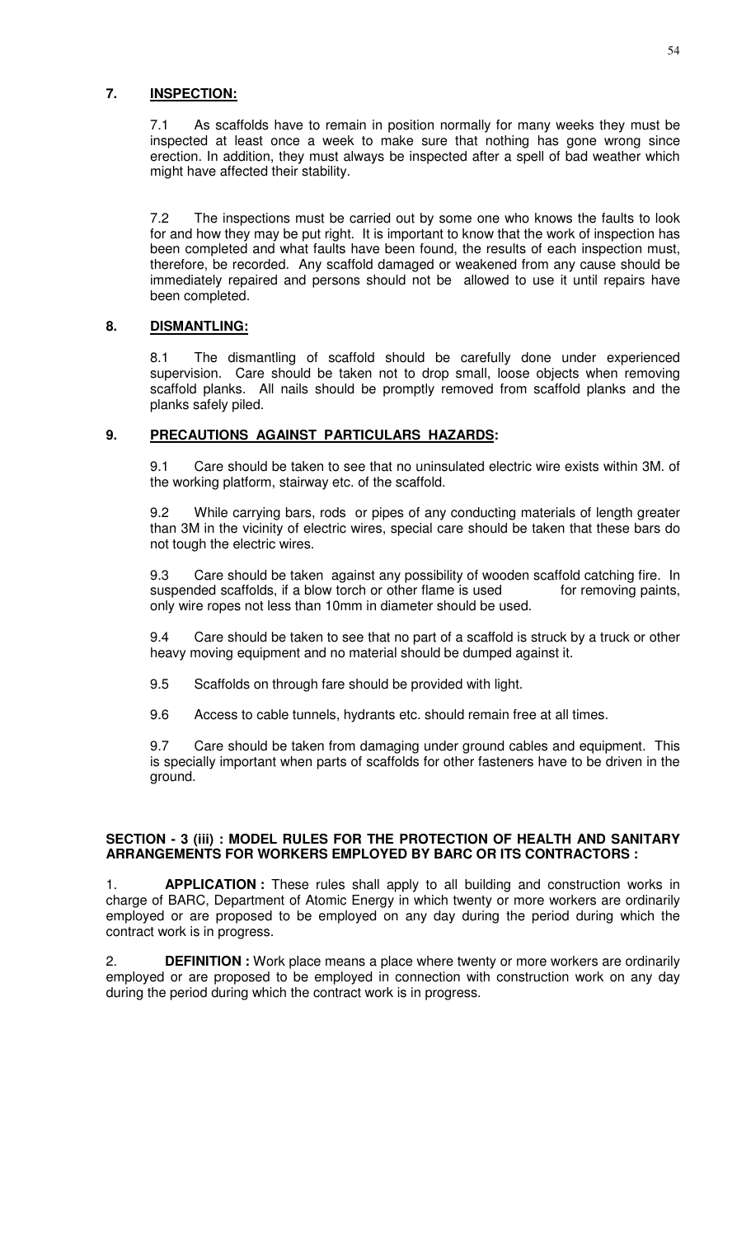### **7. INSPECTION:**

7.1 As scaffolds have to remain in position normally for many weeks they must be inspected at least once a week to make sure that nothing has gone wrong since erection. In addition, they must always be inspected after a spell of bad weather which might have affected their stability.

7.2 The inspections must be carried out by some one who knows the faults to look for and how they may be put right. It is important to know that the work of inspection has been completed and what faults have been found, the results of each inspection must, therefore, be recorded. Any scaffold damaged or weakened from any cause should be immediately repaired and persons should not be allowed to use it until repairs have been completed.

# **8. DISMANTLING:**

8.1 The dismantling of scaffold should be carefully done under experienced supervision. Care should be taken not to drop small, loose objects when removing scaffold planks. All nails should be promptly removed from scaffold planks and the planks safely piled.

# **9. PRECAUTIONS AGAINST PARTICULARS HAZARDS:**

9.1 Care should be taken to see that no uninsulated electric wire exists within 3M. of the working platform, stairway etc. of the scaffold.

9.2 While carrying bars, rods or pipes of any conducting materials of length greater than 3M in the vicinity of electric wires, special care should be taken that these bars do not tough the electric wires.

9.3 Care should be taken against any possibility of wooden scaffold catching fire. In suspended scaffolds, if a blow torch or other flame is used for removing paints, only wire ropes not less than 10mm in diameter should be used.

9.4 Care should be taken to see that no part of a scaffold is struck by a truck or other heavy moving equipment and no material should be dumped against it.

- 9.5 Scaffolds on through fare should be provided with light.
- 9.6 Access to cable tunnels, hydrants etc. should remain free at all times.

9.7 Care should be taken from damaging under ground cables and equipment. This is specially important when parts of scaffolds for other fasteners have to be driven in the ground.

### **SECTION - 3 (iii) : MODEL RULES FOR THE PROTECTION OF HEALTH AND SANITARY ARRANGEMENTS FOR WORKERS EMPLOYED BY BARC OR ITS CONTRACTORS :**

1. **APPLICATION :** These rules shall apply to all building and construction works in charge of BARC, Department of Atomic Energy in which twenty or more workers are ordinarily employed or are proposed to be employed on any day during the period during which the contract work is in progress.

2. **DEFINITION :** Work place means a place where twenty or more workers are ordinarily employed or are proposed to be employed in connection with construction work on any day during the period during which the contract work is in progress.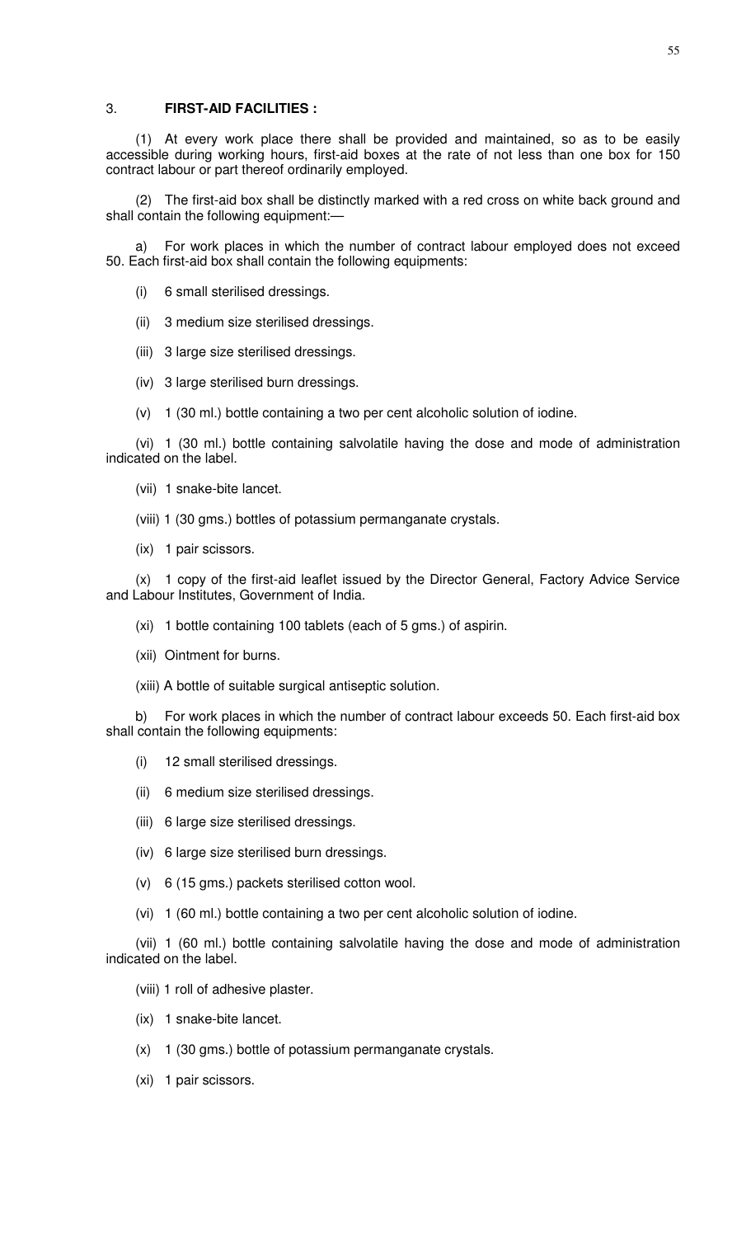### 3. **FIRST-AID FACILITIES :**

(1) At every work place there shall be provided and maintained, so as to be easily accessible during working hours, first-aid boxes at the rate of not less than one box for 150 contract labour or part thereof ordinarily employed.

(2) The first-aid box shall be distinctly marked with a red cross on white back ground and shall contain the following equipment:—

a) For work places in which the number of contract labour employed does not exceed 50. Each first-aid box shall contain the following equipments:

- (i) 6 small sterilised dressings.
- (ii) 3 medium size sterilised dressings.
- (iii) 3 large size sterilised dressings.
- (iv) 3 large sterilised burn dressings.
- (v) 1 (30 ml.) bottle containing a two per cent alcoholic solution of iodine.

(vi) 1 (30 ml.) bottle containing salvolatile having the dose and mode of administration indicated on the label.

- (vii) 1 snake-bite lancet.
- (viii) 1 (30 gms.) bottles of potassium permanganate crystals.
- (ix) 1 pair scissors.

(x) 1 copy of the first-aid leaflet issued by the Director General, Factory Advice Service and Labour Institutes, Government of India.

- (xi) 1 bottle containing 100 tablets (each of 5 gms.) of aspirin.
- (xii) Ointment for burns.
- (xiii) A bottle of suitable surgical antiseptic solution.

b) For work places in which the number of contract labour exceeds 50. Each first-aid box shall contain the following equipments:

- (i) 12 small sterilised dressings.
- (ii) 6 medium size sterilised dressings.
- (iii) 6 large size sterilised dressings.
- (iv) 6 large size sterilised burn dressings.
- (v) 6 (15 gms.) packets sterilised cotton wool.
- (vi) 1 (60 ml.) bottle containing a two per cent alcoholic solution of iodine.

(vii) 1 (60 ml.) bottle containing salvolatile having the dose and mode of administration indicated on the label.

### (viii) 1 roll of adhesive plaster.

- (ix) 1 snake-bite lancet.
- (x) 1 (30 gms.) bottle of potassium permanganate crystals.
- (xi) 1 pair scissors.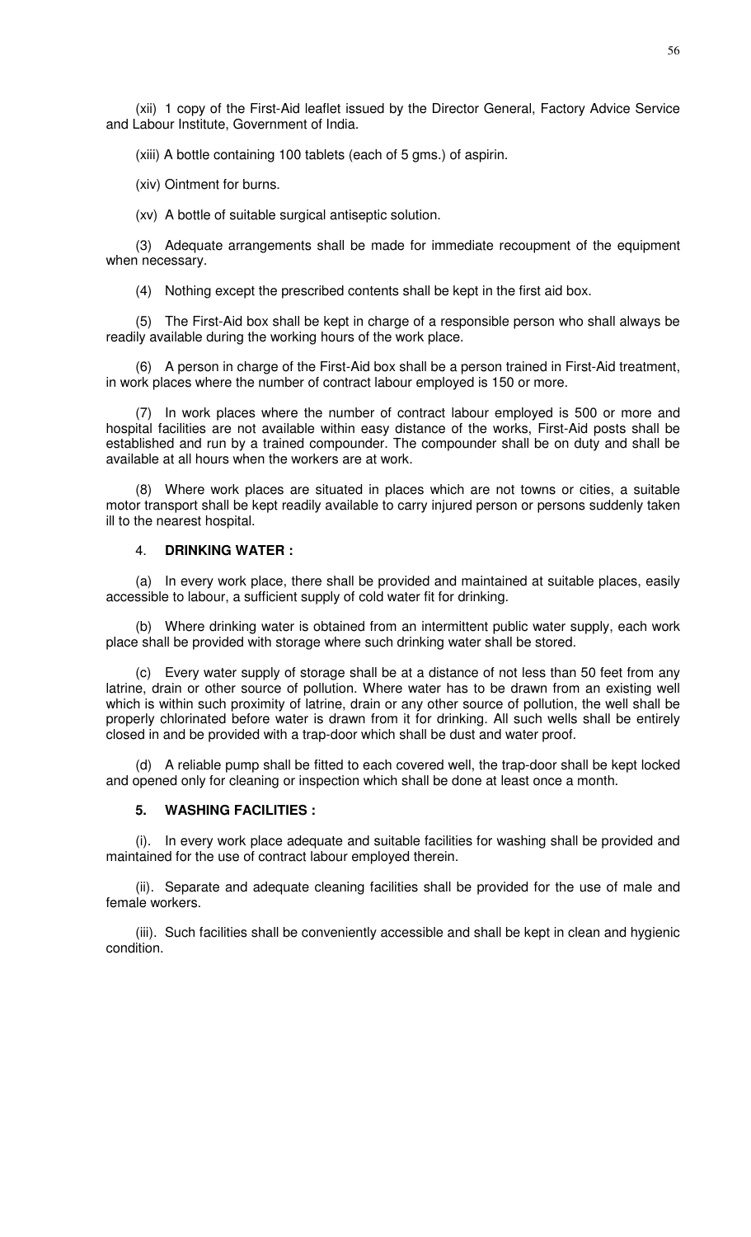(xii) 1 copy of the First-Aid leaflet issued by the Director General, Factory Advice Service and Labour Institute, Government of India.

(xiii) A bottle containing 100 tablets (each of 5 gms.) of aspirin.

(xiv) Ointment for burns.

(xv) A bottle of suitable surgical antiseptic solution.

(3) Adequate arrangements shall be made for immediate recoupment of the equipment when necessary.

(4) Nothing except the prescribed contents shall be kept in the first aid box.

(5) The First-Aid box shall be kept in charge of a responsible person who shall always be readily available during the working hours of the work place.

(6) A person in charge of the First-Aid box shall be a person trained in First-Aid treatment, in work places where the number of contract labour employed is 150 or more.

(7) In work places where the number of contract labour employed is 500 or more and hospital facilities are not available within easy distance of the works, First-Aid posts shall be established and run by a trained compounder. The compounder shall be on duty and shall be available at all hours when the workers are at work.

(8) Where work places are situated in places which are not towns or cities, a suitable motor transport shall be kept readily available to carry injured person or persons suddenly taken ill to the nearest hospital.

### 4. **DRINKING WATER :**

(a) In every work place, there shall be provided and maintained at suitable places, easily accessible to labour, a sufficient supply of cold water fit for drinking.

(b) Where drinking water is obtained from an intermittent public water supply, each work place shall be provided with storage where such drinking water shall be stored.

(c) Every water supply of storage shall be at a distance of not less than 50 feet from any latrine, drain or other source of pollution. Where water has to be drawn from an existing well which is within such proximity of latrine, drain or any other source of pollution, the well shall be properly chlorinated before water is drawn from it for drinking. All such wells shall be entirely closed in and be provided with a trap-door which shall be dust and water proof.

(d) A reliable pump shall be fitted to each covered well, the trap-door shall be kept locked and opened only for cleaning or inspection which shall be done at least once a month.

#### **5. WASHING FACILITIES :**

(i). In every work place adequate and suitable facilities for washing shall be provided and maintained for the use of contract labour employed therein.

(ii). Separate and adequate cleaning facilities shall be provided for the use of male and female workers.

(iii). Such facilities shall be conveniently accessible and shall be kept in clean and hygienic condition.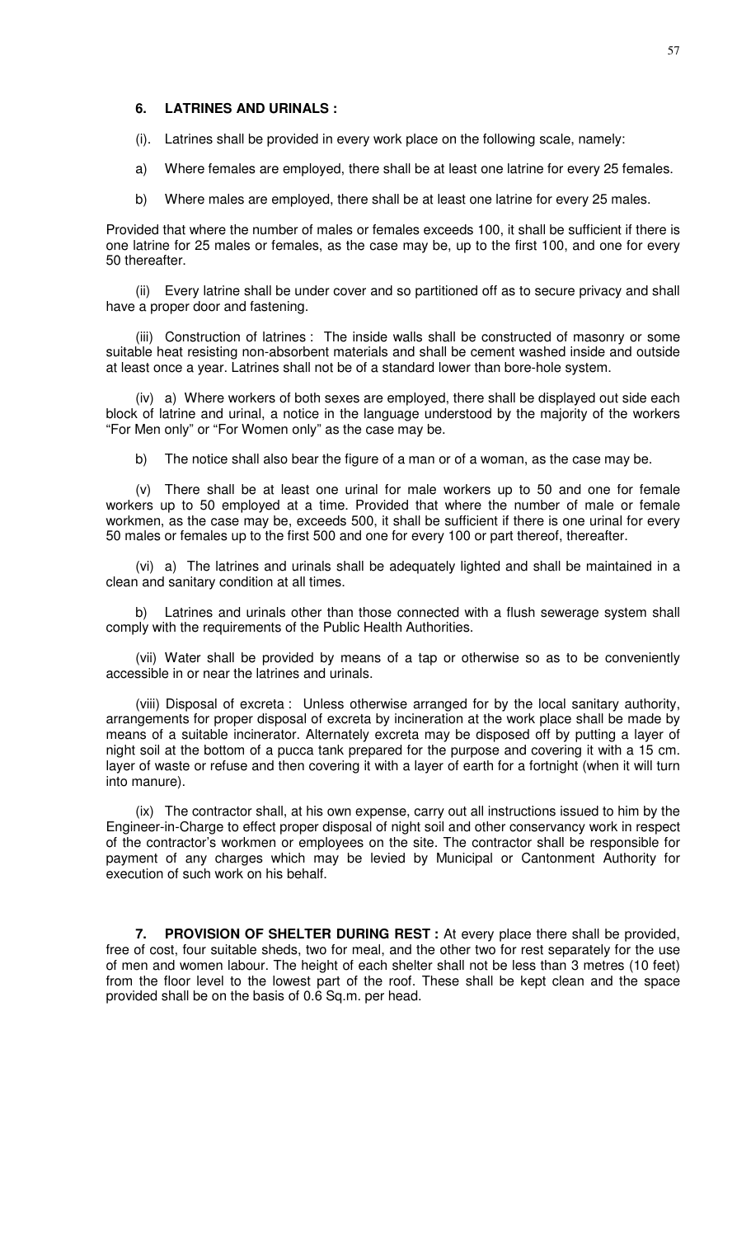### **6. LATRINES AND URINALS :**

(i). Latrines shall be provided in every work place on the following scale, namely:

a) Where females are employed, there shall be at least one latrine for every 25 females.

b) Where males are employed, there shall be at least one latrine for every 25 males.

Provided that where the number of males or females exceeds 100, it shall be sufficient if there is one latrine for 25 males or females, as the case may be, up to the first 100, and one for every 50 thereafter.

(ii) Every latrine shall be under cover and so partitioned off as to secure privacy and shall have a proper door and fastening.

(iii) Construction of latrines : The inside walls shall be constructed of masonry or some suitable heat resisting non-absorbent materials and shall be cement washed inside and outside at least once a year. Latrines shall not be of a standard lower than bore-hole system.

(iv) a) Where workers of both sexes are employed, there shall be displayed out side each block of latrine and urinal, a notice in the language understood by the majority of the workers "For Men only" or "For Women only" as the case may be.

b) The notice shall also bear the figure of a man or of a woman, as the case may be.

(v) There shall be at least one urinal for male workers up to 50 and one for female workers up to 50 employed at a time. Provided that where the number of male or female workmen, as the case may be, exceeds 500, it shall be sufficient if there is one urinal for every 50 males or females up to the first 500 and one for every 100 or part thereof, thereafter.

(vi) a) The latrines and urinals shall be adequately lighted and shall be maintained in a clean and sanitary condition at all times.

b) Latrines and urinals other than those connected with a flush sewerage system shall comply with the requirements of the Public Health Authorities.

(vii) Water shall be provided by means of a tap or otherwise so as to be conveniently accessible in or near the latrines and urinals.

(viii) Disposal of excreta : Unless otherwise arranged for by the local sanitary authority, arrangements for proper disposal of excreta by incineration at the work place shall be made by means of a suitable incinerator. Alternately excreta may be disposed off by putting a layer of night soil at the bottom of a pucca tank prepared for the purpose and covering it with a 15 cm. layer of waste or refuse and then covering it with a layer of earth for a fortnight (when it will turn into manure).

(ix) The contractor shall, at his own expense, carry out all instructions issued to him by the Engineer-in-Charge to effect proper disposal of night soil and other conservancy work in respect of the contractor's workmen or employees on the site. The contractor shall be responsible for payment of any charges which may be levied by Municipal or Cantonment Authority for execution of such work on his behalf.

**7. PROVISION OF SHELTER DURING REST :** At every place there shall be provided, free of cost, four suitable sheds, two for meal, and the other two for rest separately for the use of men and women labour. The height of each shelter shall not be less than 3 metres (10 feet) from the floor level to the lowest part of the roof. These shall be kept clean and the space provided shall be on the basis of 0.6 Sq.m. per head.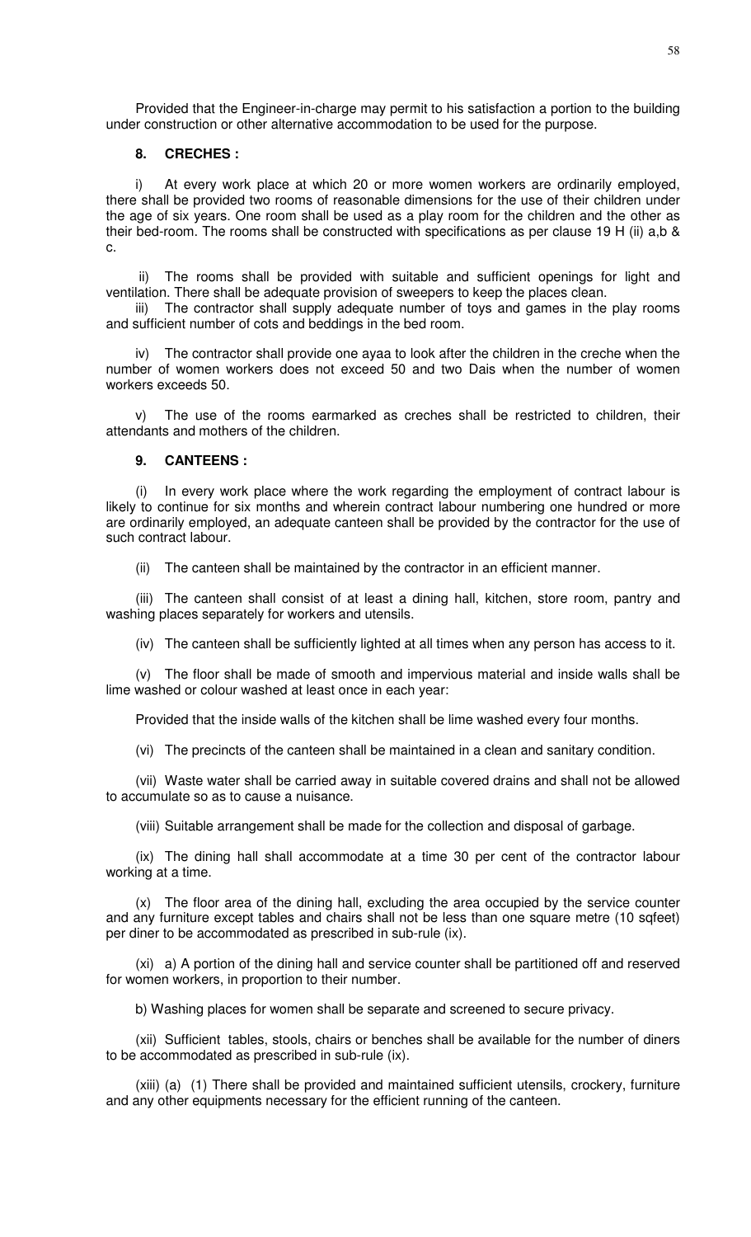Provided that the Engineer-in-charge may permit to his satisfaction a portion to the building under construction or other alternative accommodation to be used for the purpose.

#### **8. CRECHES :**

i) At every work place at which 20 or more women workers are ordinarily employed, there shall be provided two rooms of reasonable dimensions for the use of their children under the age of six years. One room shall be used as a play room for the children and the other as their bed-room. The rooms shall be constructed with specifications as per clause 19 H (ii) a,b & c.

 ii) The rooms shall be provided with suitable and sufficient openings for light and ventilation. There shall be adequate provision of sweepers to keep the places clean.

iii) The contractor shall supply adequate number of toys and games in the play rooms and sufficient number of cots and beddings in the bed room.

iv) The contractor shall provide one ayaa to look after the children in the creche when the number of women workers does not exceed 50 and two Dais when the number of women workers exceeds 50.

v) The use of the rooms earmarked as creches shall be restricted to children, their attendants and mothers of the children.

### **9. CANTEENS :**

(i) In every work place where the work regarding the employment of contract labour is likely to continue for six months and wherein contract labour numbering one hundred or more are ordinarily employed, an adequate canteen shall be provided by the contractor for the use of such contract labour.

(ii) The canteen shall be maintained by the contractor in an efficient manner.

(iii) The canteen shall consist of at least a dining hall, kitchen, store room, pantry and washing places separately for workers and utensils.

(iv) The canteen shall be sufficiently lighted at all times when any person has access to it.

(v) The floor shall be made of smooth and impervious material and inside walls shall be lime washed or colour washed at least once in each year:

Provided that the inside walls of the kitchen shall be lime washed every four months.

(vi) The precincts of the canteen shall be maintained in a clean and sanitary condition.

(vii) Waste water shall be carried away in suitable covered drains and shall not be allowed to accumulate so as to cause a nuisance.

(viii) Suitable arrangement shall be made for the collection and disposal of garbage.

(ix) The dining hall shall accommodate at a time 30 per cent of the contractor labour working at a time.

(x) The floor area of the dining hall, excluding the area occupied by the service counter and any furniture except tables and chairs shall not be less than one square metre (10 sqfeet) per diner to be accommodated as prescribed in sub-rule (ix).

(xi) a) A portion of the dining hall and service counter shall be partitioned off and reserved for women workers, in proportion to their number.

b) Washing places for women shall be separate and screened to secure privacy.

(xii) Sufficient tables, stools, chairs or benches shall be available for the number of diners to be accommodated as prescribed in sub-rule (ix).

(xiii) (a) (1) There shall be provided and maintained sufficient utensils, crockery, furniture and any other equipments necessary for the efficient running of the canteen.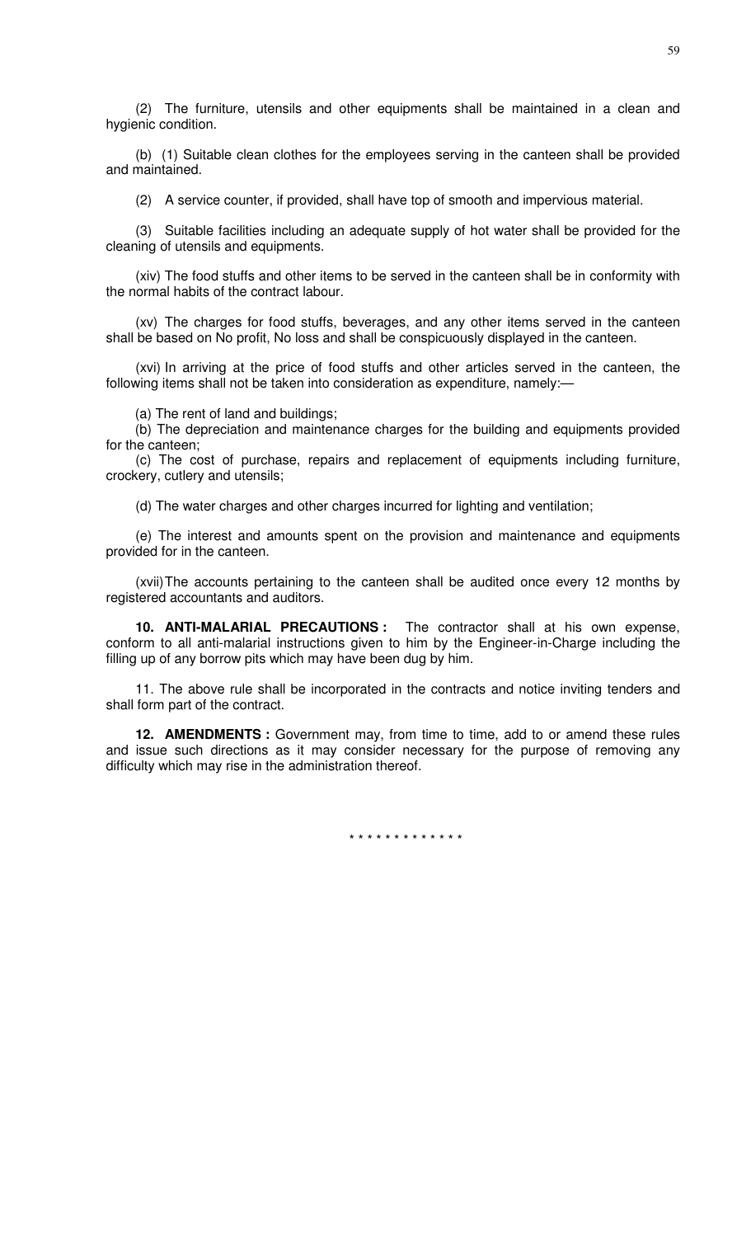(2) The furniture, utensils and other equipments shall be maintained in a clean and hygienic condition.

(b) (1) Suitable clean clothes for the employees serving in the canteen shall be provided and maintained.

(2) A service counter, if provided, shall have top of smooth and impervious material.

(3) Suitable facilities including an adequate supply of hot water shall be provided for the cleaning of utensils and equipments.

(xiv) The food stuffs and other items to be served in the canteen shall be in conformity with the normal habits of the contract labour.

(xv) The charges for food stuffs, beverages, and any other items served in the canteen shall be based on No profit, No loss and shall be conspicuously displayed in the canteen.

(xvi) In arriving at the price of food stuffs and other articles served in the canteen, the following items shall not be taken into consideration as expenditure, namely:—

(a) The rent of land and buildings;

(b) The depreciation and maintenance charges for the building and equipments provided for the canteen;

(c) The cost of purchase, repairs and replacement of equipments including furniture, crockery, cutlery and utensils;

(d) The water charges and other charges incurred for lighting and ventilation;

(e) The interest and amounts spent on the provision and maintenance and equipments provided for in the canteen.

(xvii) The accounts pertaining to the canteen shall be audited once every 12 months by registered accountants and auditors.

**10. ANTI-MALARIAL PRECAUTIONS :** The contractor shall at his own expense, conform to all anti-malarial instructions given to him by the Engineer-in-Charge including the filling up of any borrow pits which may have been dug by him.

11. The above rule shall be incorporated in the contracts and notice inviting tenders and shall form part of the contract.

**12. AMENDMENTS :** Government may, from time to time, add to or amend these rules and issue such directions as it may consider necessary for the purpose of removing any difficulty which may rise in the administration thereof.

\* \* \* \* \* \* \* \* \* \* \* \* \*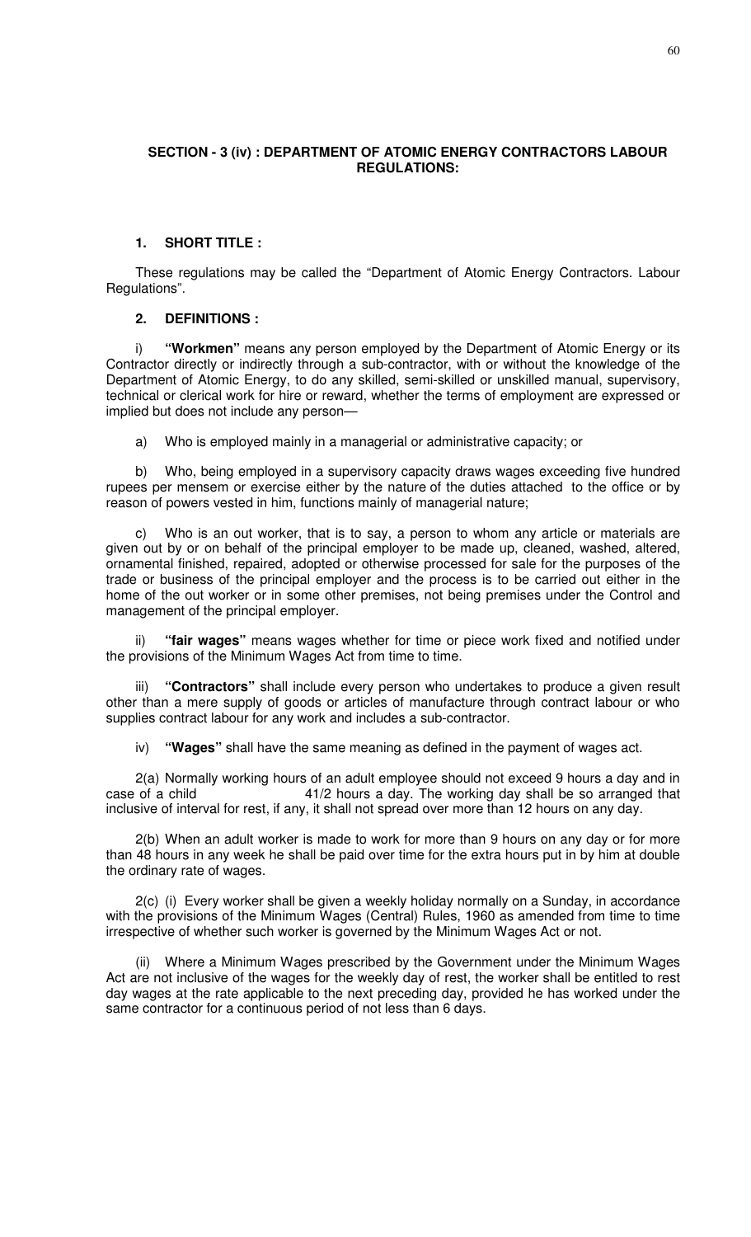### **SECTION - 3 (iv) : DEPARTMENT OF ATOMIC ENERGY CONTRACTORS LABOUR REGULATIONS:**

### **1. SHORT TITLE :**

These regulations may be called the "Department of Atomic Energy Contractors. Labour Regulations".

### **2. DEFINITIONS :**

i) **"Workmen"** means any person employed by the Department of Atomic Energy or its Contractor directly or indirectly through a sub-contractor, with or without the knowledge of the Department of Atomic Energy, to do any skilled, semi-skilled or unskilled manual, supervisory, technical or clerical work for hire or reward, whether the terms of employment are expressed or implied but does not include any person—

a) Who is employed mainly in a managerial or administrative capacity; or

b) Who, being employed in a supervisory capacity draws wages exceeding five hundred rupees per mensem or exercise either by the nature of the duties attached to the office or by reason of powers vested in him, functions mainly of managerial nature;

c) Who is an out worker, that is to say, a person to whom any article or materials are given out by or on behalf of the principal employer to be made up, cleaned, washed, altered, ornamental finished, repaired, adopted or otherwise processed for sale for the purposes of the trade or business of the principal employer and the process is to be carried out either in the home of the out worker or in some other premises, not being premises under the Control and management of the principal employer.

"fair wages" means wages whether for time or piece work fixed and notified under the provisions of the Minimum Wages Act from time to time.

iii) **"Contractors"** shall include every person who undertakes to produce a given result other than a mere supply of goods or articles of manufacture through contract labour or who supplies contract labour for any work and includes a sub-contractor.

iv) **"Wages"** shall have the same meaning as defined in the payment of wages act.

2(a) Normally working hours of an adult employee should not exceed 9 hours a day and in case of a child 41/2 hours a day. The working day shall be so arranged that inclusive of interval for rest, if any, it shall not spread over more than 12 hours on any day.

2(b) When an adult worker is made to work for more than 9 hours on any day or for more than 48 hours in any week he shall be paid over time for the extra hours put in by him at double the ordinary rate of wages.

2(c) (i) Every worker shall be given a weekly holiday normally on a Sunday, in accordance with the provisions of the Minimum Wages (Central) Rules, 1960 as amended from time to time irrespective of whether such worker is governed by the Minimum Wages Act or not.

(ii) Where a Minimum Wages prescribed by the Government under the Minimum Wages Act are not inclusive of the wages for the weekly day of rest, the worker shall be entitled to rest day wages at the rate applicable to the next preceding day, provided he has worked under the same contractor for a continuous period of not less than 6 days.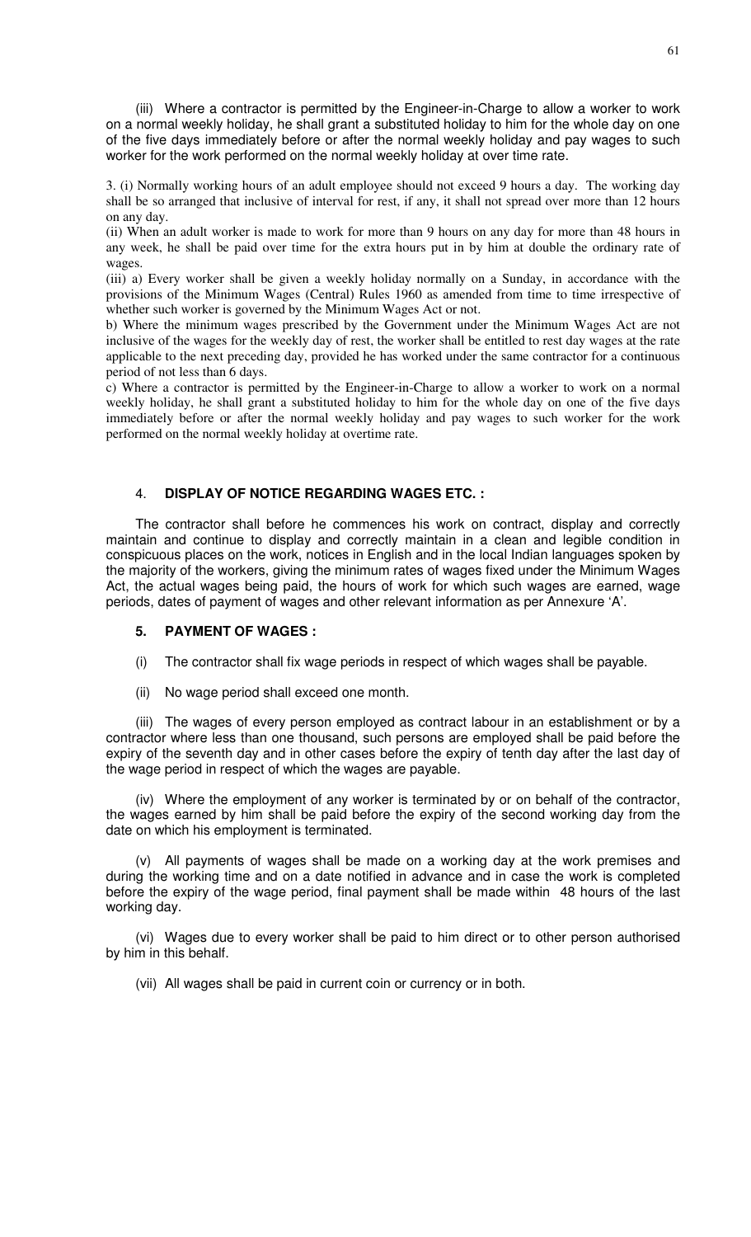(iii) Where a contractor is permitted by the Engineer-in-Charge to allow a worker to work on a normal weekly holiday, he shall grant a substituted holiday to him for the whole day on one of the five days immediately before or after the normal weekly holiday and pay wages to such worker for the work performed on the normal weekly holiday at over time rate.

3. (i) Normally working hours of an adult employee should not exceed 9 hours a day. The working day shall be so arranged that inclusive of interval for rest, if any, it shall not spread over more than 12 hours on any day.

(ii) When an adult worker is made to work for more than 9 hours on any day for more than 48 hours in any week, he shall be paid over time for the extra hours put in by him at double the ordinary rate of wages.

(iii) a) Every worker shall be given a weekly holiday normally on a Sunday, in accordance with the provisions of the Minimum Wages (Central) Rules 1960 as amended from time to time irrespective of whether such worker is governed by the Minimum Wages Act or not.

b) Where the minimum wages prescribed by the Government under the Minimum Wages Act are not inclusive of the wages for the weekly day of rest, the worker shall be entitled to rest day wages at the rate applicable to the next preceding day, provided he has worked under the same contractor for a continuous period of not less than 6 days.

c) Where a contractor is permitted by the Engineer-in-Charge to allow a worker to work on a normal weekly holiday, he shall grant a substituted holiday to him for the whole day on one of the five days immediately before or after the normal weekly holiday and pay wages to such worker for the work performed on the normal weekly holiday at overtime rate.

### 4. **DISPLAY OF NOTICE REGARDING WAGES ETC. :**

The contractor shall before he commences his work on contract, display and correctly maintain and continue to display and correctly maintain in a clean and legible condition in conspicuous places on the work, notices in English and in the local Indian languages spoken by the majority of the workers, giving the minimum rates of wages fixed under the Minimum Wages Act, the actual wages being paid, the hours of work for which such wages are earned, wage periods, dates of payment of wages and other relevant information as per Annexure 'A'.

### **5. PAYMENT OF WAGES :**

- (i) The contractor shall fix wage periods in respect of which wages shall be payable.
- (ii) No wage period shall exceed one month.

(iii) The wages of every person employed as contract labour in an establishment or by a contractor where less than one thousand, such persons are employed shall be paid before the expiry of the seventh day and in other cases before the expiry of tenth day after the last day of the wage period in respect of which the wages are payable.

(iv) Where the employment of any worker is terminated by or on behalf of the contractor, the wages earned by him shall be paid before the expiry of the second working day from the date on which his employment is terminated.

(v) All payments of wages shall be made on a working day at the work premises and during the working time and on a date notified in advance and in case the work is completed before the expiry of the wage period, final payment shall be made within 48 hours of the last working day.

(vi) Wages due to every worker shall be paid to him direct or to other person authorised by him in this behalf.

(vii) All wages shall be paid in current coin or currency or in both.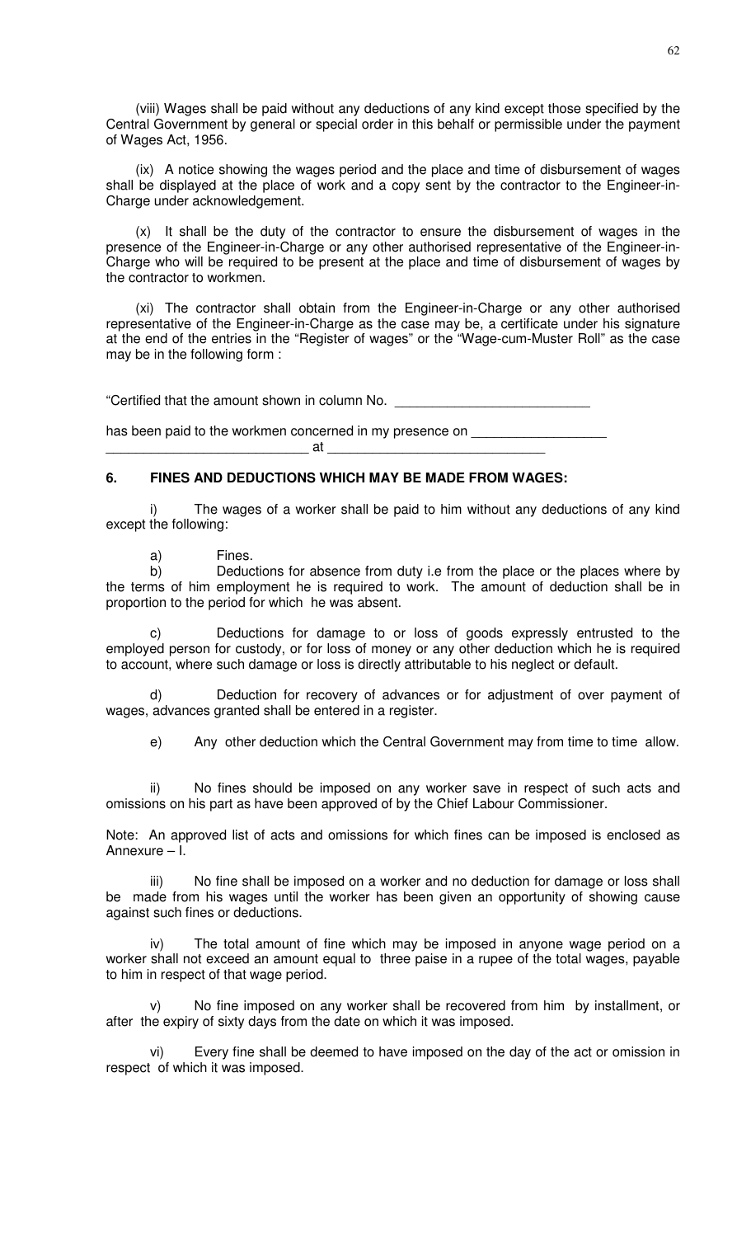(viii) Wages shall be paid without any deductions of any kind except those specified by the Central Government by general or special order in this behalf or permissible under the payment of Wages Act, 1956.

(ix) A notice showing the wages period and the place and time of disbursement of wages shall be displayed at the place of work and a copy sent by the contractor to the Engineer-in-Charge under acknowledgement.

(x) It shall be the duty of the contractor to ensure the disbursement of wages in the presence of the Engineer-in-Charge or any other authorised representative of the Engineer-in-Charge who will be required to be present at the place and time of disbursement of wages by the contractor to workmen.

(xi) The contractor shall obtain from the Engineer-in-Charge or any other authorised representative of the Engineer-in-Charge as the case may be, a certificate under his signature at the end of the entries in the "Register of wages" or the "Wage-cum-Muster Roll" as the case may be in the following form :

"Certified that the amount shown in column No.

has been paid to the workmen concerned in my presence on \_\_\_\_\_ \_\_\_\_\_\_\_\_\_\_\_\_\_\_\_\_\_\_\_\_\_\_\_\_\_\_\_ at \_\_\_\_\_\_\_\_\_\_\_\_\_\_\_\_\_\_\_\_\_\_\_\_\_\_\_\_\_

# **6. FINES AND DEDUCTIONS WHICH MAY BE MADE FROM WAGES:**

i) The wages of a worker shall be paid to him without any deductions of any kind except the following:

a) Fines.

b) Deductions for absence from duty i.e from the place or the places where by the terms of him employment he is required to work. The amount of deduction shall be in proportion to the period for which he was absent.

Deductions for damage to or loss of goods expressly entrusted to the employed person for custody, or for loss of money or any other deduction which he is required to account, where such damage or loss is directly attributable to his neglect or default.

d) Deduction for recovery of advances or for adjustment of over payment of wages, advances granted shall be entered in a register.

e) Any other deduction which the Central Government may from time to time allow.

ii) No fines should be imposed on any worker save in respect of such acts and omissions on his part as have been approved of by the Chief Labour Commissioner.

Note: An approved list of acts and omissions for which fines can be imposed is enclosed as Annexure – I.

No fine shall be imposed on a worker and no deduction for damage or loss shall be made from his wages until the worker has been given an opportunity of showing cause against such fines or deductions.

iv) The total amount of fine which may be imposed in anyone wage period on a worker shall not exceed an amount equal to three paise in a rupee of the total wages, payable to him in respect of that wage period.

v) No fine imposed on any worker shall be recovered from him by installment, or after the expiry of sixty days from the date on which it was imposed.

vi) Every fine shall be deemed to have imposed on the day of the act or omission in respect of which it was imposed.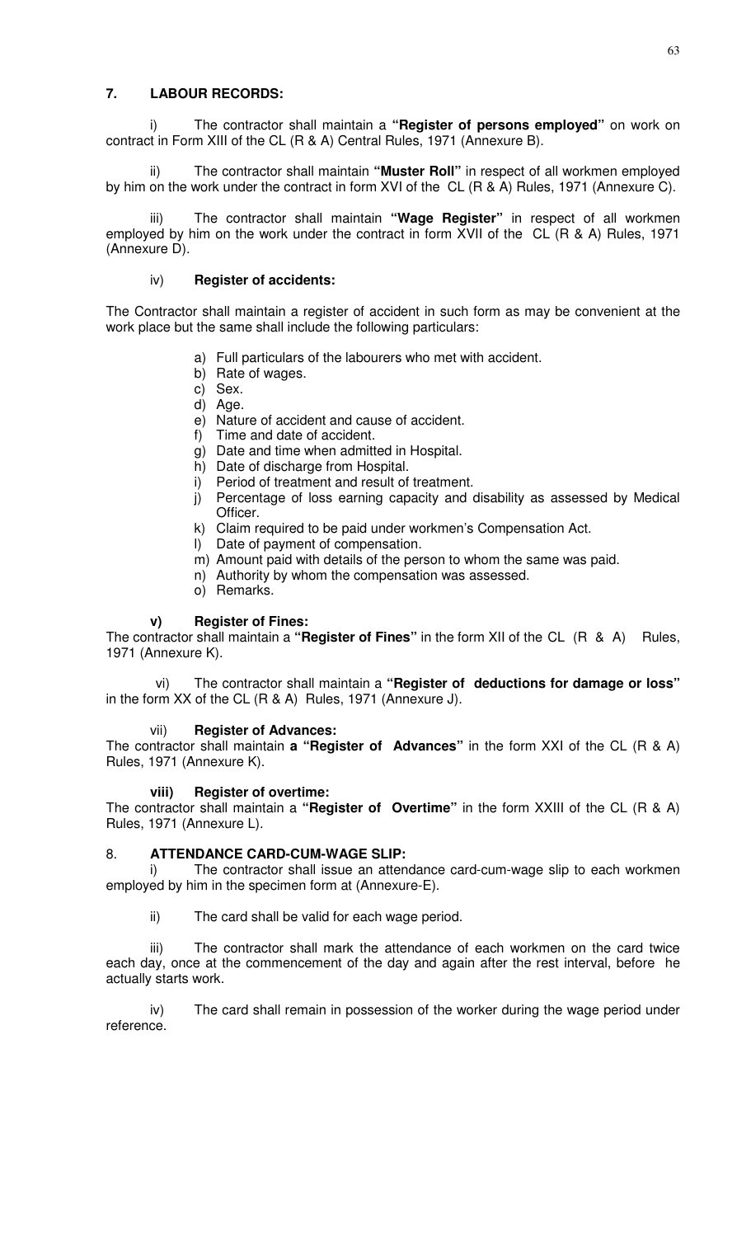# **7. LABOUR RECORDS:**

i) The contractor shall maintain a **"Register of persons employed"** on work on contract in Form XIII of the CL (R & A) Central Rules, 1971 (Annexure B).

The contractor shall maintain "Muster Roll" in respect of all workmen employed by him on the work under the contract in form XVI of the CL (R & A) Rules, 1971 (Annexure C).

The contractor shall maintain "Wage Register" in respect of all workmen employed by him on the work under the contract in form XVII of the CL (R & A) Rules, 1971 (Annexure D).

# iv) **Register of accidents:**

The Contractor shall maintain a register of accident in such form as may be convenient at the work place but the same shall include the following particulars:

- a) Full particulars of the labourers who met with accident.
- b) Rate of wages.
- c) Sex.
- d) Age.
- e) Nature of accident and cause of accident.
- f) Time and date of accident.
- g) Date and time when admitted in Hospital.
- h) Date of discharge from Hospital.
- i) Period of treatment and result of treatment.
- j) Percentage of loss earning capacity and disability as assessed by Medical Officer.
- k) Claim required to be paid under workmen's Compensation Act.
- l) Date of payment of compensation.
- m) Amount paid with details of the person to whom the same was paid.
- n) Authority by whom the compensation was assessed.
- o) Remarks.

### **v) Register of Fines:**

The contractor shall maintain a **"Register of Fines"** in the form XII of the CL (R & A) Rules, 1971 (Annexure K).

vi) The contractor shall maintain a **"Register of deductions for damage or loss"** in the form XX of the CL (R & A) Rules, 1971 (Annexure J).

# vii) **Register of Advances:**

The contractor shall maintain **a "Register of Advances"** in the form XXI of the CL (R & A) Rules, 1971 (Annexure K).

### **viii) Register of overtime:**

The contractor shall maintain a **"Register of Overtime"** in the form XXIII of the CL (R & A) Rules, 1971 (Annexure L).

### 8. **ATTENDANCE CARD-CUM-WAGE SLIP:**

i) The contractor shall issue an attendance card-cum-wage slip to each workmen employed by him in the specimen form at (Annexure-E).

ii) The card shall be valid for each wage period.

iii) The contractor shall mark the attendance of each workmen on the card twice each day, once at the commencement of the day and again after the rest interval, before he actually starts work.

iv) The card shall remain in possession of the worker during the wage period under reference.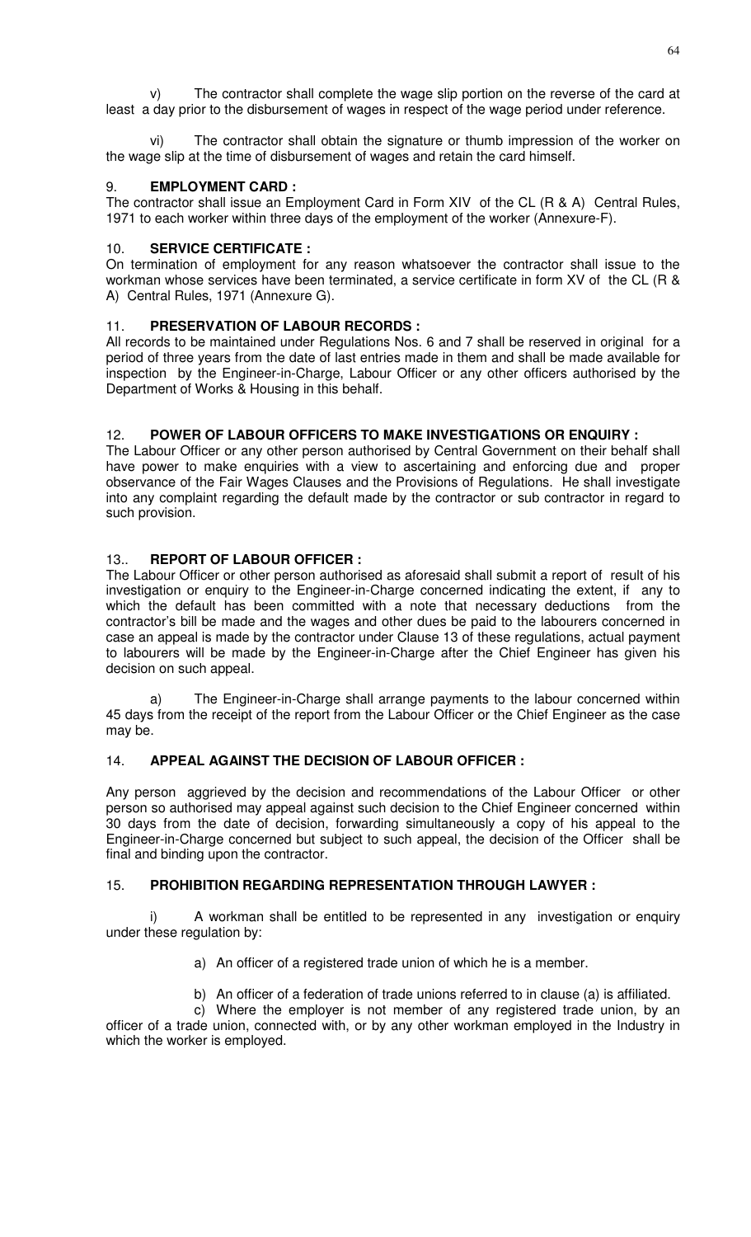v) The contractor shall complete the wage slip portion on the reverse of the card at least a day prior to the disbursement of wages in respect of the wage period under reference.

vi) The contractor shall obtain the signature or thumb impression of the worker on the wage slip at the time of disbursement of wages and retain the card himself.

# 9. **EMPLOYMENT CARD :**

The contractor shall issue an Employment Card in Form XIV of the CL (R & A) Central Rules, 1971 to each worker within three days of the employment of the worker (Annexure-F).

# 10. **SERVICE CERTIFICATE :**

On termination of employment for any reason whatsoever the contractor shall issue to the workman whose services have been terminated, a service certificate in form XV of the CL (R & A) Central Rules, 1971 (Annexure G).

# 11. **PRESERVATION OF LABOUR RECORDS :**

All records to be maintained under Regulations Nos. 6 and 7 shall be reserved in original for a period of three years from the date of last entries made in them and shall be made available for inspection by the Engineer-in-Charge, Labour Officer or any other officers authorised by the Department of Works & Housing in this behalf.

# 12. **POWER OF LABOUR OFFICERS TO MAKE INVESTIGATIONS OR ENQUIRY :**

The Labour Officer or any other person authorised by Central Government on their behalf shall have power to make enquiries with a view to ascertaining and enforcing due and proper observance of the Fair Wages Clauses and the Provisions of Regulations. He shall investigate into any complaint regarding the default made by the contractor or sub contractor in regard to such provision.

# 13.. **REPORT OF LABOUR OFFICER :**

The Labour Officer or other person authorised as aforesaid shall submit a report of result of his investigation or enquiry to the Engineer-in-Charge concerned indicating the extent, if any to which the default has been committed with a note that necessary deductions from the contractor's bill be made and the wages and other dues be paid to the labourers concerned in case an appeal is made by the contractor under Clause 13 of these regulations, actual payment to labourers will be made by the Engineer-in-Charge after the Chief Engineer has given his decision on such appeal.

The Engineer-in-Charge shall arrange payments to the labour concerned within 45 days from the receipt of the report from the Labour Officer or the Chief Engineer as the case may be.

# 14. **APPEAL AGAINST THE DECISION OF LABOUR OFFICER :**

Any person aggrieved by the decision and recommendations of the Labour Officer or other person so authorised may appeal against such decision to the Chief Engineer concerned within 30 days from the date of decision, forwarding simultaneously a copy of his appeal to the Engineer-in-Charge concerned but subject to such appeal, the decision of the Officer shall be final and binding upon the contractor.

# 15. **PROHIBITION REGARDING REPRESENTATION THROUGH LAWYER :**

i) A workman shall be entitled to be represented in any investigation or enquiry under these regulation by:

- a) An officer of a registered trade union of which he is a member.
- b) An officer of a federation of trade unions referred to in clause (a) is affiliated.

c) Where the employer is not member of any registered trade union, by an officer of a trade union, connected with, or by any other workman employed in the Industry in which the worker is employed.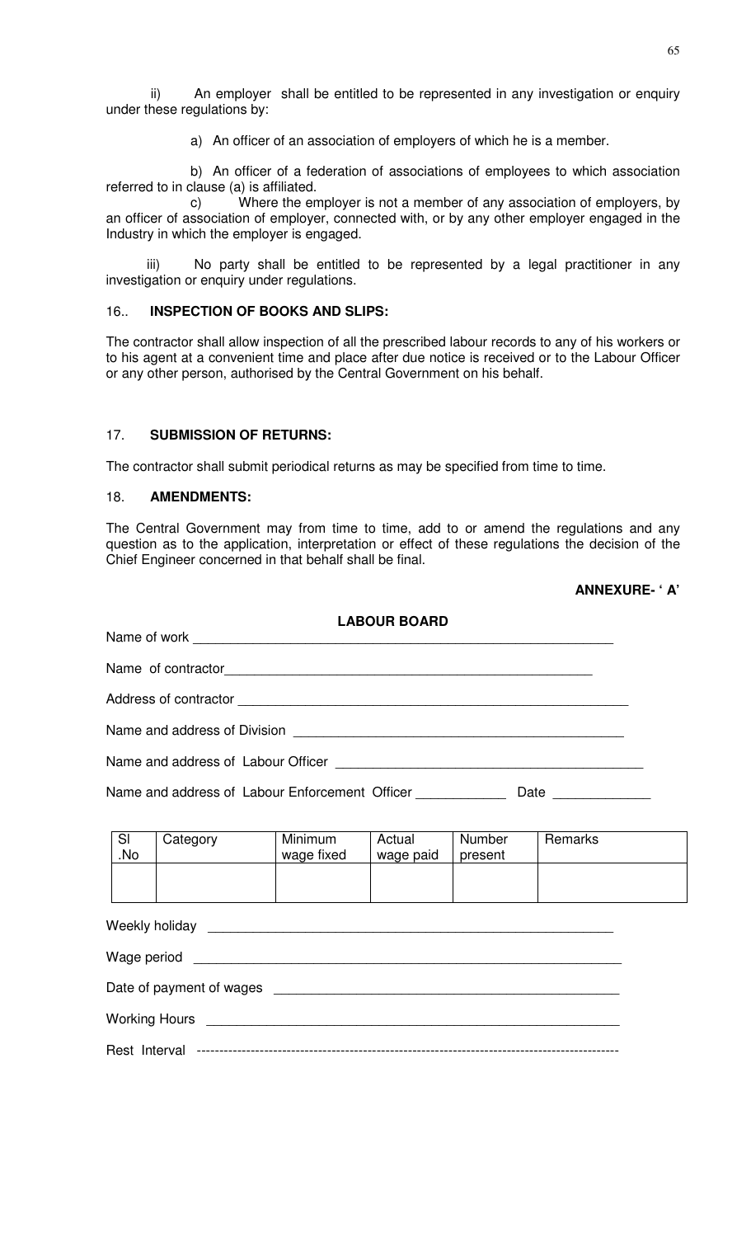ii) An employer shall be entitled to be represented in any investigation or enquiry under these regulations by:

a) An officer of an association of employers of which he is a member.

b) An officer of a federation of associations of employees to which association referred to in clause (a) is affiliated.

c) Where the employer is not a member of any association of employers, by an officer of association of employer, connected with, or by any other employer engaged in the Industry in which the employer is engaged.

 iii) No party shall be entitled to be represented by a legal practitioner in any investigation or enquiry under regulations.

## 16.. **INSPECTION OF BOOKS AND SLIPS:**

The contractor shall allow inspection of all the prescribed labour records to any of his workers or to his agent at a convenient time and place after due notice is received or to the Labour Officer or any other person, authorised by the Central Government on his behalf.

# 17. **SUBMISSION OF RETURNS:**

The contractor shall submit periodical returns as may be specified from time to time.

## 18. **AMENDMENTS:**

The Central Government may from time to time, add to or amend the regulations and any question as to the application, interpretation or effect of these regulations the decision of the Chief Engineer concerned in that behalf shall be final.

# **ANNEXURE- ' A'**

|                          |                                                                                                                                                                                | <b>LABOUR BOARD</b> |  |  |
|--------------------------|--------------------------------------------------------------------------------------------------------------------------------------------------------------------------------|---------------------|--|--|
|                          |                                                                                                                                                                                |                     |  |  |
|                          |                                                                                                                                                                                |                     |  |  |
|                          |                                                                                                                                                                                |                     |  |  |
|                          |                                                                                                                                                                                |                     |  |  |
|                          |                                                                                                                                                                                |                     |  |  |
|                          | Name and address of Labour Enforcement Officer _______________ Date ____________                                                                                               |                     |  |  |
| $\overline{\phantom{a}}$ | $\bigcap_{n=1}^{\infty}$ $\bigcap_{n=1}^{\infty}$ $\bigcap_{n=1}^{\infty}$ $\bigcap_{n=1}^{\infty}$ $\bigcap_{n=1}^{\infty}$ $\bigcap_{n=1}^{\infty}$ $\bigcap_{n=1}^{\infty}$ |                     |  |  |

| SI  | Category | Minimum    | Actual    | Number  | Remarks |
|-----|----------|------------|-----------|---------|---------|
| No. |          | wage fixed | wage paid | present |         |
|     |          |            |           |         |         |
|     |          |            |           |         |         |
|     |          |            |           |         |         |

| Date of payment of wages expression and the payment of wages |
|--------------------------------------------------------------|
|                                                              |
|                                                              |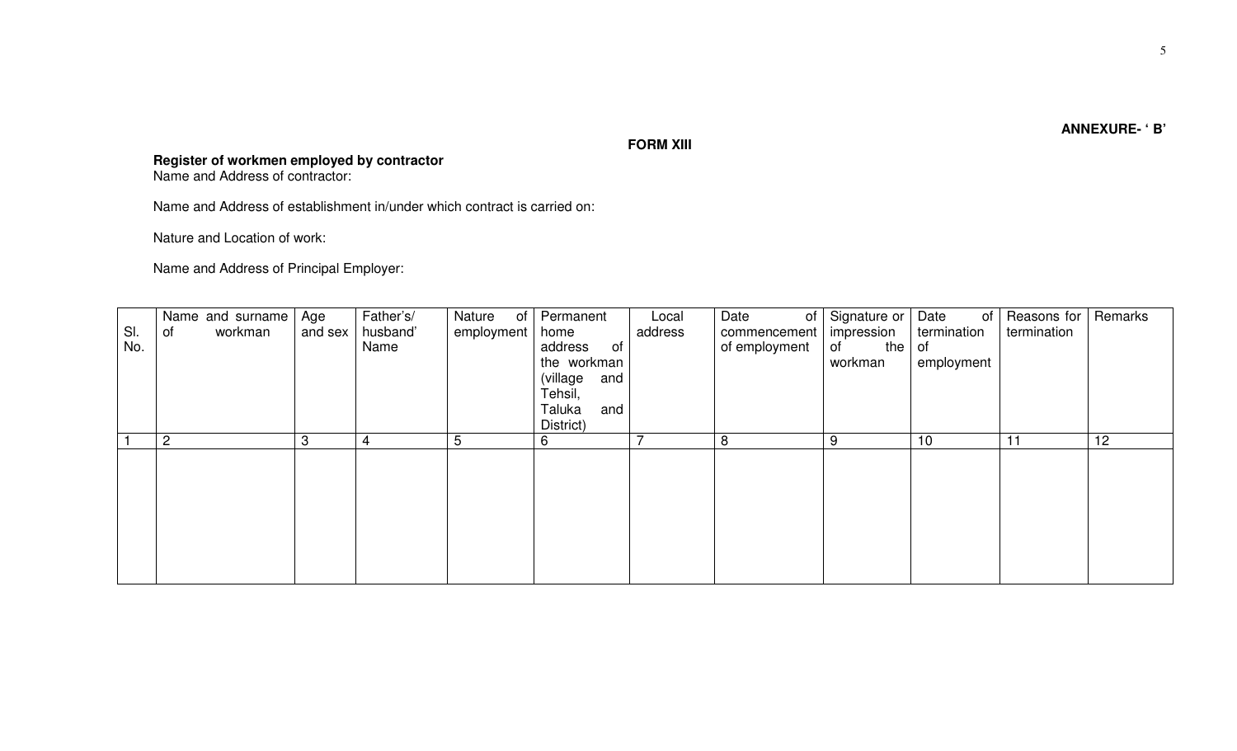# **FORM XIII**

**Register of workmen employed by contractor**  Name and Address of contractor:

Name and Address of establishment in/under which contract is carried on:

Nature and Location of work:

Name and Address of Principal Employer:

|     | Name and surname | Age     | Father's/ | Nature<br>of | Permanent       | Local   | Date<br>of <sub>1</sub> | Signature or | Date<br>of  | Reasons for | Remarks |
|-----|------------------|---------|-----------|--------------|-----------------|---------|-------------------------|--------------|-------------|-------------|---------|
| SI. | workman<br>of    | and sex | husband'  | employment   | home            | address | commencement            | impression   | termination | termination |         |
| No. |                  |         | Name      |              | address<br>of   |         | of employment           | the<br>of    | of          |             |         |
|     |                  |         |           |              | the workman     |         |                         | workman      | employment  |             |         |
|     |                  |         |           |              | (village<br>and |         |                         |              |             |             |         |
|     |                  |         |           |              | Tehsil,         |         |                         |              |             |             |         |
|     |                  |         |           |              | Taluka<br>and   |         |                         |              |             |             |         |
|     |                  |         |           |              | District)       |         |                         |              |             |             |         |
|     | $\overline{2}$   | 3       | 4         | 5            | 6               |         | 8                       | 9            | 10          | 11          | 12      |
|     |                  |         |           |              |                 |         |                         |              |             |             |         |
|     |                  |         |           |              |                 |         |                         |              |             |             |         |
|     |                  |         |           |              |                 |         |                         |              |             |             |         |
|     |                  |         |           |              |                 |         |                         |              |             |             |         |
|     |                  |         |           |              |                 |         |                         |              |             |             |         |
|     |                  |         |           |              |                 |         |                         |              |             |             |         |
|     |                  |         |           |              |                 |         |                         |              |             |             |         |
|     |                  |         |           |              |                 |         |                         |              |             |             |         |
|     |                  |         |           |              |                 |         |                         |              |             |             |         |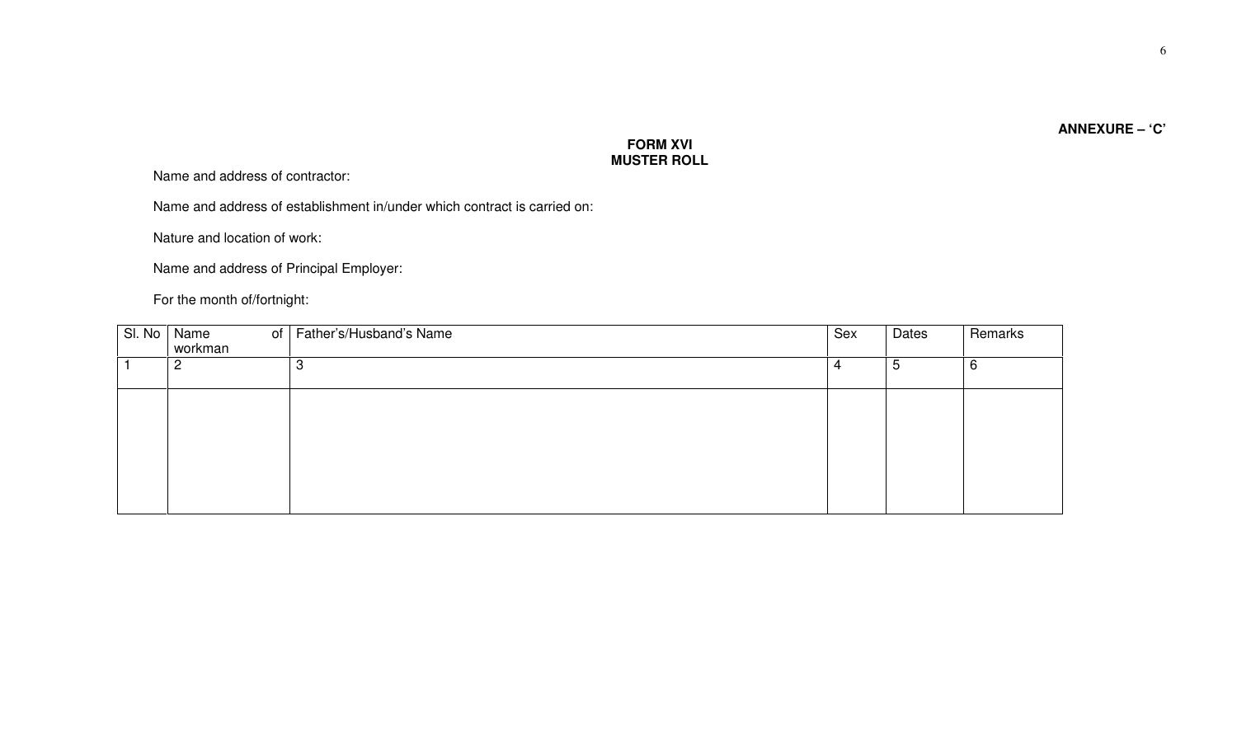# **FORM XVI MUSTER ROLL**

Name and address of contractor:

Name and address of establishment in/under which contract is carried on:

Nature and location of work:

Name and address of Principal Employer:

For the month of/fortnight:

| SI. No | Name<br>of<br>workman | Father's/Husband's Name | Sex | Dates | Remarks |
|--------|-----------------------|-------------------------|-----|-------|---------|
|        | ာ<br>⊂                | റ<br>౦                  | 4   | 5     | 6       |
|        |                       |                         |     |       |         |
|        |                       |                         |     |       |         |
|        |                       |                         |     |       |         |
|        |                       |                         |     |       |         |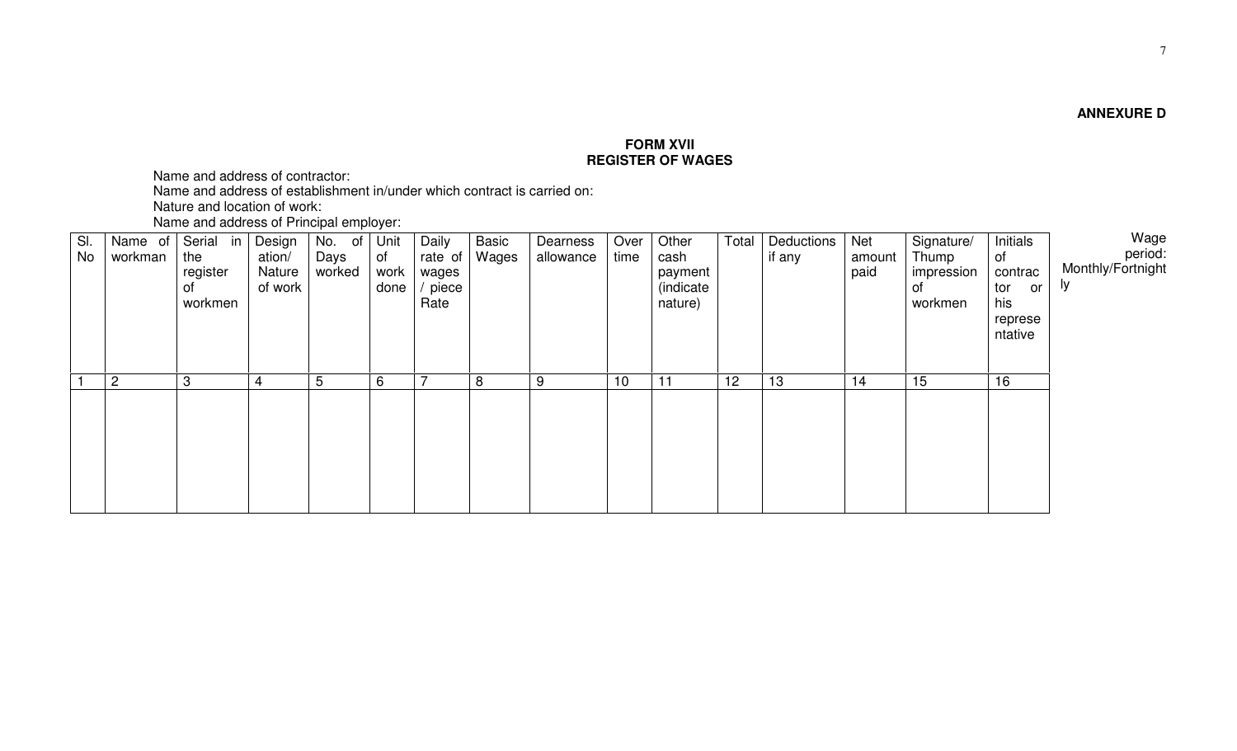# **FORM XVII REGISTER OF WAGES**

Name and address of contractor:

Name and address of establishment in/under which contract is carried on:

Nature and location of work:

Name and address of Principal employer:

| SI.<br>No | Name of<br>workman | Serial<br>in<br>the<br>register<br>Οf<br>workmen | Design<br>ation/<br>Nature<br>of work | of<br>No.<br>Days<br>worked | Unit<br>of<br>work<br>done | Daily<br>rate of<br>wages<br>piece<br>Rate | Basic<br>Wages | Dearness<br>allowance | Over<br>time | Other<br>cash<br>payment<br>(indicate<br>nature) | Total | Deductions<br>if any | Net<br>amount<br>paid | Signature/<br>Thump<br>impression<br>0t<br>workmen | <b>Initials</b><br>of<br>contrac<br>tor<br>or<br>his<br>represe<br>ntative | Wage<br>:period<br>Monthly/Fortnight<br>ly. |
|-----------|--------------------|--------------------------------------------------|---------------------------------------|-----------------------------|----------------------------|--------------------------------------------|----------------|-----------------------|--------------|--------------------------------------------------|-------|----------------------|-----------------------|----------------------------------------------------|----------------------------------------------------------------------------|---------------------------------------------|
|           | $\overline{2}$     | 3                                                | 4                                     | 5                           | 6                          | $\overline{\phantom{0}}$                   | 8              | 9                     | 10           | 11                                               | 12    | 13                   | 14                    | 15                                                 | 16                                                                         |                                             |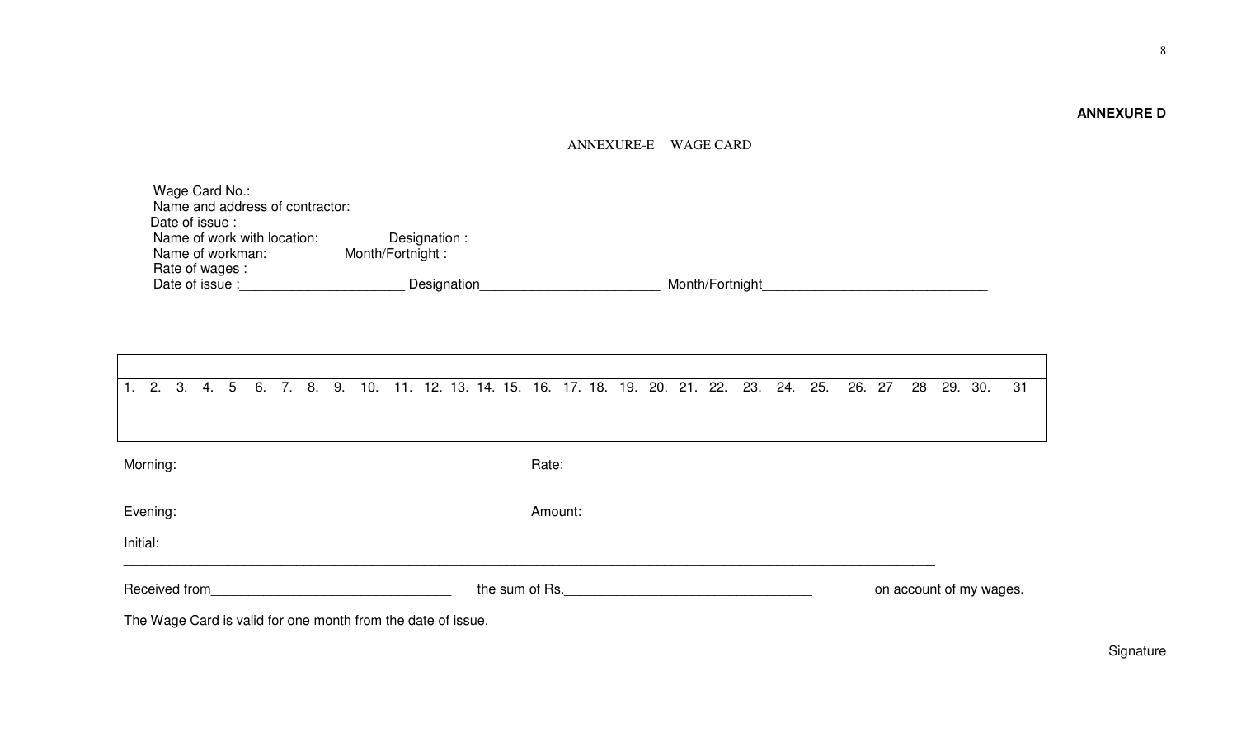# **ANNEXURE D**

8

# ANNEXURE-E WAGE CARD

| Wage Card No.:                  |                  |                 |
|---------------------------------|------------------|-----------------|
| Name and address of contractor: |                  |                 |
| Date of issue:                  |                  |                 |
| Name of work with location:     | Designation :    |                 |
| Name of workman:                | Month/Fortnight: |                 |
| Rate of wages :                 |                  |                 |
| Date of issue :                 | Designation      | Month/Fortnight |

| 1 <sub>1</sub>                                                   | 2.                                                           | 3. | 4. | 5 | 6. | 7. | 8. | 9. | 10. | 11. |  |  |                         |  |  |  |  |  |  |  |  |  | 12. 13. 14. 15. 16. 17. 18. 19. 20. 21. 22. 23. 24. 25. | 26. 27 | 28 | 29. | 30. | 31 |
|------------------------------------------------------------------|--------------------------------------------------------------|----|----|---|----|----|----|----|-----|-----|--|--|-------------------------|--|--|--|--|--|--|--|--|--|---------------------------------------------------------|--------|----|-----|-----|----|
|                                                                  | Morning:<br>Rate:                                            |    |    |   |    |    |    |    |     |     |  |  |                         |  |  |  |  |  |  |  |  |  |                                                         |        |    |     |     |    |
|                                                                  | Evening:<br>Amount:<br>Initial:                              |    |    |   |    |    |    |    |     |     |  |  |                         |  |  |  |  |  |  |  |  |  |                                                         |        |    |     |     |    |
| the sum of Rs. The same state of the sum of Rs.<br>Received from |                                                              |    |    |   |    |    |    |    |     |     |  |  | on account of my wages. |  |  |  |  |  |  |  |  |  |                                                         |        |    |     |     |    |
|                                                                  | The Wage Card is valid for one month from the date of issue. |    |    |   |    |    |    |    |     |     |  |  |                         |  |  |  |  |  |  |  |  |  |                                                         |        |    |     |     |    |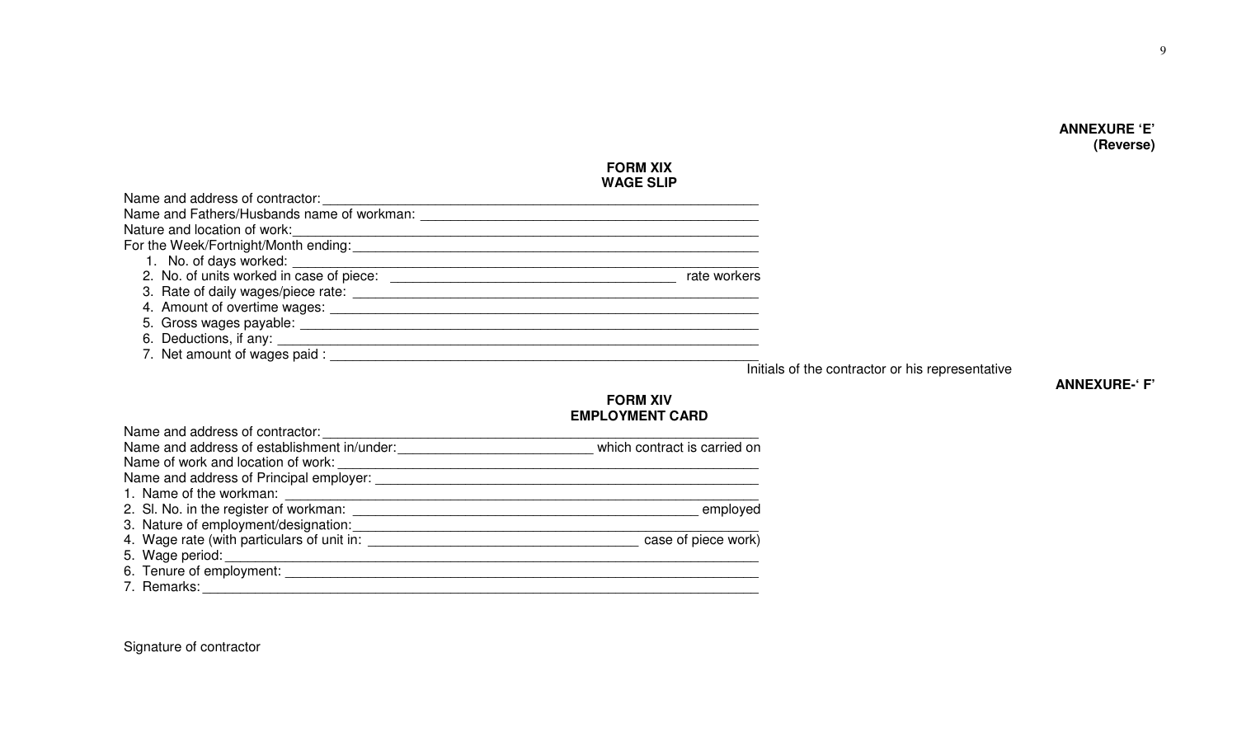# **FORM XIX WAGE SLIP**

| Name and address of contractor:                                              |              |
|------------------------------------------------------------------------------|--------------|
| Name and Fathers/Husbands name of workman:                                   |              |
| Nature and location of work:                                                 |              |
| For the Week/Fortnight/Month ending:<br>For the Week/Fortnight/Month ending: |              |
| 1. No. of days worked:                                                       |              |
| 2. No. of units worked in case of piece:                                     | rate workers |
| 3. Rate of daily wages/piece rate:                                           |              |
| 4. Amount of overtime wages:                                                 |              |
| 5. Gross wages payable:                                                      |              |
| 6. Deductions, if any: __________                                            |              |
| 7. Net amount of wages paid :                                                |              |
|                                                                              |              |

Initials of the contractor or his representative

# **ANNEXURE-' F'**

# **FORM XIV EMPLOYMENT CARD**

| Name and address of contractor:             |                              |
|---------------------------------------------|------------------------------|
| Name and address of establishment in/under: | which contract is carried on |
| Name of work and location of work:          |                              |
| Name and address of Principal employer:     |                              |
| 1. Name of the workman:                     |                              |
| 2. SI. No. in the register of workman:      | employed                     |
| 3. Nature of employment/designation:        |                              |
| 4. Wage rate (with particulars of unit in:  | case of piece work)          |
| 5. Wage period:                             |                              |
| 6. Tenure of employment: __________         |                              |
| 7. Remarks:                                 |                              |

Signature of contractor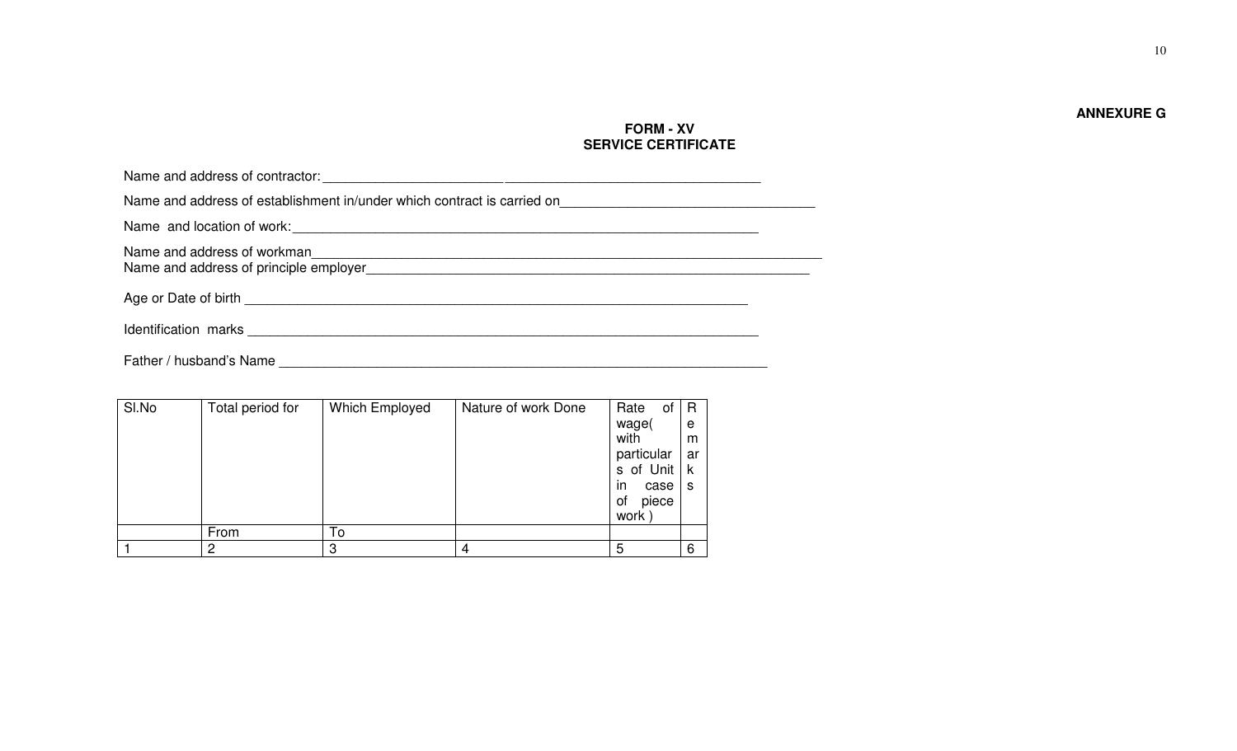**ANNEXURE G** 

# **FORM - XV SERVICE CERTIFICATE**

| Name and address of establishment in/under which contract is carried on                                         |  |
|-----------------------------------------------------------------------------------------------------------------|--|
|                                                                                                                 |  |
| Name and address of workman<br>Name and address of principle employer<br>Name and address of principle employer |  |
|                                                                                                                 |  |
| Identification marks                                                                                            |  |

Father / husband's Name \_\_\_\_\_\_\_\_\_\_\_\_\_\_\_\_\_\_\_\_\_\_\_\_\_\_\_\_\_\_\_\_\_\_\_\_\_\_\_\_\_\_\_\_\_\_\_\_\_\_\_\_\_\_\_\_\_\_\_\_\_\_\_\_\_

| SI.No | Total period for | Which Employed | Nature of work Done | Rate<br>οf        | $\mathsf R$ |
|-------|------------------|----------------|---------------------|-------------------|-------------|
|       |                  |                |                     | wage(             | e           |
|       |                  |                |                     | with              | m           |
|       |                  |                |                     | particular        | ar          |
|       |                  |                |                     | s of Unit   k     |             |
|       |                  |                |                     | in.<br>case $ s $ |             |
|       |                  |                |                     | piece<br>οf       |             |
|       |                  |                |                     | work              |             |
|       | From             | To             |                     |                   |             |
|       | 2                | 3              |                     | 5                 | 6           |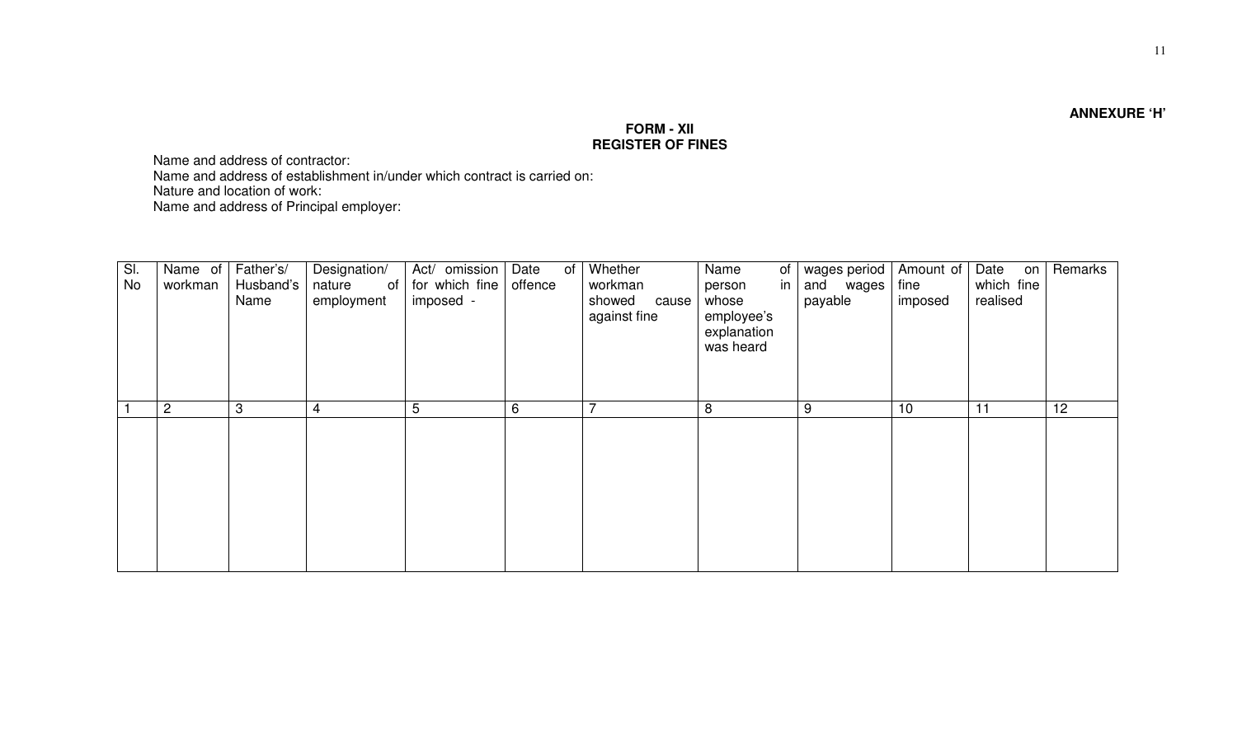**ANNEXURE 'H'** 

# **FORM - XII REGISTER OF FINES**

Name and address of contractor: Name and address of establishment in/under which contract is carried on:

Nature and location of work:

Name and address of Principal employer:

| SI.<br>No | Name of<br>workman | Father's/<br>Husband's<br>Name | Designation/<br>of  <br>nature<br>employment | Act/ omission<br>for which fine<br>imposed - | Date<br>of<br>offence | Whether<br>workman<br>showed<br>cause<br>against fine | Name<br>of I<br>in I<br>person<br>whose<br>employee's<br>explanation<br>was heard | wages period<br>and wages<br>payable | Amount of<br>fine<br>imposed | Date<br>on <sub>1</sub><br>which fine<br>realised | Remarks |
|-----------|--------------------|--------------------------------|----------------------------------------------|----------------------------------------------|-----------------------|-------------------------------------------------------|-----------------------------------------------------------------------------------|--------------------------------------|------------------------------|---------------------------------------------------|---------|
|           | $\overline{2}$     | 3                              | 4                                            | 5                                            | 6                     | $\rightarrow$                                         | 8                                                                                 | 9                                    | 10                           | 11                                                | 12      |
|           |                    |                                |                                              |                                              |                       |                                                       |                                                                                   |                                      |                              |                                                   |         |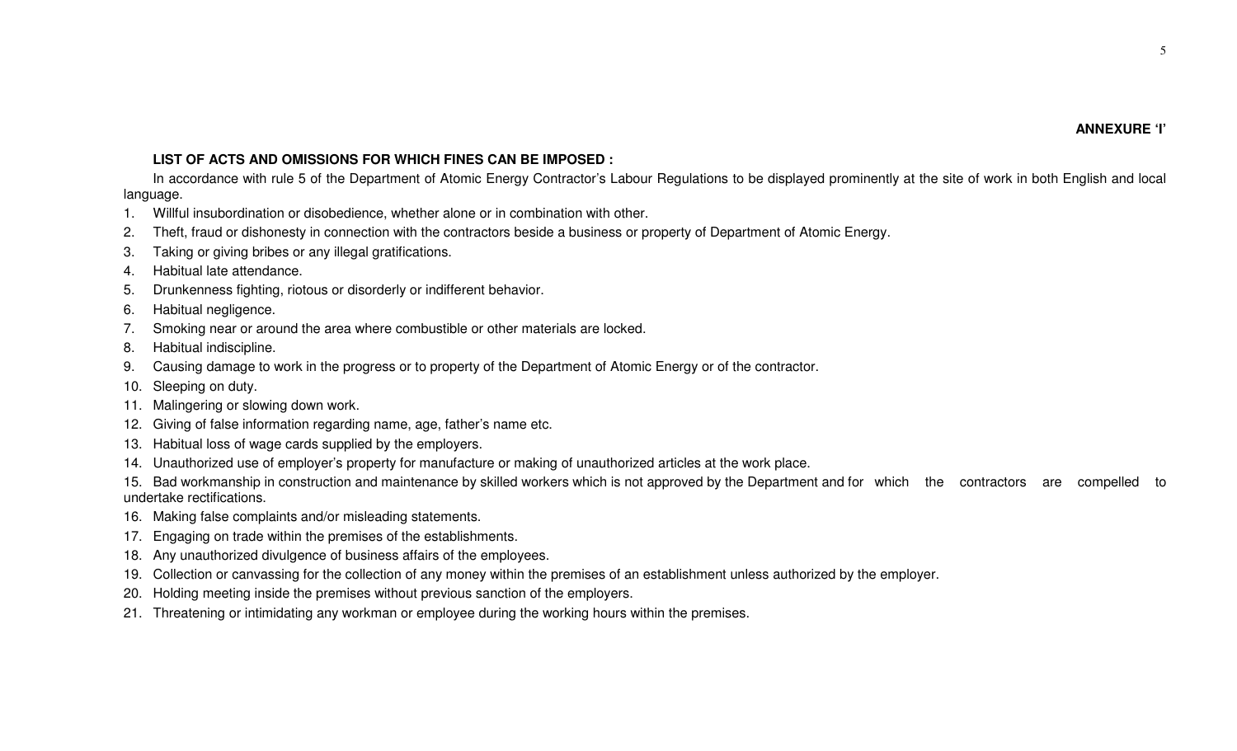# **LIST OF ACTS AND OMISSIONS FOR WHICH FINES CAN BE IMPOSED :**

In accordance with rule 5 of the Department of Atomic Energy Contractor's Labour Regulations to be displayed prominently at the site of work in both English and local language.

- 1. Willful insubordination or disobedience, whether alone or in combination with other.
- 2. Theft, fraud or dishonesty in connection with the contractors beside a business or property of Department of Atomic Energy.
- 3. Taking or giving bribes or any illegal gratifications.
- 4. Habitual late attendance.
- 5. Drunkenness fighting, riotous or disorderly or indifferent behavior.
- 6. Habitual negligence.
- 7. Smoking near or around the area where combustible or other materials are locked.
- 8. Habitual indiscipline.
- 9. Causing damage to work in the progress or to property of the Department of Atomic Energy or of the contractor.
- 10. Sleeping on duty.
- 11. Malingering or slowing down work.
- 12. Giving of false information regarding name, age, father's name etc.
- 13. Habitual loss of wage cards supplied by the employers.
- 14. Unauthorized use of employer's property for manufacture or making of unauthorized articles at the work place.
- 15. Bad workmanship in construction and maintenance by skilled workers which is not approved by the Department and for which the contractors are compelled to undertake rectifications.
- 16. Making false complaints and/or misleading statements.
- 17. Engaging on trade within the premises of the establishments.
- 18. Any unauthorized divulgence of business affairs of the employees.
- 19. Collection or canvassing for the collection of any money within the premises of an establishment unless authorized by the employer.
- 20. Holding meeting inside the premises without previous sanction of the employers.
- 21. Threatening or intimidating any workman or employee during the working hours within the premises.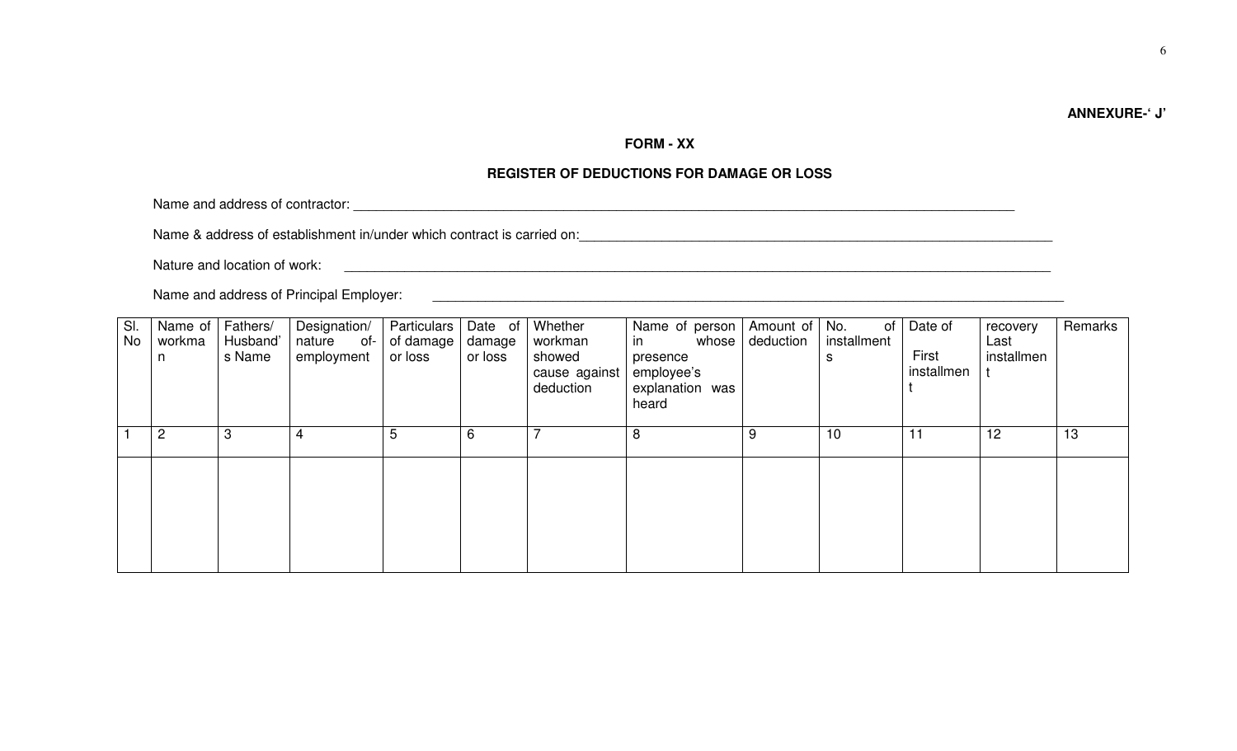# **ANNEXURE-' J'**

# **FORM - XX**

# **REGISTER OF DEDUCTIONS FOR DAMAGE OR LOSS**

Name and address of contractor:  $\blacksquare$ 

Name & address of establishment in/under which contract is carried on:

Nature and location of work: \_\_\_\_\_\_\_\_\_\_\_\_\_\_\_\_\_\_\_\_\_\_\_\_\_\_\_\_\_\_\_\_\_\_\_\_\_\_\_\_\_\_\_\_\_\_\_\_\_\_\_\_\_\_\_\_\_\_\_\_\_\_\_\_\_\_\_\_\_\_\_\_\_\_\_\_\_\_\_\_\_\_\_\_\_\_\_\_\_\_\_\_\_\_

Name and address of Principal Employer: \_\_\_\_\_\_\_\_\_\_\_\_\_\_\_\_\_\_\_\_\_\_\_\_\_\_\_\_\_\_\_\_\_\_\_\_\_\_\_\_\_\_\_\_\_\_\_\_\_\_\_\_\_\_\_\_\_\_\_\_\_\_\_\_\_\_\_\_\_\_\_\_\_\_\_\_\_\_\_\_\_\_\_\_

| SI. | Name of | Fathers/ | Designation/ | Particulars | Date of | Whether                              | Name of person I                                   | Amount of | No.<br>of   | Date of             | recovery   | Remarks |
|-----|---------|----------|--------------|-------------|---------|--------------------------------------|----------------------------------------------------|-----------|-------------|---------------------|------------|---------|
| No  | workma  | Husband' | nature of-   | of damage   | damage  | workman                              | whose<br>in                                        | deduction | installment |                     | Last       |         |
|     | n       | s Name   | employment   | or loss     | or loss | showed<br>cause against<br>deduction | presence<br>employee's<br>explanation was<br>heard |           | s           | First<br>installmen | installmen |         |
|     | 2       | 3        | 4            | 5           | 6       |                                      | 8                                                  | 9         | 10          | 11                  | 12         | 13      |
|     |         |          |              |             |         |                                      |                                                    |           |             |                     |            |         |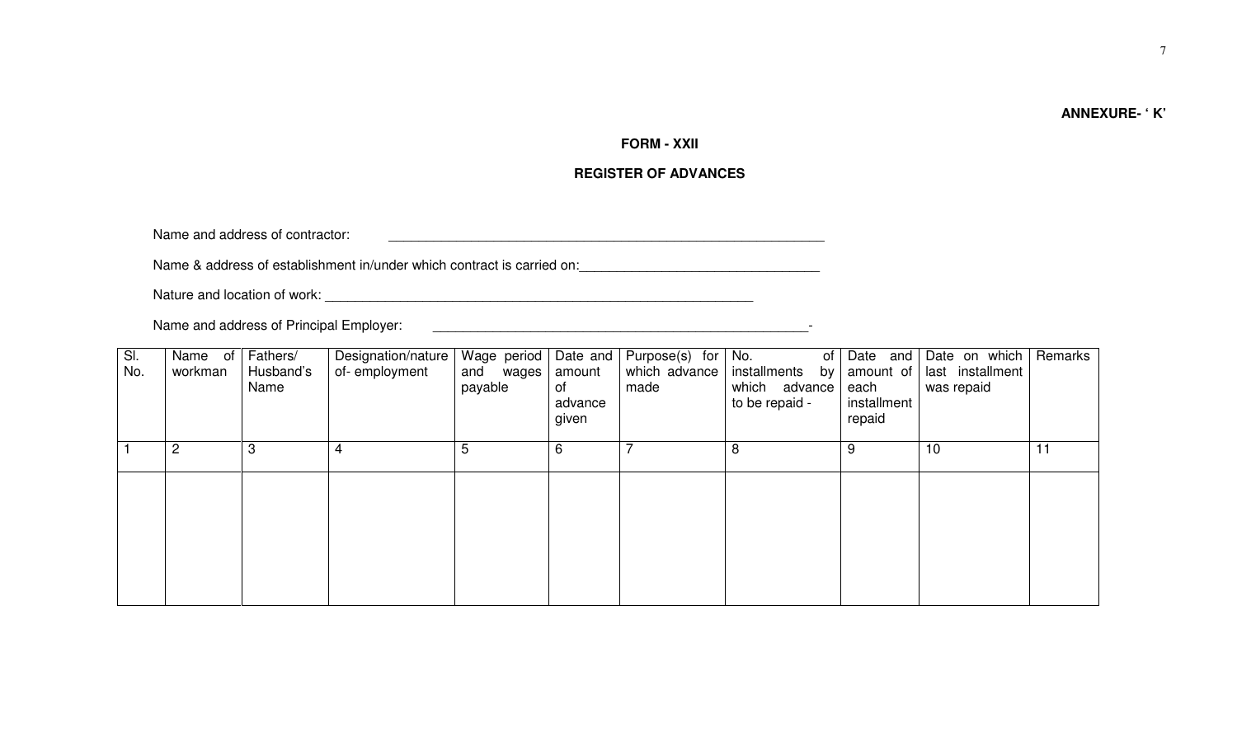# **ANNEXURE- ' K'**

# **FORM - XXII**

# **REGISTER OF ADVANCES**

Name and address of contractor: <br>  $\blacksquare$ 

Name & address of establishment in/under which contract is carried on:<br>

Nature and location of work: \_\_\_\_\_\_\_\_\_\_\_\_\_\_\_\_\_\_\_\_\_\_\_\_\_\_\_\_\_\_\_\_\_\_\_\_\_\_\_\_\_\_\_\_\_\_\_\_\_\_\_\_\_\_\_\_\_

Name and address of Principal Employer: \_\_\_\_\_\_\_\_\_\_\_\_\_\_\_\_\_\_\_\_\_\_\_\_\_\_\_\_\_\_\_\_\_\_\_\_\_\_\_\_\_\_\_\_\_\_\_\_\_\_-

| SI.<br>No. | Name of<br>workman | Fathers/<br>Husband's<br>Name | Designation/nature<br>of-employment | Wage period<br>and wages<br>payable | Date and<br>amount<br>of<br>advance<br>given | Purpose(s) for<br>which advance<br>made | No.<br>of<br>installments<br>by<br>which advance<br>to be repaid - | Date and<br>amount of<br>each<br>installment<br>repaid | Date on which<br>last installment<br>was repaid | Remarks |
|------------|--------------------|-------------------------------|-------------------------------------|-------------------------------------|----------------------------------------------|-----------------------------------------|--------------------------------------------------------------------|--------------------------------------------------------|-------------------------------------------------|---------|
|            | $\overline{2}$     | 3                             | 4                                   | 5                                   | 6                                            |                                         | 8                                                                  | 9                                                      | 10                                              | 11      |
|            |                    |                               |                                     |                                     |                                              |                                         |                                                                    |                                                        |                                                 |         |
|            |                    |                               |                                     |                                     |                                              |                                         |                                                                    |                                                        |                                                 |         |
|            |                    |                               |                                     |                                     |                                              |                                         |                                                                    |                                                        |                                                 |         |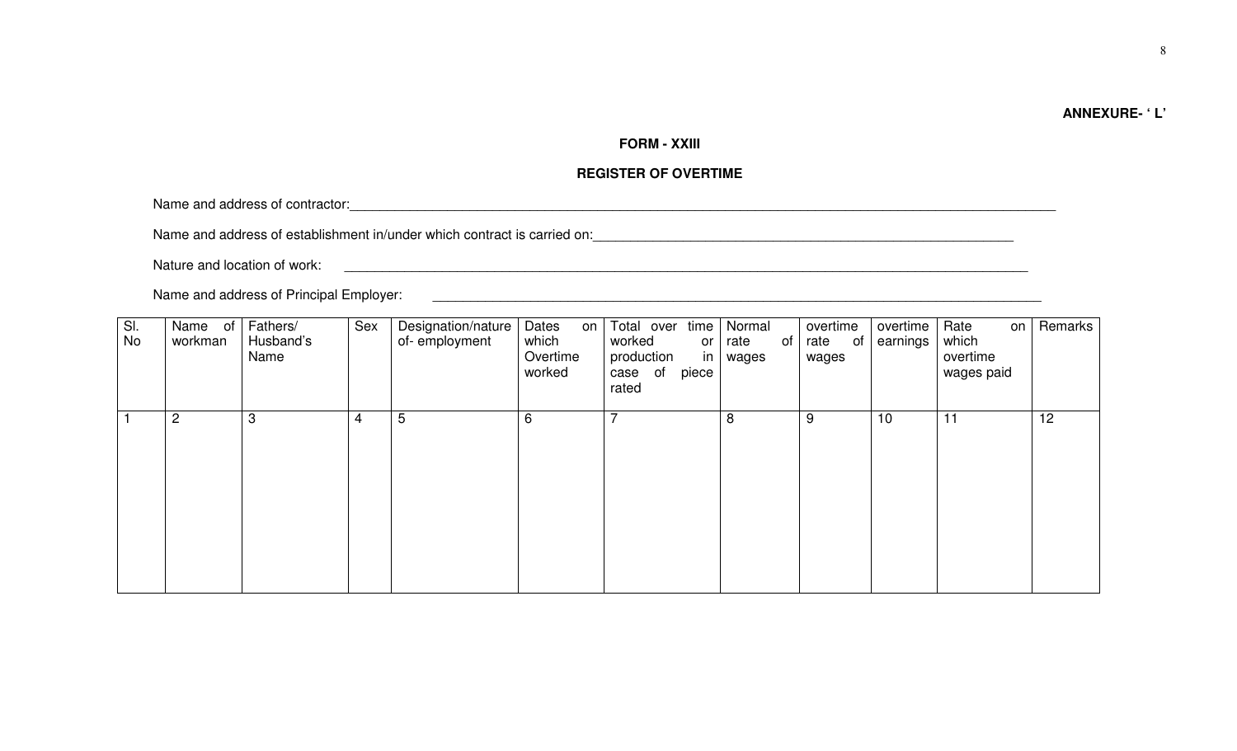# **ANNEXURE- ' L'**

# **FORM - XXIII**

# **REGISTER OF OVERTIME**

Name and address of contractor:

Name and address of establishment in/under which contract is carried on:<br>

Nature and location of work: \_\_\_\_\_\_\_\_\_\_\_\_\_\_\_\_\_\_\_\_\_\_\_\_\_\_\_\_\_\_\_\_\_\_\_\_\_\_\_\_\_\_\_\_\_\_\_\_\_\_\_\_\_\_\_\_\_\_\_\_\_\_\_\_\_\_\_\_\_\_\_\_\_\_\_\_\_\_\_\_\_\_\_\_\_\_\_\_\_\_\_

Name and address of Principal Employer: \_\_\_\_\_\_\_\_\_\_\_\_\_\_\_\_\_\_\_\_\_\_\_\_\_\_\_\_\_\_\_\_\_\_\_\_\_\_\_\_\_\_\_\_\_\_\_\_\_\_\_\_\_\_\_\_\_\_\_\_\_\_\_\_\_\_\_\_\_\_\_\_\_\_\_\_\_\_\_\_\_

| 3<br>5<br>$\overline{c}$<br>6<br>8<br>10<br>11<br>9<br>4 | No | overtime<br>Rate<br>Remarks<br>on <sub>1</sub><br>which<br>earnings<br>overtime<br>wages paid | overtime<br>rate<br>of<br>wages | of | Normal<br>rate<br>wages | Total over time<br>worked<br>or<br>production<br>in<br>piece<br>of<br>case<br>rated | Dates<br>on  <br>which<br>Overtime<br>worked | Designation/nature<br>of-employment | Sex | Fathers/<br>Husband's<br>Name | Name<br>of<br>workman | SI. |
|----------------------------------------------------------|----|-----------------------------------------------------------------------------------------------|---------------------------------|----|-------------------------|-------------------------------------------------------------------------------------|----------------------------------------------|-------------------------------------|-----|-------------------------------|-----------------------|-----|
|                                                          |    |                                                                                               |                                 |    |                         |                                                                                     |                                              |                                     |     |                               |                       |     |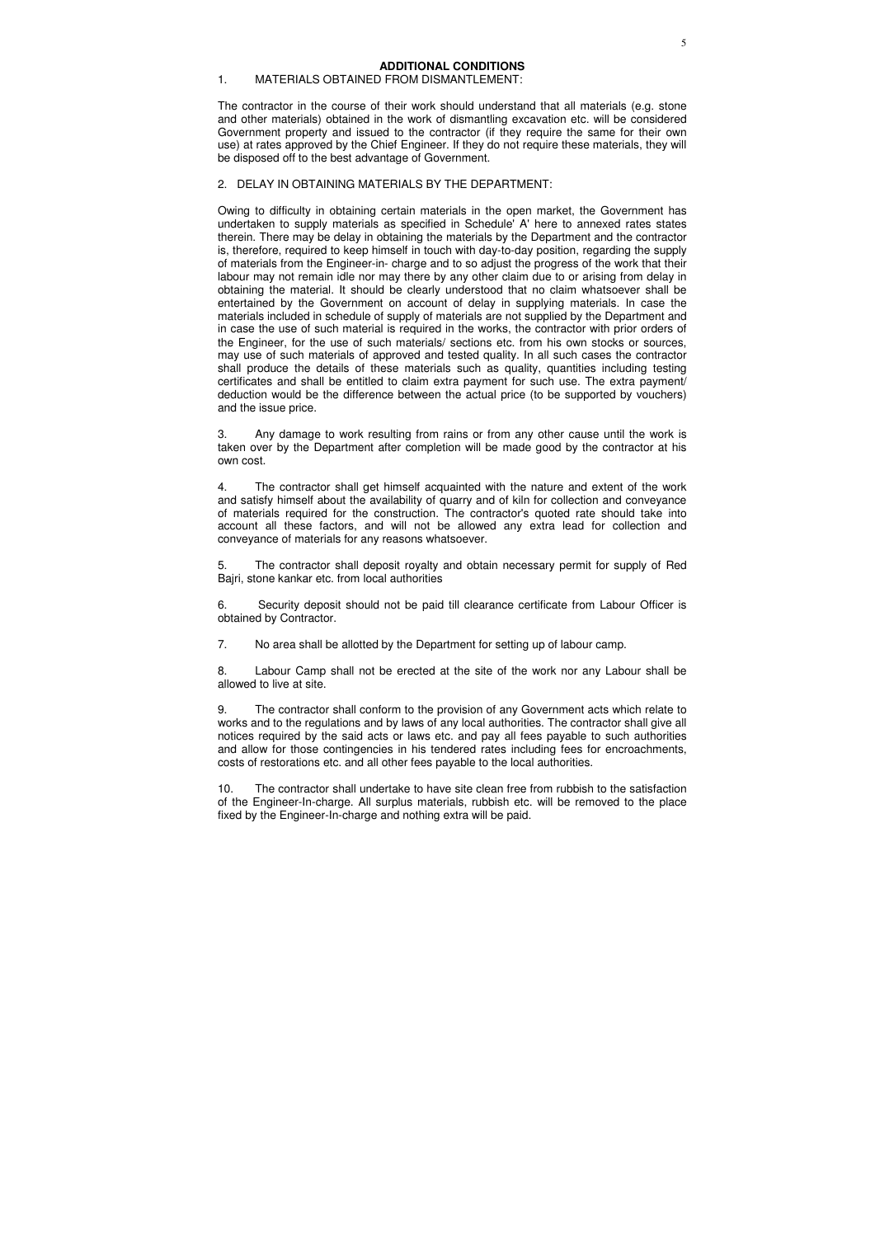## 1. MATERIALS OBTAINED FROM DISMANTLEMENT:

The contractor in the course of their work should understand that all materials (e.g. stone and other materials) obtained in the work of dismantling excavation etc. will be considered Government property and issued to the contractor (if they require the same for their own use) at rates approved by the Chief Engineer. If they do not require these materials, they will be disposed off to the best advantage of Government.

### 2. DELAY IN OBTAINING MATERIALS BY THE DEPARTMENT:

Owing to difficulty in obtaining certain materials in the open market, the Government has undertaken to supply materials as specified in Schedule' A' here to annexed rates states therein. There may be delay in obtaining the materials by the Department and the contractor is, therefore, required to keep himself in touch with day-to-day position, regarding the supply of materials from the Engineer-in- charge and to so adjust the progress of the work that their labour may not remain idle nor may there by any other claim due to or arising from delay in obtaining the material. It should be clearly understood that no claim whatsoever shall be entertained by the Government on account of delay in supplying materials. In case the materials included in schedule of supply of materials are not supplied by the Department and in case the use of such material is required in the works, the contractor with prior orders of the Engineer, for the use of such materials/ sections etc. from his own stocks or sources, may use of such materials of approved and tested quality. In all such cases the contractor shall produce the details of these materials such as quality, quantities including testing certificates and shall be entitled to claim extra payment for such use. The extra payment/ deduction would be the difference between the actual price (to be supported by vouchers) and the issue price.

3. Any damage to work resulting from rains or from any other cause until the work is taken over by the Department after completion will be made good by the contractor at his own cost.

4. The contractor shall get himself acquainted with the nature and extent of the work and satisfy himself about the availability of quarry and of kiln for collection and conveyance of materials required for the construction. The contractor's quoted rate should take into account all these factors, and will not be allowed any extra lead for collection and conveyance of materials for any reasons whatsoever.

5. The contractor shall deposit royalty and obtain necessary permit for supply of Red Bajri, stone kankar etc. from local authorities

6. Security deposit should not be paid till clearance certificate from Labour Officer is obtained by Contractor.

7. No area shall be allotted by the Department for setting up of labour camp.

8. Labour Camp shall not be erected at the site of the work nor any Labour shall be allowed to live at site.

9. The contractor shall conform to the provision of any Government acts which relate to works and to the regulations and by laws of any local authorities. The contractor shall give all notices required by the said acts or laws etc. and pay all fees payable to such authorities and allow for those contingencies in his tendered rates including fees for encroachments, costs of restorations etc. and all other fees payable to the local authorities.

10. The contractor shall undertake to have site clean free from rubbish to the satisfaction of the Engineer-In-charge. All surplus materials, rubbish etc. will be removed to the place fixed by the Engineer-In-charge and nothing extra will be paid.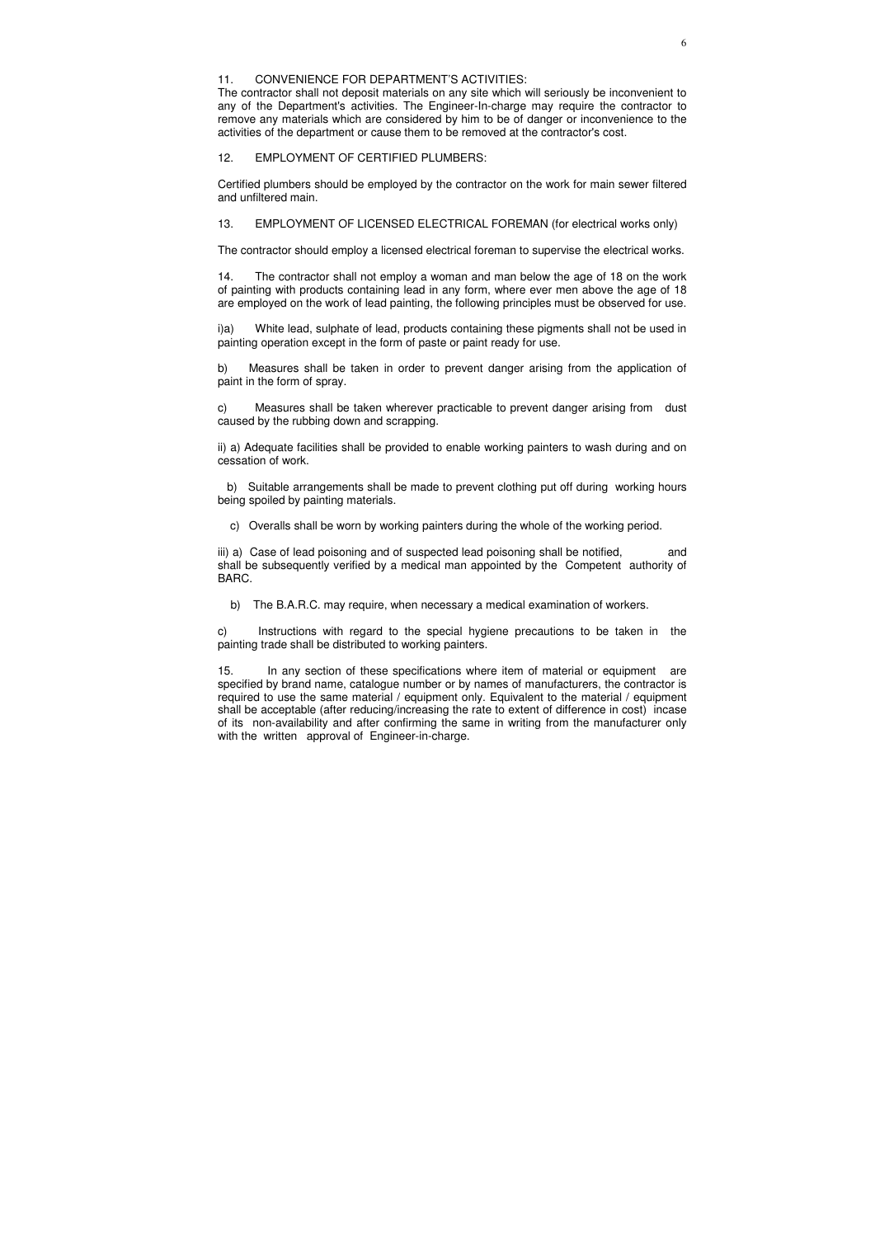## 11. CONVENIENCE FOR DEPARTMENT'S ACTIVITIES:

The contractor shall not deposit materials on any site which will seriously be inconvenient to any of the Department's activities. The Engineer-In-charge may require the contractor to remove any materials which are considered by him to be of danger or inconvenience to the activities of the department or cause them to be removed at the contractor's cost.

### 12. EMPLOYMENT OF CERTIFIED PLUMBERS:

Certified plumbers should be employed by the contractor on the work for main sewer filtered and unfiltered main.

13. EMPLOYMENT OF LICENSED ELECTRICAL FOREMAN (for electrical works only)

The contractor should employ a licensed electrical foreman to supervise the electrical works.

14. The contractor shall not employ a woman and man below the age of 18 on the work of painting with products containing lead in any form, where ever men above the age of 18 are employed on the work of lead painting, the following principles must be observed for use.

iii) a) Case of lead poisoning and of suspected lead poisoning shall be notified, and shall be subsequently verified by a medical man appointed by the Competent authority of BARC.

i)a) White lead, sulphate of lead, products containing these pigments shall not be used in painting operation except in the form of paste or paint ready for use.

b) Measures shall be taken in order to prevent danger arising from the application of paint in the form of spray.

c) Measures shall be taken wherever practicable to prevent danger arising from dust caused by the rubbing down and scrapping.

ii) a) Adequate facilities shall be provided to enable working painters to wash during and on cessation of work.

 b) Suitable arrangements shall be made to prevent clothing put off during working hours being spoiled by painting materials.

c) Overalls shall be worn by working painters during the whole of the working period.

b) The B.A.R.C. may require, when necessary a medical examination of workers.

c) Instructions with regard to the special hygiene precautions to be taken in the painting trade shall be distributed to working painters.

15. In any section of these specifications where item of material or equipment are specified by brand name, catalogue number or by names of manufacturers, the contractor is required to use the same material / equipment only. Equivalent to the material / equipment shall be acceptable (after reducing/increasing the rate to extent of difference in cost) incase of its non-availability and after confirming the same in writing from the manufacturer only with the written approval of Engineer-in-charge.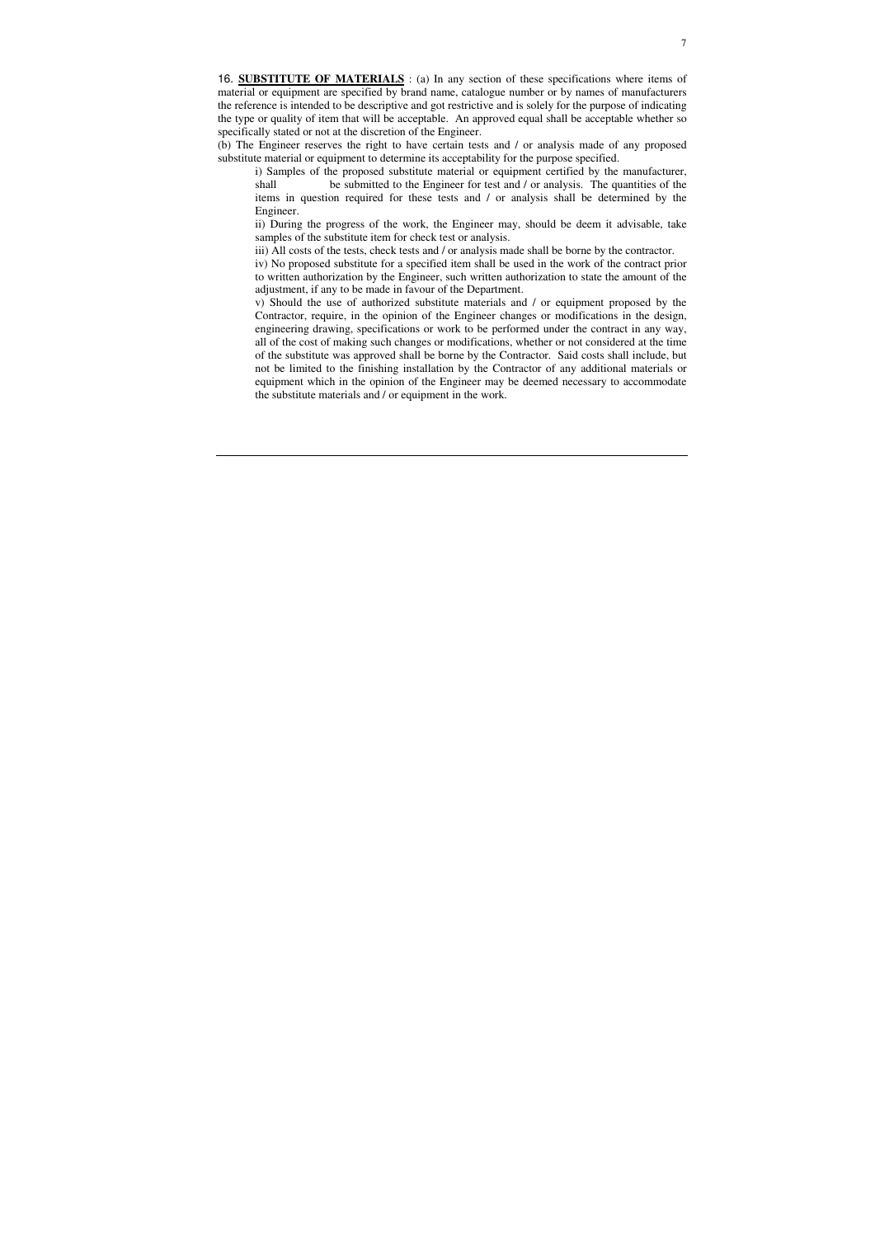16. **SUBSTITUTE OF MATERIALS** : (a) In any section of these specifications where items of material or equipment are specified by brand name, catalogue number or by names of manufacturers the reference is intended to be descriptive and got restrictive and is solely for the purpose of indicating the type or quality of item that will be acceptable. An approved equal shall be acceptable whether so specifically stated or not at the discretion of the Engineer.

(b) The Engineer reserves the right to have certain tests and / or analysis made of any proposed substitute material or equipment to determine its acceptability for the purpose specified.

i) Samples of the proposed substitute material or equipment certified by the manufacturer, shall be submitted to the Engineer for test and / or analysis. The quantities of the items in question required for these tests and / or analysis shall be determined by the Engineer.

ii) During the progress of the work, the Engineer may, should be deem it advisable, take samples of the substitute item for check test or analysis.

iii) All costs of the tests, check tests and / or analysis made shall be borne by the contractor.

iv) No proposed substitute for a specified item shall be used in the work of the contract prior to written authorization by the Engineer, such written authorization to state the amount of the adjustment, if any to be made in favour of the Department.

v) Should the use of authorized substitute materials and / or equipment proposed by the Contractor, require, in the opinion of the Engineer changes or modifications in the design, engineering drawing, specifications or work to be performed under the contract in any way, all of the cost of making such changes or modifications, whether or not considered at the time of the substitute was approved shall be borne by the Contractor. Said costs shall include, but not be limited to the finishing installation by the Contractor of any additional materials or equipment which in the opinion of the Engineer may be deemed necessary to accommodate the substitute materials and / or equipment in the work.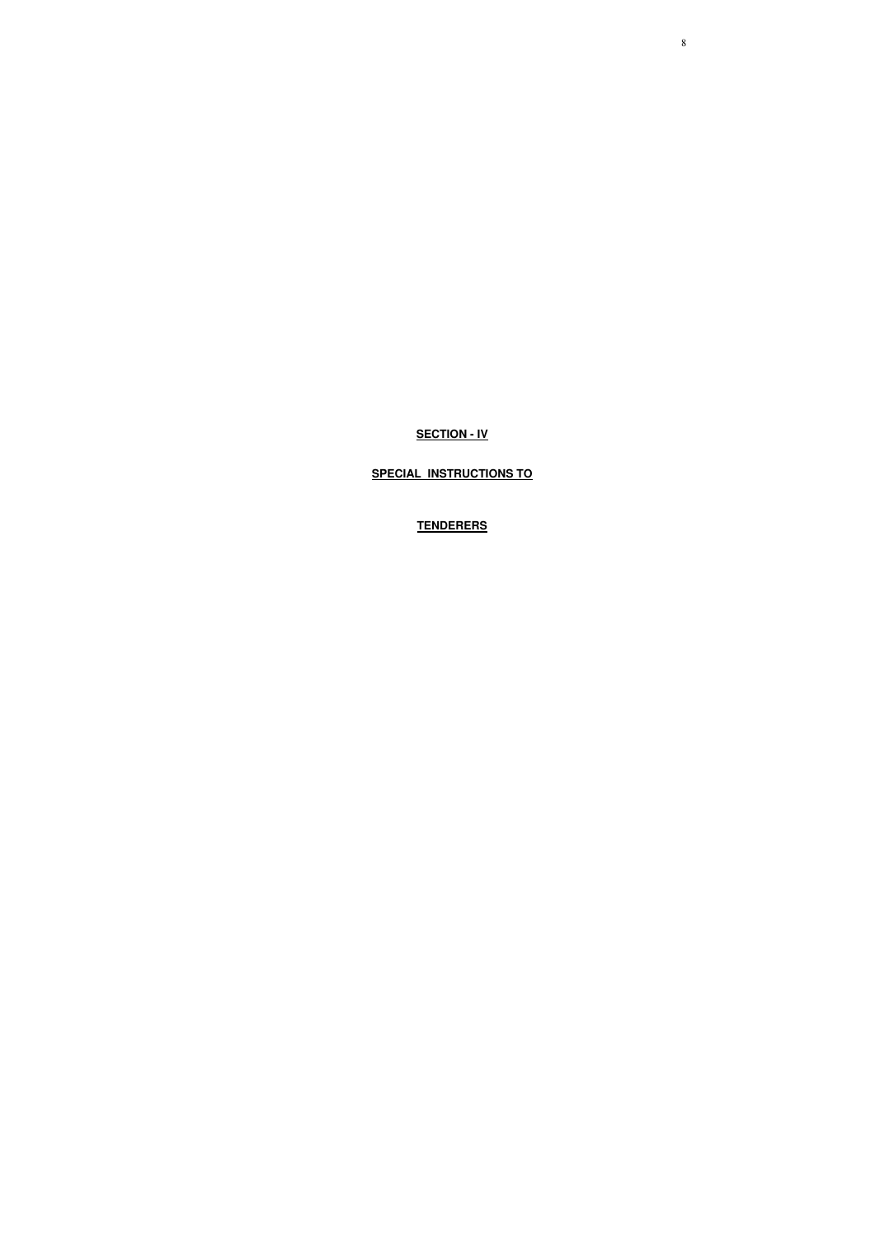8

**SECTION - IV**

**SPECIAL INSTRUCTIONS TO**

**TENDERERS**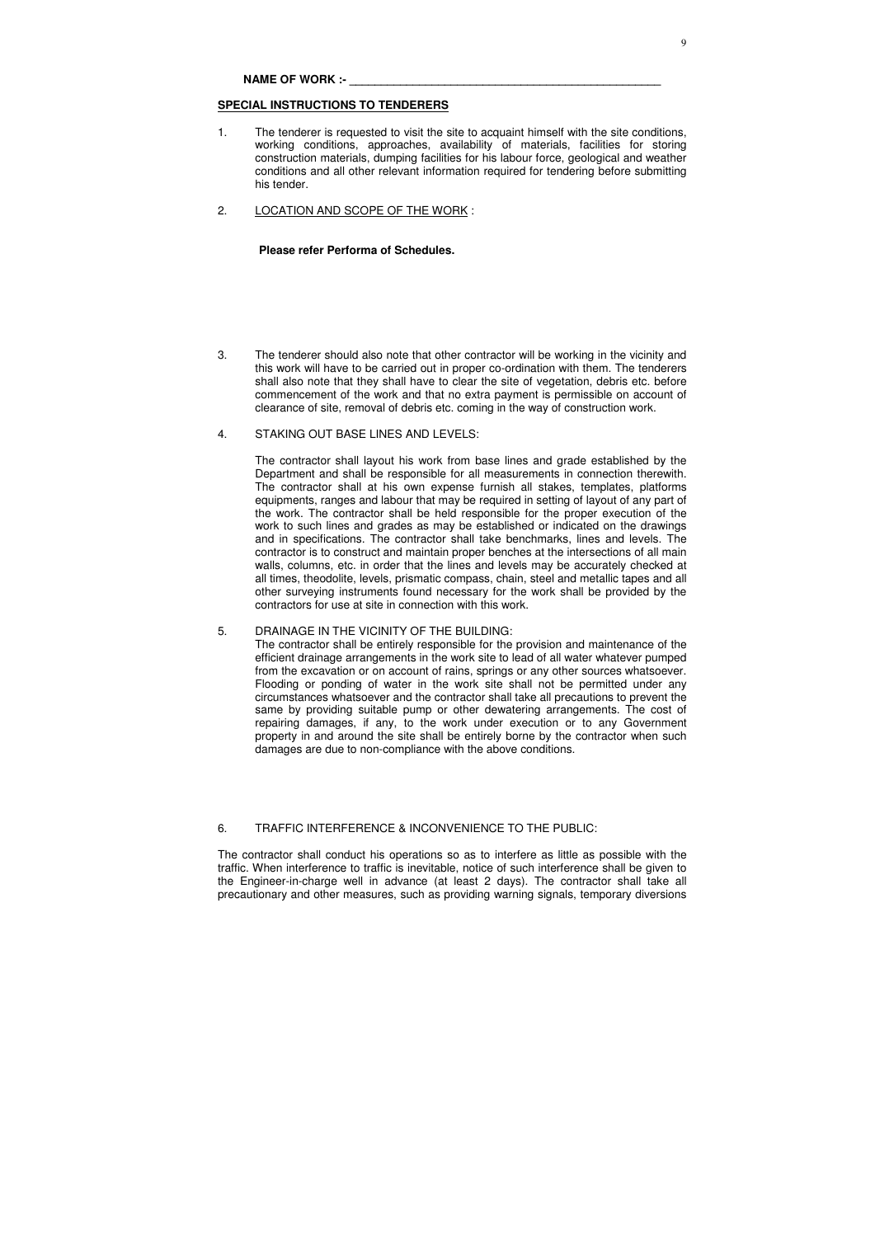### **SPECIAL INSTRUCTIONS TO TENDERERS**

- 1. The tenderer is requested to visit the site to acquaint himself with the site conditions, working conditions, approaches, availability of materials, facilities for storing construction materials, dumping facilities for his labour force, geological and weather conditions and all other relevant information required for tendering before submitting his tender.
- 2. LOCATION AND SCOPE OF THE WORK :

## **Please refer Performa of Schedules.**

3. The tenderer should also note that other contractor will be working in the vicinity and this work will have to be carried out in proper co-ordination with them. The tenderers shall also note that they shall have to clear the site of vegetation, debris etc. before commencement of the work and that no extra payment is permissible on account of clearance of site, removal of debris etc. coming in the way of construction work.

## 4. STAKING OUT BASE LINES AND LEVELS:

The contractor shall layout his work from base lines and grade established by the Department and shall be responsible for all measurements in connection therewith. The contractor shall at his own expense furnish all stakes, templates, platforms equipments, ranges and labour that may be required in setting of layout of any part of the work. The contractor shall be held responsible for the proper execution of the work to such lines and grades as may be established or indicated on the drawings and in specifications. The contractor shall take benchmarks, lines and levels. The contractor is to construct and maintain proper benches at the intersections of all main walls, columns, etc. in order that the lines and levels may be accurately checked at all times, theodolite, levels, prismatic compass, chain, steel and metallic tapes and all other surveying instruments found necessary for the work shall be provided by the contractors for use at site in connection with this work.

### 5. DRAINAGE IN THE VICINITY OF THE BUILDING:

The contractor shall be entirely responsible for the provision and maintenance of the efficient drainage arrangements in the work site to lead of all water whatever pumped from the excavation or on account of rains, springs or any other sources whatsoever. Flooding or ponding of water in the work site shall not be permitted under any circumstances whatsoever and the contractor shall take all precautions to prevent the same by providing suitable pump or other dewatering arrangements. The cost of repairing damages, if any, to the work under execution or to any Government property in and around the site shall be entirely borne by the contractor when such damages are due to non-compliance with the above conditions.

### 6. TRAFFIC INTERFERENCE & INCONVENIENCE TO THE PUBLIC:

The contractor shall conduct his operations so as to interfere as little as possible with the traffic. When interference to traffic is inevitable, notice of such interference shall be given to the Engineer-in-charge well in advance (at least 2 days). The contractor shall take all precautionary and other measures, such as providing warning signals, temporary diversions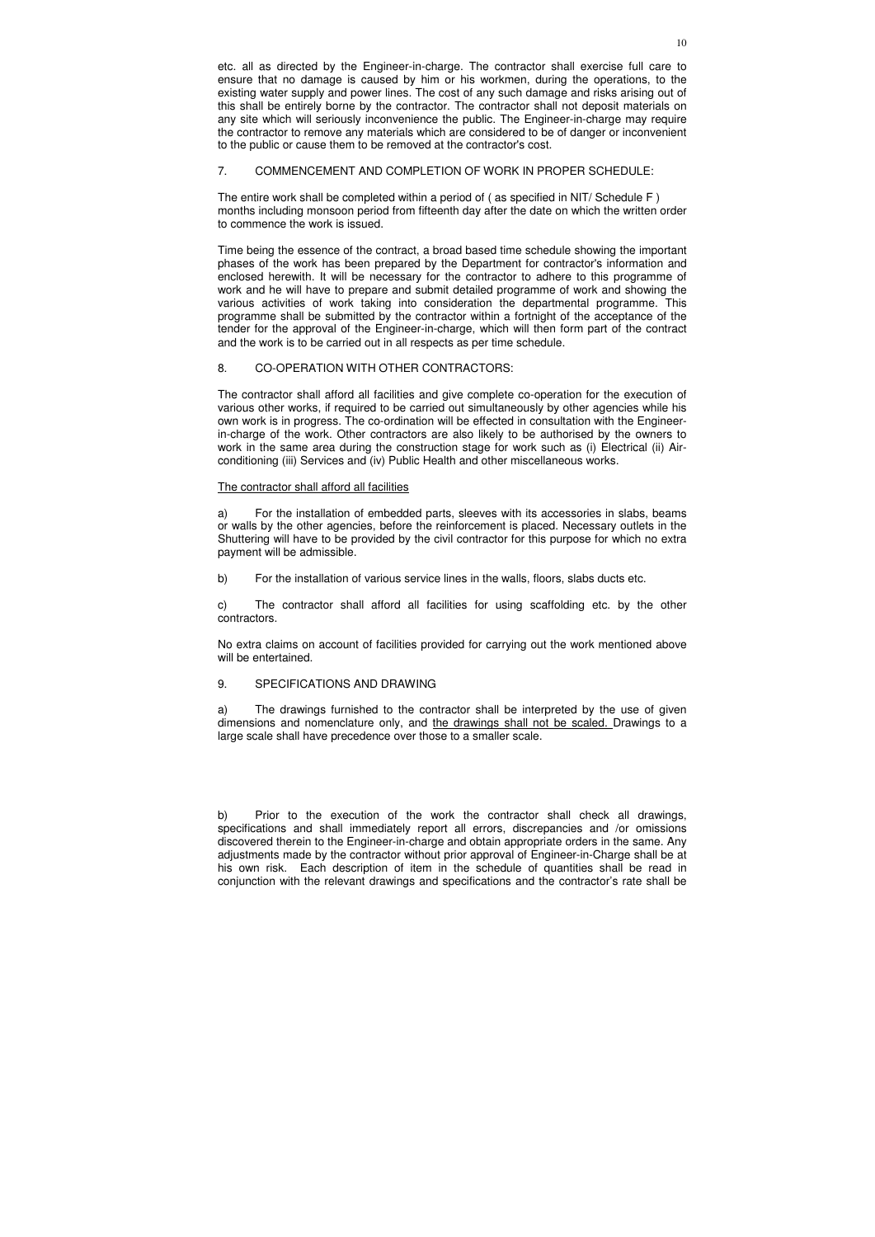## 7. COMMENCEMENT AND COMPLETION OF WORK IN PROPER SCHEDULE:

The entire work shall be completed within a period of ( as specified in NIT/ Schedule F ) months including monsoon period from fifteenth day after the date on which the written order to commence the work is issued.

Time being the essence of the contract, a broad based time schedule showing the important phases of the work has been prepared by the Department for contractor's information and enclosed herewith. It will be necessary for the contractor to adhere to this programme of work and he will have to prepare and submit detailed programme of work and showing the various activities of work taking into consideration the departmental programme. This programme shall be submitted by the contractor within a fortnight of the acceptance of the tender for the approval of the Engineer-in-charge, which will then form part of the contract and the work is to be carried out in all respects as per time schedule.

## 8. CO-OPERATION WITH OTHER CONTRACTORS:

The contractor shall afford all facilities and give complete co-operation for the execution of various other works, if required to be carried out simultaneously by other agencies while his own work is in progress. The co-ordination will be effected in consultation with the Engineerin-charge of the work. Other contractors are also likely to be authorised by the owners to work in the same area during the construction stage for work such as (i) Electrical (ii) Airconditioning (iii) Services and (iv) Public Health and other miscellaneous works.

## The contractor shall afford all facilities

a) For the installation of embedded parts, sleeves with its accessories in slabs, beams or walls by the other agencies, before the reinforcement is placed. Necessary outlets in the Shuttering will have to be provided by the civil contractor for this purpose for which no extra payment will be admissible.

b) For the installation of various service lines in the walls, floors, slabs ducts etc.

c) The contractor shall afford all facilities for using scaffolding etc. by the other contractors.

No extra claims on account of facilities provided for carrying out the work mentioned above will be entertained.

## 9. SPECIFICATIONS AND DRAWING

a) The drawings furnished to the contractor shall be interpreted by the use of given dimensions and nomenclature only, and the drawings shall not be scaled. Drawings to a large scale shall have precedence over those to a smaller scale.

b) Prior to the execution of the work the contractor shall check all drawings, specifications and shall immediately report all errors, discrepancies and /or omissions discovered therein to the Engineer-in-charge and obtain appropriate orders in the same. Any adjustments made by the contractor without prior approval of Engineer-in-Charge shall be at his own risk. Each description of item in the schedule of quantities shall be read in conjunction with the relevant drawings and specifications and the contractor's rate shall be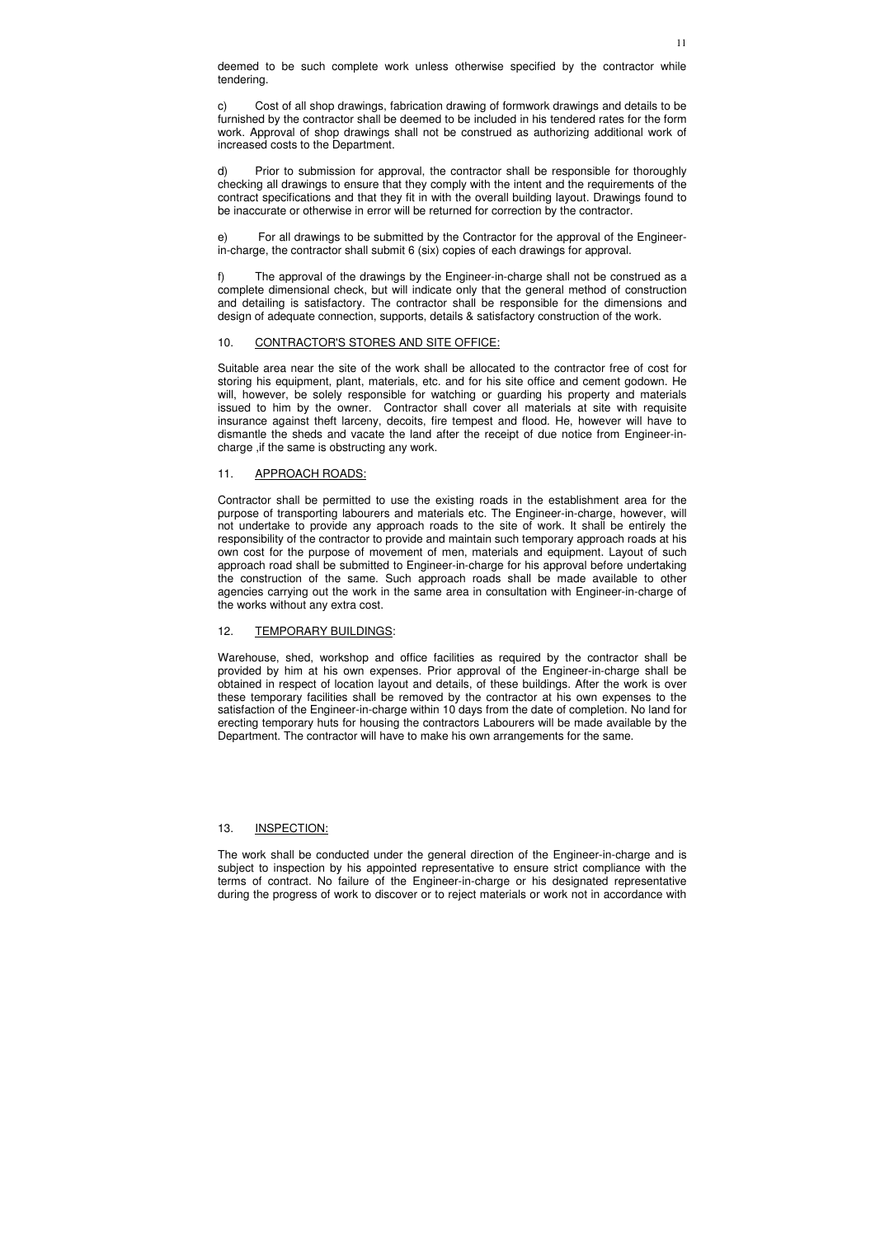deemed to be such complete work unless otherwise specified by the contractor while tendering.

c) Cost of all shop drawings, fabrication drawing of formwork drawings and details to be furnished by the contractor shall be deemed to be included in his tendered rates for the form work. Approval of shop drawings shall not be construed as authorizing additional work of increased costs to the Department.

d) Prior to submission for approval, the contractor shall be responsible for thoroughly checking all drawings to ensure that they comply with the intent and the requirements of the contract specifications and that they fit in with the overall building layout. Drawings found to be inaccurate or otherwise in error will be returned for correction by the contractor.

e) For all drawings to be submitted by the Contractor for the approval of the Engineerin-charge, the contractor shall submit 6 (six) copies of each drawings for approval.

f) The approval of the drawings by the Engineer-in-charge shall not be construed as a complete dimensional check, but will indicate only that the general method of construction and detailing is satisfactory. The contractor shall be responsible for the dimensions and design of adequate connection, supports, details & satisfactory construction of the work.

## 10. CONTRACTOR'S STORES AND SITE OFFICE:

Suitable area near the site of the work shall be allocated to the contractor free of cost for storing his equipment, plant, materials, etc. and for his site office and cement godown. He will, however, be solely responsible for watching or guarding his property and materials issued to him by the owner. Contractor shall cover all materials at site with requisite insurance against theft larceny, decoits, fire tempest and flood. He, however will have to dismantle the sheds and vacate the land after the receipt of due notice from Engineer-incharge ,if the same is obstructing any work.

## 11. APPROACH ROADS:

Contractor shall be permitted to use the existing roads in the establishment area for the purpose of transporting labourers and materials etc. The Engineer-in-charge, however, will not undertake to provide any approach roads to the site of work. It shall be entirely the responsibility of the contractor to provide and maintain such temporary approach roads at his own cost for the purpose of movement of men, materials and equipment. Layout of such approach road shall be submitted to Engineer-in-charge for his approval before undertaking the construction of the same. Such approach roads shall be made available to other agencies carrying out the work in the same area in consultation with Engineer-in-charge of the works without any extra cost.

## 12. TEMPORARY BUILDINGS:

Warehouse, shed, workshop and office facilities as required by the contractor shall be provided by him at his own expenses. Prior approval of the Engineer-in-charge shall be obtained in respect of location layout and details, of these buildings. After the work is over these temporary facilities shall be removed by the contractor at his own expenses to the satisfaction of the Engineer-in-charge within 10 days from the date of completion. No land for erecting temporary huts for housing the contractors Labourers will be made available by the Department. The contractor will have to make his own arrangements for the same.

## 13. INSPECTION:

The work shall be conducted under the general direction of the Engineer-in-charge and is subject to inspection by his appointed representative to ensure strict compliance with the terms of contract. No failure of the Engineer-in-charge or his designated representative during the progress of work to discover or to reject materials or work not in accordance with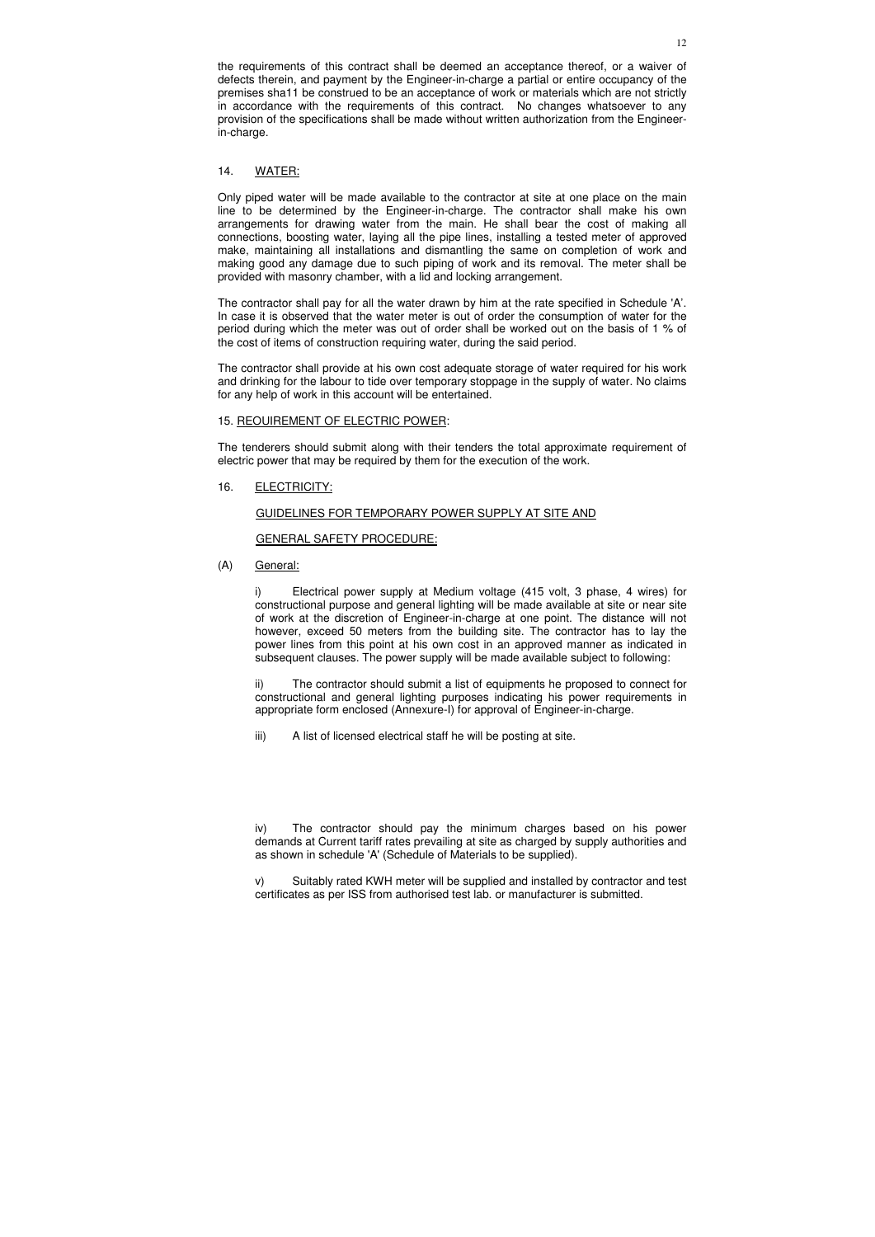the requirements of this contract shall be deemed an acceptance thereof, or a waiver of defects therein, and payment by the Engineer-in-charge a partial or entire occupancy of the premises sha11 be construed to be an acceptance of work or materials which are not strictly in accordance with the requirements of this contract. No changes whatsoever to any provision of the specifications shall be made without written authorization from the Engineerin-charge.

### 14. WATER:

Only piped water will be made available to the contractor at site at one place on the main line to be determined by the Engineer-in-charge. The contractor shall make his own arrangements for drawing water from the main. He shall bear the cost of making all connections, boosting water, laying all the pipe lines, installing a tested meter of approved make, maintaining all installations and dismantling the same on completion of work and making good any damage due to such piping of work and its removal. The meter shall be provided with masonry chamber, with a lid and locking arrangement.

The contractor shall pay for all the water drawn by him at the rate specified in Schedule 'A'. In case it is observed that the water meter is out of order the consumption of water for the period during which the meter was out of order shall be worked out on the basis of 1 % of the cost of items of construction requiring water, during the said period.

The contractor shall provide at his own cost adequate storage of water required for his work and drinking for the labour to tide over temporary stoppage in the supply of water. No claims for any help of work in this account will be entertained.

#### 15. REOUIREMENT OF ELECTRIC POWER:

The tenderers should submit along with their tenders the total approximate requirement of electric power that may be required by them for the execution of the work.

16. ELECTRICITY:

### GUIDELINES FOR TEMPORARY POWER SUPPLY AT SITE AND

#### GENERAL SAFETY PROCEDURE:

(A) General:

i) Electrical power supply at Medium voltage (415 volt, 3 phase, 4 wires) for constructional purpose and general lighting will be made available at site or near site of work at the discretion of Engineer-in-charge at one point. The distance will not however, exceed 50 meters from the building site. The contractor has to lay the power lines from this point at his own cost in an approved manner as indicated in subsequent clauses. The power supply will be made available subject to following:

ii) The contractor should submit a list of equipments he proposed to connect for constructional and general lighting purposes indicating his power requirements in appropriate form enclosed (Annexure-I) for approval of Engineer-in-charge.

iii) A list of licensed electrical staff he will be posting at site.

iv) The contractor should pay the minimum charges based on his power demands at Current tariff rates prevailing at site as charged by supply authorities and as shown in schedule 'A' (Schedule of Materials to be supplied).

v) Suitably rated KWH meter will be supplied and installed by contractor and test certificates as per ISS from authorised test lab. or manufacturer is submitted.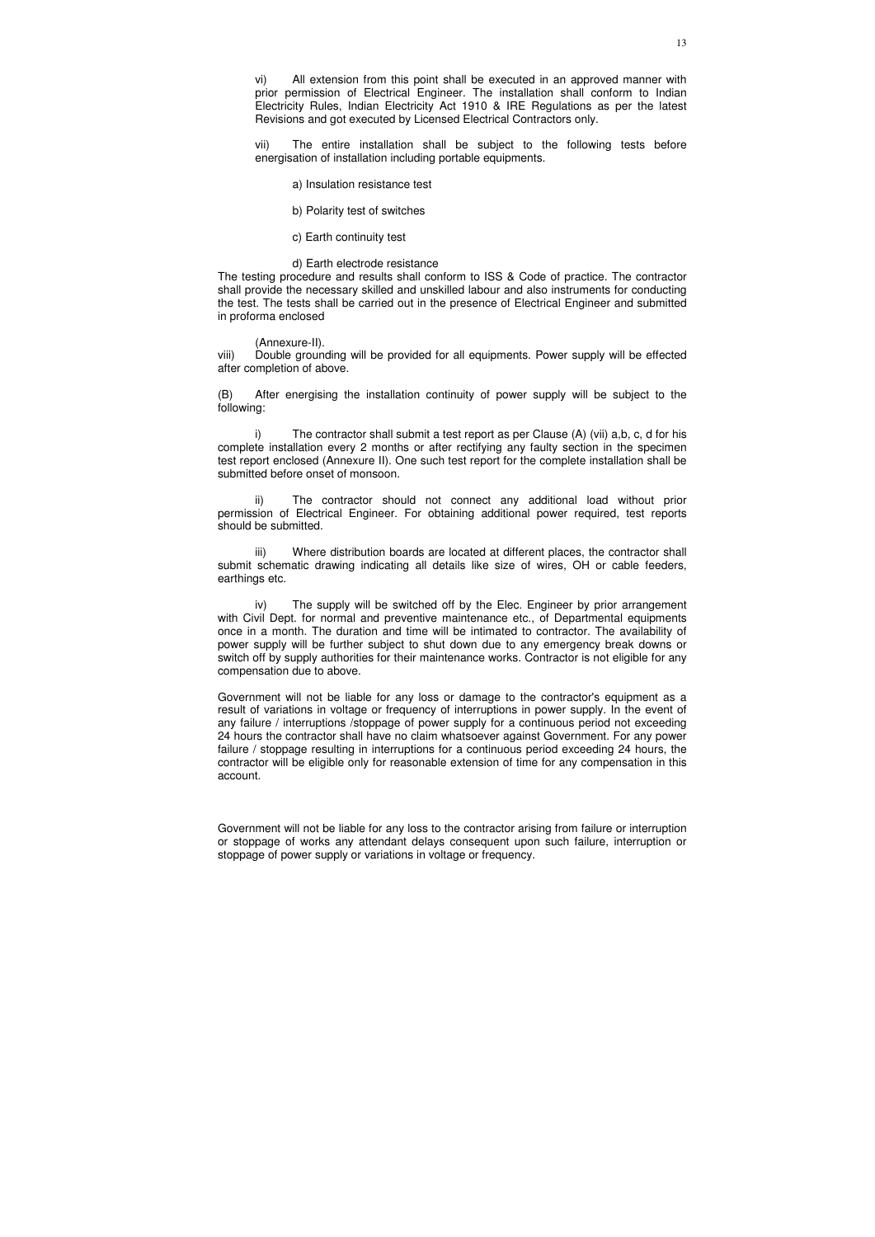vi) All extension from this point shall be executed in an approved manner with prior permission of Electrical Engineer. The installation shall conform to Indian Electricity Rules, Indian Electricity Act 1910 & IRE Regulations as per the latest Revisions and got executed by Licensed Electrical Contractors only.

vii) The entire installation shall be subject to the following tests before energisation of installation including portable equipments.

a) Insulation resistance test

b) Polarity test of switches

c) Earth continuity test

d) Earth electrode resistance

The testing procedure and results shall conform to ISS & Code of practice. The contractor shall provide the necessary skilled and unskilled labour and also instruments for conducting the test. The tests shall be carried out in the presence of Electrical Engineer and submitted in proforma enclosed

(Annexure-II).

viii) Double grounding will be provided for all equipments. Power supply will be effected after completion of above.

(B) After energising the installation continuity of power supply will be subject to the following:

i) The contractor shall submit a test report as per Clause (A) (vii) a,b, c, d for his complete installation every 2 months or after rectifying any faulty section in the specimen test report enclosed (Annexure II). One such test report for the complete installation shall be submitted before onset of monsoon.

ii) The contractor should not connect any additional load without prior permission of Electrical Engineer. For obtaining additional power required, test reports should be submitted.

iii) Where distribution boards are located at different places, the contractor shall submit schematic drawing indicating all details like size of wires, OH or cable feeders, earthings etc.

iv) The supply will be switched off by the Elec. Engineer by prior arrangement with Civil Dept. for normal and preventive maintenance etc., of Departmental equipments once in a month. The duration and time will be intimated to contractor. The availability of power supply will be further subject to shut down due to any emergency break downs or switch off by supply authorities for their maintenance works. Contractor is not eligible for any compensation due to above.

Government will not be liable for any loss or damage to the contractor's equipment as a result of variations in voltage or frequency of interruptions in power supply. In the event of any failure / interruptions /stoppage of power supply for a continuous period not exceeding 24 hours the contractor shall have no claim whatsoever against Government. For any power failure / stoppage resulting in interruptions for a continuous period exceeding 24 hours, the contractor will be eligible only for reasonable extension of time for any compensation in this account.

Government will not be liable for any loss to the contractor arising from failure or interruption or stoppage of works any attendant delays consequent upon such failure, interruption or stoppage of power supply or variations in voltage or frequency.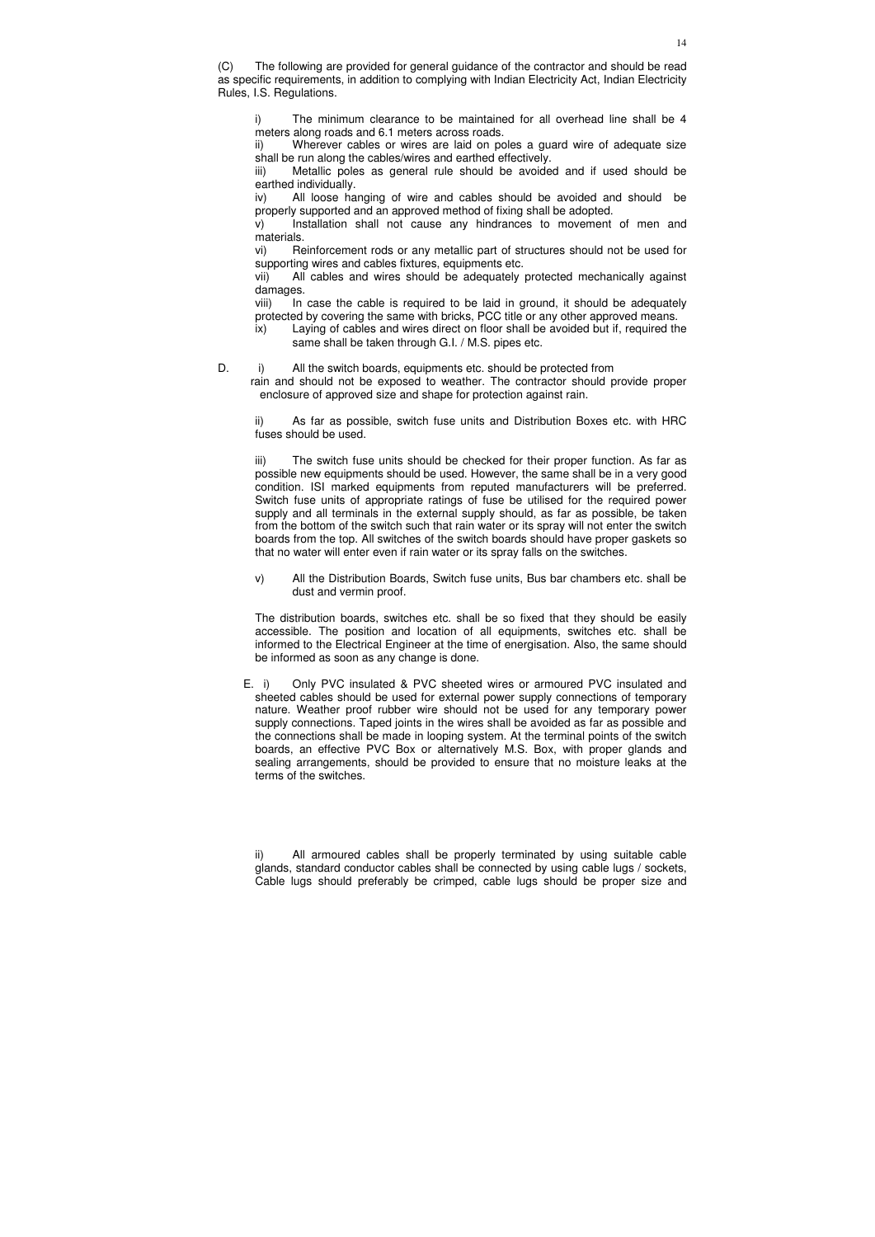(C) The following are provided for general guidance of the contractor and should be read as specific requirements, in addition to complying with Indian Electricity Act, Indian Electricity Rules, I.S. Regulations.

i) The minimum clearance to be maintained for all overhead line shall be 4 meters along roads and 6.1 meters across roads.

ii) Wherever cables or wires are laid on poles a guard wire of adequate size shall be run along the cables/wires and earthed effectively.

iii) Metallic poles as general rule should be avoided and if used should be earthed individually.

iv) All loose hanging of wire and cables should be avoided and should be properly supported and an approved method of fixing shall be adopted.

v) Installation shall not cause any hindrances to movement of men and materials.

vi) Reinforcement rods or any metallic part of structures should not be used for supporting wires and cables fixtures, equipments etc.

vii) All cables and wires should be adequately protected mechanically against damages.

viii) In case the cable is required to be laid in ground, it should be adequately protected by covering the same with bricks, PCC title or any other approved means.

ix) Laying of cables and wires direct on floor shall be avoided but if, required the same shall be taken through G.I. / M.S. pipes etc.

D. i) All the switch boards, equipments etc. should be protected from

rain and should not be exposed to weather. The contractor should provide proper enclosure of approved size and shape for protection against rain.

ii) As far as possible, switch fuse units and Distribution Boxes etc. with HRC fuses should be used.

iii) The switch fuse units should be checked for their proper function. As far as possible new equipments should be used. However, the same shall be in a very good condition. ISI marked equipments from reputed manufacturers will be preferred. Switch fuse units of appropriate ratings of fuse be utilised for the required power supply and all terminals in the external supply should, as far as possible, be taken from the bottom of the switch such that rain water or its spray will not enter the switch boards from the top. All switches of the switch boards should have proper gaskets so that no water will enter even if rain water or its spray falls on the switches.

v) All the Distribution Boards, Switch fuse units, Bus bar chambers etc. shall be dust and vermin proof.

The distribution boards, switches etc. shall be so fixed that they should be easily accessible. The position and location of all equipments, switches etc. shall be informed to the Electrical Engineer at the time of energisation. Also, the same should be informed as soon as any change is done.

 E. i) Only PVC insulated & PVC sheeted wires or armoured PVC insulated and sheeted cables should be used for external power supply connections of temporary nature. Weather proof rubber wire should not be used for any temporary power supply connections. Taped joints in the wires shall be avoided as far as possible and the connections shall be made in looping system. At the terminal points of the switch boards, an effective PVC Box or alternatively M.S. Box, with proper glands and sealing arrangements, should be provided to ensure that no moisture leaks at the terms of the switches.

ii) All armoured cables shall be properly terminated by using suitable cable glands, standard conductor cables shall be connected by using cable lugs / sockets, Cable lugs should preferably be crimped, cable lugs should be proper size and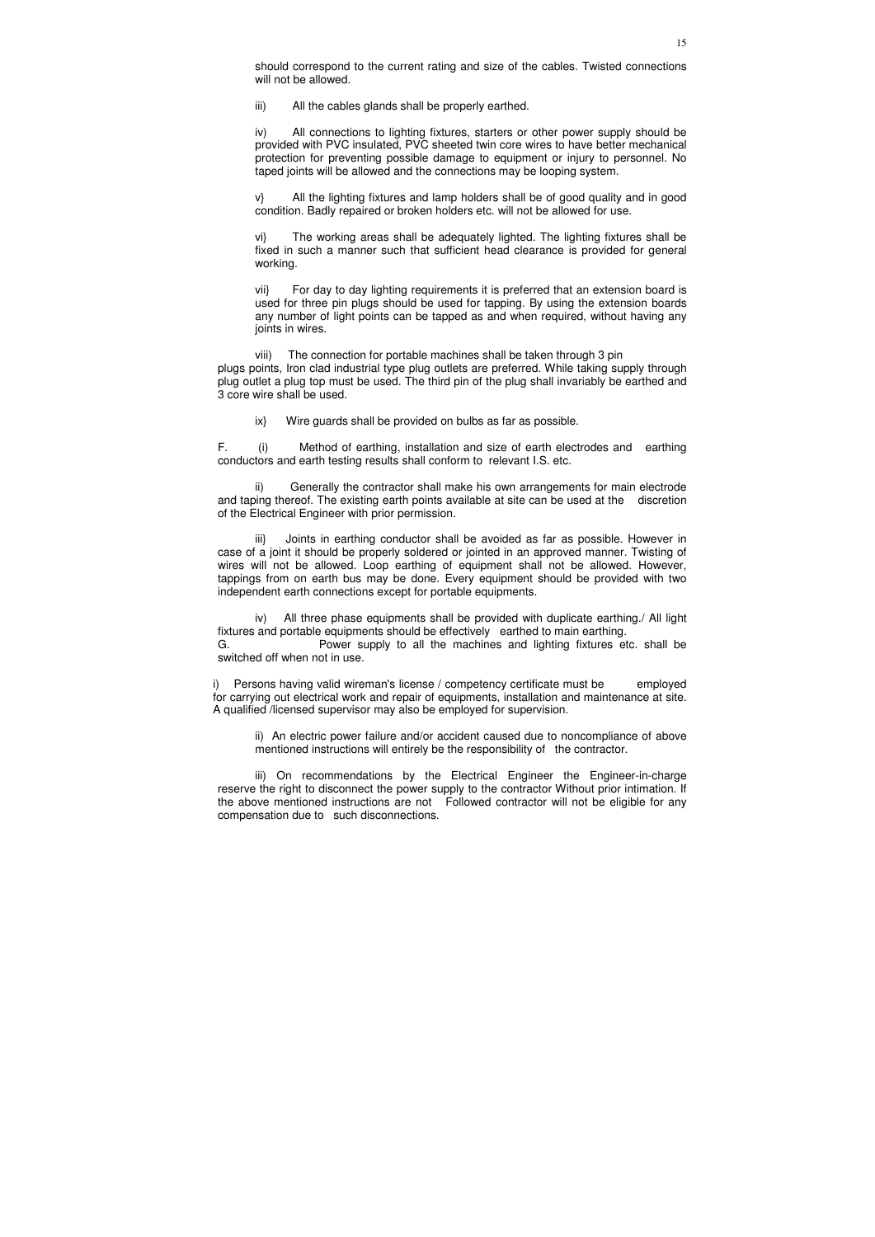should correspond to the current rating and size of the cables. Twisted connections will not be allowed.

iii) All the cables glands shall be properly earthed.

iv) All connections to lighting fixtures, starters or other power supply should be provided with PVC insulated, PVC sheeted twin core wires to have better mechanical protection for preventing possible damage to equipment or injury to personnel. No taped joints will be allowed and the connections may be looping system.

v} All the lighting fixtures and lamp holders shall be of good quality and in good condition. Badly repaired or broken holders etc. will not be allowed for use.

vi} The working areas shall be adequately lighted. The lighting fixtures shall be fixed in such a manner such that sufficient head clearance is provided for general working.

vii} For day to day lighting requirements it is preferred that an extension board is used for three pin plugs should be used for tapping. By using the extension boards any number of light points can be tapped as and when required, without having any joints in wires.

viii) The connection for portable machines shall be taken through 3 pin plugs points, Iron clad industrial type plug outlets are preferred. While taking supply through plug outlet a plug top must be used. The third pin of the plug shall invariably be earthed and 3 core wire shall be used.

ix} Wire guards shall be provided on bulbs as far as possible.

F. (i) Method of earthing, installation and size of earth electrodes and earthing conductors and earth testing results shall conform to relevant I.S. etc.

ii) Generally the contractor shall make his own arrangements for main electrode and taping thereof. The existing earth points available at site can be used at the discretion of the Electrical Engineer with prior permission.

iii} Joints in earthing conductor shall be avoided as far as possible. However in case of a joint it should be properly soldered or jointed in an approved manner. Twisting of wires will not be allowed. Loop earthing of equipment shall not be allowed. However, tappings from on earth bus may be done. Every equipment should be provided with two independent earth connections except for portable equipments.

iv) All three phase equipments shall be provided with duplicate earthing./ All light fixtures and portable equipments should be effectively earthed to main earthing.

G. Power supply to all the machines and lighting fixtures etc. shall be switched off when not in use.

i) Persons having valid wireman's license / competency certificate must be employed for carrying out electrical work and repair of equipments, installation and maintenance at site. A qualified /licensed supervisor may also be employed for supervision.

ii) An electric power failure and/or accident caused due to noncompliance of above mentioned instructions will entirely be the responsibility of the contractor.

iii) On recommendations by the Electrical Engineer the Engineer-in-charge reserve the right to disconnect the power supply to the contractor Without prior intimation. If the above mentioned instructions are not Followed contractor will not be eligible for any compensation due to such disconnections.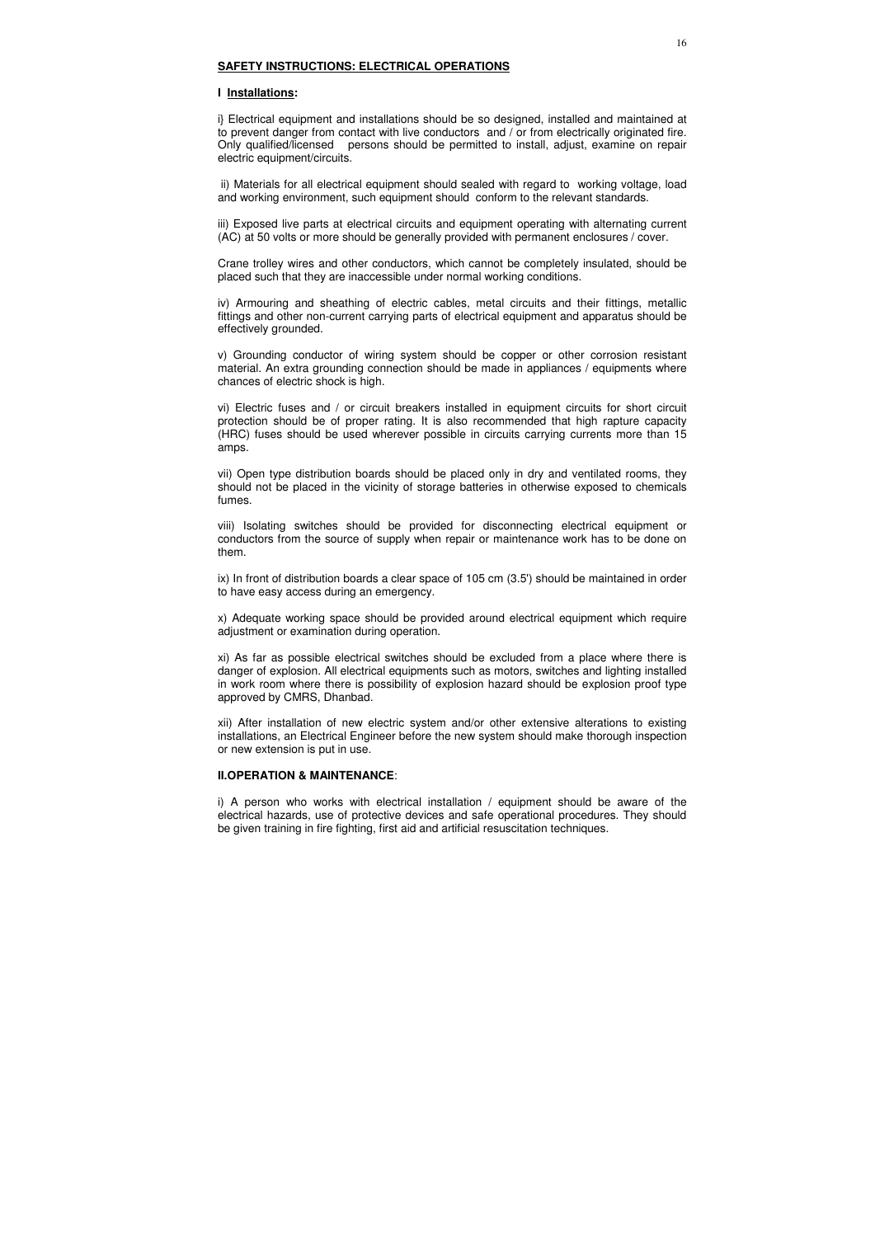### **SAFETY INSTRUCTIONS: ELECTRICAL OPERATIONS**

### **I Installations:**

i} Electrical equipment and installations should be so designed, installed and maintained at to prevent danger from contact with live conductors and / or from electrically originated fire. Only qualified/licensed persons should be permitted to install, adjust, examine on repair electric equipment/circuits.

 ii) Materials for all electrical equipment should sealed with regard to working voltage, load and working environment, such equipment should conform to the relevant standards.

iii) Exposed live parts at electrical circuits and equipment operating with alternating current (AC) at 50 volts or more should be generally provided with permanent enclosures / cover.

Crane trolley wires and other conductors, which cannot be completely insulated, should be placed such that they are inaccessible under normal working conditions.

iv) Armouring and sheathing of electric cables, metal circuits and their fittings, metallic fittings and other non-current carrying parts of electrical equipment and apparatus should be effectively grounded.

v) Grounding conductor of wiring system should be copper or other corrosion resistant material. An extra grounding connection should be made in appliances / equipments where chances of electric shock is high.

vi) Electric fuses and / or circuit breakers installed in equipment circuits for short circuit protection should be of proper rating. It is also recommended that high rapture capacity (HRC) fuses should be used wherever possible in circuits carrying currents more than 15 amps.

vii) Open type distribution boards should be placed only in dry and ventilated rooms, they should not be placed in the vicinity of storage batteries in otherwise exposed to chemicals fumes.

viii) Isolating switches should be provided for disconnecting electrical equipment or conductors from the source of supply when repair or maintenance work has to be done on them.

ix) In front of distribution boards a clear space of 105 cm (3.5') should be maintained in order to have easy access during an emergency.

x) Adequate working space should be provided around electrical equipment which require adjustment or examination during operation.

xi) As far as possible electrical switches should be excluded from a place where there is danger of explosion. All electrical equipments such as motors, switches and lighting installed in work room where there is possibility of explosion hazard should be explosion proof type approved by CMRS, Dhanbad.

xii) After installation of new electric system and/or other extensive alterations to existing installations, an Electrical Engineer before the new system should make thorough inspection or new extension is put in use.

### **II.OPERATION & MAINTENANCE**:

i) A person who works with electrical installation / equipment should be aware of the electrical hazards, use of protective devices and safe operational procedures. They should be given training in fire fighting, first aid and artificial resuscitation techniques.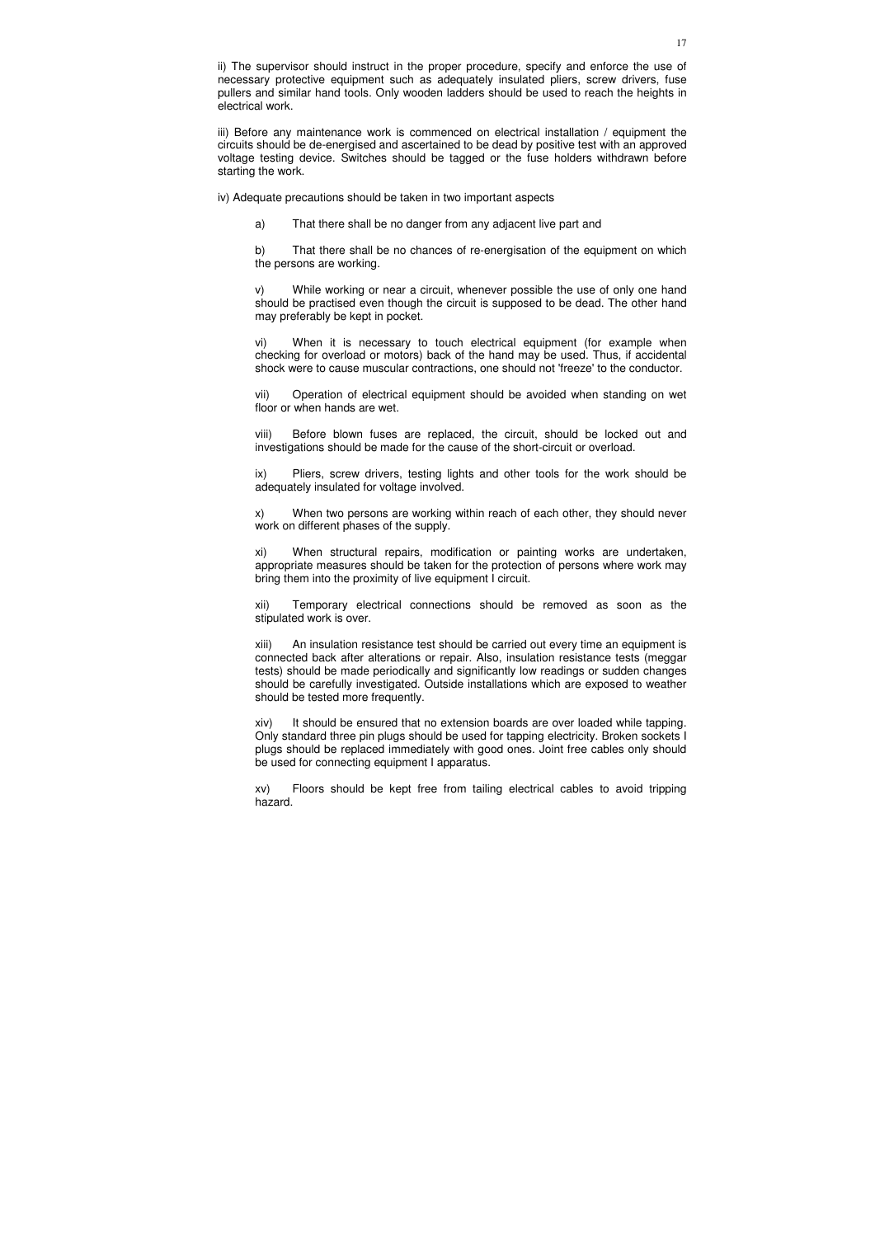ii) The supervisor should instruct in the proper procedure, specify and enforce the use of necessary protective equipment such as adequately insulated pliers, screw drivers, fuse pullers and similar hand tools. Only wooden ladders should be used to reach the heights in electrical work.

iii) Before any maintenance work is commenced on electrical installation / equipment the circuits should be de-energised and ascertained to be dead by positive test with an approved voltage testing device. Switches should be tagged or the fuse holders withdrawn before starting the work.

iv) Adequate precautions should be taken in two important aspects

a) That there shall be no danger from any adjacent live part and

b) That there shall be no chances of re-energisation of the equipment on which the persons are working.

v) While working or near a circuit, whenever possible the use of only one hand should be practised even though the circuit is supposed to be dead. The other hand may preferably be kept in pocket.

vi) When it is necessary to touch electrical equipment (for example when checking for overload or motors) back of the hand may be used. Thus, if accidental shock were to cause muscular contractions, one should not 'freeze' to the conductor.

vii) Operation of electrical equipment should be avoided when standing on wet floor or when hands are wet.

viii) Before blown fuses are replaced, the circuit, should be locked out and investigations should be made for the cause of the short-circuit or overload.

ix) Pliers, screw drivers, testing lights and other tools for the work should be adequately insulated for voltage involved.

x) When two persons are working within reach of each other, they should never work on different phases of the supply.

xi) When structural repairs, modification or painting works are undertaken, appropriate measures should be taken for the protection of persons where work may bring them into the proximity of live equipment I circuit.

xii) Temporary electrical connections should be removed as soon as the stipulated work is over.

xiii) An insulation resistance test should be carried out every time an equipment is connected back after alterations or repair. Also, insulation resistance tests (meggar tests) should be made periodically and significantly low readings or sudden changes should be carefully investigated. Outside installations which are exposed to weather should be tested more frequently.

xiv) It should be ensured that no extension boards are over loaded while tapping. Only standard three pin plugs should be used for tapping electricity. Broken sockets I plugs should be replaced immediately with good ones. Joint free cables only should be used for connecting equipment I apparatus.

xv) Floors should be kept free from tailing electrical cables to avoid tripping hazard.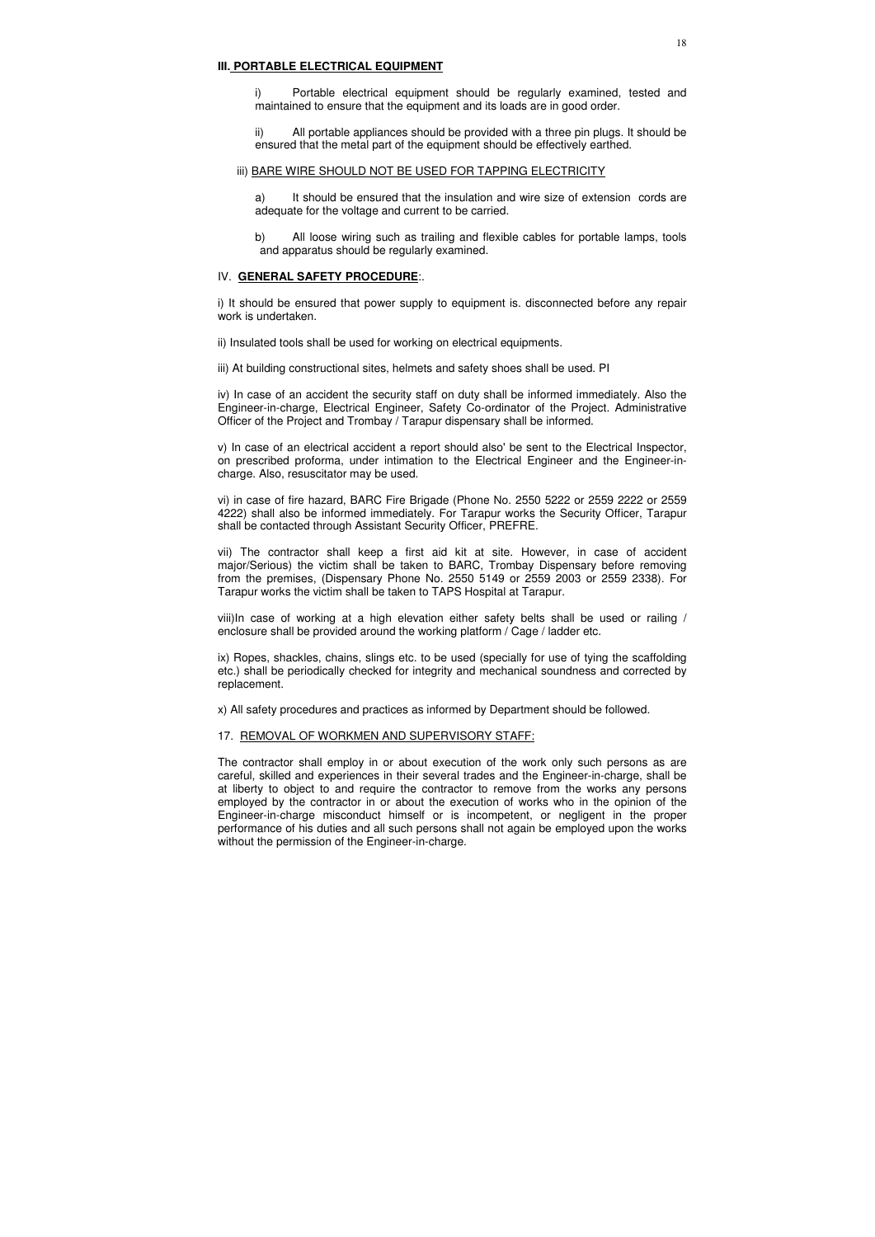### **III. PORTABLE ELECTRICAL EQUIPMENT**

i) Portable electrical equipment should be regularly examined, tested and maintained to ensure that the equipment and its loads are in good order.

ii) All portable appliances should be provided with a three pin plugs. It should be ensured that the metal part of the equipment should be effectively earthed.

#### iii) BARE WIRE SHOULD NOT BE USED FOR TAPPING ELECTRICITY

a) It should be ensured that the insulation and wire size of extension cords are adequate for the voltage and current to be carried.

b) All loose wiring such as trailing and flexible cables for portable lamps, tools and apparatus should be regularly examined.

#### IV. **GENERAL SAFETY PROCEDURE**:.

i) It should be ensured that power supply to equipment is. disconnected before any repair work is undertaken.

ii) Insulated tools shall be used for working on electrical equipments.

iii) At building constructional sites, helmets and safety shoes shall be used. PI

iv) In case of an accident the security staff on duty shall be informed immediately. Also the Engineer-in-charge, Electrical Engineer, Safety Co-ordinator of the Project. Administrative Officer of the Project and Trombay / Tarapur dispensary shall be informed.

v) In case of an electrical accident a report should also' be sent to the Electrical Inspector, on prescribed proforma, under intimation to the Electrical Engineer and the Engineer-incharge. Also, resuscitator may be used.

vi) in case of fire hazard, BARC Fire Brigade (Phone No. 2550 5222 or 2559 2222 or 2559 4222) shall also be informed immediately. For Tarapur works the Security Officer, Tarapur shall be contacted through Assistant Security Officer, PREFRE.

vii) The contractor shall keep a first aid kit at site. However, in case of accident major/Serious) the victim shall be taken to BARC, Trombay Dispensary before removing from the premises, (Dispensary Phone No. 2550 5149 or 2559 2003 or 2559 2338). For Tarapur works the victim shall be taken to TAPS Hospital at Tarapur.

viii)In case of working at a high elevation either safety belts shall be used or railing / enclosure shall be provided around the working platform / Cage / ladder etc.

ix) Ropes, shackles, chains, slings etc. to be used (specially for use of tying the scaffolding etc.) shall be periodically checked for integrity and mechanical soundness and corrected by replacement.

x) All safety procedures and practices as informed by Department should be followed.

### 17. REMOVAL OF WORKMEN AND SUPERVISORY STAFF:

The contractor shall employ in or about execution of the work only such persons as are careful, skilled and experiences in their several trades and the Engineer-in-charge, shall be at liberty to object to and require the contractor to remove from the works any persons employed by the contractor in or about the execution of works who in the opinion of the Engineer-in-charge misconduct himself or is incompetent, or negligent in the proper performance of his duties and all such persons shall not again be employed upon the works without the permission of the Engineer-in-charge.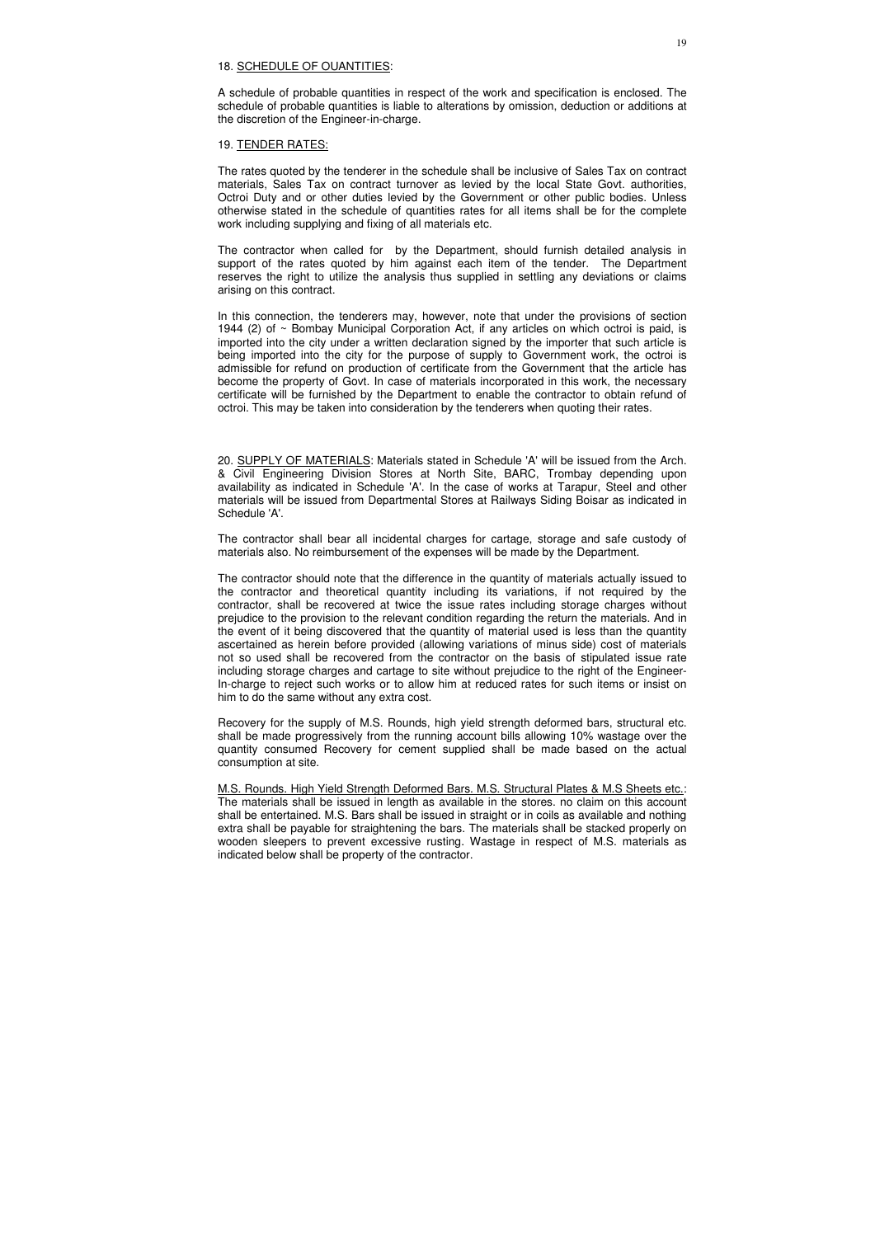### 18. SCHEDULE OF OUANTITIES:

A schedule of probable quantities in respect of the work and specification is enclosed. The schedule of probable quantities is liable to alterations by omission, deduction or additions at the discretion of the Engineer-in-charge.

### 19. TENDER RATES:

The rates quoted by the tenderer in the schedule shall be inclusive of Sales Tax on contract materials, Sales Tax on contract turnover as levied by the local State Govt. authorities, Octroi Duty and or other duties levied by the Government or other public bodies. Unless otherwise stated in the schedule of quantities rates for all items shall be for the complete work including supplying and fixing of all materials etc.

The contractor when called for by the Department, should furnish detailed analysis in support of the rates quoted by him against each item of the tender. The Department reserves the right to utilize the analysis thus supplied in settling any deviations or claims arising on this contract.

In this connection, the tenderers may, however, note that under the provisions of section 1944 (2) of  $\sim$  Bombay Municipal Corporation Act, if any articles on which octroi is paid, is imported into the city under a written declaration signed by the importer that such article is being imported into the city for the purpose of supply to Government work, the octroi is admissible for refund on production of certificate from the Government that the article has become the property of Govt. In case of materials incorporated in this work, the necessary certificate will be furnished by the Department to enable the contractor to obtain refund of octroi. This may be taken into consideration by the tenderers when quoting their rates.

20. SUPPLY OF MATERIALS: Materials stated in Schedule 'A' will be issued from the Arch. & Civil Engineering Division Stores at North Site, BARC, Trombay depending upon availability as indicated in Schedule 'A'. In the case of works at Tarapur, Steel and other materials will be issued from Departmental Stores at Railways Siding Boisar as indicated in Schedule 'A'.

The contractor shall bear all incidental charges for cartage, storage and safe custody of materials also. No reimbursement of the expenses will be made by the Department.

The contractor should note that the difference in the quantity of materials actually issued to the contractor and theoretical quantity including its variations, if not required by the contractor, shall be recovered at twice the issue rates including storage charges without prejudice to the provision to the relevant condition regarding the return the materials. And in the event of it being discovered that the quantity of material used is less than the quantity ascertained as herein before provided (allowing variations of minus side) cost of materials not so used shall be recovered from the contractor on the basis of stipulated issue rate including storage charges and cartage to site without prejudice to the right of the Engineer-In-charge to reject such works or to allow him at reduced rates for such items or insist on him to do the same without any extra cost.

Recovery for the supply of M.S. Rounds, high yield strength deformed bars, structural etc. shall be made progressively from the running account bills allowing 10% wastage over the quantity consumed Recovery for cement supplied shall be made based on the actual consumption at site.

M.S. Rounds. High Yield Strength Deformed Bars. M.S. Structural Plates & M.S Sheets etc.: The materials shall be issued in length as available in the stores. no claim on this account shall be entertained. M.S. Bars shall be issued in straight or in coils as available and nothing extra shall be payable for straightening the bars. The materials shall be stacked properly on wooden sleepers to prevent excessive rusting. Wastage in respect of M.S. materials as indicated below shall be property of the contractor.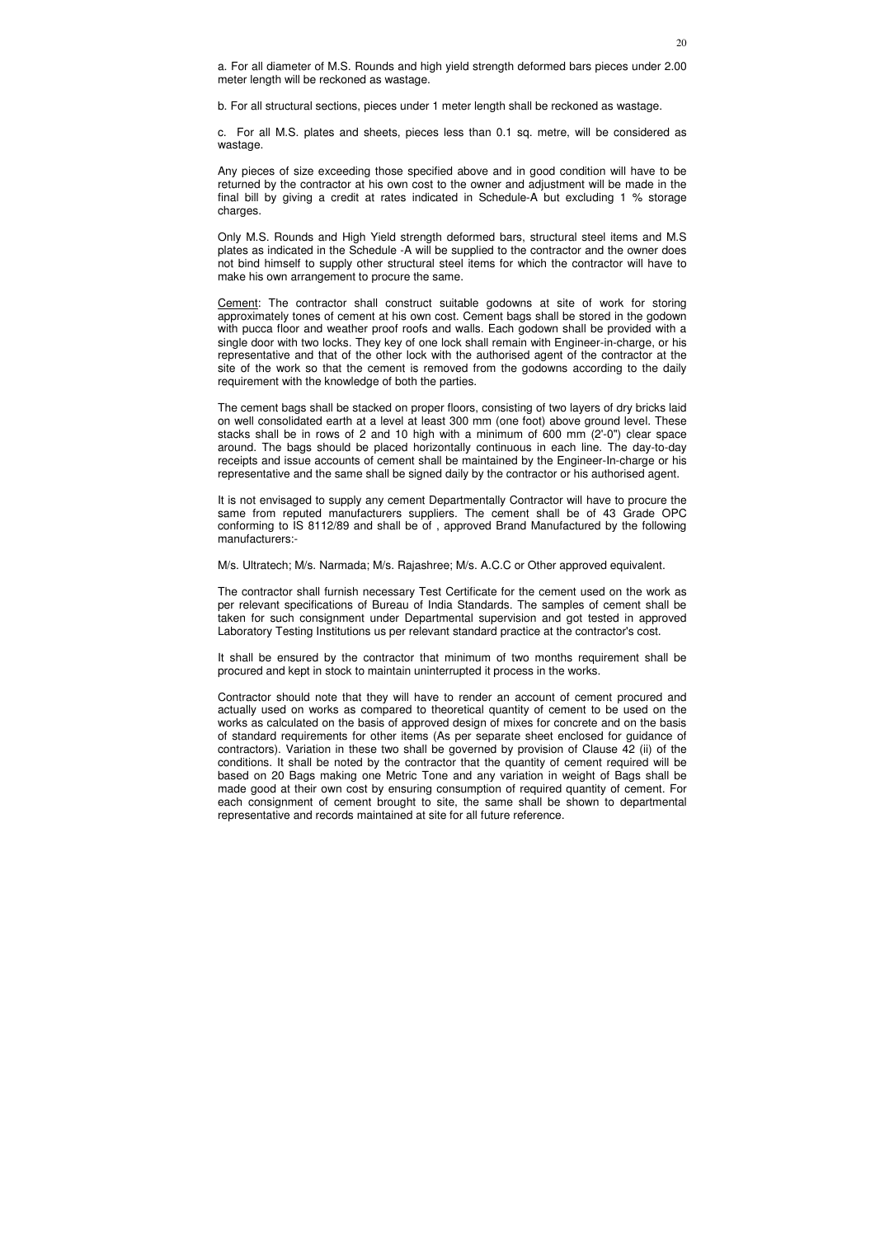a. For all diameter of M.S. Rounds and high yield strength deformed bars pieces under 2.00 meter length will be reckoned as wastage.

b. For all structural sections, pieces under 1 meter length shall be reckoned as wastage.

c. For all M.S. plates and sheets, pieces less than 0.1 sq. metre, will be considered as wastage.

Any pieces of size exceeding those specified above and in good condition will have to be returned by the contractor at his own cost to the owner and adjustment will be made in the final bill by giving a credit at rates indicated in Schedule-A but excluding 1 % storage charges.

Only M.S. Rounds and High Yield strength deformed bars, structural steel items and M.S plates as indicated in the Schedule -A will be supplied to the contractor and the owner does not bind himself to supply other structural steel items for which the contractor will have to make his own arrangement to procure the same.

Cement: The contractor shall construct suitable godowns at site of work for storing approximately tones of cement at his own cost. Cement bags shall be stored in the godown with pucca floor and weather proof roofs and walls. Each godown shall be provided with a single door with two locks. They key of one lock shall remain with Engineer-in-charge, or his representative and that of the other lock with the authorised agent of the contractor at the site of the work so that the cement is removed from the godowns according to the daily requirement with the knowledge of both the parties.

The cement bags shall be stacked on proper floors, consisting of two layers of dry bricks laid on well consolidated earth at a level at least 300 mm (one foot) above ground level. These stacks shall be in rows of 2 and 10 high with a minimum of 600 mm (2'-0") clear space around. The bags should be placed horizontally continuous in each line. The day-to-day receipts and issue accounts of cement shall be maintained by the Engineer-In-charge or his representative and the same shall be signed daily by the contractor or his authorised agent.

It is not envisaged to supply any cement Departmentally Contractor will have to procure the same from reputed manufacturers suppliers. The cement shall be of 43 Grade OPC conforming to IS 8112/89 and shall be of , approved Brand Manufactured by the following manufacturers:-

M/s. Ultratech; M/s. Narmada; M/s. Rajashree; M/s. A.C.C or Other approved equivalent.

The contractor shall furnish necessary Test Certificate for the cement used on the work as per relevant specifications of Bureau of India Standards. The samples of cement shall be taken for such consignment under Departmental supervision and got tested in approved Laboratory Testing Institutions us per relevant standard practice at the contractor's cost.

It shall be ensured by the contractor that minimum of two months requirement shall be procured and kept in stock to maintain uninterrupted it process in the works.

Contractor should note that they will have to render an account of cement procured and actually used on works as compared to theoretical quantity of cement to be used on the works as calculated on the basis of approved design of mixes for concrete and on the basis of standard requirements for other items (As per separate sheet enclosed for guidance of contractors). Variation in these two shall be governed by provision of Clause 42 (ii) of the conditions. It shall be noted by the contractor that the quantity of cement required will be based on 20 Bags making one Metric Tone and any variation in weight of Bags shall be made good at their own cost by ensuring consumption of required quantity of cement. For each consignment of cement brought to site, the same shall be shown to departmental representative and records maintained at site for all future reference.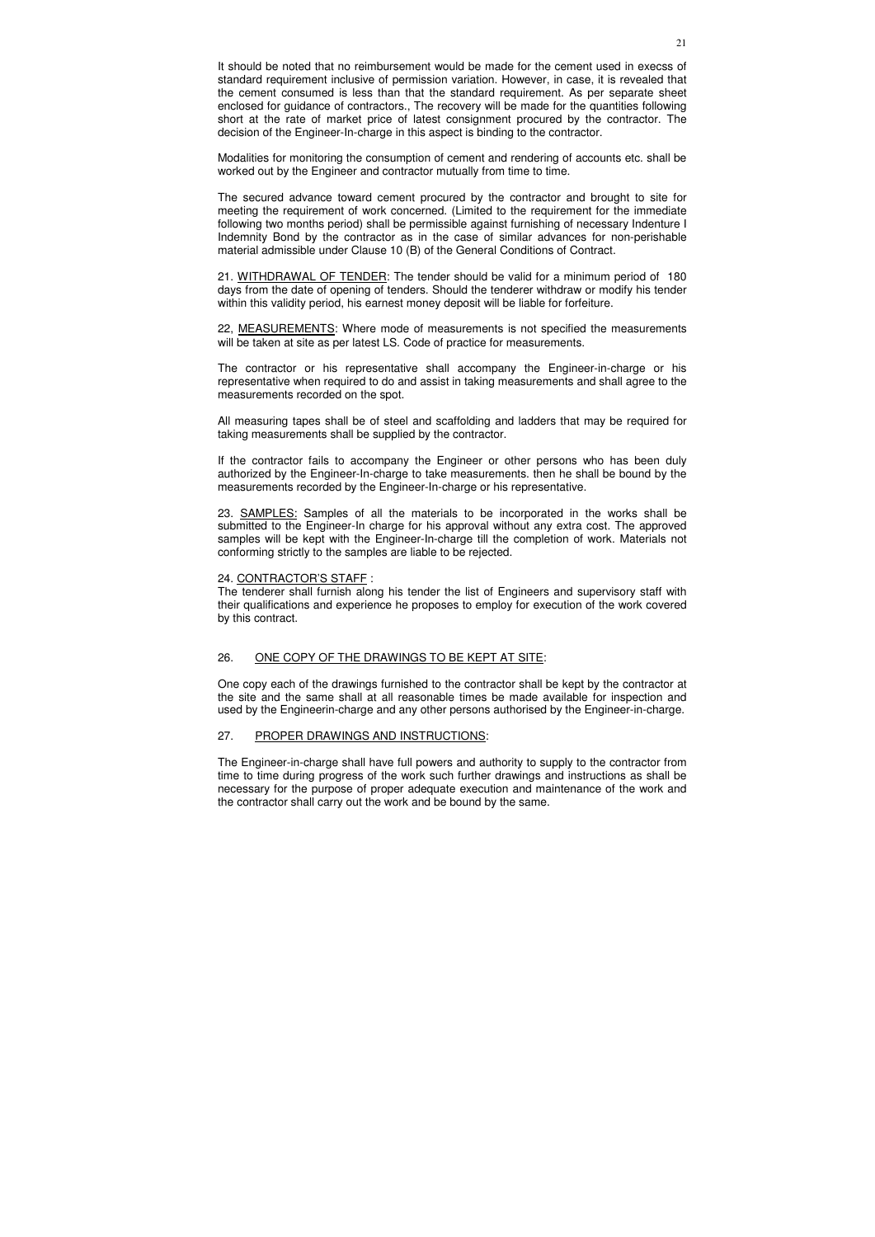It should be noted that no reimbursement would be made for the cement used in execss of standard requirement inclusive of permission variation. However, in case, it is revealed that the cement consumed is less than that the standard requirement. As per separate sheet enclosed for guidance of contractors., The recovery will be made for the quantities following short at the rate of market price of latest consignment procured by the contractor. The decision of the Engineer-In-charge in this aspect is binding to the contractor.

Modalities for monitoring the consumption of cement and rendering of accounts etc. shall be worked out by the Engineer and contractor mutually from time to time.

22, MEASUREMENTS: Where mode of measurements is not specified the measurements will be taken at site as per latest LS. Code of practice for measurements.

The secured advance toward cement procured by the contractor and brought to site for meeting the requirement of work concerned. (Limited to the requirement for the immediate following two months period) shall be permissible against furnishing of necessary Indenture I Indemnity Bond by the contractor as in the case of similar advances for non-perishable material admissible under Clause 10 (B) of the General Conditions of Contract.

21. WITHDRAWAL OF TENDER: The tender should be valid for a minimum period of 180 days from the date of opening of tenders. Should the tenderer withdraw or modify his tender within this validity period, his earnest money deposit will be liable for forfeiture.

The contractor or his representative shall accompany the Engineer-in-charge or his representative when required to do and assist in taking measurements and shall agree to the measurements recorded on the spot.

All measuring tapes shall be of steel and scaffolding and ladders that may be required for taking measurements shall be supplied by the contractor.

If the contractor fails to accompany the Engineer or other persons who has been duly authorized by the Engineer-In-charge to take measurements. then he shall be bound by the measurements recorded by the Engineer-In-charge or his representative.

23. SAMPLES: Samples of all the materials to be incorporated in the works shall be submitted to the Engineer-In charge for his approval without any extra cost. The approved samples will be kept with the Engineer-In-charge till the completion of work. Materials not conforming strictly to the samples are liable to be rejected.

### 24. CONTRACTOR'S STAFF :

The tenderer shall furnish along his tender the list of Engineers and supervisory staff with their qualifications and experience he proposes to employ for execution of the work covered by this contract.

### 26. ONE COPY OF THE DRAWINGS TO BE KEPT AT SITE:

One copy each of the drawings furnished to the contractor shall be kept by the contractor at the site and the same shall at all reasonable times be made available for inspection and used by the Engineerin-charge and any other persons authorised by the Engineer-in-charge.

## 27. PROPER DRAWINGS AND INSTRUCTIONS:

The Engineer-in-charge shall have full powers and authority to supply to the contractor from time to time during progress of the work such further drawings and instructions as shall be necessary for the purpose of proper adequate execution and maintenance of the work and the contractor shall carry out the work and be bound by the same.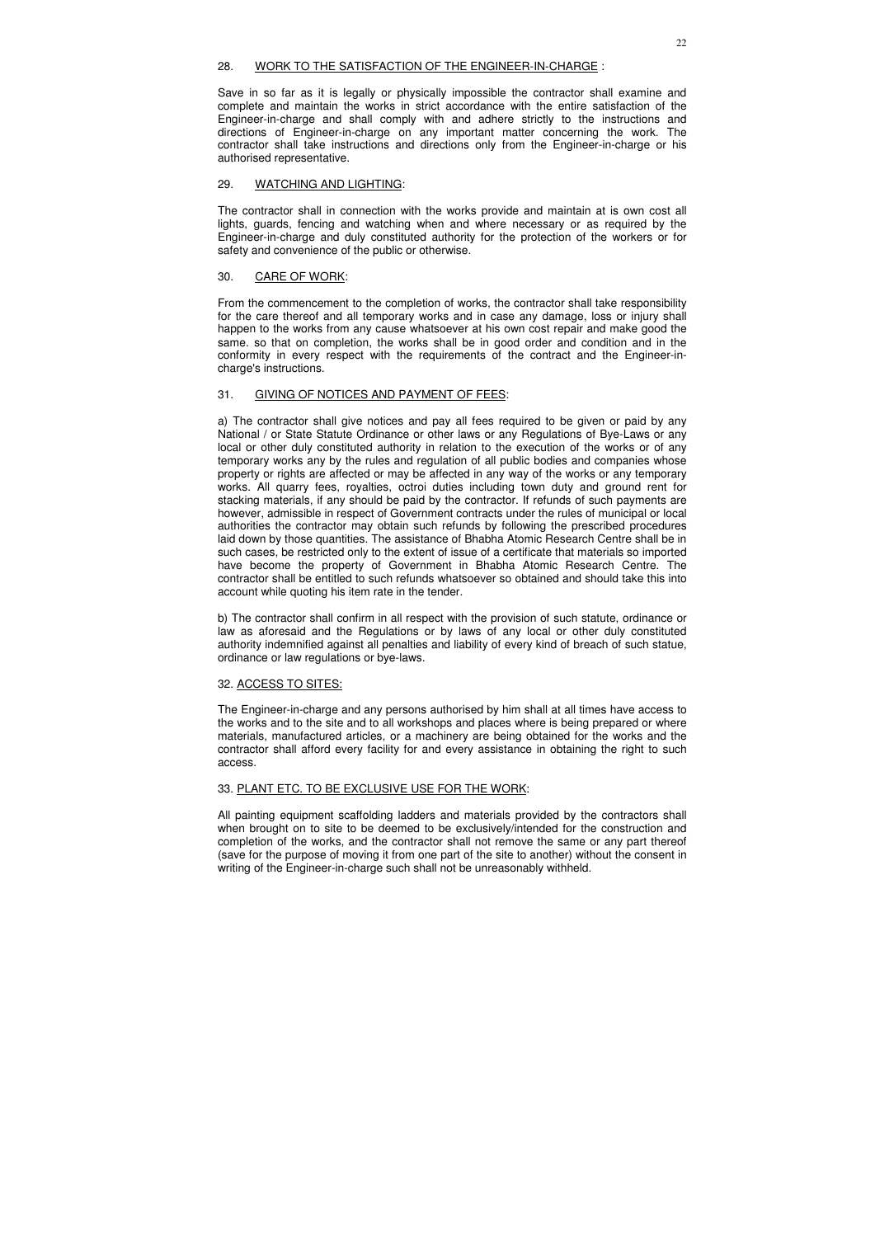### 28. WORK TO THE SATISFACTION OF THE ENGINEER-IN-CHARGE :

Save in so far as it is legally or physically impossible the contractor shall examine and complete and maintain the works in strict accordance with the entire satisfaction of the Engineer-in-charge and shall comply with and adhere strictly to the instructions and directions of Engineer-in-charge on any important matter concerning the work. The contractor shall take instructions and directions only from the Engineer-in-charge or his authorised representative.

## 29. WATCHING AND LIGHTING:

The contractor shall in connection with the works provide and maintain at is own cost all lights, guards, fencing and watching when and where necessary or as required by the Engineer-in-charge and duly constituted authority for the protection of the workers or for safety and convenience of the public or otherwise.

### 30. CARE OF WORK:

From the commencement to the completion of works, the contractor shall take responsibility for the care thereof and all temporary works and in case any damage, loss or injury shall happen to the works from any cause whatsoever at his own cost repair and make good the same. so that on completion, the works shall be in good order and condition and in the conformity in every respect with the requirements of the contract and the Engineer-incharge's instructions.

## 31. GIVING OF NOTICES AND PAYMENT OF FEES:

a) The contractor shall give notices and pay all fees required to be given or paid by any National / or State Statute Ordinance or other laws or any Regulations of Bye-Laws or any local or other duly constituted authority in relation to the execution of the works or of any temporary works any by the rules and regulation of all public bodies and companies whose property or rights are affected or may be affected in any way of the works or any temporary works. All quarry fees, royalties, octroi duties including town duty and ground rent for stacking materials, if any should be paid by the contractor. If refunds of such payments are however, admissible in respect of Government contracts under the rules of municipal or local authorities the contractor may obtain such refunds by following the prescribed procedures laid down by those quantities. The assistance of Bhabha Atomic Research Centre shall be in such cases, be restricted only to the extent of issue of a certificate that materials so imported have become the property of Government in Bhabha Atomic Research Centre. The contractor shall be entitled to such refunds whatsoever so obtained and should take this into account while quoting his item rate in the tender.

b) The contractor shall confirm in all respect with the provision of such statute, ordinance or law as aforesaid and the Regulations or by laws of any local or other duly constituted authority indemnified against all penalties and liability of every kind of breach of such statue, ordinance or law regulations or bye-laws.

### 32. ACCESS TO SITES:

The Engineer-in-charge and any persons authorised by him shall at all times have access to the works and to the site and to all workshops and places where is being prepared or where materials, manufactured articles, or a machinery are being obtained for the works and the contractor shall afford every facility for and every assistance in obtaining the right to such access.

## 33. PLANT ETC. TO BE EXCLUSIVE USE FOR THE WORK:

All painting equipment scaffolding ladders and materials provided by the contractors shall when brought on to site to be deemed to be exclusively/intended for the construction and completion of the works, and the contractor shall not remove the same or any part thereof (save for the purpose of moving it from one part of the site to another) without the consent in writing of the Engineer-in-charge such shall not be unreasonably withheld.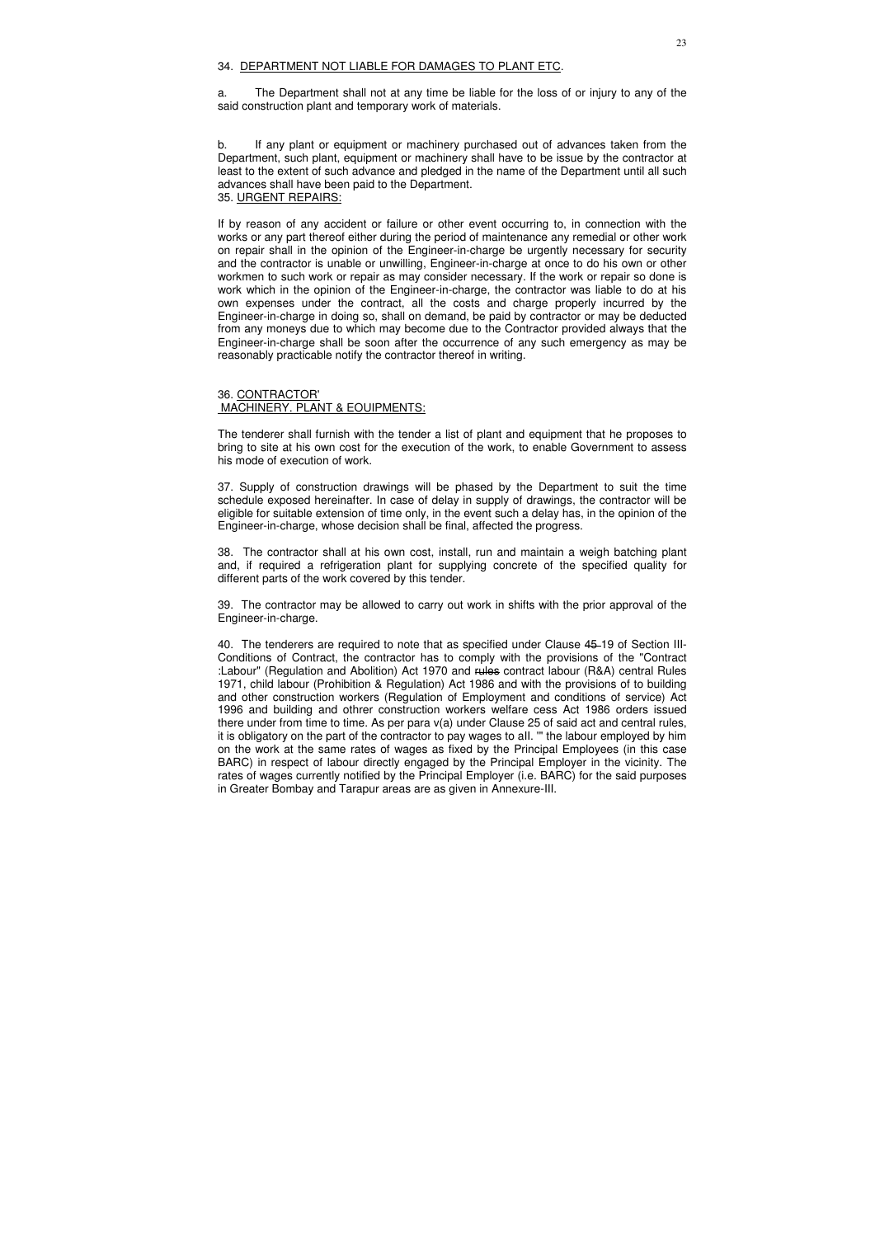### 34. DEPARTMENT NOT LIABLE FOR DAMAGES TO PLANT ETC.

a. The Department shall not at any time be liable for the loss of or injury to any of the said construction plant and temporary work of materials.

b. If any plant or equipment or machinery purchased out of advances taken from the Department, such plant, equipment or machinery shall have to be issue by the contractor at least to the extent of such advance and pledged in the name of the Department until all such advances shall have been paid to the Department. 35. URGENT REPAIRS:

If by reason of any accident or failure or other event occurring to, in connection with the works or any part thereof either during the period of maintenance any remedial or other work on repair shall in the opinion of the Engineer-in-charge be urgently necessary for security and the contractor is unable or unwilling, Engineer-in-charge at once to do his own or other workmen to such work or repair as may consider necessary. If the work or repair so done is work which in the opinion of the Engineer-in-charge, the contractor was liable to do at his own expenses under the contract, all the costs and charge properly incurred by the Engineer-in-charge in doing so, shall on demand, be paid by contractor or may be deducted from any moneys due to which may become due to the Contractor provided always that the Engineer-in-charge shall be soon after the occurrence of any such emergency as may be reasonably practicable notify the contractor thereof in writing.

### 36. CONTRACTOR' MACHINERY. PLANT & EOUIPMENTS:

The tenderer shall furnish with the tender a list of plant and equipment that he proposes to bring to site at his own cost for the execution of the work, to enable Government to assess his mode of execution of work.

37. Supply of construction drawings will be phased by the Department to suit the time schedule exposed hereinafter. In case of delay in supply of drawings, the contractor will be eligible for suitable extension of time only, in the event such a delay has, in the opinion of the Engineer-in-charge, whose decision shall be final, affected the progress.

38. The contractor shall at his own cost, install, run and maintain a weigh batching plant and, if required a refrigeration plant for supplying concrete of the specified quality for different parts of the work covered by this tender.

39. The contractor may be allowed to carry out work in shifts with the prior approval of the Engineer-in-charge.

40. The tenderers are required to note that as specified under Clause 45 19 of Section III-Conditions of Contract, the contractor has to comply with the provisions of the "Contract :Labour" (Regulation and Abolition) Act 1970 and rules contract labour (R&A) central Rules 1971, child labour (Prohibition & Regulation) Act 1986 and with the provisions of to building and other construction workers (Regulation of Employment and conditions of service) Act 1996 and building and othrer construction workers welfare cess Act 1986 orders issued there under from time to time. As per para v(a) under Clause 25 of said act and central rules, it is obligatory on the part of the contractor to pay wages to aII. '" the labour employed by him on the work at the same rates of wages as fixed by the Principal Employees (in this case BARC) in respect of labour directly engaged by the Principal Employer in the vicinity. The rates of wages currently notified by the Principal Employer (i.e. BARC) for the said purposes in Greater Bombay and Tarapur areas are as given in Annexure-III.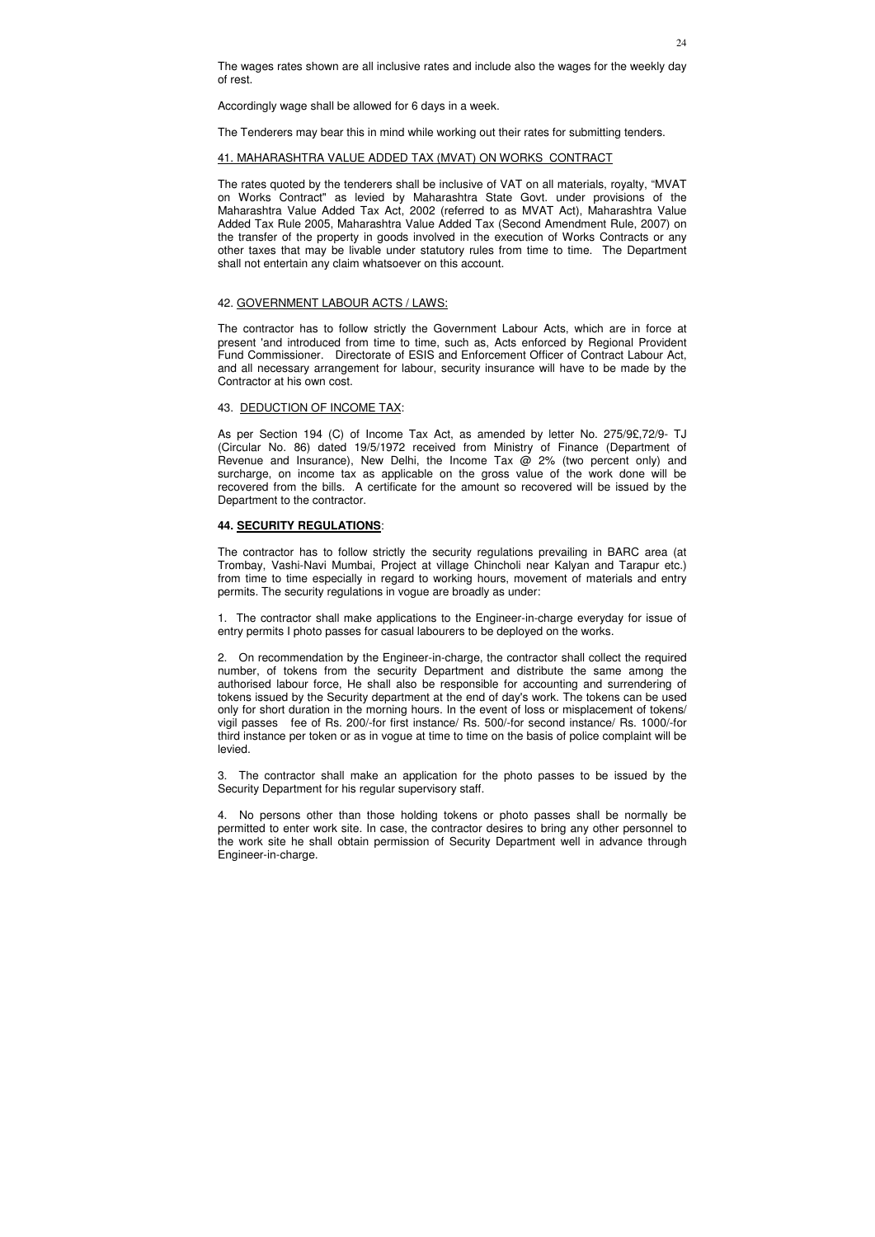The wages rates shown are all inclusive rates and include also the wages for the weekly day of rest.

Accordingly wage shall be allowed for 6 days in a week.

The Tenderers may bear this in mind while working out their rates for submitting tenders.

### 41. MAHARASHTRA VALUE ADDED TAX (MVAT) ON WORKS CONTRACT

The rates quoted by the tenderers shall be inclusive of VAT on all materials, royalty, "MVAT on Works Contract" as levied by Maharashtra State Govt. under provisions of the Maharashtra Value Added Tax Act, 2002 (referred to as MVAT Act), Maharashtra Value Added Tax Rule 2005, Maharashtra Value Added Tax (Second Amendment Rule, 2007) on the transfer of the property in goods involved in the execution of Works Contracts or any other taxes that may be livable under statutory rules from time to time. The Department shall not entertain any claim whatsoever on this account.

#### 42. GOVERNMENT LABOUR ACTS / LAWS:

The contractor has to follow strictly the Government Labour Acts, which are in force at present 'and introduced from time to time, such as, Acts enforced by Regional Provident Fund Commissioner. Directorate of ESIS and Enforcement Officer of Contract Labour Act, and all necessary arrangement for labour, security insurance will have to be made by the Contractor at his own cost.

#### 43. DEDUCTION OF INCOME TAX:

As per Section 194 (C) of Income Tax Act, as amended by letter No. 275/9£,72/9- TJ (Circular No. 86) dated 19/5/1972 received from Ministry of Finance (Department of Revenue and Insurance), New Delhi, the Income Tax  $\omega$  2% (two percent only) and surcharge, on income tax as applicable on the gross value of the work done will be recovered from the bills. A certificate for the amount so recovered will be issued by the Department to the contractor.

### **44. SECURITY REGULATIONS**:

The contractor has to follow strictly the security regulations prevailing in BARC area (at Trombay, Vashi-Navi Mumbai, Project at village Chincholi near Kalyan and Tarapur etc.) from time to time especially in regard to working hours, movement of materials and entry permits. The security regulations in vogue are broadly as under:

1. The contractor shall make applications to the Engineer-in-charge everyday for issue of entry permits I photo passes for casual labourers to be deployed on the works.

2. On recommendation by the Engineer-in-charge, the contractor shall collect the required number, of tokens from the security Department and distribute the same among the authorised labour force, He shall also be responsible for accounting and surrendering of tokens issued by the Security department at the end of day's work. The tokens can be used only for short duration in the morning hours. In the event of loss or misplacement of tokens/ vigil passes fee of Rs. 200/-for first instance/ Rs. 500/-for second instance/ Rs. 1000/-for third instance per token or as in vogue at time to time on the basis of police complaint will be levied.

3. The contractor shall make an application for the photo passes to be issued by the Security Department for his regular supervisory staff.

4. No persons other than those holding tokens or photo passes shall be normally be permitted to enter work site. In case, the contractor desires to bring any other personnel to the work site he shall obtain permission of Security Department well in advance through Engineer-in-charge.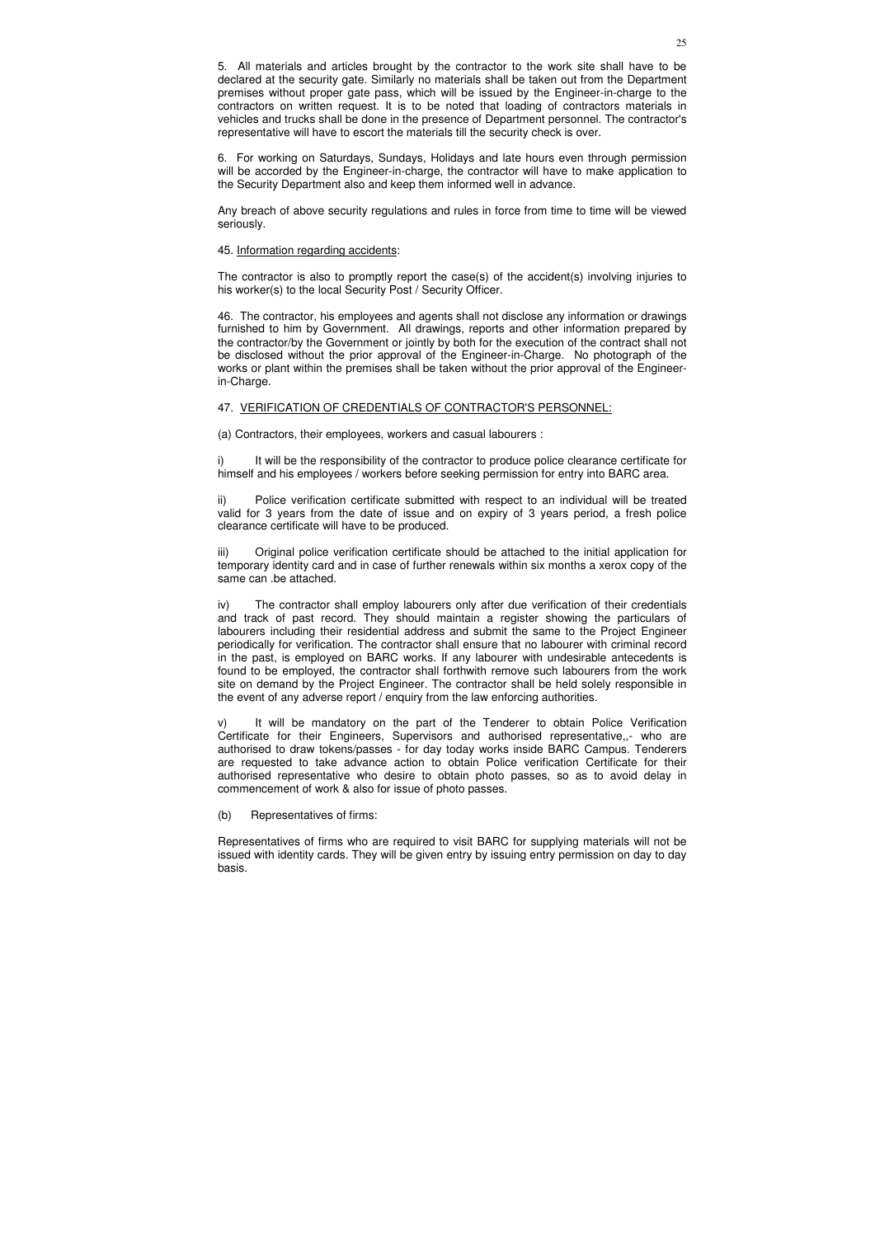5. All materials and articles brought by the contractor to the work site shall have to be declared at the security gate. Similarly no materials shall be taken out from the Department premises without proper gate pass, which will be issued by the Engineer-in-charge to the contractors on written request. It is to be noted that loading of contractors materials in vehicles and trucks shall be done in the presence of Department personnel. The contractor's representative will have to escort the materials till the security check is over.

6. For working on Saturdays, Sundays, Holidays and late hours even through permission will be accorded by the Engineer-in-charge, the contractor will have to make application to the Security Department also and keep them informed well in advance.

Any breach of above security regulations and rules in force from time to time will be viewed seriously.

#### 45. Information regarding accidents:

i) It will be the responsibility of the contractor to produce police clearance certificate for himself and his employees / workers before seeking permission for entry into BARC area.

The contractor is also to promptly report the case(s) of the accident(s) involving injuries to his worker(s) to the local Security Post / Security Officer.

46. The contractor, his employees and agents shall not disclose any information or drawings furnished to him by Government. All drawings, reports and other information prepared by the contractor/by the Government or jointly by both for the execution of the contract shall not be disclosed without the prior approval of the Engineer-in-Charge. No photograph of the works or plant within the premises shall be taken without the prior approval of the Engineerin-Charge.

#### 47. VERIFICATION OF CREDENTIALS OF CONTRACTOR'S PERSONNEL:

(a) Contractors, their employees, workers and casual labourers :

ii) Police verification certificate submitted with respect to an individual will be treated valid for 3 years from the date of issue and on expiry of 3 years period, a fresh police clearance certificate will have to be produced.

iii) Original police verification certificate should be attached to the initial application for temporary identity card and in case of further renewals within six months a xerox copy of the same can .be attached.

iv) The contractor shall employ labourers only after due verification of their credentials and track of past record. They should maintain a register showing the particulars of labourers including their residential address and submit the same to the Project Engineer periodically for verification. The contractor shall ensure that no labourer with criminal record in the past, is employed on BARC works. If any labourer with undesirable antecedents is found to be employed, the contractor shall forthwith remove such labourers from the work site on demand by the Project Engineer. The contractor shall be held solely responsible in the event of any adverse report / enquiry from the law enforcing authorities.

v) It will be mandatory on the part of the Tenderer to obtain Police Verification Certificate for their Engineers, Supervisors and authorised representative,,- who are authorised to draw tokens/passes - for day today works inside BARC Campus. Tenderers are requested to take advance action to obtain Police verification Certificate for their authorised representative who desire to obtain photo passes, so as to avoid delay in commencement of work & also for issue of photo passes.

(b) Representatives of firms:

Representatives of firms who are required to visit BARC for supplying materials will not be issued with identity cards. They will be given entry by issuing entry permission on day to day basis.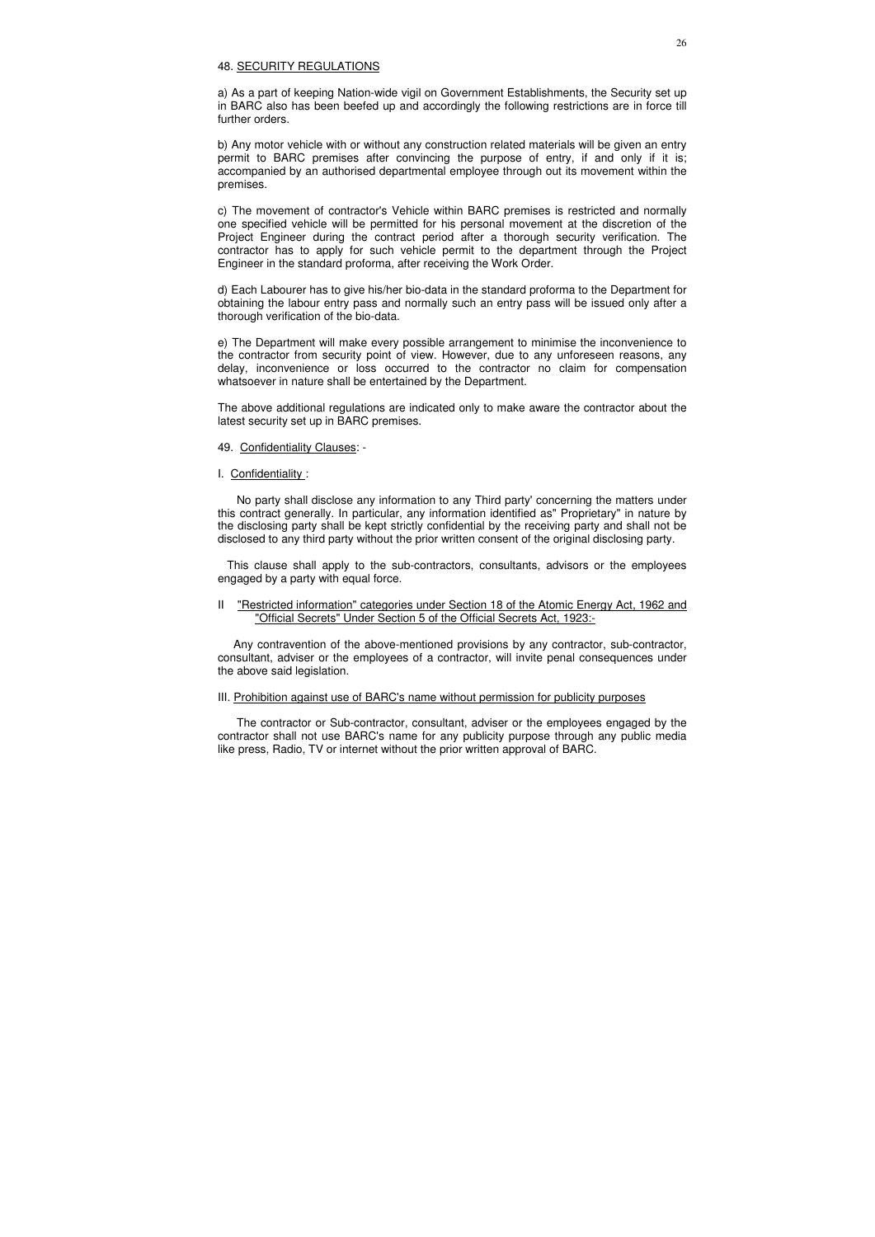#### 48. SECURITY REGULATIONS

a) As a part of keeping Nation-wide vigil on Government Establishments, the Security set up in BARC also has been beefed up and accordingly the following restrictions are in force till further orders.

b) Any motor vehicle with or without any construction related materials will be given an entry permit to BARC premises after convincing the purpose of entry, if and only if it is; accompanied by an authorised departmental employee through out its movement within the premises.

c) The movement of contractor's Vehicle within BARC premises is restricted and normally one specified vehicle will be permitted for his personal movement at the discretion of the Project Engineer during the contract period after a thorough security verification. The contractor has to apply for such vehicle permit to the department through the Project Engineer in the standard proforma, after receiving the Work Order.

d) Each Labourer has to give his/her bio-data in the standard proforma to the Department for obtaining the labour entry pass and normally such an entry pass will be issued only after a thorough verification of the bio-data.

e) The Department will make every possible arrangement to minimise the inconvenience to the contractor from security point of view. However, due to any unforeseen reasons, any delay, inconvenience or loss occurred to the contractor no claim for compensation whatsoever in nature shall be entertained by the Department.

The above additional regulations are indicated only to make aware the contractor about the latest security set up in BARC premises.

- 49. Confidentiality Clauses: -
- I. Confidentiality :

 No party shall disclose any information to any Third party' concerning the matters under this contract generally. In particular, any information identified as" Proprietary" in nature by the disclosing party shall be kept strictly confidential by the receiving party and shall not be disclosed to any third party without the prior written consent of the original disclosing party.

 This clause shall apply to the sub-contractors, consultants, advisors or the employees engaged by a party with equal force.

II "Restricted information" categories under Section 18 of the Atomic Energy Act, 1962 and "Official Secrets" Under Section 5 of the Official Secrets Act, 1923:-

 Any contravention of the above-mentioned provisions by any contractor, sub-contractor, consultant, adviser or the employees of a contractor, will invite penal consequences under the above said legislation.

## III. Prohibition against use of BARC's name without permission for publicity purposes

 The contractor or Sub-contractor, consultant, adviser or the employees engaged by the contractor shall not use BARC's name for any publicity purpose through any public media like press, Radio, TV or internet without the prior written approval of BARC.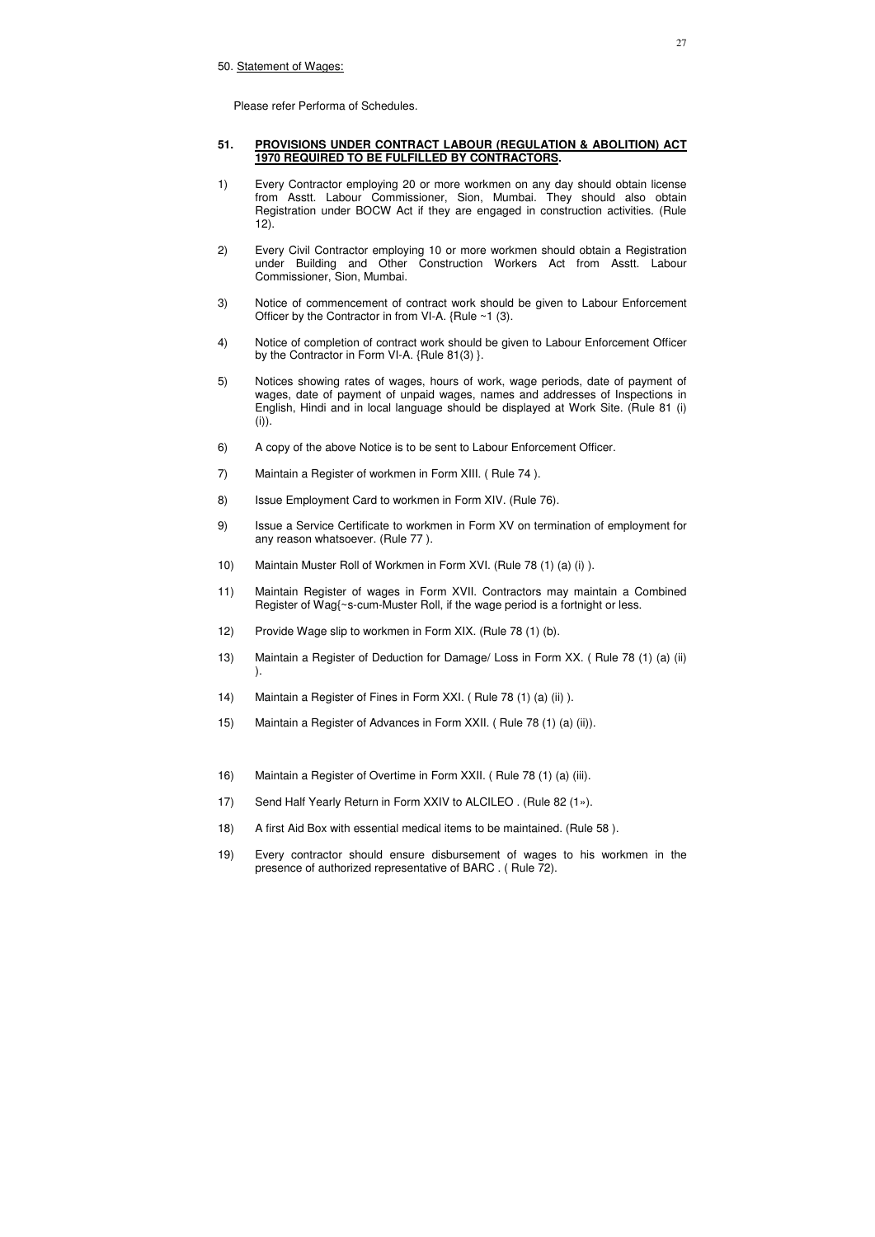Please refer Performa of Schedules.

## **51. PROVISIONS UNDER CONTRACT LABOUR (REGULATION & ABOLITION) ACT 1970 REQUIRED TO BE FULFILLED BY CONTRACTORS.**

- 1) Every Contractor employing 20 or more workmen on any day should obtain license from Asstt. Labour Commissioner, Sion, Mumbai. They should also obtain Registration under BOCW Act if they are engaged in construction activities. (Rule 12).
- 2) Every Civil Contractor employing 10 or more workmen should obtain a Registration under Building and Other Construction Workers Act from Asstt. Labour Commissioner, Sion, Mumbai.
- 3) Notice of commencement of contract work should be given to Labour Enforcement Officer by the Contractor in from VI-A.  ${Rule ~1 (3)}$ .
- 4) Notice of completion of contract work should be given to Labour Enforcement Officer by the Contractor in Form VI-A. {Rule 81(3) }.
- 5) Notices showing rates of wages, hours of work, wage periods, date of payment of wages, date of payment of unpaid wages, names and addresses of Inspections in English, Hindi and in local language should be displayed at Work Site. (Rule 81 (i)  $(i)$ ).
- 6) A copy of the above Notice is to be sent to Labour Enforcement Officer.
- 7) Maintain a Register of workmen in Form XIII. ( Rule 74 ).
- 8) Issue Employment Card to workmen in Form XIV. (Rule 76).
- 9) Issue a Service Certificate to workmen in Form XV on termination of employment for any reason whatsoever. (Rule 77 ).
- 10) Maintain Muster Roll of Workmen in Form XVI. (Rule 78 (1) (a) (i) ).
- 11) Maintain Register of wages in Form XVII. Contractors may maintain a Combined Register of Wag{~s-cum-Muster Roll, if the wage period is a fortnight or less.
- 12) Provide Wage slip to workmen in Form XIX. (Rule 78 (1) (b).
- 13) Maintain a Register of Deduction for Damage/ Loss in Form XX. ( Rule 78 (1) (a) (ii) ).
- 14) Maintain a Register of Fines in Form XXI. ( Rule 78 (1) (a) (ii) ).
- 15) Maintain a Register of Advances in Form XXII. ( Rule 78 (1) (a) (ii)).
- 16) Maintain a Register of Overtime in Form XXII. ( Rule 78 (1) (a) (iii).
- 17) Send Half Yearly Return in Form XXIV to ALCILEO . (Rule 82 (1»).
- 18) A first Aid Box with essential medical items to be maintained. (Rule 58 ).
- 19) Every contractor should ensure disbursement of wages to his workmen in the presence of authorized representative of BARC . ( Rule 72).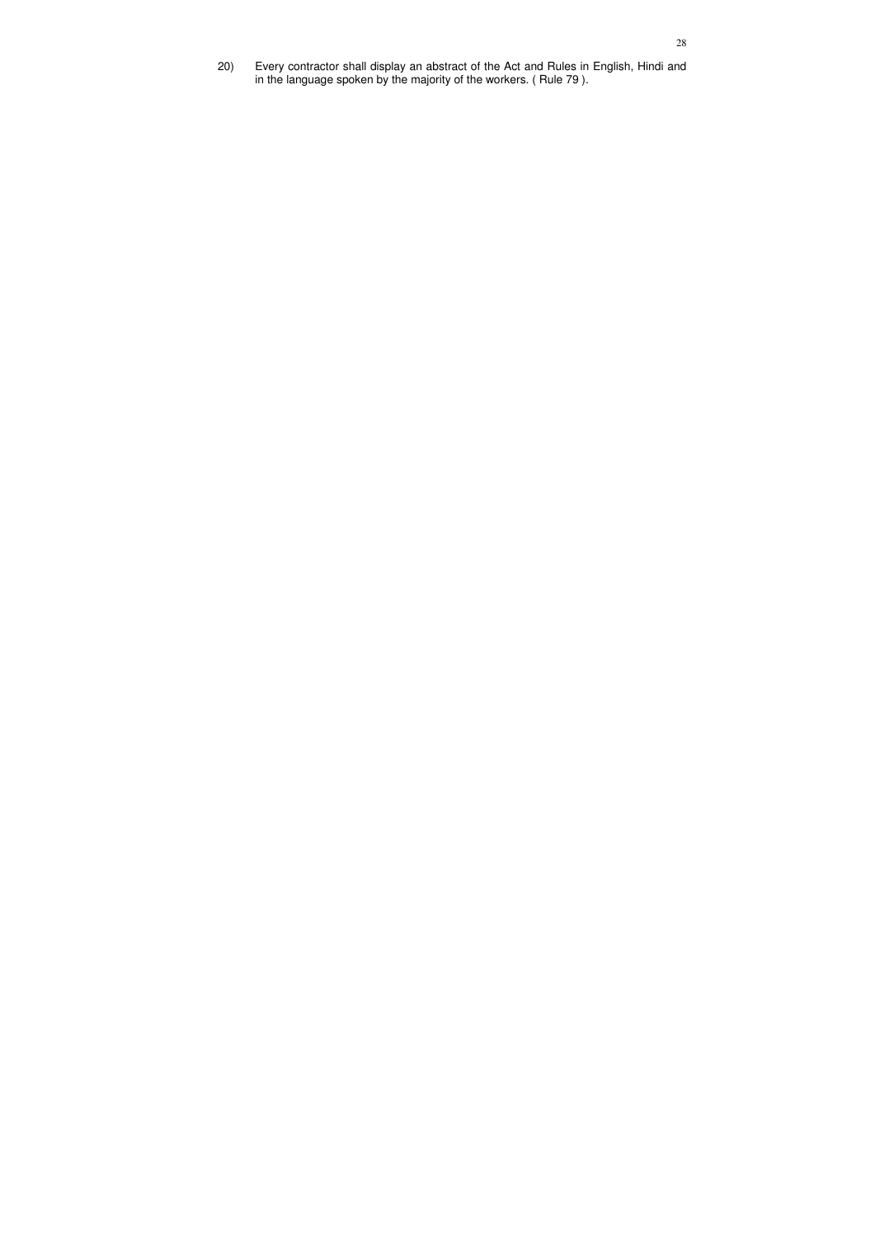20) Every contractor shall display an abstract of the Act and Rules in English, Hindi and in the language spoken by the majority of the workers. ( Rule 79 ).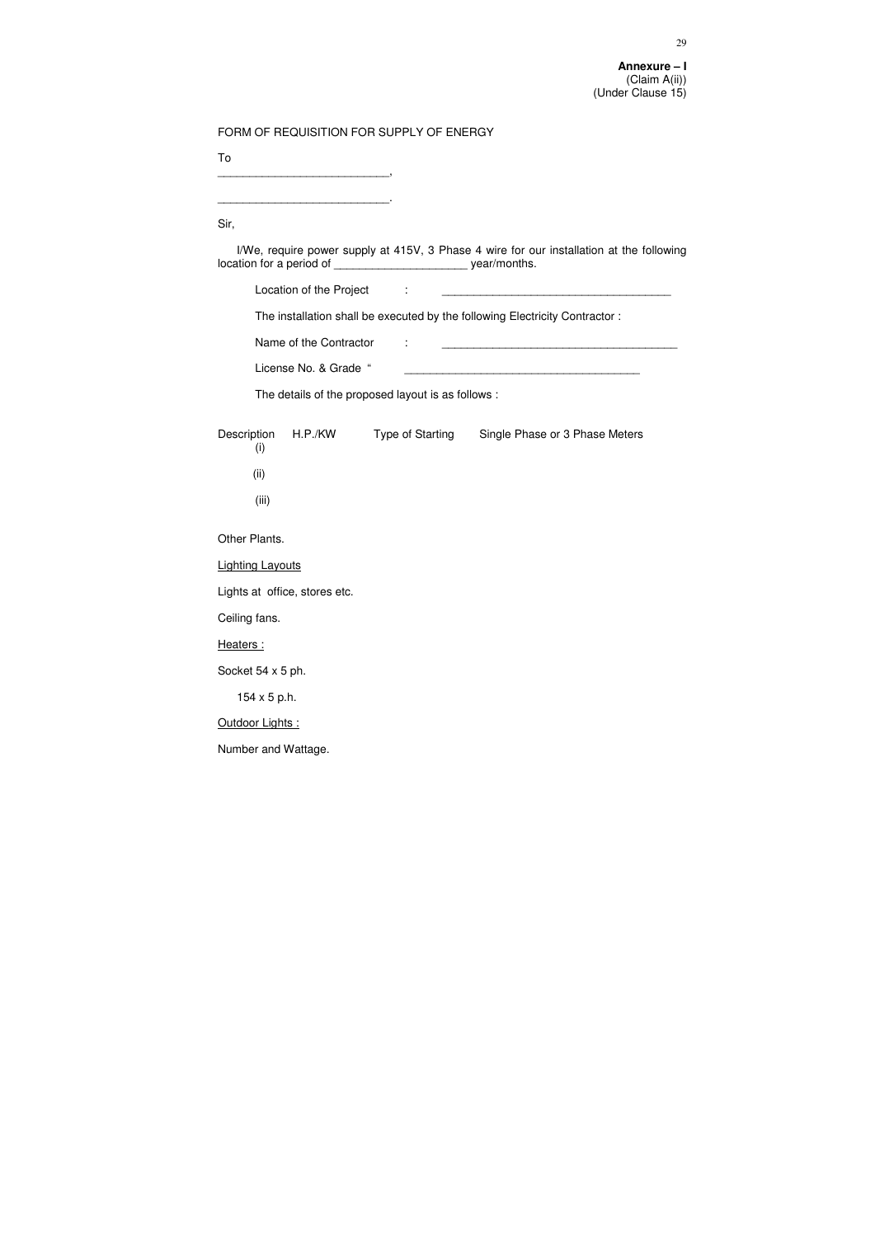| FORM OF REQUISITION FOR SUPPLY OF ENERGY                                |                                                                                          |
|-------------------------------------------------------------------------|------------------------------------------------------------------------------------------|
| To                                                                      |                                                                                          |
|                                                                         |                                                                                          |
| Sir,                                                                    |                                                                                          |
| location for a period of _________________________________ year/months. | I/We, require power supply at 415V, 3 Phase 4 wire for our installation at the following |
| Location of the Project :                                               |                                                                                          |
|                                                                         | The installation shall be executed by the following Electricity Contractor:              |
| Name of the Contractor                                                  |                                                                                          |
| License No. & Grade "                                                   |                                                                                          |
| The details of the proposed layout is as follows :                      |                                                                                          |
| Description<br>H.P./KW<br>(i)                                           | <b>Type of Starting</b><br>Single Phase or 3 Phase Meters                                |
| (ii)                                                                    |                                                                                          |
| (iii)                                                                   |                                                                                          |
| Other Plants.                                                           |                                                                                          |
| <b>Lighting Layouts</b>                                                 |                                                                                          |
| Lights at office, stores etc.                                           |                                                                                          |
| Ceiling fans.                                                           |                                                                                          |
| Heaters:                                                                |                                                                                          |
| Socket 54 x 5 ph.                                                       |                                                                                          |
| $154 \times 5$ p.h.                                                     |                                                                                          |
| Outdoor Lights:                                                         |                                                                                          |
| Number and Wattage.                                                     |                                                                                          |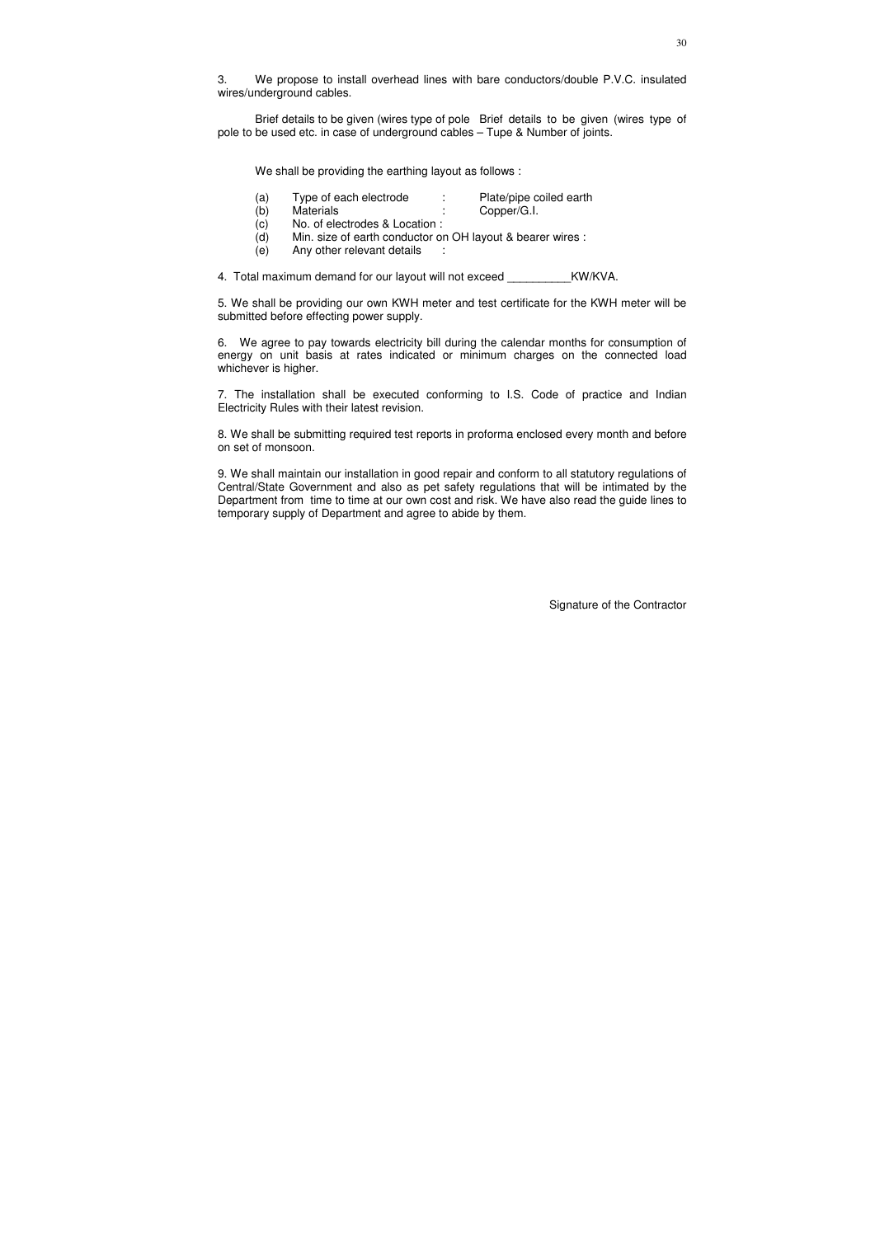3. We propose to install overhead lines with bare conductors/double P.V.C. insulated wires/underground cables.

- (a) Type of each electrode : Plate/pipe coiled earth
- (b) Materials : Copper/G.I.
- (c) No. of electrodes & Location :
- (d) Min. size of earth conductor on OH layout & bearer wires :
- (e) Any other relevant details :

4. Total maximum demand for our layout will not exceed KW/KVA.

Brief details to be given (wires type of pole Brief details to be given (wires type of pole to be used etc. in case of underground cables – Tupe & Number of joints.

We shall be providing the earthing layout as follows :

5. We shall be providing our own KWH meter and test certificate for the KWH meter will be submitted before effecting power supply.

6. We agree to pay towards electricity bill during the calendar months for consumption of energy on unit basis at rates indicated or minimum charges on the connected load whichever is higher.

7. The installation shall be executed conforming to I.S. Code of practice and Indian Electricity Rules with their latest revision.

8. We shall be submitting required test reports in proforma enclosed every month and before on set of monsoon.

9. We shall maintain our installation in good repair and conform to all statutory regulations of Central/State Government and also as pet safety regulations that will be intimated by the Department from time to time at our own cost and risk. We have also read the guide lines to temporary supply of Department and agree to abide by them.

Signature of the Contractor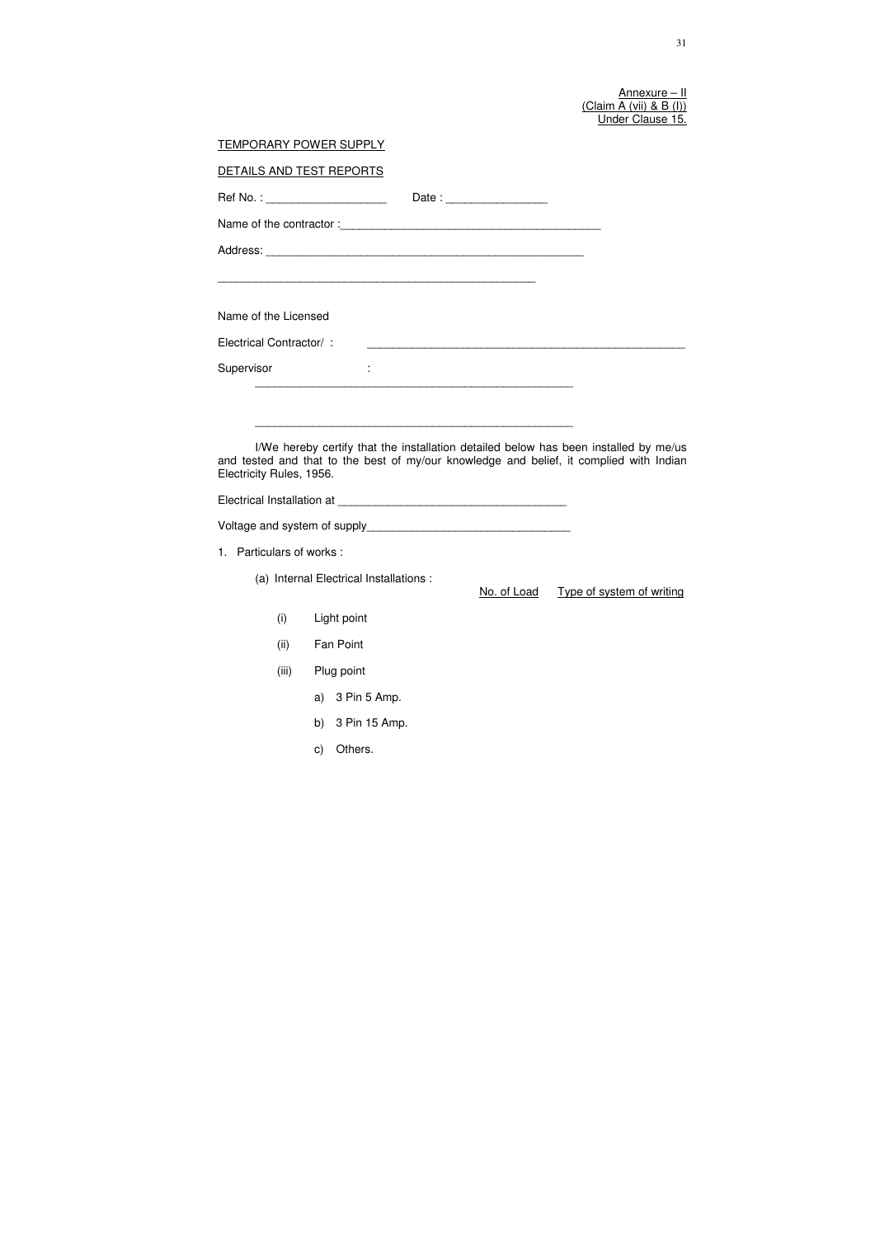<u>Annexure – II</u> (Claim A (vii) & B (I)) Under Clause 15.

| <b>TEMPORARY POWER SUPPLY</b> |                                                                                                                                                                                 |
|-------------------------------|---------------------------------------------------------------------------------------------------------------------------------------------------------------------------------|
| DETAILS AND TEST REPORTS      |                                                                                                                                                                                 |
|                               | Ref No. : _______________________<br>Date: $\frac{1}{2}$                                                                                                                        |
|                               |                                                                                                                                                                                 |
|                               |                                                                                                                                                                                 |
|                               | <u> 1990 - Johann John Stone, mars an deutscher Stone († 1900)</u>                                                                                                              |
| Name of the Licensed          |                                                                                                                                                                                 |
| Electrical Contractor/:       |                                                                                                                                                                                 |
| Supervisor                    | ÷                                                                                                                                                                               |
|                               |                                                                                                                                                                                 |
| Electricity Rules, 1956.      | I/We hereby certify that the installation detailed below has been installed by me/us<br>and tested and that to the best of my/our knowledge and belief, it complied with Indian |
|                               |                                                                                                                                                                                 |
| 1. Particulars of works:      |                                                                                                                                                                                 |
|                               | (a) Internal Electrical Installations :<br>No. of Load Type of system of writing                                                                                                |
| (i)                           | Light point                                                                                                                                                                     |
| (ii)                          | Fan Point                                                                                                                                                                       |
| (iii)                         | Plug point                                                                                                                                                                      |
|                               | 3 Pin 5 Amp.<br>a)                                                                                                                                                              |
|                               | 3 Pin 15 Amp.<br>b)                                                                                                                                                             |
|                               | Others.<br>C)                                                                                                                                                                   |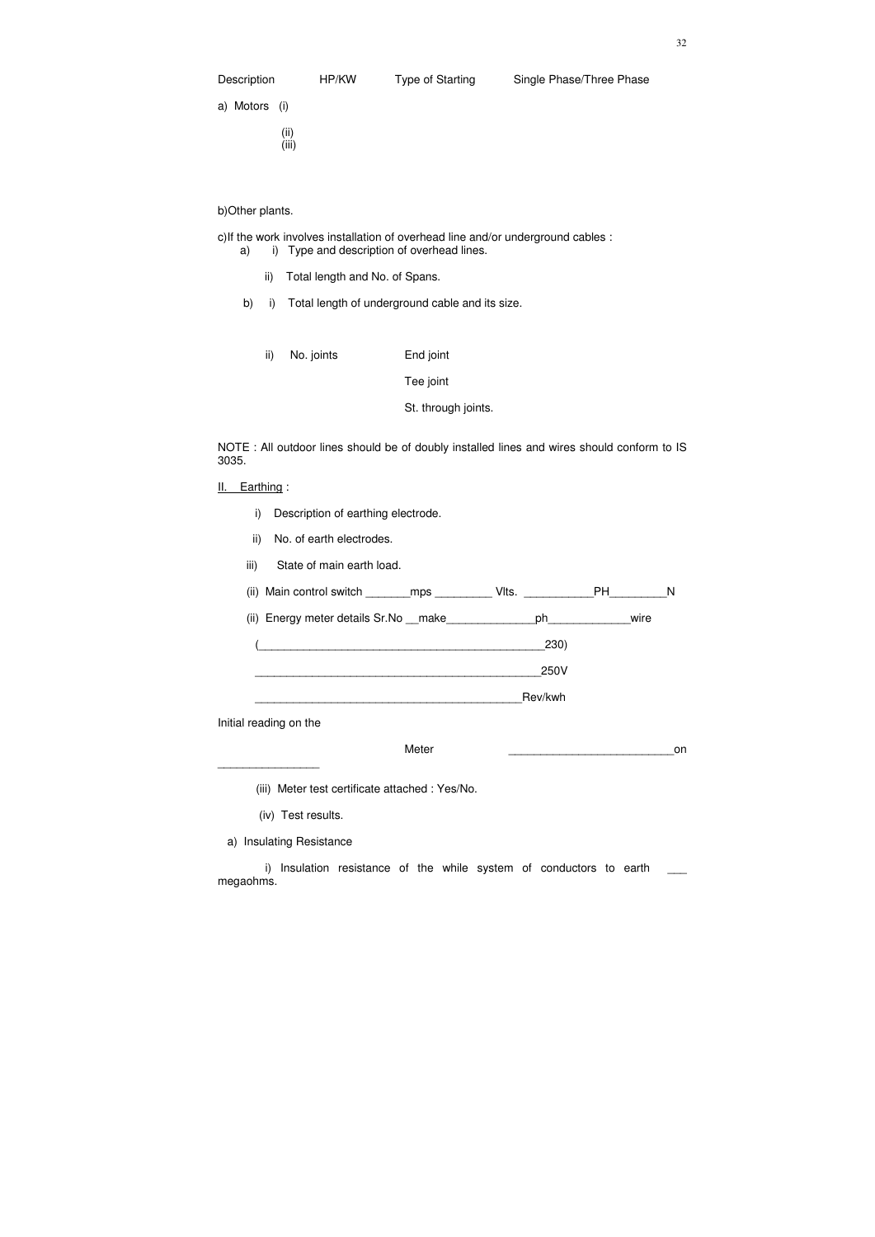(ii) (iii)

#### b)Other plants.

c)If the work involves installation of overhead line and/or underground cables :

a) i) Type and description of overhead lines.

- ii) Total length and No. of Spans.
- b) i) Total length of underground cable and its size.
	- ii) No. joints End joint

- II. Earthing:
	- i) Description of earthing electrode.
	- ii) No. of earth electrodes.
	- iii) State of main earth load.

Tee joint

St. through joints.

NOTE : All outdoor lines should be of doubly installed lines and wires should conform to IS 3035.

i) Insulation resistance of the while system of conductors to earth megaohms.

| (ii) | Main control switch | mps | lts. |  |
|------|---------------------|-----|------|--|
|      |                     |     |      |  |

(ii) Energy meter details Sr.No \_\_make\_\_\_\_\_\_\_\_\_\_\_\_\_\_ph\_\_\_\_\_\_\_\_\_\_\_\_wire

(\_\_\_\_\_\_\_\_\_\_\_\_\_\_\_\_\_\_\_\_\_\_\_\_\_\_\_\_\_\_\_\_\_\_\_\_\_\_\_\_\_\_\_\_\_230)

\_\_\_\_\_\_\_\_\_\_\_\_\_\_\_\_\_\_\_\_\_\_\_\_\_\_\_\_\_\_\_\_\_\_\_\_\_\_\_\_\_\_\_\_\_250V

\_\_\_\_\_\_\_\_\_\_\_\_\_\_\_\_\_\_\_\_\_\_\_\_\_\_\_\_\_\_\_\_\_\_\_\_\_\_\_\_\_\_Rev/kwh

Initial reading on the

\_\_\_\_\_\_\_\_\_\_\_\_\_\_\_\_

 $\blacksquare$ Meter  $\blacksquare$ 

(iii) Meter test certificate attached : Yes/No.

(iv) Test results.

a) Insulating Resistance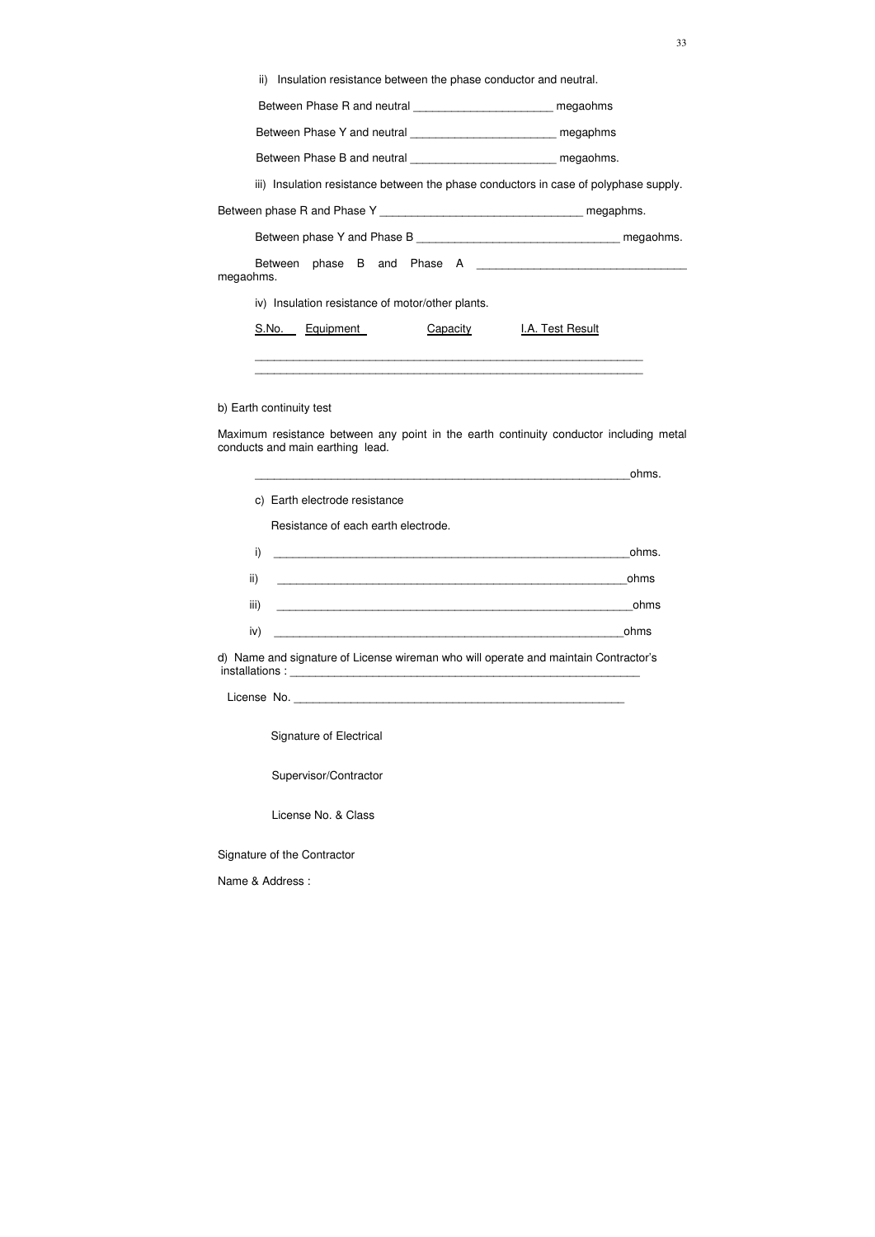|  |  |  |  |  |  | ii) Insulation resistance between the phase conductor and neutral. |
|--|--|--|--|--|--|--------------------------------------------------------------------|
|--|--|--|--|--|--|--------------------------------------------------------------------|

Between Phase R and neutral \_\_\_\_\_\_\_\_\_\_\_\_\_\_\_\_\_\_\_\_\_\_\_\_\_ megaohms

Between Phase Y and neutral \_\_\_\_\_\_\_\_\_\_\_\_\_\_\_\_\_\_\_\_\_\_\_\_\_\_\_ megaphms

Between Phase B and neutral \_\_\_\_\_\_\_\_\_\_\_\_\_\_\_\_\_\_\_\_\_\_\_\_\_\_ megaohms.

iii) Insulation resistance between the phase conductors in case of polyphase supply.

Between phase R and Phase Y \_\_\_\_\_\_\_\_\_\_\_\_\_\_\_\_\_\_\_\_\_\_\_\_\_\_\_\_\_\_\_\_ megaphms.

Between phase Y and Phase B \_\_\_\_\_\_\_\_\_\_\_\_\_\_\_\_\_\_\_\_\_\_\_\_\_\_\_\_\_\_\_\_ megaohms.

| Between phase B and Phase A |                                                 |  |  |  |
|-----------------------------|-------------------------------------------------|--|--|--|
| megaohms.                   |                                                 |  |  |  |
| .                           | the contract of the contract of the contract of |  |  |  |

iv) Insulation resistance of motor/other plants.

| S.No. | Equipment | Capacity | <b>I.A. Test Result</b> |
|-------|-----------|----------|-------------------------|
|-------|-----------|----------|-------------------------|

 \_\_\_\_\_\_\_\_\_\_\_\_\_\_\_\_\_\_\_\_\_\_\_\_\_\_\_\_\_\_\_\_\_\_\_\_\_\_\_\_\_\_\_\_\_\_\_\_\_\_\_\_\_\_\_\_\_\_\_\_\_ \_\_\_\_\_\_\_\_\_\_\_\_\_\_\_\_\_\_\_\_\_\_\_\_\_\_\_\_\_\_\_\_\_\_\_\_\_\_\_\_\_\_\_\_\_\_\_\_\_\_\_\_\_\_\_\_\_\_\_\_\_

b) Earth continuity test

Maximum resistance between any point in the earth continuity conductor including metal conducts and main earthing lead.

|      |                                     | ohms. |
|------|-------------------------------------|-------|
|      | c) Earth electrode resistance       |       |
|      | Resistance of each earth electrode. |       |
| i)   |                                     | ohms. |
| ii)  |                                     | ohms  |
| iii) |                                     | ohms  |
| iv)  |                                     | ohms  |

d) Name and signature of License wireman who will operate and maintain Contractor's installations : \_\_\_\_\_\_\_\_\_\_\_\_\_\_\_\_\_\_\_\_\_\_\_\_\_\_\_\_\_\_\_\_\_\_\_\_\_\_\_\_\_\_\_\_\_\_\_\_\_\_\_\_\_\_\_

License No.

Signature of Electrical

Supervisor/Contractor

License No. & Class

Signature of the Contractor

Name & Address :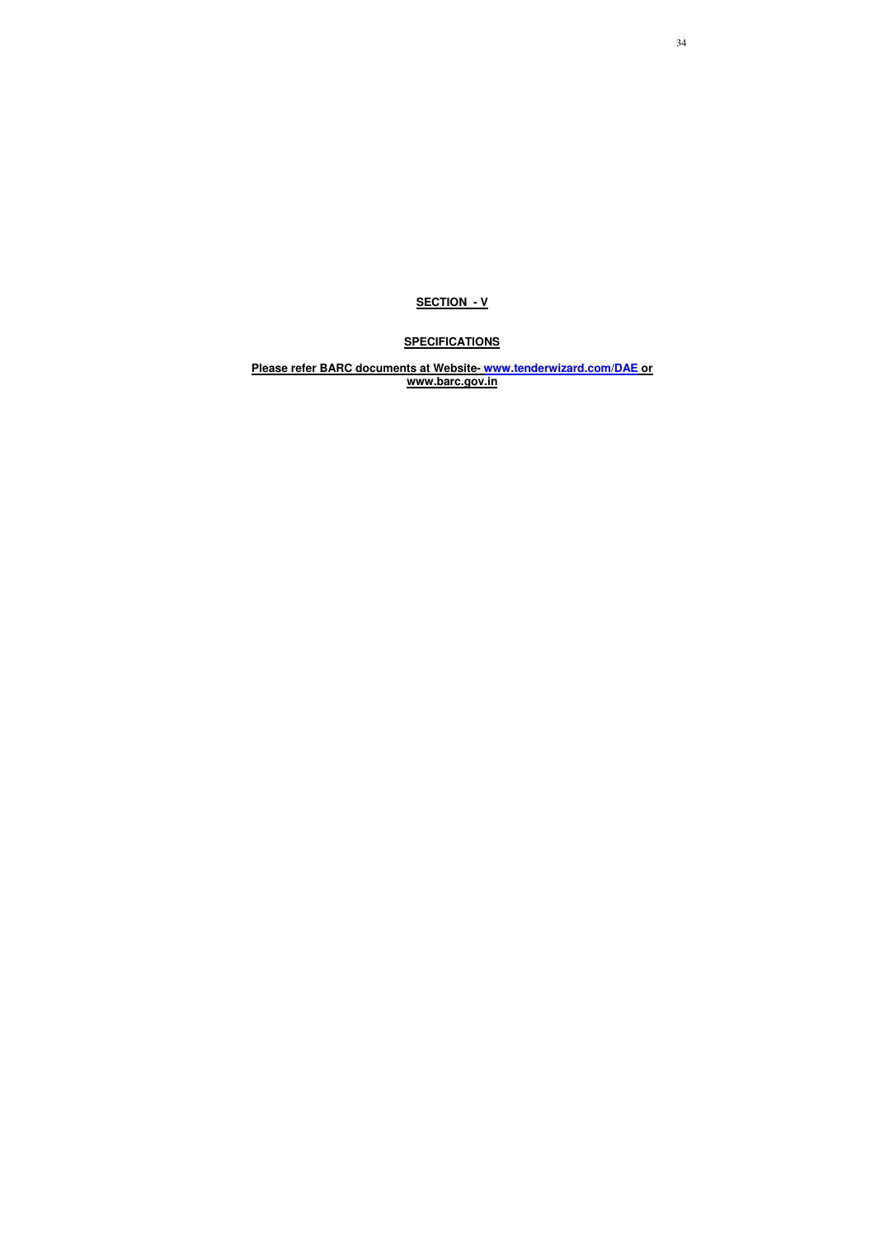### **SECTION - V**

# **SPECIFICATIONS**

**Please refer BARC documents at Website- www.tenderwizard.com/DAE or www.barc.gov.in**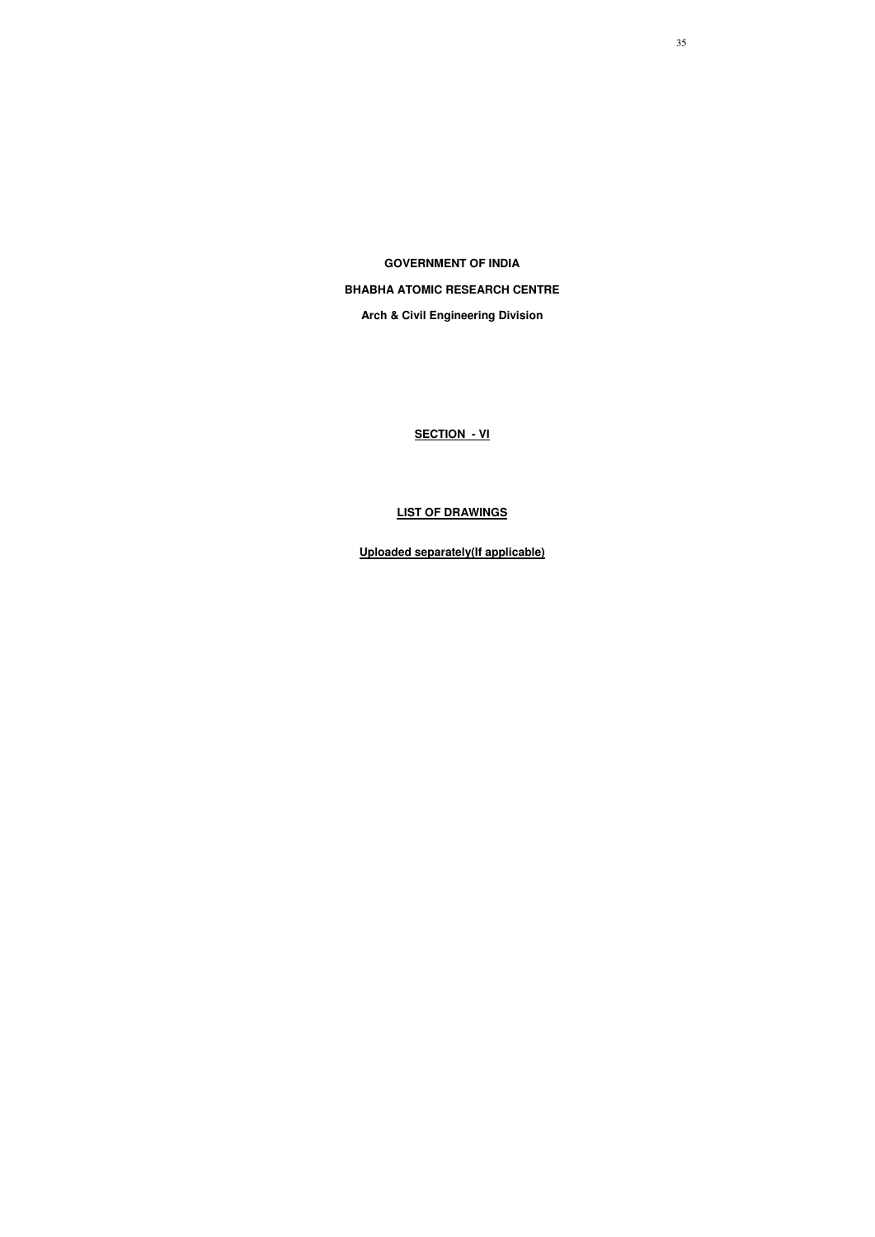**GOVERNMENT OF INDIA** 

## **BHABHA ATOMIC RESEARCH CENTRE**

**Arch & Civil Engineering Division** 

**SECTION - VI**

# **LIST OF DRAWINGS**

**Uploaded separately(If applicable)**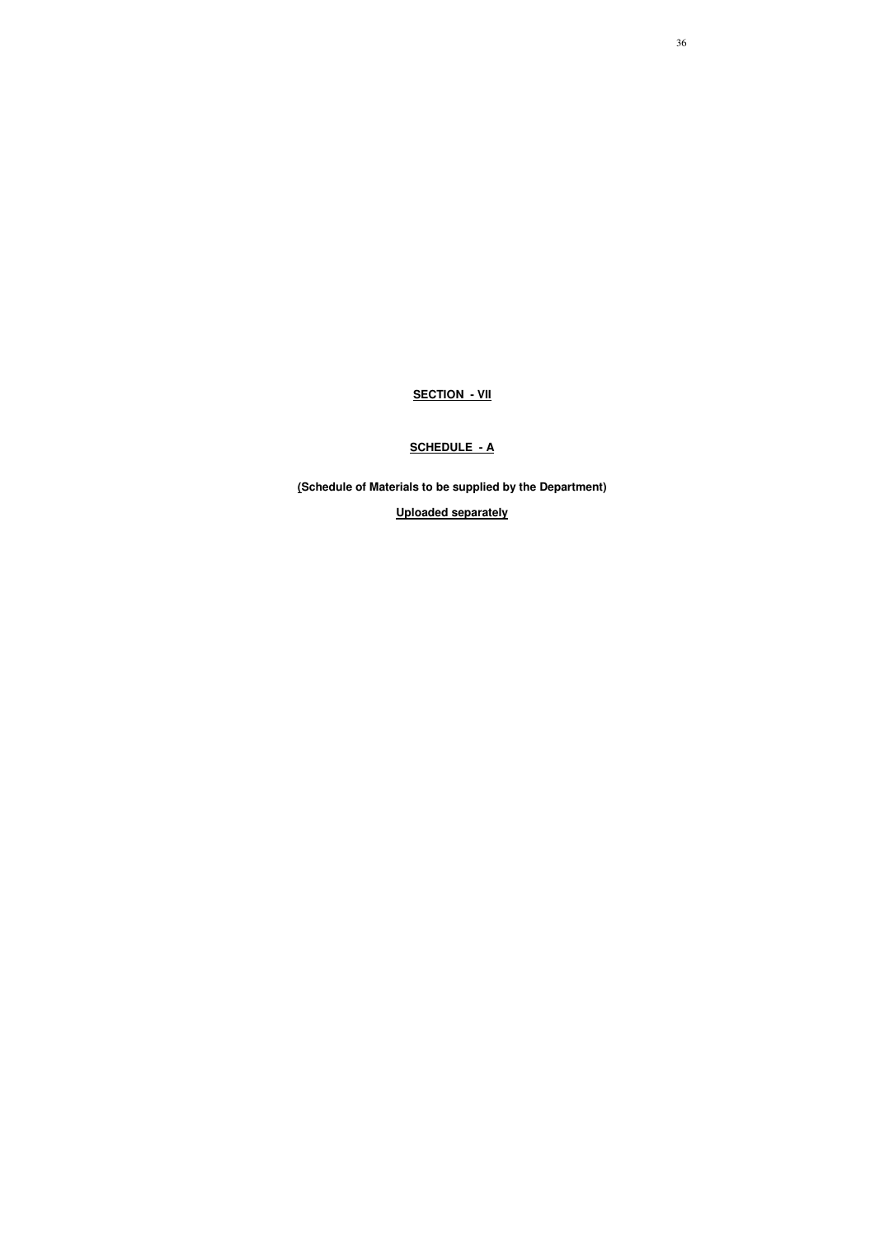**SECTION - VII**

### **SCHEDULE - A**

**(Schedule of Materials to be supplied by the Department)** 

**Uploaded separately**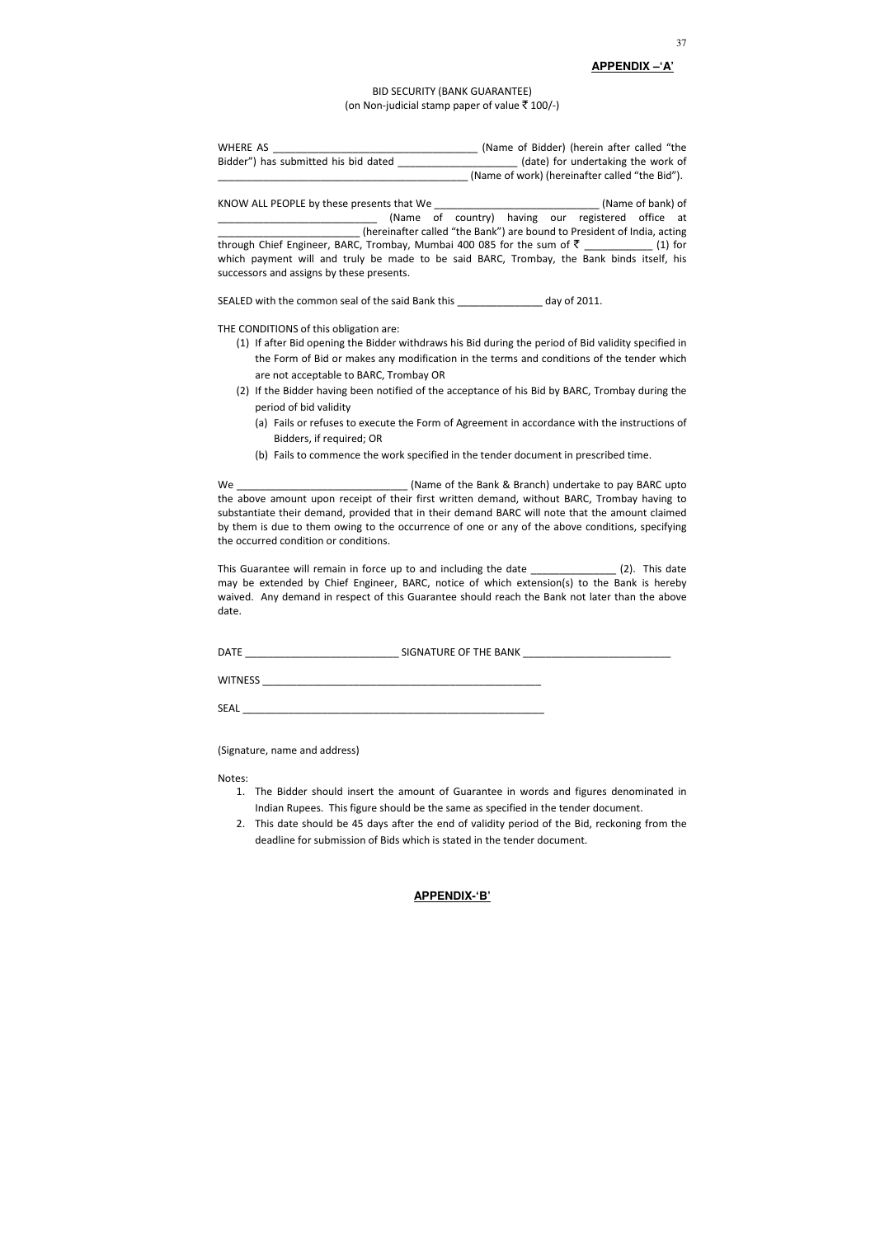#### BID SECURITY (BANK GUARANTEE) (on Non-judicial stamp paper of value  $\bar{z}$  100/-)

#### **APPENDIX –'A'**

| WHERE AS                             | (Name of Bidder) (herein after called "the     |
|--------------------------------------|------------------------------------------------|
| Bidder") has submitted his bid dated | (date) for undertaking the work of             |
|                                      | (Name of work) (hereinafter called "the Bid"). |

KNOW ALL PEOPLE by these presents that We \_\_\_\_\_\_\_\_\_\_\_\_\_\_\_\_\_\_\_\_\_\_\_\_\_\_\_\_\_ (Name of bank) of \_\_\_\_\_\_\_\_\_\_\_\_\_\_\_\_\_\_\_\_\_\_\_\_\_\_\_\_ (Name of country) having our registered office at \_\_\_\_\_\_\_\_\_\_\_\_\_\_\_\_\_\_\_\_\_\_\_\_\_ (hereinafter called "the Bank") are bound to President of India, acting through Chief Engineer, BARC, Trombay, Mumbai 400 085 for the sum of  $\bar{\zeta}$  \_\_\_\_\_\_\_\_\_\_\_ (1) for which payment will and truly be made to be said BARC, Trombay, the Bank binds itself, his successors and assigns by these presents.

SEALED with the common seal of the said Bank this \_\_\_\_\_\_\_\_\_\_\_\_\_\_\_ day of 2011.

THE CONDITIONS of this obligation are:

This Guarantee will remain in force up to and including the date \_\_\_\_\_\_\_\_\_\_\_\_\_\_\_\_ (2). This date may be extended by Chief Engineer, BARC, notice of which extension(s) to the Bank is hereby waived. Any demand in respect of this Guarantee should reach the Bank not later than the above date.

- (1) If after Bid opening the Bidder withdraws his Bid during the period of Bid validity specified in the Form of Bid or makes any modification in the terms and conditions of the tender which are not acceptable to BARC, Trombay OR
- (2) If the Bidder having been notified of the acceptance of his Bid by BARC, Trombay during the period of bid validity
	- (a) Fails or refuses to execute the Form of Agreement in accordance with the instructions of Bidders, if required; OR
	- (b) Fails to commence the work specified in the tender document in prescribed time.

We \_\_\_\_\_\_\_\_\_\_\_\_\_\_\_\_\_\_\_\_\_\_\_\_\_\_\_\_\_\_ (Name of the Bank & Branch) undertake to pay BARC upto the above amount upon receipt of their first written demand, without BARC, Trombay having to substantiate their demand, provided that in their demand BARC will note that the amount claimed by them is due to them owing to the occurrence of one or any of the above conditions, specifying the occurred condition or conditions.

DATE \_\_\_\_\_\_\_\_\_\_\_\_\_\_\_\_\_\_\_\_\_\_\_\_\_\_\_ SIGNATURE OF THE BANK \_\_\_\_\_\_\_\_\_\_\_\_\_\_\_\_\_\_\_\_\_\_\_\_\_\_

WITNESS **with a set of the set of the set of the set of the set of the set of the set of the set of the set of the set of the set of the set of the set of the set of the set of the set of the set of the set of the set of t** 

SEAL \_\_\_\_\_\_\_\_\_\_\_\_\_\_\_\_\_\_\_\_\_\_\_\_\_\_\_\_\_\_\_\_\_\_\_\_\_\_\_\_\_\_\_\_\_\_\_\_\_\_\_\_\_

(Signature, name and address)

Notes:

- 1. The Bidder should insert the amount of Guarantee in words and figures denominated in Indian Rupees. This figure should be the same as specified in the tender document.
- 2. This date should be 45 days after the end of validity period of the Bid, reckoning from the deadline for submission of Bids which is stated in the tender document.

#### **APPENDIX-'B'**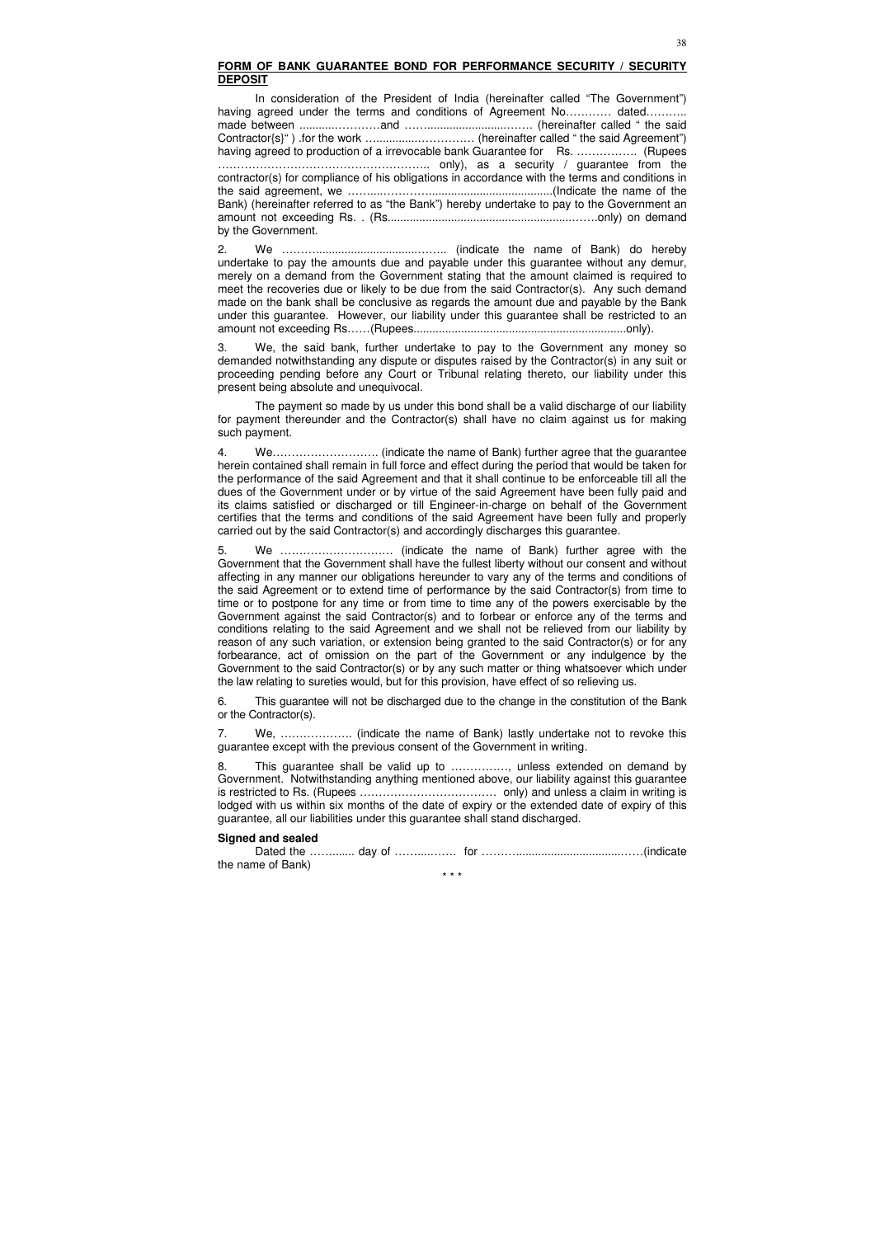#### **FORM OF BANK GUARANTEE BOND FOR PERFORMANCE SECURITY / SECURITY DEPOSIT**

 In consideration of the President of India (hereinafter called "The Government") having agreed under the terms and conditions of Agreement No………… dated……… made between ...........…………and …….........................……. (hereinafter called " the said Contractor{s}" ) .for the work ….............…………… (hereinafter called " the said Agreement") having agreed to production of a irrevocable bank Guarantee for Rs. ................. (Rupees ……………………………………………….. only), as a security / guarantee from the contractor(s) for compliance of his obligations in accordance with the terms and conditions in the said agreement, we ……....………….......................................(Indicate the name of the Bank) (hereinafter referred to as "the Bank") hereby undertake to pay to the Government an amount not exceeding Rs. . (Rs..........................................................…….only) on demand by the Government.

2. We ………................................…….. (indicate the name of Bank) do hereby undertake to pay the amounts due and payable under this guarantee without any demur, merely on a demand from the Government stating that the amount claimed is required to meet the recoveries due or likely to be due from the said Contractor(s). Any such demand made on the bank shall be conclusive as regards the amount due and payable by the Bank under this guarantee. However, our liability under this guarantee shall be restricted to an amount not exceeding Rs……(Rupees...................................................................only).

3. We, the said bank, further undertake to pay to the Government any money so demanded notwithstanding any dispute or disputes raised by the Contractor(s) in any suit or proceeding pending before any Court or Tribunal relating thereto, our liability under this present being absolute and unequivocal.

 The payment so made by us under this bond shall be a valid discharge of our liability for payment thereunder and the Contractor(s) shall have no claim against us for making such payment.

This guarantee shall be valid up to ................, unless extended on demand by Government. Notwithstanding anything mentioned above, our liability against this guarantee is restricted to Rs. (Rupees ……………………………… only) and unless a claim in writing is lodged with us within six months of the date of expiry or the extended date of expiry of this guarantee, all our liabilities under this guarantee shall stand discharged.

Dated the ………….. day of …………….. for …………………………………………………(indicate the name of Bank)

4. We………………………. (indicate the name of Bank) further agree that the guarantee herein contained shall remain in full force and effect during the period that would be taken for the performance of the said Agreement and that it shall continue to be enforceable till all the dues of the Government under or by virtue of the said Agreement have been fully paid and its claims satisfied or discharged or till Engineer-in-charge on behalf of the Government certifies that the terms and conditions of the said Agreement have been fully and properly carried out by the said Contractor(s) and accordingly discharges this guarantee.

5. We ………………………… (indicate the name of Bank) further agree with the Government that the Government shall have the fullest liberty without our consent and without affecting in any manner our obligations hereunder to vary any of the terms and conditions of the said Agreement or to extend time of performance by the said Contractor(s) from time to time or to postpone for any time or from time to time any of the powers exercisable by the Government against the said Contractor(s) and to forbear or enforce any of the terms and conditions relating to the said Agreement and we shall not be relieved from our liability by reason of any such variation, or extension being granted to the said Contractor(s) or for any forbearance, act of omission on the part of the Government or any indulgence by the Government to the said Contractor(s) or by any such matter or thing whatsoever which under the law relating to sureties would, but for this provision, have effect of so relieving us.

6. This guarantee will not be discharged due to the change in the constitution of the Bank or the Contractor(s).

7. We, ………………. (indicate the name of Bank) lastly undertake not to revoke this guarantee except with the previous consent of the Government in writing.

#### **Signed and sealed**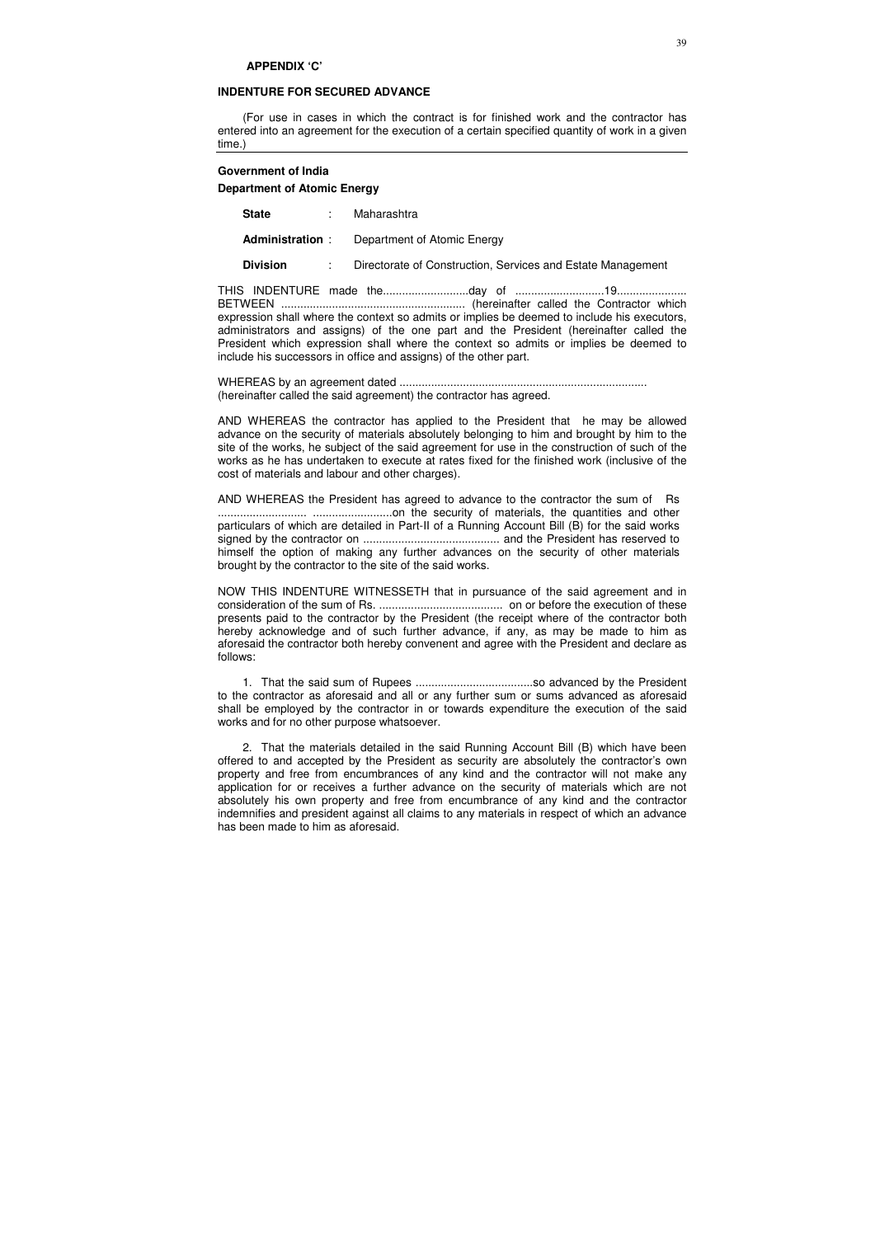#### **APPENDIX 'C'**

#### **INDENTURE FOR SECURED ADVANCE**

(For use in cases in which the contract is for finished work and the contractor has entered into an agreement for the execution of a certain specified quantity of work in a given time.)

#### **Government of India**

#### **Department of Atomic Energy**

| <b>State</b>           |  | Maharashtra                                                 |
|------------------------|--|-------------------------------------------------------------|
| <b>Administration:</b> |  | Department of Atomic Energy                                 |
| <b>Division</b>        |  | Directorate of Construction, Services and Estate Management |

THIS INDENTURE made the...........................day of ............................19...................... BETWEEN .......................................................... (hereinafter called the Contractor which expression shall where the context so admits or implies be deemed to include his executors, administrators and assigns) of the one part and the President (hereinafter called the President which expression shall where the context so admits or implies be deemed to include his successors in office and assigns) of the other part.

WHEREAS by an agreement dated .............................................................................. (hereinafter called the said agreement) the contractor has agreed.

AND WHEREAS the contractor has applied to the President that he may be allowed advance on the security of materials absolutely belonging to him and brought by him to the site of the works, he subject of the said agreement for use in the construction of such of the works as he has undertaken to execute at rates fixed for the finished work (inclusive of the cost of materials and labour and other charges).

AND WHEREAS the President has agreed to advance to the contractor the sum of Rs ............................ .........................on the security of materials, the quantities and other particulars of which are detailed in Part-II of a Running Account Bill (B) for the said works signed by the contractor on ........................................... and the President has reserved to himself the option of making any further advances on the security of other materials brought by the contractor to the site of the said works.

NOW THIS INDENTURE WITNESSETH that in pursuance of the said agreement and in consideration of the sum of Rs. ....................................... on or before the execution of these presents paid to the contractor by the President (the receipt where of the contractor both hereby acknowledge and of such further advance, if any, as may be made to him as aforesaid the contractor both hereby convenent and agree with the President and declare as follows:

1. That the said sum of Rupees .....................................so advanced by the President to the contractor as aforesaid and all or any further sum or sums advanced as aforesaid shall be employed by the contractor in or towards expenditure the execution of the said works and for no other purpose whatsoever.

2. That the materials detailed in the said Running Account Bill (B) which have been offered to and accepted by the President as security are absolutely the contractor's own property and free from encumbrances of any kind and the contractor will not make any application for or receives a further advance on the security of materials which are not absolutely his own property and free from encumbrance of any kind and the contractor indemnifies and president against all claims to any materials in respect of which an advance has been made to him as aforesaid.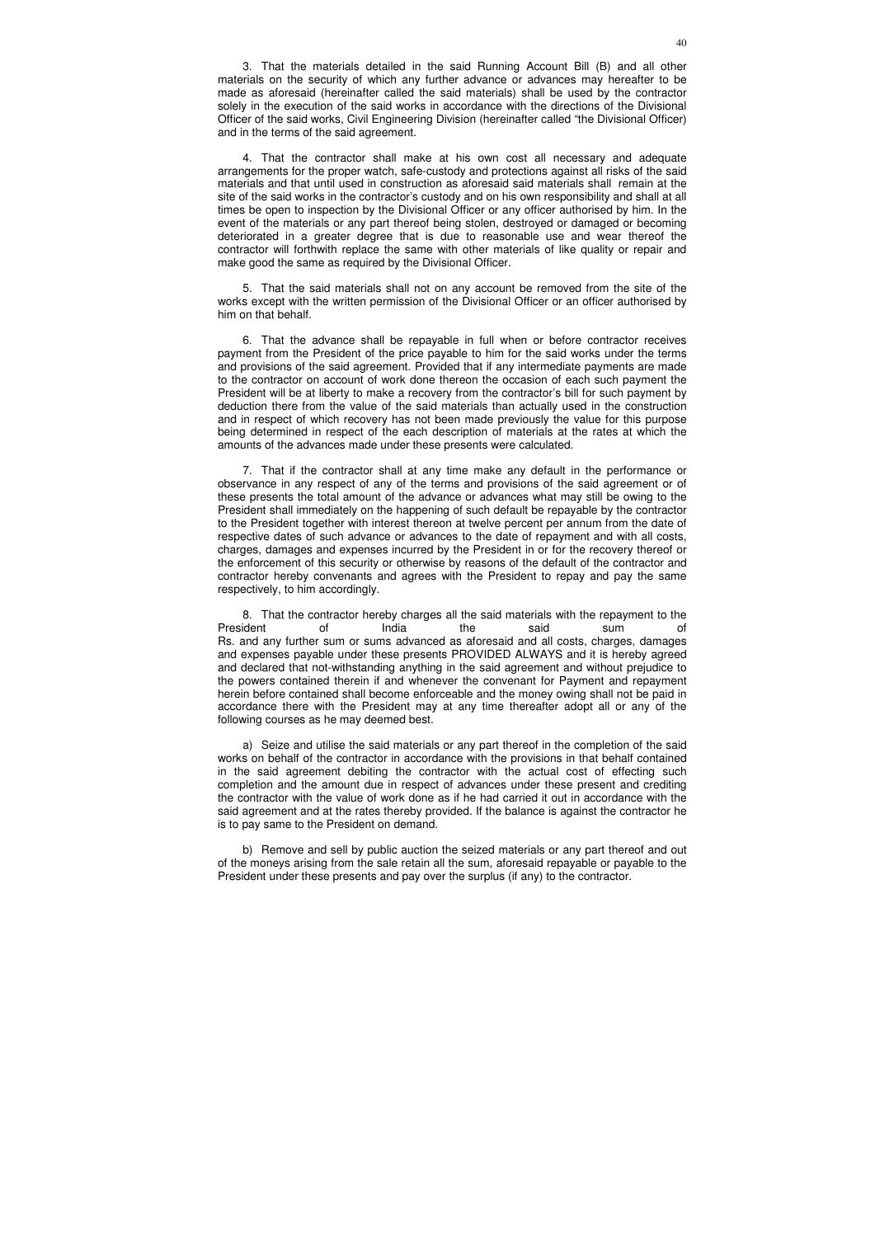3. That the materials detailed in the said Running Account Bill (B) and all other materials on the security of which any further advance or advances may hereafter to be made as aforesaid (hereinafter called the said materials) shall be used by the contractor solely in the execution of the said works in accordance with the directions of the Divisional Officer of the said works, Civil Engineering Division (hereinafter called "the Divisional Officer) and in the terms of the said agreement.

4. That the contractor shall make at his own cost all necessary and adequate arrangements for the proper watch, safe-custody and protections against all risks of the said materials and that until used in construction as aforesaid said materials shall remain at the site of the said works in the contractor's custody and on his own responsibility and shall at all times be open to inspection by the Divisional Officer or any officer authorised by him. In the event of the materials or any part thereof being stolen, destroyed or damaged or becoming deteriorated in a greater degree that is due to reasonable use and wear thereof the contractor will forthwith replace the same with other materials of like quality or repair and make good the same as required by the Divisional Officer.

5. That the said materials shall not on any account be removed from the site of the works except with the written permission of the Divisional Officer or an officer authorised by him on that behalf.

6. That the advance shall be repayable in full when or before contractor receives payment from the President of the price payable to him for the said works under the terms and provisions of the said agreement. Provided that if any intermediate payments are made to the contractor on account of work done thereon the occasion of each such payment the President will be at liberty to make a recovery from the contractor's bill for such payment by deduction there from the value of the said materials than actually used in the construction and in respect of which recovery has not been made previously the value for this purpose being determined in respect of the each description of materials at the rates at which the amounts of the advances made under these presents were calculated.

7. That if the contractor shall at any time make any default in the performance or observance in any respect of any of the terms and provisions of the said agreement or of these presents the total amount of the advance or advances what may still be owing to the President shall immediately on the happening of such default be repayable by the contractor to the President together with interest thereon at twelve percent per annum from the date of respective dates of such advance or advances to the date of repayment and with all costs, charges, damages and expenses incurred by the President in or for the recovery thereof or the enforcement of this security or otherwise by reasons of the default of the contractor and contractor hereby convenants and agrees with the President to repay and pay the same respectively, to him accordingly.

8. That the contractor hereby charges all the said materials with the repayment to the President of India the said sum of Rs. and any further sum or sums advanced as aforesaid and all costs, charges, damages and expenses payable under these presents PROVIDED ALWAYS and it is hereby agreed and declared that not-withstanding anything in the said agreement and without prejudice to the powers contained therein if and whenever the convenant for Payment and repayment herein before contained shall become enforceable and the money owing shall not be paid in accordance there with the President may at any time thereafter adopt all or any of the following courses as he may deemed best.

a) Seize and utilise the said materials or any part thereof in the completion of the said works on behalf of the contractor in accordance with the provisions in that behalf contained in the said agreement debiting the contractor with the actual cost of effecting such completion and the amount due in respect of advances under these present and crediting the contractor with the value of work done as if he had carried it out in accordance with the said agreement and at the rates thereby provided. If the balance is against the contractor he is to pay same to the President on demand.

b) Remove and sell by public auction the seized materials or any part thereof and out of the moneys arising from the sale retain all the sum, aforesaid repayable or payable to the President under these presents and pay over the surplus (if any) to the contractor.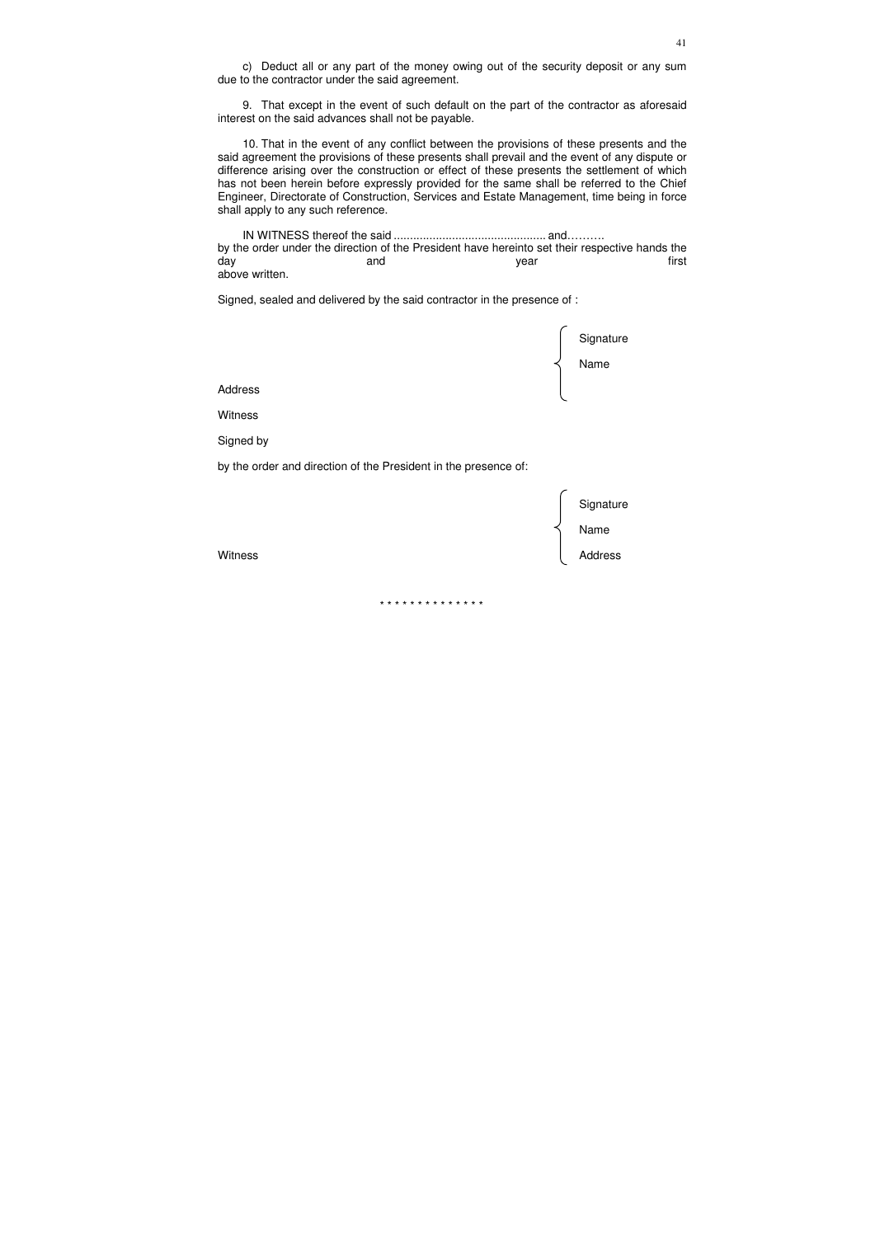c) Deduct all or any part of the money owing out of the security deposit or any sum due to the contractor under the said agreement.

9. That except in the event of such default on the part of the contractor as aforesaid interest on the said advances shall not be payable.

10. That in the event of any conflict between the provisions of these presents and the said agreement the provisions of these presents shall prevail and the event of any dispute or difference arising over the construction or effect of these presents the settlement of which has not been herein before expressly provided for the same shall be referred to the Chief Engineer, Directorate of Construction, Services and Estate Management, time being in force shall apply to any such reference.

IN WITNESS thereof the said ............................................... and………. by the order under the direction of the President have hereinto set their respective hands the day and year first above written.

Signed, sealed and delivered by the said contractor in the presence of :

|                                                                 | Signature<br>Name            |
|-----------------------------------------------------------------|------------------------------|
|                                                                 |                              |
| <b>Address</b>                                                  |                              |
| Witness                                                         |                              |
| Signed by                                                       |                              |
| by the order and direction of the President in the presence of: |                              |
| Witness                                                         | Signature<br>Name<br>Address |
|                                                                 |                              |

\* \* \* \* \* \* \* \* \* \* \* \* \* \*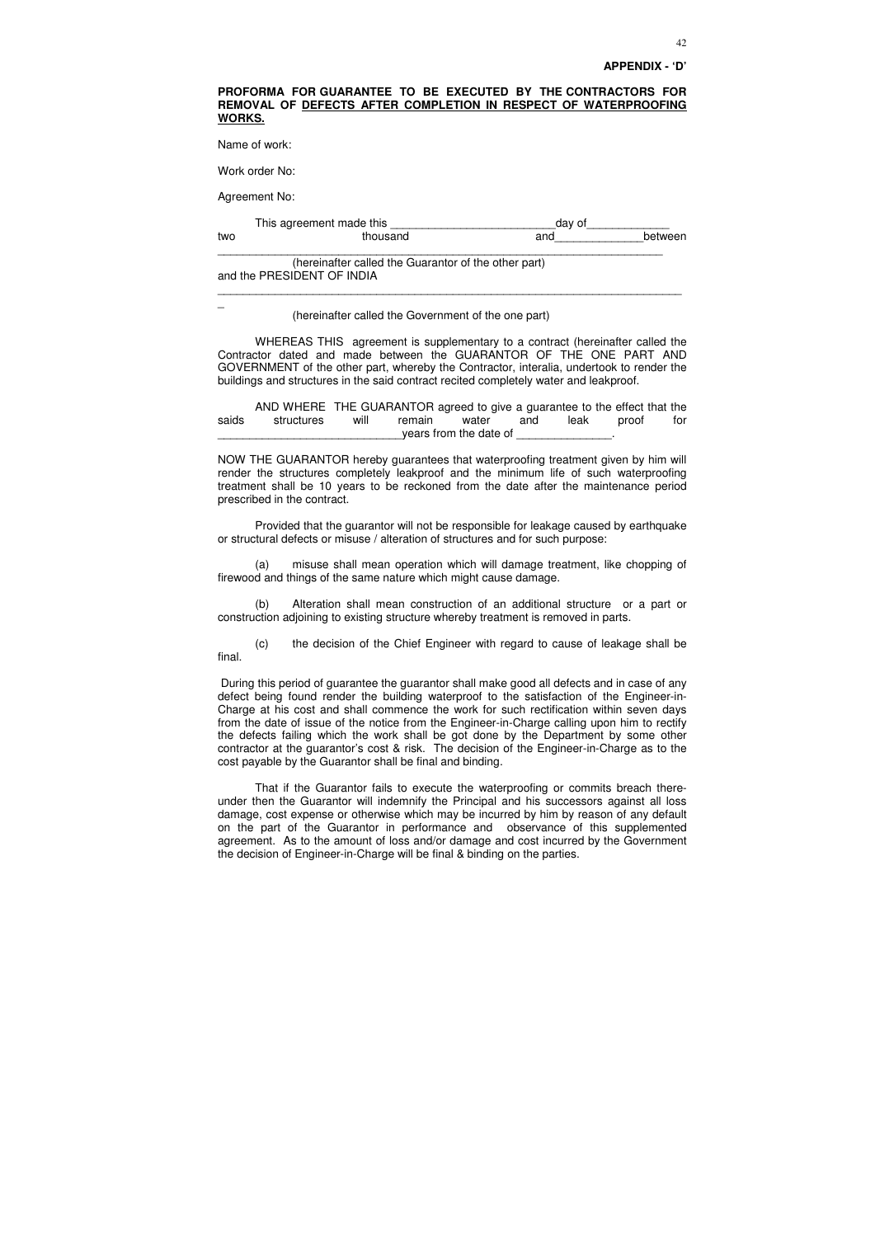#### **PROFORMA FOR GUARANTEE TO BE EXECUTED BY THE CONTRACTORS FOR REMOVAL OF DEFECTS AFTER COMPLETION IN RESPECT OF WATERPROOFING WORKS.**

Name of work:

Work order No:

Agreement No:

 $\overline{a}$ 

|     | This agreement made this | dav of |         |
|-----|--------------------------|--------|---------|
| two | thousand                 | and    | between |
|     |                          |        |         |

 (hereinafter called the Guarantor of the other part) and the PRESIDENT OF INDIA

 AND WHERE THE GUARANTOR agreed to give a guarantee to the effect that the saids structures will remain water and leak proof for years from the date of

\_\_\_\_\_\_\_\_\_\_\_\_\_\_\_\_\_\_\_\_\_\_\_\_\_\_\_\_\_\_\_\_\_\_\_\_\_\_\_\_\_\_\_\_\_\_\_\_\_\_\_\_\_\_\_\_\_\_\_\_\_\_\_\_\_\_\_\_\_\_\_\_\_

(hereinafter called the Government of the one part)

 WHEREAS THIS agreement is supplementary to a contract (hereinafter called the Contractor dated and made between the GUARANTOR OF THE ONE PART AND GOVERNMENT of the other part, whereby the Contractor, interalia, undertook to render the buildings and structures in the said contract recited completely water and leakproof.

NOW THE GUARANTOR hereby guarantees that waterproofing treatment given by him will render the structures completely leakproof and the minimum life of such waterproofing treatment shall be 10 years to be reckoned from the date after the maintenance period prescribed in the contract.

 Provided that the guarantor will not be responsible for leakage caused by earthquake or structural defects or misuse / alteration of structures and for such purpose:

(a) misuse shall mean operation which will damage treatment, like chopping of firewood and things of the same nature which might cause damage.

(b) Alteration shall mean construction of an additional structure or a part or construction adjoining to existing structure whereby treatment is removed in parts.

(c) the decision of the Chief Engineer with regard to cause of leakage shall be final.

 During this period of guarantee the guarantor shall make good all defects and in case of any defect being found render the building waterproof to the satisfaction of the Engineer-in-Charge at his cost and shall commence the work for such rectification within seven days from the date of issue of the notice from the Engineer-in-Charge calling upon him to rectify the defects failing which the work shall be got done by the Department by some other contractor at the guarantor's cost & risk. The decision of the Engineer-in-Charge as to the cost payable by the Guarantor shall be final and binding.

 That if the Guarantor fails to execute the waterproofing or commits breach thereunder then the Guarantor will indemnify the Principal and his successors against all loss damage, cost expense or otherwise which may be incurred by him by reason of any default on the part of the Guarantor in performance and observance of this supplemented agreement. As to the amount of loss and/or damage and cost incurred by the Government the decision of Engineer-in-Charge will be final & binding on the parties.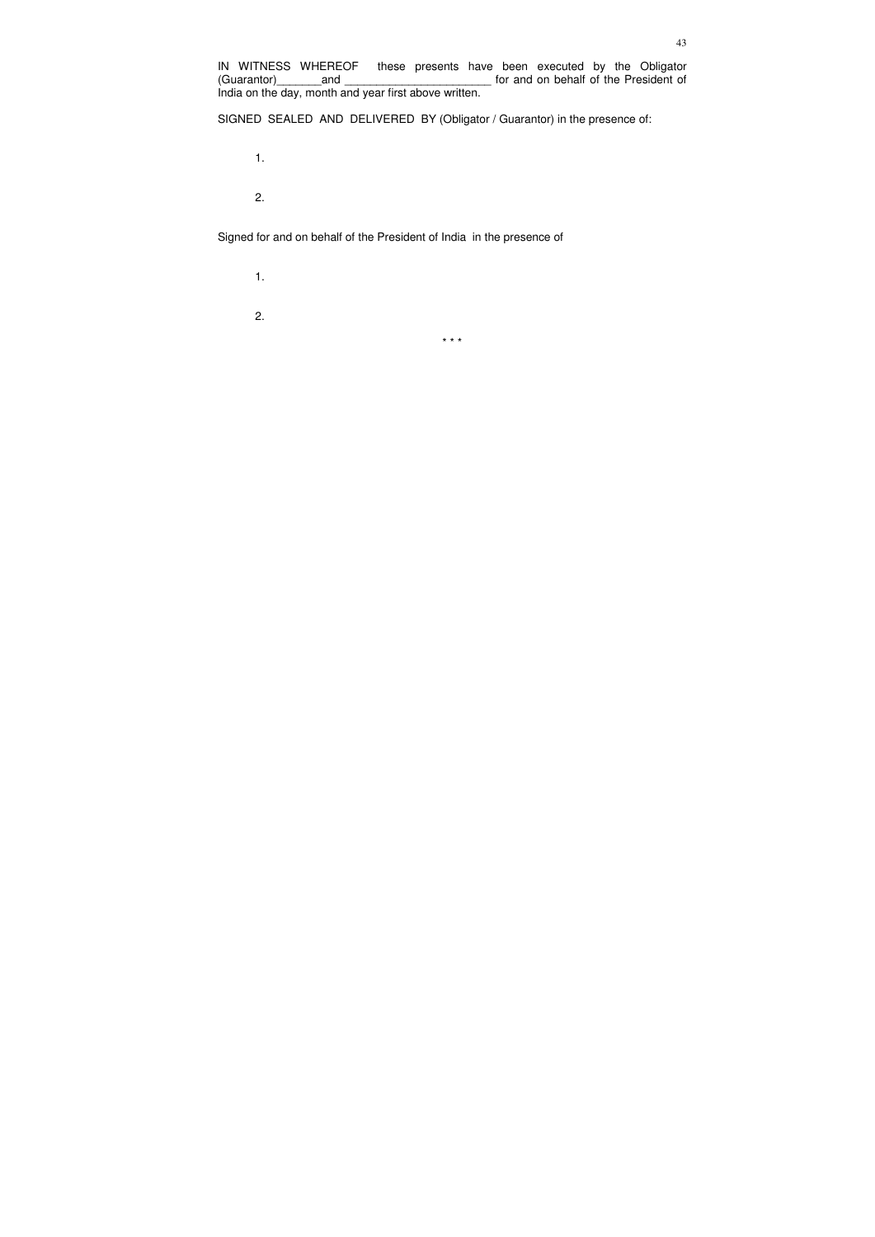IN WITNESS WHEREOF these presents have been executed by the Obligator for and on behalf of the President of India on the day, month and year first above written.

SIGNED SEALED AND DELIVERED BY (Obligator / Guarantor) in the presence of:

1.

2.

Signed for and on behalf of the President of India in the presence of

 1. 2.

\* \* \*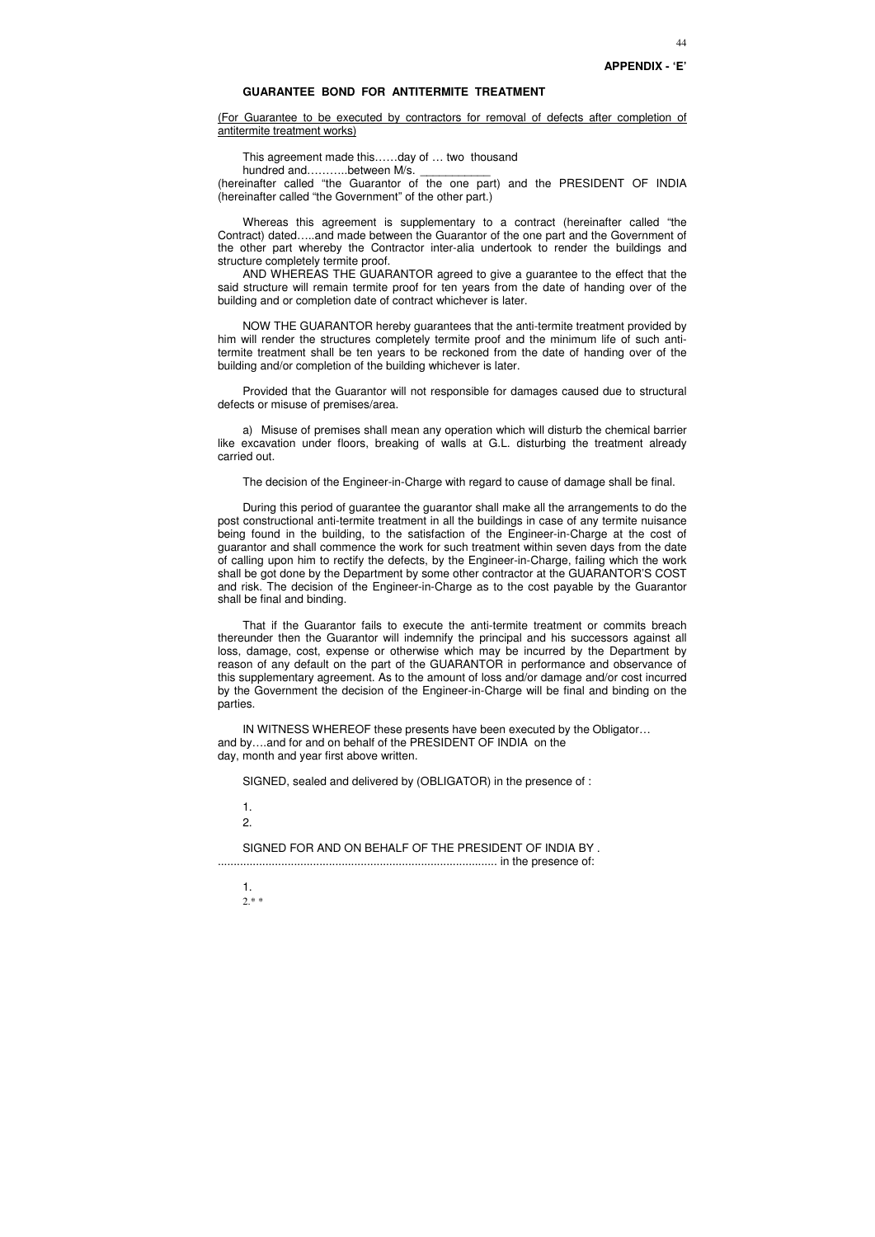#### **GUARANTEE BOND FOR ANTITERMITE TREATMENT**

(For Guarantee to be executed by contractors for removal of defects after completion of antitermite treatment works)

This agreement made this……day of … two thousand

hundred and……...between M/s.

(hereinafter called "the Guarantor of the one part) and the PRESIDENT OF INDIA (hereinafter called "the Government" of the other part.)

Whereas this agreement is supplementary to a contract (hereinafter called "the Contract) dated…..and made between the Guarantor of the one part and the Government of the other part whereby the Contractor inter-alia undertook to render the buildings and structure completely termite proof.

AND WHEREAS THE GUARANTOR agreed to give a guarantee to the effect that the said structure will remain termite proof for ten years from the date of handing over of the building and or completion date of contract whichever is later.

NOW THE GUARANTOR hereby guarantees that the anti-termite treatment provided by him will render the structures completely termite proof and the minimum life of such antitermite treatment shall be ten years to be reckoned from the date of handing over of the building and/or completion of the building whichever is later.

Provided that the Guarantor will not responsible for damages caused due to structural defects or misuse of premises/area.

a) Misuse of premises shall mean any operation which will disturb the chemical barrier like excavation under floors, breaking of walls at G.L. disturbing the treatment already carried out.

The decision of the Engineer-in-Charge with regard to cause of damage shall be final.

During this period of guarantee the guarantor shall make all the arrangements to do the post constructional anti-termite treatment in all the buildings in case of any termite nuisance being found in the building, to the satisfaction of the Engineer-in-Charge at the cost of guarantor and shall commence the work for such treatment within seven days from the date of calling upon him to rectify the defects, by the Engineer-in-Charge, failing which the work shall be got done by the Department by some other contractor at the GUARANTOR'S COST and risk. The decision of the Engineer-in-Charge as to the cost payable by the Guarantor shall be final and binding.

That if the Guarantor fails to execute the anti-termite treatment or commits breach thereunder then the Guarantor will indemnify the principal and his successors against all loss, damage, cost, expense or otherwise which may be incurred by the Department by reason of any default on the part of the GUARANTOR in performance and observance of this supplementary agreement. As to the amount of loss and/or damage and/or cost incurred by the Government the decision of the Engineer-in-Charge will be final and binding on the parties.

IN WITNESS WHEREOF these presents have been executed by the Obligator… and by….and for and on behalf of the PRESIDENT OF INDIA on the day, month and year first above written.

SIGNED, sealed and delivered by (OBLIGATOR) in the presence of :

1.

2.

SIGNED FOR AND ON BEHALF OF THE PRESIDENT OF INDIA BY . ........................................................................................ in the presence of:

1. 2.\* \*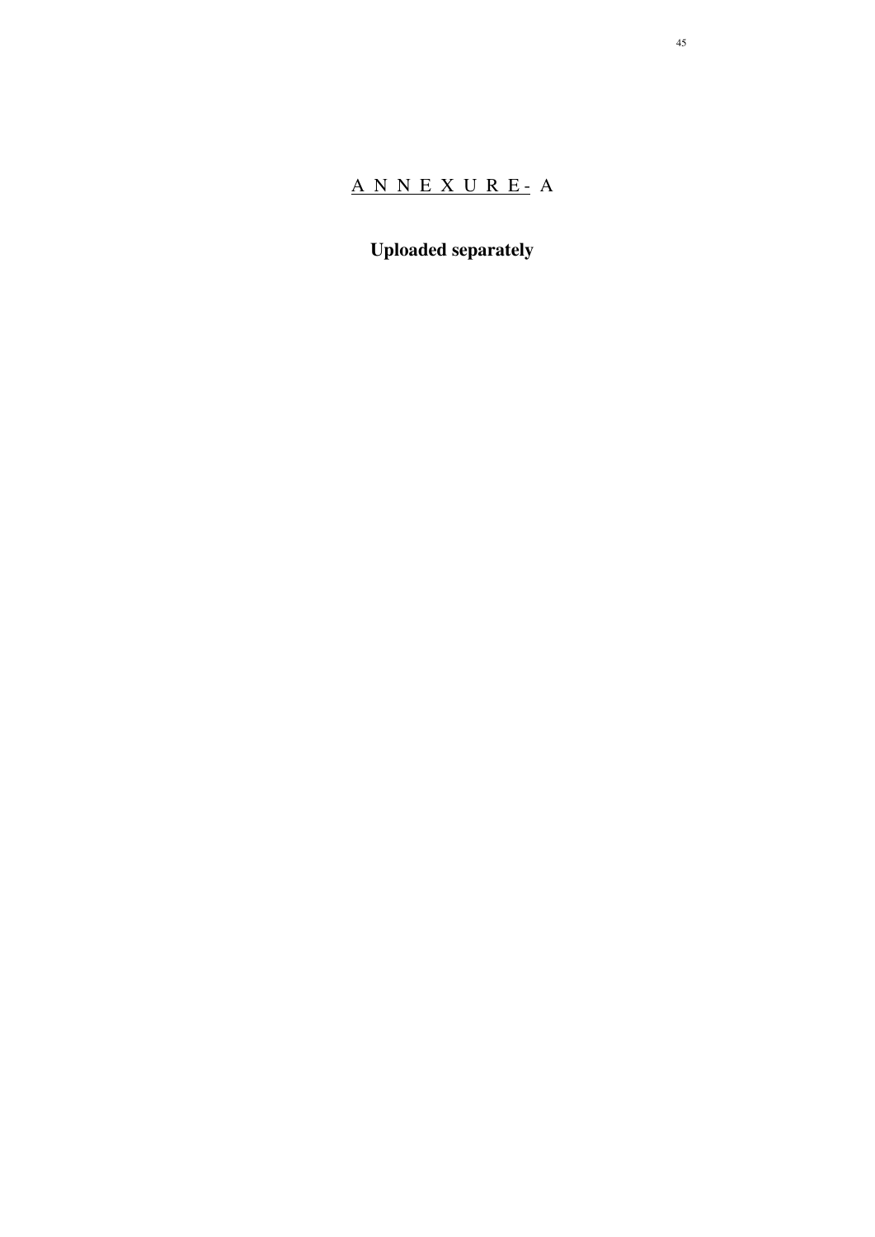# A N N E X U R E - A

**Uploaded separately**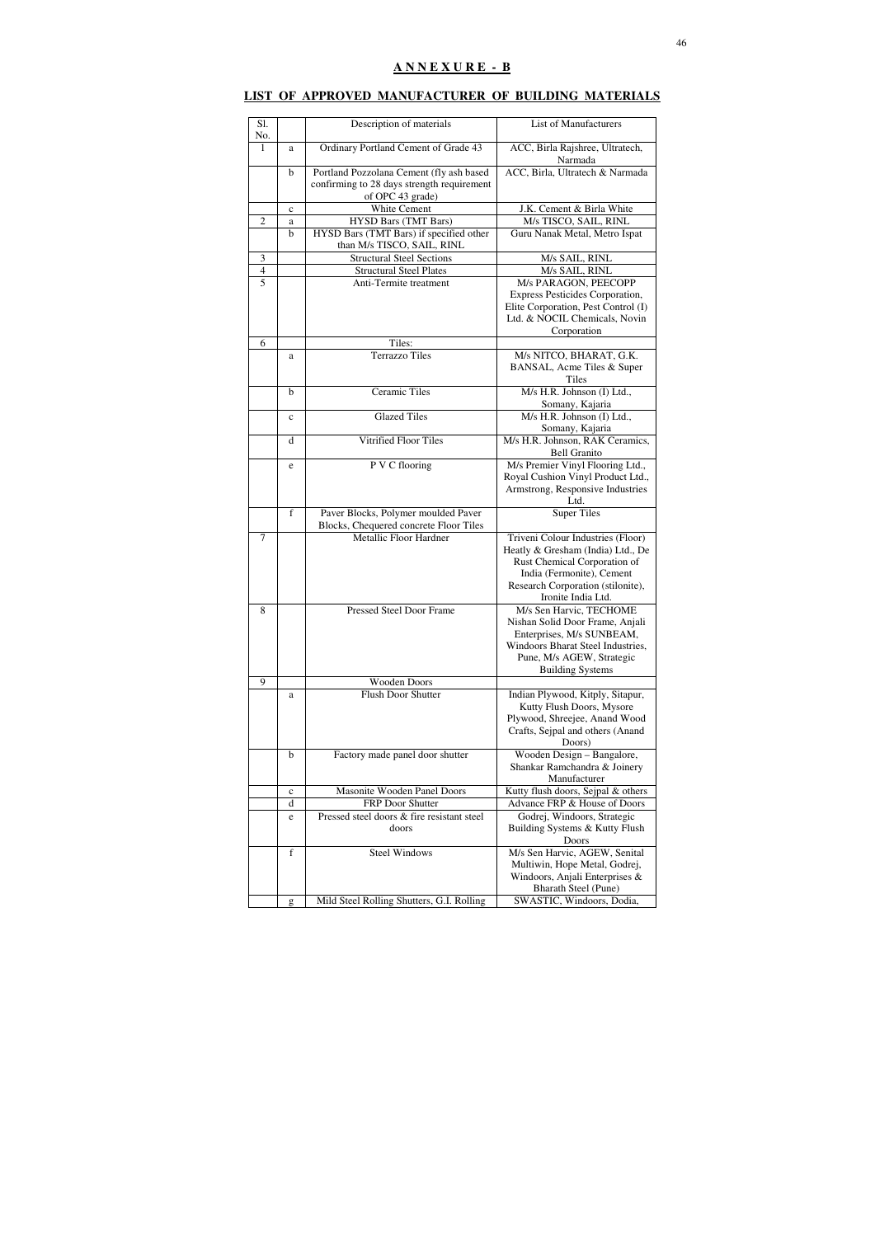# **LIST OF APPROVED MANUFACTURER OF BUILDING MATERIALS**

| Sl.<br>No.     |             | Description of materials                                                                                   | <b>List of Manufacturers</b>                                                                                                                                                                   |
|----------------|-------------|------------------------------------------------------------------------------------------------------------|------------------------------------------------------------------------------------------------------------------------------------------------------------------------------------------------|
| 1              | a           | Ordinary Portland Cement of Grade 43                                                                       | ACC, Birla Rajshree, Ultratech,<br>Narmada                                                                                                                                                     |
|                | b           | Portland Pozzolana Cement (fly ash based<br>confirming to 28 days strength requirement<br>of OPC 43 grade) | ACC, Birla, Ultratech & Narmada                                                                                                                                                                |
|                | $\mathbf c$ | White Cement                                                                                               | J.K. Cement & Birla White                                                                                                                                                                      |
| $\overline{2}$ | a           | <b>HYSD Bars (TMT Bars)</b>                                                                                | M/s TISCO, SAIL, RINL                                                                                                                                                                          |
|                | b           | HYSD Bars (TMT Bars) if specified other<br>than M/s TISCO, SAIL, RINL                                      | Guru Nanak Metal, Metro Ispat                                                                                                                                                                  |
| $\mathfrak{Z}$ |             | <b>Structural Steel Sections</b>                                                                           | M/s SAIL, RINL                                                                                                                                                                                 |
| $\overline{4}$ |             | <b>Structural Steel Plates</b>                                                                             | M/s SAIL, RINL                                                                                                                                                                                 |
| 5              |             | Anti-Termite treatment                                                                                     | M/s PARAGON, PEECOPP<br>Express Pesticides Corporation,<br>Elite Corporation, Pest Control (I)<br>Ltd. & NOCIL Chemicals, Novin<br>Corporation                                                 |
| 6              |             | Tiles:                                                                                                     |                                                                                                                                                                                                |
|                | a           | <b>Terrazzo Tiles</b>                                                                                      | M/s NITCO, BHARAT, G.K.<br>BANSAL, Acme Tiles & Super<br>Tiles                                                                                                                                 |
|                | b           | Ceramic Tiles                                                                                              | M/s H.R. Johnson (I) Ltd.,<br>Somany, Kajaria                                                                                                                                                  |
|                | $\mathbf c$ | <b>Glazed Tiles</b>                                                                                        | M/s H.R. Johnson (I) Ltd.,<br>Somany, Kajaria                                                                                                                                                  |
|                | d           | Vitrified Floor Tiles                                                                                      | M/s H.R. Johnson, RAK Ceramics,<br><b>Bell Granito</b>                                                                                                                                         |
|                | e           | P V C flooring                                                                                             | M/s Premier Vinyl Flooring Ltd.,<br>Royal Cushion Vinyl Product Ltd.,<br>Armstrong, Responsive Industries<br>Ltd.                                                                              |
|                | f           | Paver Blocks, Polymer moulded Paver<br>Blocks, Chequered concrete Floor Tiles                              | <b>Super Tiles</b>                                                                                                                                                                             |
| 7              |             | Metallic Floor Hardner                                                                                     | Triveni Colour Industries (Floor)<br>Heatly & Gresham (India) Ltd., De<br>Rust Chemical Corporation of<br>India (Fermonite), Cement<br>Research Corporation (stilonite),<br>Ironite India Ltd. |
| 8              |             | <b>Pressed Steel Door Frame</b>                                                                            | M/s Sen Harvic, TECHOME<br>Nishan Solid Door Frame, Anjali<br>Enterprises, M/s SUNBEAM,<br>Windoors Bharat Steel Industries,<br>Pune, M/s AGEW, Strategic<br><b>Building Systems</b>           |
| 9              |             | <b>Wooden Doors</b>                                                                                        |                                                                                                                                                                                                |
|                | a           | <b>Flush Door Shutter</b>                                                                                  | Indian Plywood, Kitply, Sitapur,<br>Kutty Flush Doors, Mysore<br>Plywood, Shreejee, Anand Wood<br>Crafts, Sejpal and others (Anand<br>Doors)                                                   |
|                | $\mathbf b$ | Factory made panel door shutter                                                                            | Wooden Design - Bangalore,<br>Shankar Ramchandra & Joinery<br>Manufacturer                                                                                                                     |
|                | $\mathbf c$ | Masonite Wooden Panel Doors                                                                                | Kutty flush doors, Sejpal & others                                                                                                                                                             |
|                | d           | FRP Door Shutter                                                                                           | Advance FRP & House of Doors                                                                                                                                                                   |
|                | e           | Pressed steel doors & fire resistant steel<br>doors                                                        | Godrej, Windoors, Strategic<br>Building Systems & Kutty Flush<br>Doors                                                                                                                         |
|                | f           | <b>Steel Windows</b>                                                                                       | M/s Sen Harvic, AGEW, Senital<br>Multiwin, Hope Metal, Godrej,<br>Windoors, Anjali Enterprises &<br>Bharath Steel (Pune)                                                                       |
|                | g           | Mild Steel Rolling Shutters, G.I. Rolling                                                                  | SWASTIC, Windoors, Dodia,                                                                                                                                                                      |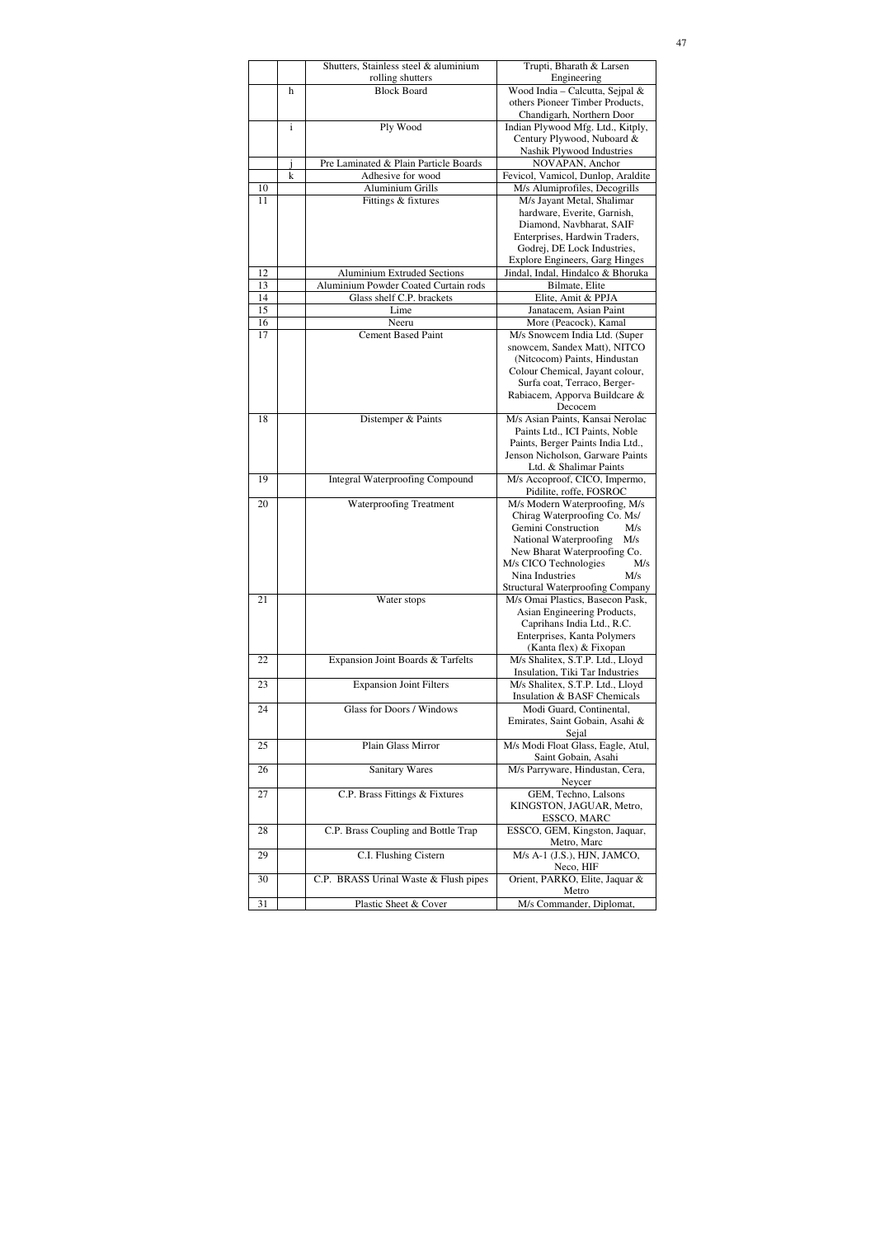|    |              | Shutters, Stainless steel & aluminium  | Trupti, Bharath & Larsen                                                   |
|----|--------------|----------------------------------------|----------------------------------------------------------------------------|
|    | h            | rolling shutters<br><b>Block Board</b> | Engineering<br>Wood India - Calcutta, Sejpal &                             |
|    |              |                                        | others Pioneer Timber Products,                                            |
|    |              |                                        | Chandigarh, Northern Door                                                  |
|    | $\mathbf{i}$ | Ply Wood                               | Indian Plywood Mfg. Ltd., Kitply,                                          |
|    |              |                                        | Century Plywood, Nuboard &                                                 |
|    |              |                                        | Nashik Plywood Industries                                                  |
|    |              | Pre Laminated & Plain Particle Boards  | NOVAPAN, Anchor                                                            |
|    | $\mathbf k$  | Adhesive for wood                      | Fevicol, Vamicol, Dunlop, Araldite                                         |
| 10 |              | <b>Aluminium Grills</b>                | M/s Alumiprofiles, Decogrills                                              |
| 11 |              | Fittings & fixtures                    | M/s Jayant Metal, Shalimar                                                 |
|    |              |                                        | hardware, Everite, Garnish,                                                |
|    |              |                                        | Diamond, Navbharat, SAIF                                                   |
|    |              |                                        | Enterprises, Hardwin Traders,                                              |
|    |              |                                        | Godrej, DE Lock Industries,                                                |
| 12 |              | <b>Aluminium Extruded Sections</b>     | <b>Explore Engineers, Garg Hinges</b><br>Jindal, Indal, Hindalco & Bhoruka |
| 13 |              | Aluminium Powder Coated Curtain rods   | Bilmate, Elite                                                             |
| 14 |              | Glass shelf C.P. brackets              | Elite, Amit & PPJA                                                         |
| 15 |              | Lime                                   | Janatacem, Asian Paint                                                     |
| 16 |              | Neeru                                  | More (Peacock), Kamal                                                      |
| 17 |              | <b>Cement Based Paint</b>              | M/s Snowcem India Ltd. (Super                                              |
|    |              |                                        | snowcem, Sandex Matt), NITCO                                               |
|    |              |                                        | (Nitcocom) Paints, Hindustan                                               |
|    |              |                                        | Colour Chemical, Jayant colour,                                            |
|    |              |                                        | Surfa coat, Terraco, Berger-                                               |
|    |              |                                        | Rabiacem, Apporva Buildcare &                                              |
|    |              |                                        | Decocem                                                                    |
| 18 |              | Distemper & Paints                     | M/s Asian Paints, Kansai Nerolac                                           |
|    |              |                                        | Paints Ltd., ICI Paints, Noble                                             |
|    |              |                                        | Paints, Berger Paints India Ltd.,                                          |
|    |              |                                        | Jenson Nicholson, Garware Paints<br>Ltd. & Shalimar Paints                 |
| 19 |              | <b>Integral Waterproofing Compound</b> | M/s Accoproof, CICO, Impermo,                                              |
|    |              |                                        | Pidilite, roffe, FOSROC                                                    |
| 20 |              | <b>Waterproofing Treatment</b>         | M/s Modern Waterproofing, M/s                                              |
|    |              |                                        | Chirag Waterproofing Co. Ms/                                               |
|    |              |                                        | Gemini Construction<br>M/s                                                 |
|    |              |                                        | National Waterproofing<br>M/s                                              |
|    |              |                                        | New Bharat Waterproofing Co.                                               |
|    |              |                                        | M/s CICO Technologies<br>M/s                                               |
|    |              |                                        | Nina Industries<br>M/s<br><b>Structural Waterproofing Company</b>          |
| 21 |              | Water stops                            | M/s Omai Plastics, Basecon Pask,                                           |
|    |              |                                        | Asian Engineering Products,                                                |
|    |              |                                        | Caprihans India Ltd., R.C.                                                 |
|    |              |                                        | Enterprises, Kanta Polymers                                                |
|    |              |                                        | (Kanta flex) & Fixopan                                                     |
| 22 |              | Expansion Joint Boards & Tarfelts      | M/s Shalitex, S.T.P. Ltd., Lloyd                                           |
|    |              |                                        | Insulation, Tiki Tar Industries                                            |
| 23 |              | <b>Expansion Joint Filters</b>         | M/s Shalitex, S.T.P. Ltd., Lloyd                                           |
|    |              |                                        | Insulation & BASF Chemicals                                                |
| 24 |              | Glass for Doors / Windows              | Modi Guard, Continental,                                                   |
|    |              |                                        | Emirates, Saint Gobain, Asahi &                                            |
| 25 |              | Plain Glass Mirror                     | Sejal<br>M/s Modi Float Glass, Eagle, Atul,                                |
|    |              |                                        | Saint Gobain, Asahi                                                        |
| 26 |              | <b>Sanitary Wares</b>                  | M/s Parryware, Hindustan, Cera,                                            |
|    |              |                                        | Neycer                                                                     |
| 27 |              | C.P. Brass Fittings & Fixtures         | GEM, Techno, Lalsons                                                       |
|    |              |                                        | KINGSTON, JAGUAR, Metro,                                                   |
|    |              |                                        | ESSCO, MARC                                                                |
| 28 |              | C.P. Brass Coupling and Bottle Trap    | ESSCO, GEM, Kingston, Jaquar,                                              |
|    |              |                                        | Metro, Marc                                                                |
| 29 |              | C.I. Flushing Cistern                  | M/s A-1 (J.S.), HJN, JAMCO,                                                |
|    |              |                                        | Neco, HIF                                                                  |
| 30 |              | C.P. BRASS Urinal Waste & Flush pipes  | Orient, PARKO, Elite, Jaquar &<br>Metro                                    |
| 31 |              | Plastic Sheet & Cover                  | M/s Commander, Diplomat,                                                   |
|    |              |                                        |                                                                            |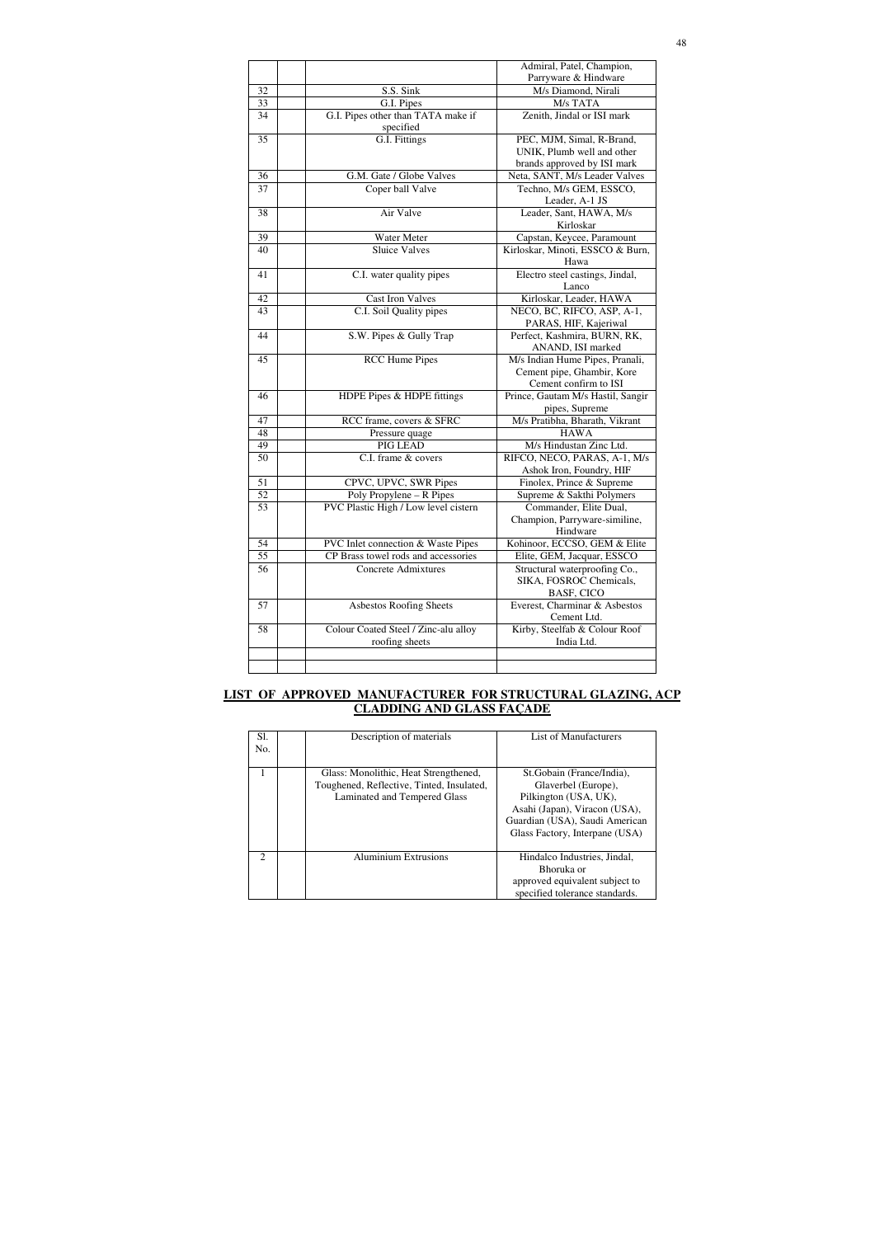|    |                                                 | Admiral, Patel, Champion,                         |
|----|-------------------------------------------------|---------------------------------------------------|
|    |                                                 | Parryware & Hindware                              |
| 32 | S.S. Sink                                       | M/s Diamond, Nirali                               |
| 33 | G.I. Pipes                                      | M/s TATA                                          |
| 34 | G.I. Pipes other than TATA make if<br>specified | Zenith, Jindal or ISI mark                        |
| 35 | G.I. Fittings                                   | PEC, MJM, Simal, R-Brand,                         |
|    |                                                 | UNIK, Plumb well and other                        |
|    |                                                 | brands approved by ISI mark                       |
| 36 | G.M. Gate / Globe Valves                        | Neta, SANT, M/s Leader Valves                     |
| 37 | Coper ball Valve                                | Techno, M/s GEM, ESSCO,                           |
|    |                                                 | Leader, A-1 JS                                    |
| 38 | Air Valve                                       | Leader, Sant, HAWA, M/s                           |
|    |                                                 | Kirloskar                                         |
| 39 | Water Meter                                     | Capstan, Keycee, Paramount                        |
| 40 | <b>Sluice Valves</b>                            | Kirloskar, Minoti, ESSCO & Burn,                  |
|    |                                                 | Hawa                                              |
| 41 | C.I. water quality pipes                        | Electro steel castings, Jindal,                   |
|    |                                                 | Lanco                                             |
| 42 | <b>Cast Iron Valves</b>                         | Kirloskar, Leader, HAWA                           |
| 43 | C.I. Soil Quality pipes                         | NECO, BC, RIFCO, ASP, A-1,                        |
|    |                                                 | PARAS, HIF, Kajeriwal                             |
| 44 | S.W. Pipes & Gully Trap                         | Perfect, Kashmira, BURN, RK,<br>ANAND, ISI marked |
| 45 | <b>RCC Hume Pipes</b>                           | M/s Indian Hume Pipes, Pranali,                   |
|    |                                                 | Cement pipe, Ghambir, Kore                        |
|    |                                                 | Cement confirm to ISI                             |
| 46 | HDPE Pipes & HDPE fittings                      | Prince, Gautam M/s Hastil, Sangir                 |
|    |                                                 | pipes, Supreme                                    |
| 47 | RCC frame, covers & SFRC                        | M/s Pratibha, Bharath, Vikrant                    |
| 48 | Pressure quage                                  | <b>HAWA</b>                                       |
| 49 | PIG LEAD                                        | M/s Hindustan Zinc Ltd.                           |
| 50 | C.I. frame & covers                             | RIFCO, NECO, PARAS, A-1, M/s                      |
|    |                                                 | Ashok Iron, Foundry, HIF                          |
| 51 | CPVC, UPVC, SWR Pipes                           | Finolex, Prince & Supreme                         |
| 52 | Poly Propylene – R Pipes                        | Supreme & Sakthi Polymers                         |
| 53 | PVC Plastic High / Low level cistern            | Commander, Elite Dual,                            |
|    |                                                 | Champion, Parryware-similine,                     |
| 54 | PVC Inlet connection & Waste Pipes              | Hindware<br>Kohinoor, ECCSO, GEM & Elite          |
| 55 | CP Brass towel rods and accessories             | Elite, GEM, Jacquar, ESSCO                        |
| 56 | Concrete Admixtures                             | Structural waterproofing Co.,                     |
|    |                                                 | SIKA, FOSROC Chemicals,                           |
|    |                                                 | <b>BASF, CICO</b>                                 |
| 57 | Asbestos Roofing Sheets                         | Everest, Charminar & Asbestos                     |
|    |                                                 | Cement Ltd.                                       |
| 58 | Colour Coated Steel / Zinc-alu alloy            | Kirby, Steelfab & Colour Roof                     |
|    | roofing sheets                                  | India Ltd.                                        |
|    |                                                 |                                                   |
|    |                                                 |                                                   |
|    |                                                 |                                                   |

## **LIST OF APPROVED MANUFACTURER FOR STRUCTURAL GLAZING, ACP CLADDING AND GLASS FAÇADE**

| Sl.<br>No.                  | Description of materials                                                                                           | List of Manufacturers                                                                                                                                                           |
|-----------------------------|--------------------------------------------------------------------------------------------------------------------|---------------------------------------------------------------------------------------------------------------------------------------------------------------------------------|
|                             | Glass: Monolithic, Heat Strengthened,<br>Toughened, Reflective, Tinted, Insulated,<br>Laminated and Tempered Glass | St. Gobain (France/India),<br>Glaverbel (Europe),<br>Pilkington (USA, UK),<br>Asahi (Japan), Viracon (USA),<br>Guardian (USA), Saudi American<br>Glass Factory, Interpane (USA) |
| $\mathcal{D}_{\mathcal{L}}$ | <b>Aluminium Extrusions</b>                                                                                        | Hindalco Industries, Jindal,<br>Bhoruka or<br>approved equivalent subject to<br>specified tolerance standards.                                                                  |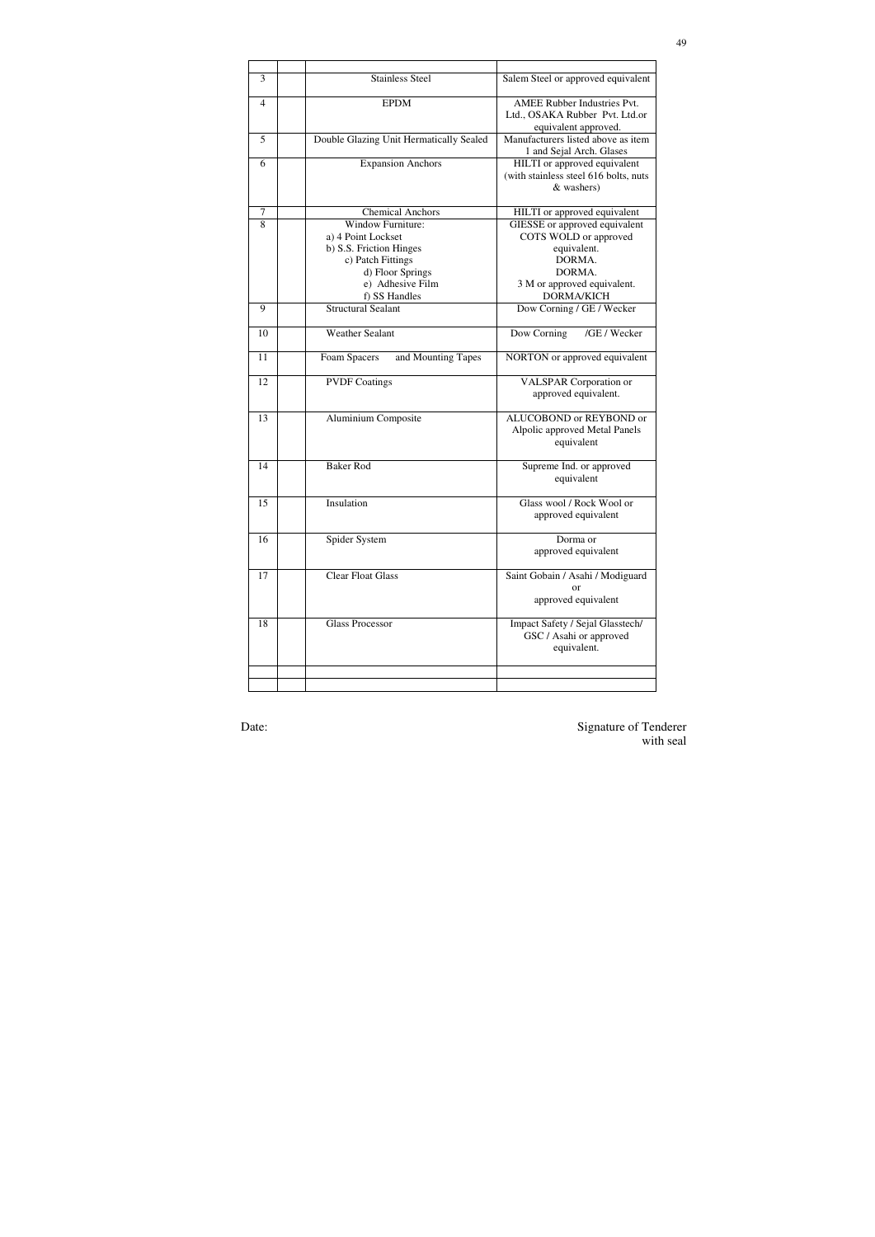|    | <b>Stainless Steel</b>                     |                                                            |
|----|--------------------------------------------|------------------------------------------------------------|
| 3  |                                            | Salem Steel or approved equivalent                         |
| 4  | <b>EPDM</b>                                | <b>AMEE Rubber Industries Pvt.</b>                         |
|    |                                            | Ltd., OSAKA Rubber Pvt. Ltd.or                             |
| 5  | Double Glazing Unit Hermatically Sealed    | equivalent approved.<br>Manufacturers listed above as item |
|    |                                            | 1 and Sejal Arch. Glases                                   |
| 6  | <b>Expansion Anchors</b>                   | HILTI or approved equivalent                               |
|    |                                            | (with stainless steel 616 bolts, nuts                      |
|    |                                            | & washers)                                                 |
| 7  | <b>Chemical Anchors</b>                    | HILTI or approved equivalent                               |
| 8  | <b>Window Furniture:</b>                   | GIESSE or approved equivalent                              |
|    | a) 4 Point Lockset                         | COTS WOLD or approved                                      |
|    | b) S.S. Friction Hinges                    | equivalent.                                                |
|    | c) Patch Fittings                          | DORMA.                                                     |
|    | d) Floor Springs                           | DORMA.                                                     |
|    | e) Adhesive Film                           | 3 M or approved equivalent.                                |
| 9  | f) SS Handles<br><b>Structural Sealant</b> | <b>DORMA/KICH</b>                                          |
|    |                                            | Dow Corning / GE / Wecker                                  |
| 10 | <b>Weather Sealant</b>                     | /GE / Wecker<br>Dow Corning                                |
| 11 | Foam Spacers<br>and Mounting Tapes         | NORTON or approved equivalent                              |
| 12 | <b>PVDF Coatings</b>                       | <b>VALSPAR</b> Corporation or                              |
|    |                                            | approved equivalent.                                       |
| 13 | Aluminium Composite                        | ALUCOBOND or REYBOND or                                    |
|    |                                            | Alpolic approved Metal Panels                              |
|    |                                            | equivalent                                                 |
|    |                                            |                                                            |
| 14 | <b>Baker Rod</b>                           | Supreme Ind. or approved                                   |
|    |                                            | equivalent                                                 |
| 15 | Insulation                                 | Glass wool / Rock Wool or                                  |
|    |                                            | approved equivalent                                        |
|    |                                            |                                                            |
| 16 | Spider System                              | Dorma or                                                   |
|    |                                            | approved equivalent                                        |
| 17 | <b>Clear Float Glass</b>                   | Saint Gobain / Asahi / Modiguard                           |
|    |                                            | or                                                         |
|    |                                            | approved equivalent                                        |
| 18 | <b>Glass Processor</b>                     | Impact Safety / Sejal Glasstech/                           |
|    |                                            | GSC / Asahi or approved                                    |
|    |                                            | equivalent.                                                |
|    |                                            |                                                            |
|    |                                            |                                                            |
|    |                                            |                                                            |

Date: Signature of Tenderer with seal